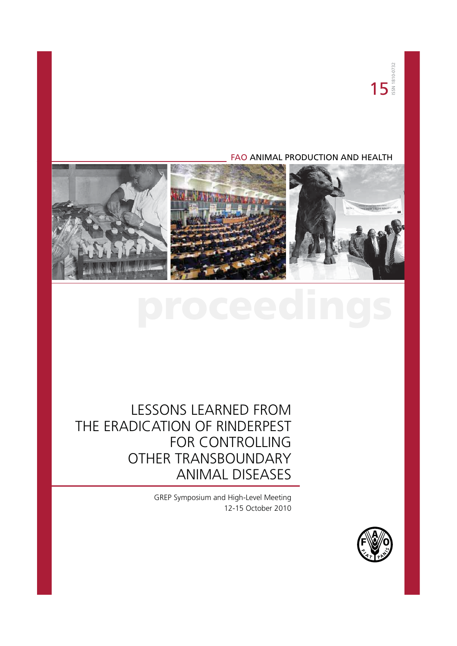# FAO ANIMAL PRODUCTION AND HEALTH



# LESSONS LEARNED FROM THE ERADICATION OF RINDERPEST FOR CONTROLLING OTHER TRANSBOUNDARY ANIMAL DISEASES

GREP Symposium and High-Level Meeting 12-15 October 2010

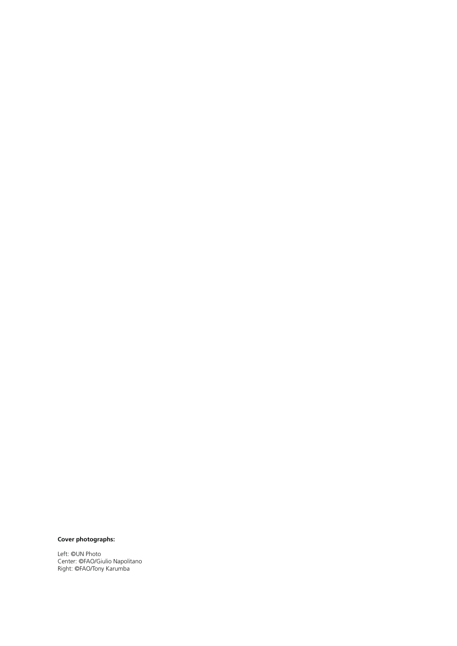### **Cover photographs:**

Left: ©UN Photo Center: ©FAO/Giulio Napolitano Right: ©FAO/Tony Karumba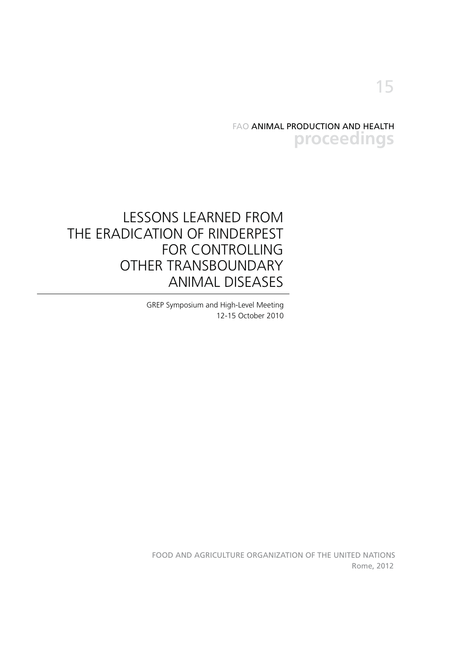FAO ANIMAL PRODUCTION AND HEALTH **proceedings**

# LESSONS LEARNED FROM THE ERADICATION OF RINDERPEST FOR CONTROLLING OTHER TRANSBOUNDARY ANIMAL DISEASES

GREP Symposium and High-Level Meeting 12-15 October 2010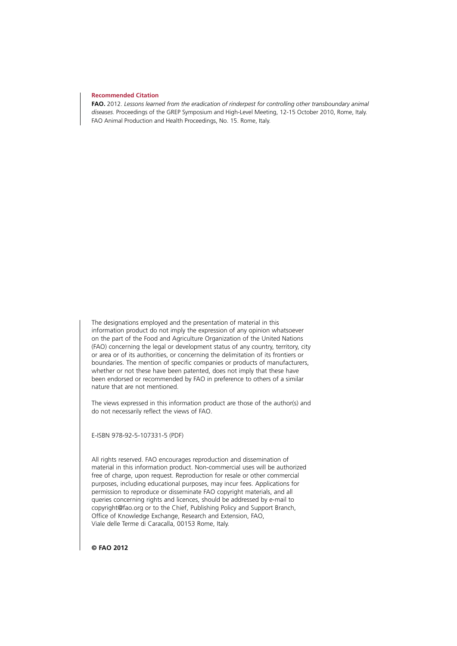#### **Recommended Citation**

**FAO.** 2012. *Lessons learned from the eradication of rinderpest for controlling other transboundary animal diseases.* Proceedings of the GREP Symposium and High-Level Meeting, 12-15 October 2010, Rome, Italy. FAO Animal Production and Health Proceedings, No. 15. Rome, Italy.

The designations employed and the presentation of material in this information product do not imply the expression of any opinion whatsoever on the part of the Food and Agriculture Organization of the United Nations (FAO) concerning the legal or development status of any country, territory, city or area or of its authorities, or concerning the delimitation of its frontiers or boundaries. The mention of specific companies or products of manufacturers, whether or not these have been patented, does not imply that these have been endorsed or recommended by FAO in preference to others of a similar nature that are not mentioned.

The views expressed in this information product are those of the author(s) and do not necessarily reflect the views of FAO.

E-ISBN 978-92-5-107331-5 (PDF)

All rights reserved. FAO encourages reproduction and dissemination of material in this information product. Non-commercial uses will be authorized free of charge, upon request. Reproduction for resale or other commercial purposes, including educational purposes, may incur fees. Applications for permission to reproduce or disseminate FAO copyright materials, and all queries concerning rights and licences, should be addressed by e-mail to copyright@fao.org or to the Chief, Publishing Policy and Support Branch, Office of Knowledge Exchange, Research and Extension, FAO, Viale delle Terme di Caracalla, 00153 Rome, Italy.

**© FAO 2012**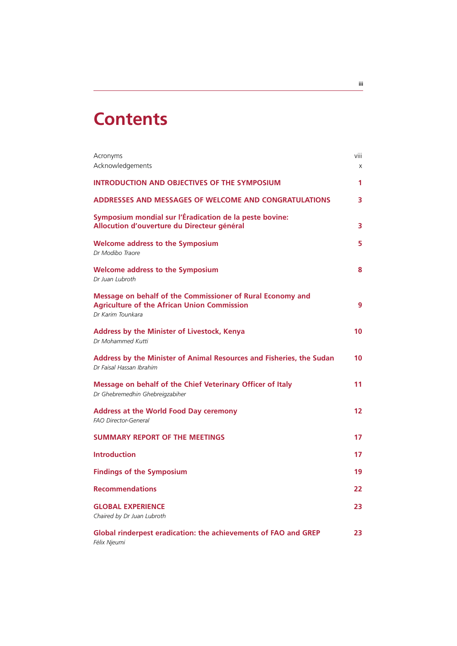# **Contents**

| Acronyms<br>Acknowledgements                                                                                                          | viii<br>X |
|---------------------------------------------------------------------------------------------------------------------------------------|-----------|
| <b>INTRODUCTION AND OBJECTIVES OF THE SYMPOSIUM</b>                                                                                   | 1         |
| <b>ADDRESSES AND MESSAGES OF WELCOME AND CONGRATULATIONS</b>                                                                          | 3         |
| Symposium mondial sur l'Éradication de la peste bovine:<br>Allocution d'ouverture du Directeur général                                | 3         |
| <b>Welcome address to the Symposium</b><br>Dr Modibo Traore                                                                           | 5         |
| <b>Welcome address to the Symposium</b><br>Dr Juan Lubroth                                                                            | 8         |
| Message on behalf of the Commissioner of Rural Economy and<br><b>Agriculture of the African Union Commission</b><br>Dr Karim Tounkara | 9         |
| <b>Address by the Minister of Livestock, Kenya</b><br>Dr Mohammed Kutti                                                               | 10        |
| Address by the Minister of Animal Resources and Fisheries, the Sudan<br>Dr Faisal Hassan Ibrahim                                      | 10        |
| Message on behalf of the Chief Veterinary Officer of Italy<br>Dr Ghebremedhin Ghebreigzabiher                                         | 11        |
| <b>Address at the World Food Day ceremony</b><br><b>FAO Director-General</b>                                                          | 12        |
| <b>SUMMARY REPORT OF THE MEETINGS</b>                                                                                                 | 17        |
| <b>Introduction</b>                                                                                                                   | 17        |
| <b>Findings of the Symposium</b>                                                                                                      | 19        |
| <b>Recommendations</b>                                                                                                                | 22        |
| <b>GLOBAL EXPERIENCE</b><br>Chaired by Dr Juan Lubroth                                                                                | 23        |
| <b>Global rinderpest eradication: the achievements of FAO and GREP</b><br>Félix Njeumi                                                | 23        |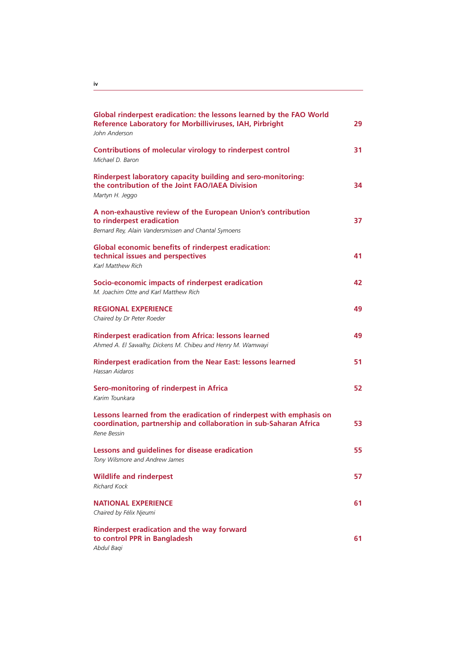| Global rinderpest eradication: the lessons learned by the FAO World<br><b>Reference Laboratory for Morbilliviruses, IAH, Pirbright</b><br>John Anderson | 29 |
|---------------------------------------------------------------------------------------------------------------------------------------------------------|----|
| Contributions of molecular virology to rinderpest control<br>Michael D. Baron                                                                           | 31 |
| Rinderpest laboratory capacity building and sero-monitoring:<br>the contribution of the Joint FAO/IAEA Division<br>Martyn H. Jeggo                      | 34 |
| A non-exhaustive review of the European Union's contribution<br>to rinderpest eradication<br>Bernard Rey, Alain Vandersmissen and Chantal Symoens       | 37 |
| <b>Global economic benefits of rinderpest eradication:</b><br>technical issues and perspectives<br>Karl Matthew Rich                                    | 41 |
| Socio-economic impacts of rinderpest eradication<br>M. Joachim Otte and Karl Matthew Rich                                                               | 42 |
| <b>REGIONAL EXPERIENCE</b><br>Chaired by Dr Peter Roeder                                                                                                | 49 |
| <b>Rinderpest eradication from Africa: lessons learned</b><br>Ahmed A. El Sawalhy, Dickens M. Chibeu and Henry M. Wamwayi                               | 49 |
| <b>Rinderpest eradication from the Near East: lessons learned</b><br>Hassan Aidaros                                                                     | 51 |
| Sero-monitoring of rinderpest in Africa<br>Karim Tounkara                                                                                               | 52 |
| Lessons learned from the eradication of rinderpest with emphasis on<br>coordination, partnership and collaboration in sub-Saharan Africa<br>Rene Bessin | 53 |
| Lessons and guidelines for disease eradication<br>Tony Wilsmore and Andrew James                                                                        | 55 |
| <b>Wildlife and rinderpest</b><br><b>Richard Kock</b>                                                                                                   | 57 |
| <b>NATIONAL EXPERIENCE</b><br>Chaired by Félix Njeumi                                                                                                   | 61 |
| Rinderpest eradication and the way forward<br>to control PPR in Bangladesh<br>Abdul Baqi                                                                | 61 |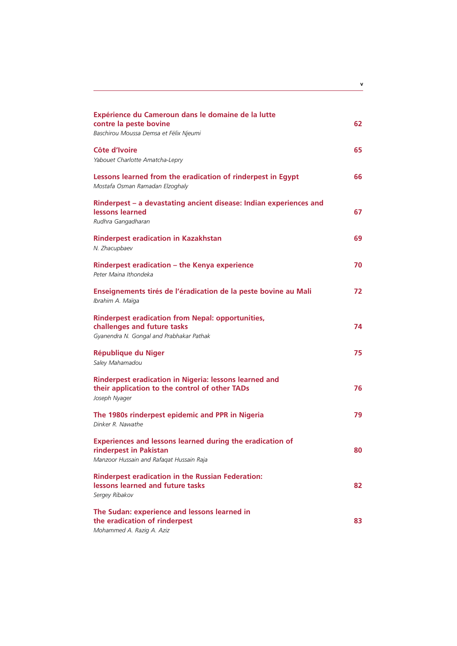| Expérience du Cameroun dans le domaine de la lutte<br>contre la peste bovine<br>Baschirou Moussa Demsa et Félix Njeumi                 | 62 |
|----------------------------------------------------------------------------------------------------------------------------------------|----|
| Côte d'Ivoire<br>Yabouet Charlotte Amatcha-Lepry                                                                                       | 65 |
| Lessons learned from the eradication of rinderpest in Egypt<br>Mostafa Osman Ramadan Elzoghaly                                         | 66 |
| Rinderpest - a devastating ancient disease: Indian experiences and<br>lessons learned<br>Rudhra Gangadharan                            | 67 |
| <b>Rinderpest eradication in Kazakhstan</b><br>N. Zhacupbaev                                                                           | 69 |
| Rinderpest eradication - the Kenya experience<br>Peter Maina Ithondeka                                                                 | 70 |
| Enseignements tirés de l'éradication de la peste bovine au Mali<br>Ibrahim A. Maïga                                                    | 72 |
| <b>Rinderpest eradication from Nepal: opportunities,</b><br>challenges and future tasks<br>Gyanendra N. Gongal and Prabhakar Pathak    | 74 |
| <b>République du Niger</b><br>Saley Mahamadou                                                                                          | 75 |
| Rinderpest eradication in Nigeria: lessons learned and<br>their application to the control of other TADs<br>Joseph Nyager              | 76 |
| The 1980s rinderpest epidemic and PPR in Nigeria<br>Dinker R. Nawathe                                                                  | 79 |
| <b>Experiences and lessons learned during the eradication of</b><br>rinderpest in Pakistan<br>Manzoor Hussain and Rafaqat Hussain Raja | 80 |
| <b>Rinderpest eradication in the Russian Federation:</b><br>lessons learned and future tasks<br>Sergey Ribakov                         | 82 |
| The Sudan: experience and lessons learned in<br>the eradication of rinderpest<br>Mohammed A. Razig A. Aziz                             | 83 |

**v**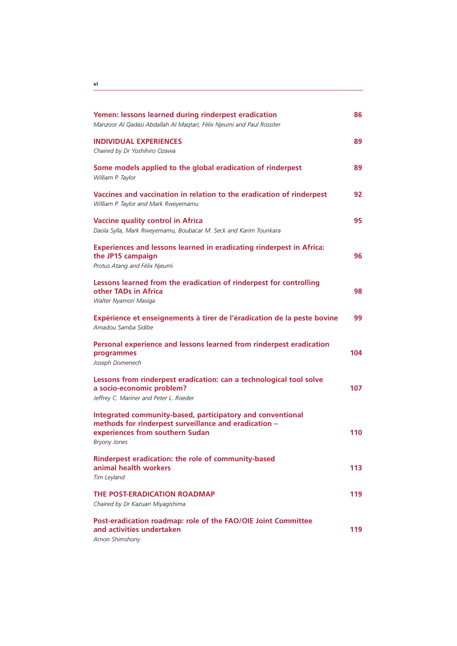| Yemen: lessons learned during rinderpest eradication<br>Manzoor Al Qadasi Abdallah Al Maqtari, Félix Njeumi and Paul Rossiter                                                 | 86  |
|-------------------------------------------------------------------------------------------------------------------------------------------------------------------------------|-----|
| <b>INDIVIDUAL EXPERIENCES</b><br>Chaired by Dr Yoshihiro Ozawa                                                                                                                | 89  |
| Some models applied to the global eradication of rinderpest<br>William P. Taylor                                                                                              | 89  |
| Vaccines and vaccination in relation to the eradication of rinderpest<br>William P. Taylor and Mark Rweyemamu                                                                 | 92  |
| <b>Vaccine quality control in Africa</b><br>Daola Sylla, Mark Rweyemamu, Boubacar M. Seck and Karim Tounkara                                                                  | 95  |
| <b>Experiences and lessons learned in eradicating rinderpest in Africa:</b><br>the JP15 campaign<br>Protus Atang and Félix Njeumi                                             | 96  |
| Lessons learned from the eradication of rinderpest for controlling<br>other TADs in Africa<br>Walter Nyamori Masiga                                                           | 98  |
| Expérience et enseignements à tirer de l'éradication de la peste bovine<br>Amadou Samba Sidibe                                                                                | 99  |
| Personal experience and lessons learned from rinderpest eradication<br>programmes<br>Joseph Domenech                                                                          | 104 |
| Lessons from rinderpest eradication: can a technological tool solve<br>a socio-economic problem?<br>Jeffrey C. Mariner and Peter L. Roeder                                    | 107 |
| Integrated community-based, participatory and conventional<br>methods for rinderpest surveillance and eradication -<br>experiences from southern Sudan<br><b>Bryony Jones</b> | 110 |
| Rinderpest eradication: the role of community-based<br>animal health workers<br>Tim Leyland                                                                                   | 113 |
| THE POST-ERADICATION ROADMAP<br>Chaired by Dr Kazuari Miyaqishima                                                                                                             | 119 |
| Post-eradication roadmap: role of the FAO/OIE Joint Committee<br>and activities undertaken                                                                                    | 119 |

*Arnon Shimshony*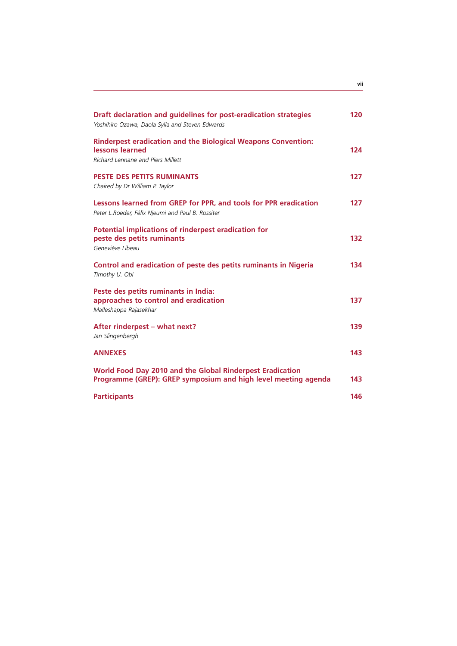| Draft declaration and guidelines for post-eradication strategies<br>Yoshihiro Ozawa, Daola Sylla and Steven Edwards          | 120 |
|------------------------------------------------------------------------------------------------------------------------------|-----|
| <b>Rinderpest eradication and the Biological Weapons Convention:</b><br>lessons learned<br>Richard Lennane and Piers Millett | 124 |
| PESTE DES PETITS RUMINANTS<br>Chaired by Dr William P. Taylor                                                                | 127 |
| Lessons learned from GREP for PPR, and tools for PPR eradication<br>Peter L.Roeder, Félix Njeumi and Paul B. Rossiter        | 127 |
| Potential implications of rinderpest eradication for<br>peste des petits ruminants<br>Geneviève Libeau                       | 132 |
| Control and eradication of peste des petits ruminants in Nigeria<br>Timothy U. Obi                                           | 134 |
| Peste des petits ruminants in India:<br>approaches to control and eradication<br>Malleshappa Rajasekhar                      | 137 |
| After rinderpest - what next?<br>Jan Slingenbergh                                                                            | 139 |
| <b>ANNEXES</b>                                                                                                               | 143 |
| World Food Day 2010 and the Global Rinderpest Eradication<br>Programme (GREP): GREP symposium and high level meeting agenda  | 143 |
| <b>Participants</b>                                                                                                          | 146 |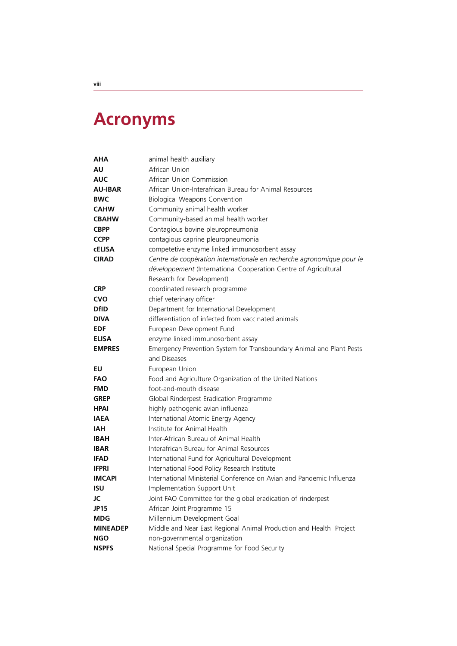# **Acronyms**

| AHA             | animal health auxiliary                                               |
|-----------------|-----------------------------------------------------------------------|
| AU              | African Union                                                         |
| <b>AUC</b>      | African Union Commission                                              |
| <b>AU-IBAR</b>  | African Union-Interafrican Bureau for Animal Resources                |
| <b>BWC</b>      | <b>Biological Weapons Convention</b>                                  |
| <b>CAHW</b>     | Community animal health worker                                        |
| <b>CBAHW</b>    | Community-based animal health worker                                  |
| <b>CBPP</b>     | Contagious bovine pleuropneumonia                                     |
| <b>CCPP</b>     | contagious caprine pleuropneumonia                                    |
| <b>CELISA</b>   | competetive enzyme linked immunosorbent assay                         |
| <b>CIRAD</b>    | Centre de coopération internationale en recherche agronomique pour le |
|                 | développement (International Cooperation Centre of Agricultural       |
|                 | Research for Development)                                             |
| <b>CRP</b>      | coordinated research programme                                        |
| <b>CVO</b>      | chief veterinary officer                                              |
| <b>DfID</b>     | Department for International Development                              |
| <b>DIVA</b>     | differentiation of infected from vaccinated animals                   |
| <b>EDF</b>      | European Development Fund                                             |
| <b>ELISA</b>    | enzyme linked immunosorbent assay                                     |
| <b>EMPRES</b>   | Emergency Prevention System for Transboundary Animal and Plant Pests  |
|                 | and Diseases                                                          |
| EU              | European Union                                                        |
| <b>FAO</b>      | Food and Agriculture Organization of the United Nations               |
| <b>FMD</b>      | foot-and-mouth disease                                                |
| <b>GREP</b>     | Global Rinderpest Eradication Programme                               |
| <b>HPAI</b>     | highly pathogenic avian influenza                                     |
| <b>IAEA</b>     | International Atomic Energy Agency                                    |
| IAH             | Institute for Animal Health                                           |
| <b>IBAH</b>     | Inter-African Bureau of Animal Health                                 |
| <b>IBAR</b>     | Interafrican Bureau for Animal Resources                              |
| <b>IFAD</b>     | International Fund for Agricultural Development                       |
| <b>IFPRI</b>    | International Food Policy Research Institute                          |
| <b>IMCAPI</b>   | International Ministerial Conference on Avian and Pandemic Influenza  |
| ISU             | Implementation Support Unit                                           |
| JC              | Joint FAO Committee for the global eradication of rinderpest          |
| <b>JP15</b>     | African Joint Programme 15                                            |
| <b>MDG</b>      | Millennium Development Goal                                           |
| <b>MINEADEP</b> | Middle and Near East Regional Animal Production and Health Project    |
| <b>NGO</b>      | non-governmental organization                                         |
| <b>NSPFS</b>    | National Special Programme for Food Security                          |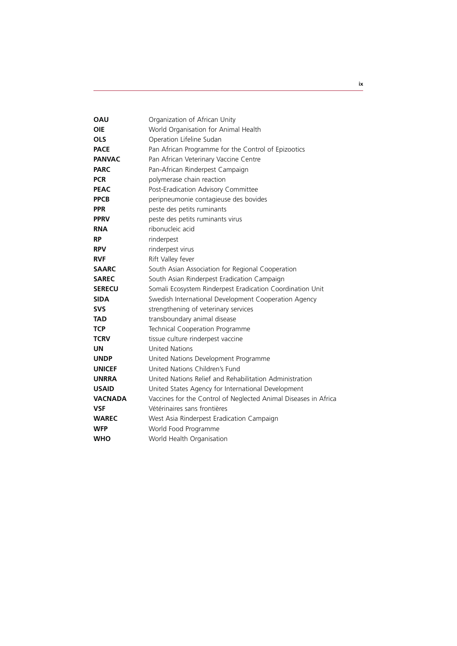| <b>OAU</b>     | Organization of African Unity                                   |
|----------------|-----------------------------------------------------------------|
| <b>OIE</b>     | World Organisation for Animal Health                            |
| <b>OLS</b>     | Operation Lifeline Sudan                                        |
| <b>PACE</b>    | Pan African Programme for the Control of Epizootics             |
| <b>PANVAC</b>  | Pan African Veterinary Vaccine Centre                           |
| <b>PARC</b>    | Pan-African Rinderpest Campaign                                 |
| <b>PCR</b>     | polymerase chain reaction                                       |
| <b>PEAC</b>    | Post-Eradication Advisory Committee                             |
| <b>PPCB</b>    | peripneumonie contagieuse des bovides                           |
| <b>PPR</b>     | peste des petits ruminants                                      |
| <b>PPRV</b>    | peste des petits ruminants virus                                |
| <b>RNA</b>     | ribonucleic acid                                                |
| <b>RP</b>      | rinderpest                                                      |
| <b>RPV</b>     | rinderpest virus                                                |
| <b>RVF</b>     | Rift Valley fever                                               |
| <b>SAARC</b>   | South Asian Association for Regional Cooperation                |
| <b>SAREC</b>   | South Asian Rinderpest Eradication Campaign                     |
| <b>SERECU</b>  | Somali Ecosystem Rinderpest Eradication Coordination Unit       |
| <b>SIDA</b>    | Swedish International Development Cooperation Agency            |
| <b>SVS</b>     | strengthening of veterinary services                            |
| TAD            | transboundary animal disease                                    |
| <b>TCP</b>     | Technical Cooperation Programme                                 |
| <b>TCRV</b>    | tissue culture rinderpest vaccine                               |
| UN             | <b>United Nations</b>                                           |
| <b>UNDP</b>    | United Nations Development Programme                            |
| <b>UNICEF</b>  | United Nations Children's Fund                                  |
| <b>UNRRA</b>   | United Nations Relief and Rehabilitation Administration         |
| <b>USAID</b>   | United States Agency for International Development              |
| <b>VACNADA</b> | Vaccines for the Control of Neglected Animal Diseases in Africa |
| <b>VSF</b>     | Vétérinaires sans frontières                                    |
| <b>WAREC</b>   | West Asia Rinderpest Eradication Campaign                       |
| <b>WFP</b>     | World Food Programme                                            |
| <b>WHO</b>     | World Health Organisation                                       |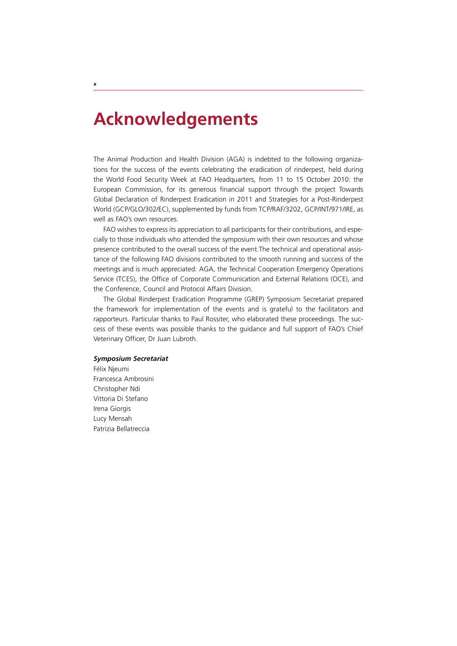# **Acknowledgements**

The Animal Production and Health Division (AGA) is indebted to the following organizations for the success of the events celebrating the eradication of rinderpest, held during the World Food Security Week at FAO Headquarters, from 11 to 15 October 2010: the European Commission, for its generous financial support through the project Towards Global Declaration of Rinderpest Eradication in 2011 and Strategies for a Post-Rinderpest World (GCP/GLO/302/EC), supplemented by funds from TCP/RAF/3202, GCP/INT/971/IRE, as well as FAO's own resources.

FAO wishes to express its appreciation to all participants for their contributions, and especially to those individuals who attended the symposium with their own resources and whose presence contributed to the overall success of the event.The technical and operational assistance of the following FAO divisions contributed to the smooth running and success of the meetings and is much appreciated: AGA, the Technical Cooperation Emergency Operations Service (TCES), the Office of Corporate Communication and External Relations (OCE), and the Conference, Council and Protocol Affairs Division.

The Global Rinderpest Eradication Programme (GREP) Symposium Secretariat prepared the framework for implementation of the events and is grateful to the facilitators and rapporteurs. Particular thanks to Paul Rossiter, who elaborated these proceedings. The success of these events was possible thanks to the guidance and full support of FAO's Chief Veterinary Officer, Dr Juan Lubroth.

#### *Symposium Secretariat*

Félix Njeumi Francesca Ambrosini Christopher Ndi Vittoria Di Stefano Irena Giorgis Lucy Mensah Patrizia Bellatreccia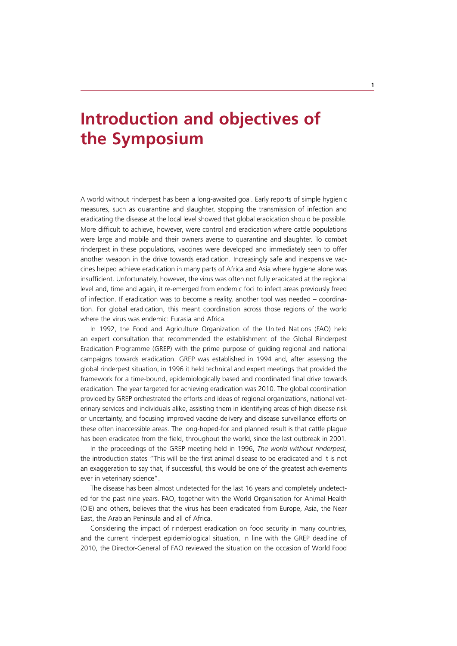# **Introduction and objectives of the Symposium**

A world without rinderpest has been a long-awaited goal. Early reports of simple hygienic measures, such as quarantine and slaughter, stopping the transmission of infection and eradicating the disease at the local level showed that global eradication should be possible. More difficult to achieve, however, were control and eradication where cattle populations were large and mobile and their owners averse to quarantine and slaughter. To combat rinderpest in these populations, vaccines were developed and immediately seen to offer another weapon in the drive towards eradication. Increasingly safe and inexpensive vaccines helped achieve eradication in many parts of Africa and Asia where hygiene alone was insufficient. Unfortunately, however, the virus was often not fully eradicated at the regional level and, time and again, it re-emerged from endemic foci to infect areas previously freed of infection. If eradication was to become a reality, another tool was needed – coordination. For global eradication, this meant coordination across those regions of the world where the virus was endemic: Eurasia and Africa.

In 1992, the Food and Agriculture Organization of the United Nations (FAO) held an expert consultation that recommended the establishment of the Global Rinderpest Eradication Programme (GREP) with the prime purpose of guiding regional and national campaigns towards eradication. GREP was established in 1994 and, after assessing the global rinderpest situation, in 1996 it held technical and expert meetings that provided the framework for a time-bound, epidemiologically based and coordinated final drive towards eradication. The year targeted for achieving eradication was 2010. The global coordination provided by GREP orchestrated the efforts and ideas of regional organizations, national veterinary services and individuals alike, assisting them in identifying areas of high disease risk or uncertainty, and focusing improved vaccine delivery and disease surveillance efforts on these often inaccessible areas. The long-hoped-for and planned result is that cattle plague has been eradicated from the field, throughout the world, since the last outbreak in 2001.

In the proceedings of the GREP meeting held in 1996, *The world without rinderpest*, the introduction states "This will be the first animal disease to be eradicated and it is not an exaggeration to say that, if successful, this would be one of the greatest achievements ever in veterinary science".

The disease has been almost undetected for the last 16 years and completely undetected for the past nine years. FAO, together with the World Organisation for Animal Health (OIE) and others, believes that the virus has been eradicated from Europe, Asia, the Near East, the Arabian Peninsula and all of Africa.

Considering the impact of rinderpest eradication on food security in many countries, and the current rinderpest epidemiological situation, in line with the GREP deadline of 2010, the Director-General of FAO reviewed the situation on the occasion of World Food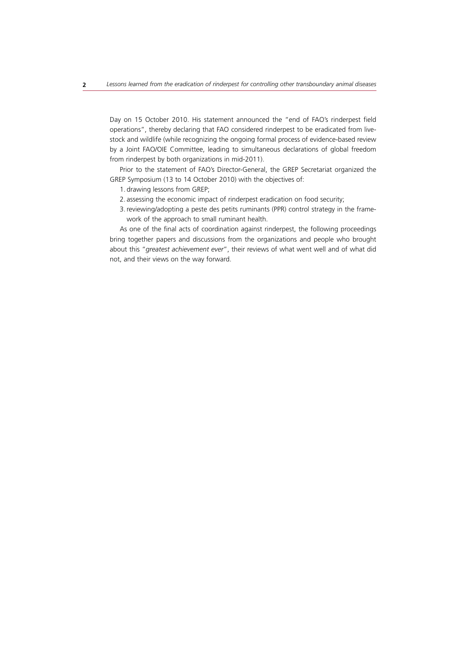Day on 15 October 2010. His statement announced the "end of FAO's rinderpest field operations", thereby declaring that FAO considered rinderpest to be eradicated from livestock and wildlife (while recognizing the ongoing formal process of evidence-based review by a Joint FAO/OIE Committee, leading to simultaneous declarations of global freedom from rinderpest by both organizations in mid-2011).

Prior to the statement of FAO's Director-General, the GREP Secretariat organized the GREP Symposium (13 to 14 October 2010) with the objectives of:

- 1. drawing lessons from GREP;
- 2. assessing the economic impact of rinderpest eradication on food security;
- 3. reviewing/adopting a peste des petits ruminants (PPR) control strategy in the framework of the approach to small ruminant health.

As one of the final acts of coordination against rinderpest, the following proceedings bring together papers and discussions from the organizations and people who brought about this "*greatest achievement ever*", their reviews of what went well and of what did not, and their views on the way forward.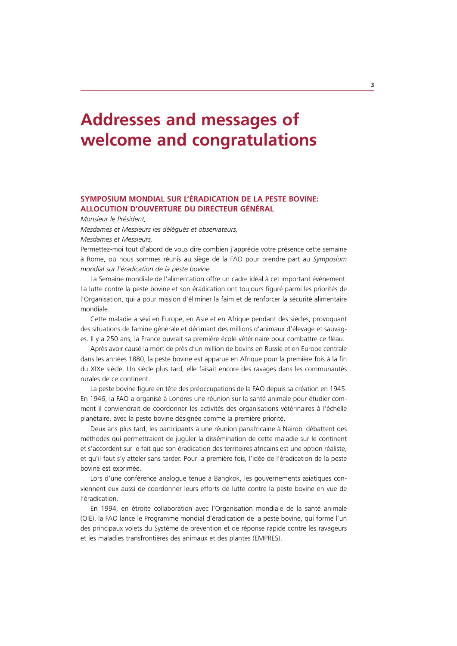# **Addresses and messages of welcome and congratulations**

# **SYMPOSIUM MONDIAL SUR L'ÉRADICATION DE LA PESTE BOVINE: ALLOCUTION D'OUVERTURE DU DIRECTEUR GÉNÉRAL**

*Monsieur le Président,* 

*Mesdames et Messieurs les délégués et observateurs,* 

*Mesdames et Messieurs,*

Permettez-moi tout d'abord de vous dire combien j'apprécie votre présence cette semaine à Rome, où nous sommes réunis au siège de la FAO pour prendre part au *Symposium mondial sur l'éradication de la peste bovine.* 

La Semaine mondiale de l'alimentation offre un cadre idéal à cet important événement. La lutte contre la peste bovine et son éradication ont toujours figuré parmi les priorités de l'Organisation, qui a pour mission d'éliminer la faim et de renforcer la sécurité alimentaire mondiale.

Cette maladie a sévi en Europe, en Asie et en Afrique pendant des siècles, provoquant des situations de famine générale et décimant des millions d'animaux d'élevage et sauvages. Il y a 250 ans, la France ouvrait sa première école vétérinaire pour combattre ce fléau.

Après avoir causé la mort de près d'un million de bovins en Russie et en Europe centrale dans les années 1880, la peste bovine est apparue en Afrique pour la première fois à la fin du XIXe siècle. Un siècle plus tard, elle faisait encore des ravages dans les communautés rurales de ce continent.

La peste bovine figure en tête des préoccupations de la FAO depuis sa création en 1945. En 1946, la FAO a organisé à Londres une réunion sur la santé animale pour étudier comment il conviendrait de coordonner les activités des organisations vétérinaires à l'échelle planétaire, avec la peste bovine désignée comme la première priorité.

Deux ans plus tard, les participants à une réunion panafricaine à Nairobi débattent des méthodes qui permettraient de juguler la dissémination de cette maladie sur le continent et s'accordent sur le fait que son éradication des territoires africains est une option réaliste, et qu'il faut s'y atteler sans tarder. Pour la première fois, l'idée de l'éradication de la peste bovine est exprimée.

Lors d'une conférence analogue tenue à Bangkok, les gouvernements asiatiques conviennent eux aussi de coordonner leurs efforts de lutte contre la peste bovine en vue de l'éradication.

En 1994, en étroite collaboration avec l'Organisation mondiale de la santé animale (OIE), la FAO lance le Programme mondial d'éradication de la peste bovine, qui forme l'un des principaux volets du Système de prévention et de réponse rapide contre les ravageurs et les maladies transfrontières des animaux et des plantes (EMPRES).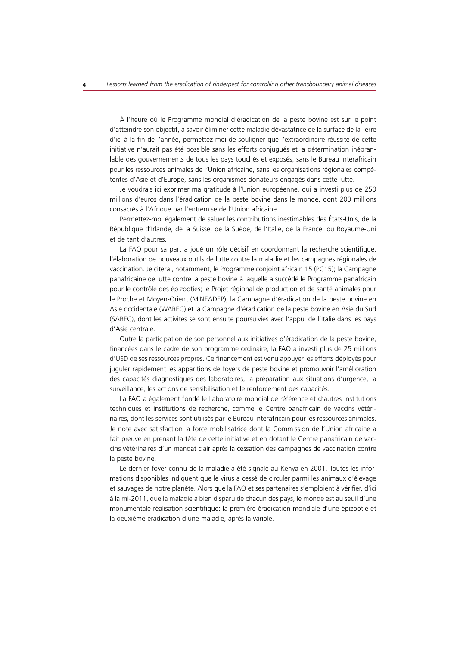À l'heure où le Programme mondial d'éradication de la peste bovine est sur le point d'atteindre son objectif, à savoir éliminer cette maladie dévastatrice de la surface de la Terre d'ici à la fin de l'année, permettez-moi de souligner que l'extraordinaire réussite de cette initiative n'aurait pas été possible sans les efforts conjugués et la détermination inébranlable des gouvernements de tous les pays touchés et exposés, sans le Bureau interafricain pour les ressources animales de l'Union africaine, sans les organisations régionales compétentes d'Asie et d'Europe, sans les organismes donateurs engagés dans cette lutte.

Je voudrais ici exprimer ma gratitude à l'Union européenne, qui a investi plus de 250 millions d'euros dans l'éradication de la peste bovine dans le monde, dont 200 millions consacrés à l'Afrique par l'entremise de l'Union africaine.

Permettez-moi également de saluer les contributions inestimables des États-Unis, de la République d'Irlande, de la Suisse, de la Suède, de l'Italie, de la France, du Royaume-Uni et de tant d'autres.

La FAO pour sa part a joué un rôle décisif en coordonnant la recherche scientifique, l'élaboration de nouveaux outils de lutte contre la maladie et les campagnes régionales de vaccination. Je citerai, notamment, le Programme conjoint africain 15 (PC15); la Campagne panafricaine de lutte contre la peste bovine à laquelle a succédé le Programme panafricain pour le contrôle des épizooties; le Projet régional de production et de santé animales pour le Proche et Moyen-Orient (MINEADEP); la Campagne d'éradication de la peste bovine en Asie occidentale (WAREC) et la Campagne d'éradication de la peste bovine en Asie du Sud (SAREC), dont les activités se sont ensuite poursuivies avec l'appui de l'Italie dans les pays d'Asie centrale.

Outre la participation de son personnel aux initiatives d'éradication de la peste bovine, financées dans le cadre de son programme ordinaire, la FAO a investi plus de 25 millions d'USD de ses ressources propres. Ce financement est venu appuyer les efforts déployés pour juguler rapidement les apparitions de foyers de peste bovine et promouvoir l'amélioration des capacités diagnostiques des laboratoires, la préparation aux situations d'urgence, la surveillance, les actions de sensibilisation et le renforcement des capacités.

La FAO a également fondé le Laboratoire mondial de référence et d'autres institutions techniques et institutions de recherche, comme le Centre panafricain de vaccins vétérinaires, dont les services sont utilisés par le Bureau interafricain pour les ressources animales. Je note avec satisfaction la force mobilisatrice dont la Commission de l'Union africaine a fait preuve en prenant la tête de cette initiative et en dotant le Centre panafricain de vaccins vétérinaires d'un mandat clair après la cessation des campagnes de vaccination contre la peste bovine.

Le dernier foyer connu de la maladie a été signalé au Kenya en 2001. Toutes les informations disponibles indiquent que le virus a cessé de circuler parmi les animaux d'élevage et sauvages de notre planète. Alors que la FAO et ses partenaires s'emploient à vérifier, d'ici à la mi-2011, que la maladie a bien disparu de chacun des pays, le monde est au seuil d'une monumentale réalisation scientifique: la première éradication mondiale d'une épizootie et la deuxième éradication d'une maladie, après la variole.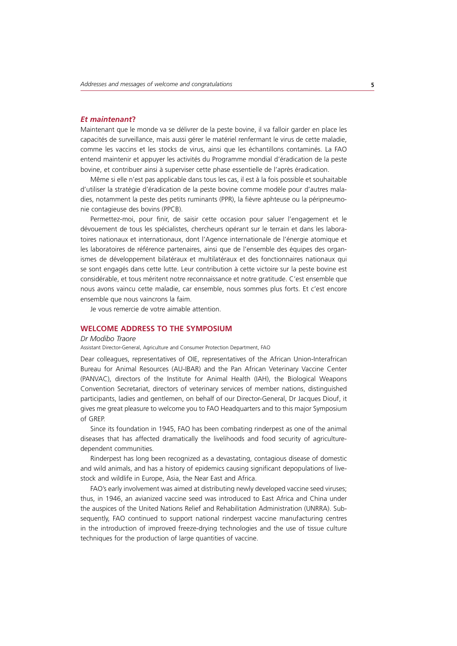# *Et maintenant***?**

Maintenant que le monde va se délivrer de la peste bovine, il va falloir garder en place les capacités de surveillance, mais aussi gérer le matériel renfermant le virus de cette maladie, comme les vaccins et les stocks de virus, ainsi que les échantillons contaminés. La FAO entend maintenir et appuyer les activités du Programme mondial d'éradication de la peste bovine, et contribuer ainsi à superviser cette phase essentielle de l'après éradication.

Même si elle n'est pas applicable dans tous les cas, il est à la fois possible et souhaitable d'utiliser la stratégie d'éradication de la peste bovine comme modèle pour d'autres maladies, notamment la peste des petits ruminants (PPR), la fièvre aphteuse ou la péripneumonie contagieuse des bovins (PPCB).

Permettez-moi, pour finir, de saisir cette occasion pour saluer l'engagement et le dévouement de tous les spécialistes, chercheurs opérant sur le terrain et dans les laboratoires nationaux et internationaux, dont l'Agence internationale de l'énergie atomique et les laboratoires de référence partenaires, ainsi que de l'ensemble des équipes des organismes de développement bilatéraux et multilatéraux et des fonctionnaires nationaux qui se sont engagés dans cette lutte. Leur contribution à cette victoire sur la peste bovine est considérable, et tous méritent notre reconnaissance et notre gratitude. C'est ensemble que nous avons vaincu cette maladie, car ensemble, nous sommes plus forts. Et c'est encore ensemble que nous vaincrons la faim.

Je vous remercie de votre aimable attention.

# **WELCOME ADDRESS TO THE SYMPOSIUM**

#### *Dr Modibo Traore*

Assistant Director-General, Agriculture and Consumer Protection Department, FAO

Dear colleagues, representatives of OIE, representatives of the African Union-Interafrican Bureau for Animal Resources (AU-IBAR) and the Pan African Veterinary Vaccine Center (PANVAC), directors of the Institute for Animal Health (IAH), the Biological Weapons Convention Secretariat, directors of veterinary services of member nations, distinguished participants, ladies and gentlemen, on behalf of our Director-General, Dr Jacques Diouf, it gives me great pleasure to welcome you to FAO Headquarters and to this major Symposium of GREP.

Since its foundation in 1945, FAO has been combating rinderpest as one of the animal diseases that has affected dramatically the livelihoods and food security of agriculturedependent communities.

Rinderpest has long been recognized as a devastating, contagious disease of domestic and wild animals, and has a history of epidemics causing significant depopulations of livestock and wildlife in Europe, Asia, the Near East and Africa.

FAO's early involvement was aimed at distributing newly developed vaccine seed viruses; thus, in 1946, an avianized vaccine seed was introduced to East Africa and China under the auspices of the United Nations Relief and Rehabilitation Administration (UNRRA). Subsequently, FAO continued to support national rinderpest vaccine manufacturing centres in the introduction of improved freeze-drying technologies and the use of tissue culture techniques for the production of large quantities of vaccine.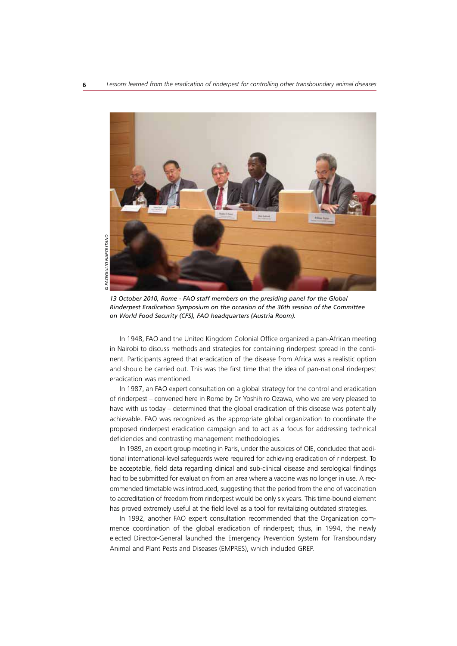

*13 October 2010, Rome - FAO staff members on the presiding panel for the Global Rinderpest Eradication Symposium on the occasion of the 36th session of the Committee on World Food Security (CFS), FAO headquarters (Austria Room).*

In 1948, FAO and the United Kingdom Colonial Office organized a pan-African meeting in Nairobi to discuss methods and strategies for containing rinderpest spread in the continent. Participants agreed that eradication of the disease from Africa was a realistic option and should be carried out. This was the first time that the idea of pan-national rinderpest eradication was mentioned.

In 1987, an FAO expert consultation on a global strategy for the control and eradication of rinderpest – convened here in Rome by Dr Yoshihiro Ozawa, who we are very pleased to have with us today – determined that the global eradication of this disease was potentially achievable. FAO was recognized as the appropriate global organization to coordinate the proposed rinderpest eradication campaign and to act as a focus for addressing technical deficiencies and contrasting management methodologies.

In 1989, an expert group meeting in Paris, under the auspices of OIE, concluded that additional international-level safeguards were required for achieving eradication of rinderpest. To be acceptable, field data regarding clinical and sub-clinical disease and serological findings had to be submitted for evaluation from an area where a vaccine was no longer in use. A recommended timetable was introduced, suggesting that the period from the end of vaccination to accreditation of freedom from rinderpest would be only six years. This time-bound element has proved extremely useful at the field level as a tool for revitalizing outdated strategies.

In 1992, another FAO expert consultation recommended that the Organization commence coordination of the global eradication of rinderpest; thus, in 1994, the newly elected Director-General launched the Emergency Prevention System for Transboundary Animal and Plant Pests and Diseases (EMPRES), which included GREP.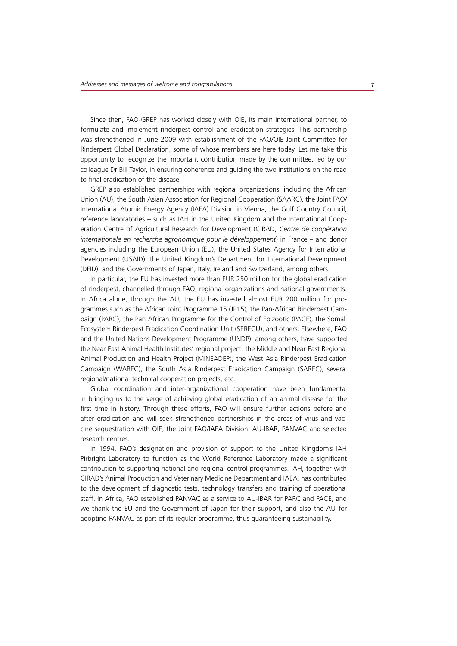Since then, FAO-GREP has worked closely with OIE, its main international partner, to formulate and implement rinderpest control and eradication strategies. This partnership was strengthened in June 2009 with establishment of the FAO/OIE Joint Committee for Rinderpest Global Declaration, some of whose members are here today. Let me take this opportunity to recognize the important contribution made by the committee, led by our colleague Dr Bill Taylor, in ensuring coherence and guiding the two institutions on the road to final eradication of the disease.

GREP also established partnerships with regional organizations, including the African Union (AU), the South Asian Association for Regional Cooperation (SAARC), the Joint FAO/ International Atomic Energy Agency (IAEA) Division in Vienna, the Gulf Country Council, reference laboratories – such as IAH in the United Kingdom and the International Cooperation Centre of Agricultural Research for Development (CIRAD, *Centre de coopération internationale en recherche agronomique pour le développement*) in France – and donor agencies including the European Union (EU), the United States Agency for International Development (USAID), the United Kingdom's Department for International Development (DFID), and the Governments of Japan, Italy, Ireland and Switzerland, among others.

In particular, the EU has invested more than EUR 250 million for the global eradication of rinderpest, channelled through FAO, regional organizations and national governments. In Africa alone, through the AU, the EU has invested almost EUR 200 million for programmes such as the African Joint Programme 15 (JP15), the Pan-African Rinderpest Campaign (PARC), the Pan African Programme for the Control of Epizootic (PACE), the Somali Ecosystem Rinderpest Eradication Coordination Unit (SERECU), and others. Elsewhere, FAO and the United Nations Development Programme (UNDP), among others, have supported the Near East Animal Health Institutes' regional project, the Middle and Near East Regional Animal Production and Health Project (MINEADEP), the West Asia Rinderpest Eradication Campaign (WAREC), the South Asia Rinderpest Eradication Campaign (SAREC), several regional/national technical cooperation projects, etc.

Global coordination and inter-organizational cooperation have been fundamental in bringing us to the verge of achieving global eradication of an animal disease for the first time in history. Through these efforts, FAO will ensure further actions before and after eradication and will seek strengthened partnerships in the areas of virus and vaccine sequestration with OIE, the Joint FAO/IAEA Division, AU-IBAR, PANVAC and selected research centres.

In 1994, FAO's designation and provision of support to the United Kingdom's IAH Pirbright Laboratory to function as the World Reference Laboratory made a significant contribution to supporting national and regional control programmes. IAH, together with CIRAD's Animal Production and Veterinary Medicine Department and IAEA, has contributed to the development of diagnostic tests, technology transfers and training of operational staff. In Africa, FAO established PANVAC as a service to AU-IBAR for PARC and PACE, and we thank the EU and the Government of Japan for their support, and also the AU for adopting PANVAC as part of its regular programme, thus guaranteeing sustainability.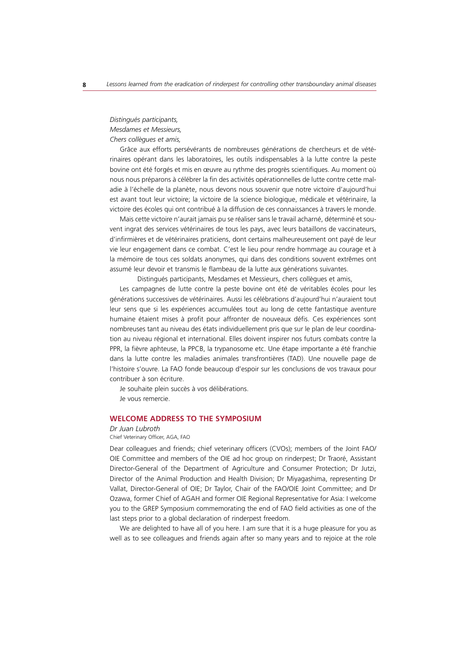# *Distingués participants, Mesdames et Messieurs, Chers collègues et amis,*

Grâce aux efforts persévérants de nombreuses générations de chercheurs et de vétérinaires opérant dans les laboratoires, les outils indispensables à la lutte contre la peste bovine ont été forgés et mis en œuvre au rythme des progrès scientifiques. Au moment où nous nous préparons à célébrer la fin des activités opérationnelles de lutte contre cette maladie à l'échelle de la planète, nous devons nous souvenir que notre victoire d'aujourd'hui est avant tout leur victoire; la victoire de la science biologique, médicale et vétérinaire, la victoire des écoles qui ont contribué à la diffusion de ces connaissances à travers le monde.

Mais cette victoire n'aurait jamais pu se réaliser sans le travail acharné, déterminé et souvent ingrat des services vétérinaires de tous les pays, avec leurs bataillons de vaccinateurs, d'infirmières et de vétérinaires praticiens, dont certains malheureusement ont payé de leur vie leur engagement dans ce combat. C'est le lieu pour rendre hommage au courage et à la mémoire de tous ces soldats anonymes, qui dans des conditions souvent extrêmes ont assumé leur devoir et transmis le flambeau de la lutte aux générations suivantes.

Distingués participants, Mesdames et Messieurs, chers collègues et amis,

Les campagnes de lutte contre la peste bovine ont été de véritables écoles pour les générations successives de vétérinaires. Aussi les célébrations d'aujourd'hui n'auraient tout leur sens que si les expériences accumulées tout au long de cette fantastique aventure humaine étaient mises à profit pour affronter de nouveaux défis. Ces expériences sont nombreuses tant au niveau des états individuellement pris que sur le plan de leur coordination au niveau régional et international. Elles doivent inspirer nos futurs combats contre la PPR, la fièvre aphteuse, la PPCB, la trypanosome etc. Une étape importante a été franchie dans la lutte contre les maladies animales transfrontières (TAD). Une nouvelle page de l'histoire s'ouvre. La FAO fonde beaucoup d'espoir sur les conclusions de vos travaux pour contribuer à son écriture.

Je souhaite plein succès à vos délibérations. Je vous remercie.

# **WELCOME ADDRESS TO THE SYMPOSIUM**

#### *Dr Juan Lubroth*

Chief Veterinary Officer, AGA, FAO

Dear colleagues and friends; chief veterinary officers (CVOs); members of the Joint FAO/ OIE Committee and members of the OIE ad hoc group on rinderpest; Dr Traoré, Assistant Director-General of the Department of Agriculture and Consumer Protection; Dr Jutzi, Director of the Animal Production and Health Division; Dr Miyagashima, representing Dr Vallat, Director-General of OIE; Dr Taylor, Chair of the FAO/OIE Joint Committee; and Dr Ozawa, former Chief of AGAH and former OIE Regional Representative for Asia: I welcome you to the GREP Symposium commemorating the end of FAO field activities as one of the last steps prior to a global declaration of rinderpest freedom.

We are delighted to have all of you here. I am sure that it is a huge pleasure for you as well as to see colleagues and friends again after so many years and to rejoice at the role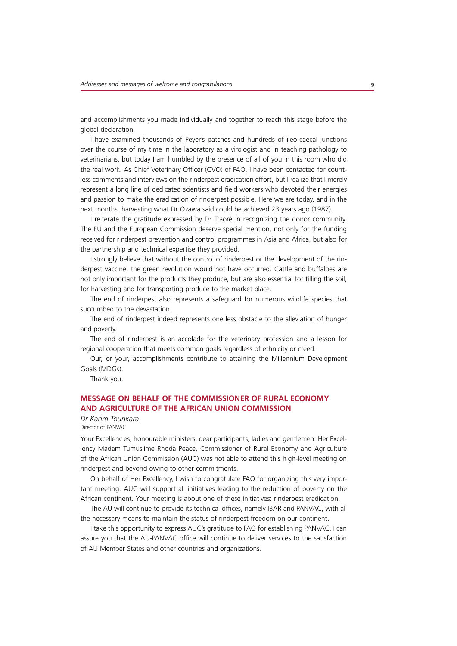and accomplishments you made individually and together to reach this stage before the global declaration.

I have examined thousands of Peyer's patches and hundreds of ileo-caecal junctions over the course of my time in the laboratory as a virologist and in teaching pathology to veterinarians, but today I am humbled by the presence of all of you in this room who did the real work. As Chief Veterinary Officer (CVO) of FAO, I have been contacted for countless comments and interviews on the rinderpest eradication effort, but I realize that I merely represent a long line of dedicated scientists and field workers who devoted their energies and passion to make the eradication of rinderpest possible. Here we are today, and in the next months, harvesting what Dr Ozawa said could be achieved 23 years ago (1987).

I reiterate the gratitude expressed by Dr Traoré in recognizing the donor community. The EU and the European Commission deserve special mention, not only for the funding received for rinderpest prevention and control programmes in Asia and Africa, but also for the partnership and technical expertise they provided.

I strongly believe that without the control of rinderpest or the development of the rinderpest vaccine, the green revolution would not have occurred. Cattle and buffaloes are not only important for the products they produce, but are also essential for tilling the soil, for harvesting and for transporting produce to the market place.

The end of rinderpest also represents a safeguard for numerous wildlife species that succumbed to the devastation.

The end of rinderpest indeed represents one less obstacle to the alleviation of hunger and poverty.

The end of rinderpest is an accolade for the veterinary profession and a lesson for regional cooperation that meets common goals regardless of ethnicity or creed.

Our, or your, accomplishments contribute to attaining the Millennium Development Goals (MDGs).

Thank you.

# **MESSAGE ON BEHALF OF THE COMMISSIONER OF RURAL ECONOMY AND AGRICULTURE OF THE AFRICAN UNION COMMISSION**

#### *Dr Karim Tounkara* Director of PANVAC

Your Excellencies, honourable ministers, dear participants, ladies and gentlemen: Her Excellency Madam Tumusiime Rhoda Peace, Commissioner of Rural Economy and Agriculture of the African Union Commission (AUC) was not able to attend this high-level meeting on rinderpest and beyond owing to other commitments.

On behalf of Her Excellency, I wish to congratulate FAO for organizing this very important meeting. AUC will support all initiatives leading to the reduction of poverty on the African continent. Your meeting is about one of these initiatives: rinderpest eradication.

The AU will continue to provide its technical offices, namely IBAR and PANVAC, with all the necessary means to maintain the status of rinderpest freedom on our continent.

I take this opportunity to express AUC's gratitude to FAO for establishing PANVAC. I can assure you that the AU-PANVAC office will continue to deliver services to the satisfaction of AU Member States and other countries and organizations.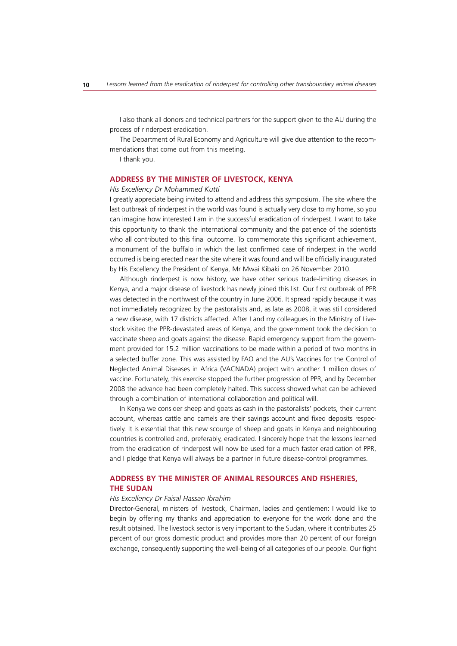I also thank all donors and technical partners for the support given to the AU during the process of rinderpest eradication.

The Department of Rural Economy and Agriculture will give due attention to the recommendations that come out from this meeting.

I thank you.

### **ADDRESS BY THE MINISTER OF LIVESTOCK, KENYA**

#### *His Excellency Dr Mohammed Kutti*

I greatly appreciate being invited to attend and address this symposium. The site where the last outbreak of rinderpest in the world was found is actually very close to my home, so you can imagine how interested I am in the successful eradication of rinderpest. I want to take this opportunity to thank the international community and the patience of the scientists who all contributed to this final outcome. To commemorate this significant achievement, a monument of the buffalo in which the last confirmed case of rinderpest in the world occurred is being erected near the site where it was found and will be officially inaugurated by His Excellency the President of Kenya, Mr Mwai Kibaki on 26 November 2010.

Although rinderpest is now history, we have other serious trade-limiting diseases in Kenya, and a major disease of livestock has newly joined this list. Our first outbreak of PPR was detected in the northwest of the country in June 2006. It spread rapidly because it was not immediately recognized by the pastoralists and, as late as 2008, it was still considered a new disease, with 17 districts affected. After I and my colleagues in the Ministry of Livestock visited the PPR-devastated areas of Kenya, and the government took the decision to vaccinate sheep and goats against the disease. Rapid emergency support from the government provided for 15.2 million vaccinations to be made within a period of two months in a selected buffer zone. This was assisted by FAO and the AU's Vaccines for the Control of Neglected Animal Diseases in Africa (VACNADA) project with another 1 million doses of vaccine. Fortunately, this exercise stopped the further progression of PPR, and by December 2008 the advance had been completely halted. This success showed what can be achieved through a combination of international collaboration and political will.

In Kenya we consider sheep and goats as cash in the pastoralists' pockets, their current account, whereas cattle and camels are their savings account and fixed deposits respectively. It is essential that this new scourge of sheep and goats in Kenya and neighbouring countries is controlled and, preferably, eradicated. I sincerely hope that the lessons learned from the eradication of rinderpest will now be used for a much faster eradication of PPR, and I pledge that Kenya will always be a partner in future disease-control programmes.

# **ADDRESS BY THE MINISTER OF ANIMAL RESOURCES AND FISHERIES, THE SUDAN**

#### *His Excellency Dr Faisal Hassan Ibrahim*

Director-General, ministers of livestock, Chairman, ladies and gentlemen: I would like to begin by offering my thanks and appreciation to everyone for the work done and the result obtained. The livestock sector is very important to the Sudan, where it contributes 25 percent of our gross domestic product and provides more than 20 percent of our foreign exchange, consequently supporting the well-being of all categories of our people. Our fight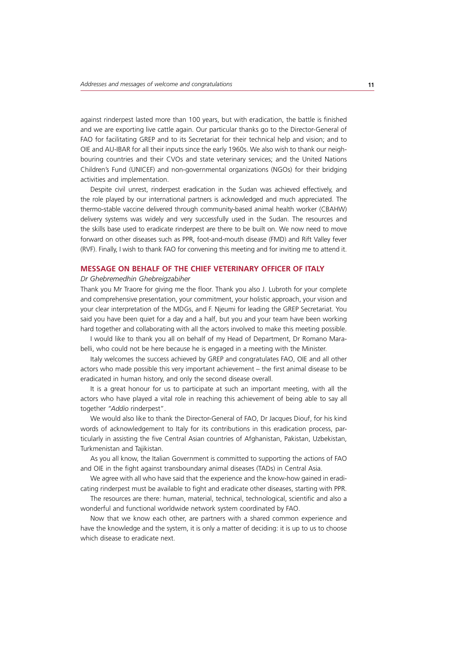against rinderpest lasted more than 100 years, but with eradication, the battle is finished and we are exporting live cattle again. Our particular thanks go to the Director-General of FAO for facilitating GREP and to its Secretariat for their technical help and vision; and to OIE and AU-IBAR for all their inputs since the early 1960s. We also wish to thank our neighbouring countries and their CVOs and state veterinary services; and the United Nations Children's Fund (UNICEF) and non-governmental organizations (NGOs) for their bridging activities and implementation.

Despite civil unrest, rinderpest eradication in the Sudan was achieved effectively, and the role played by our international partners is acknowledged and much appreciated. The thermo-stable vaccine delivered through community-based animal health worker (CBAHW) delivery systems was widely and very successfully used in the Sudan. The resources and the skills base used to eradicate rinderpest are there to be built on. We now need to move forward on other diseases such as PPR, foot-and-mouth disease (FMD) and Rift Valley fever (RVF). Finally, I wish to thank FAO for convening this meeting and for inviting me to attend it.

# **MESSAGE ON BEHALF OF THE CHIEF VETERINARY OFFICER OF ITALY**

#### *Dr Ghebremedhin Ghebreigzabiher*

Thank you Mr Traore for giving me the floor. Thank you also J. Lubroth for your complete and comprehensive presentation, your commitment, your holistic approach, your vision and your clear interpretation of the MDGs, and F. Njeumi for leading the GREP Secretariat. You said you have been quiet for a day and a half, but you and your team have been working hard together and collaborating with all the actors involved to make this meeting possible.

I would like to thank you all on behalf of my Head of Department, Dr Romano Marabelli, who could not be here because he is engaged in a meeting with the Minister.

Italy welcomes the success achieved by GREP and congratulates FAO, OIE and all other actors who made possible this very important achievement – the first animal disease to be eradicated in human history, and only the second disease overall.

It is a great honour for us to participate at such an important meeting, with all the actors who have played a vital role in reaching this achievement of being able to say all together *"Addio* rinderpest".

We would also like to thank the Director-General of FAO, Dr Jacques Diouf, for his kind words of acknowledgement to Italy for its contributions in this eradication process, particularly in assisting the five Central Asian countries of Afghanistan, Pakistan, Uzbekistan, Turkmenistan and Tajikistan.

As you all know, the Italian Government is committed to supporting the actions of FAO and OIE in the fight against transboundary animal diseases (TADs) in Central Asia.

We agree with all who have said that the experience and the know-how gained in eradicating rinderpest must be available to fight and eradicate other diseases, starting with PPR.

The resources are there: human, material, technical, technological, scientific and also a wonderful and functional worldwide network system coordinated by FAO.

Now that we know each other, are partners with a shared common experience and have the knowledge and the system, it is only a matter of deciding: it is up to us to choose which disease to eradicate next.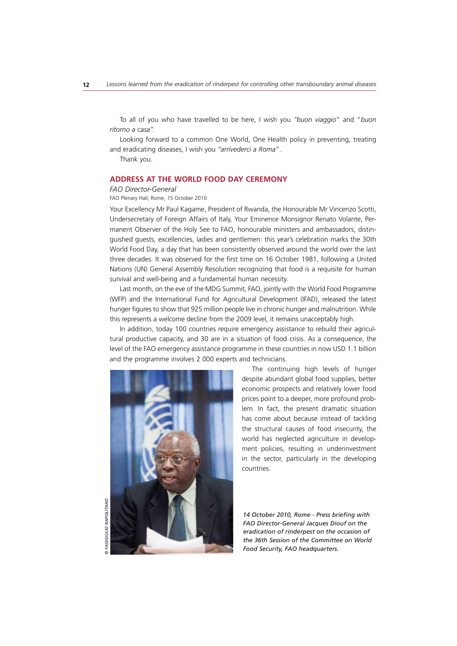To all of you who have travelled to be here, I wish you *"buon viaggio*" and "*buon ritorno a casa".* 

Looking forward to a common One World, One Health policy in preventing, treating and eradicating diseases, I wish you *"arrivederci a Roma*".

Thank you.

# **ADDRESS AT THE WORLD FOOD DAY CEREMONY**

#### *FAO Director-General*

FAO Plenary Hall, Rome, 15 October 2010

Your Excellency Mr Paul Kagame, President of Rwanda, the Honourable Mr Vincenzo Scotti, Undersecretary of Foreign Affairs of Italy, Your Eminence Monsignor Renato Volante, Permanent Observer of the Holy See to FAO, honourable ministers and ambassadors, distinguished guests, excellencies, ladies and gentlemen: this year's celebration marks the 30th World Food Day, a day that has been consistently observed around the world over the last three decades. It was observed for the first time on 16 October 1981, following a United Nations (UN) General Assembly Resolution recognizing that food is a requisite for human survival and well-being and a fundamental human necessity.

Last month, on the eve of the MDG Summit, FAO, jointly with the World Food Programme (WFP) and the International Fund for Agricultural Development (IFAD), released the latest hunger figures to show that 925 million people live in chronic hunger and malnutrition. While this represents a welcome decline from the 2009 level, it remains unacceptably high.

In addition, today 100 countries require emergency assistance to rebuild their agricultural productive capacity, and 30 are in a situation of food crisis. As a consequence, the level of the FAO emergency assistance programme in these countries in now USD 1.1 billion and the programme involves 2 000 experts and technicians.



The continuing high levels of hunger despite abundant global food supplies, better economic prospects and relatively lower food prices point to a deeper, more profound problem. In fact, the present dramatic situation has come about because instead of tackling the structural causes of food insecurity, the world has neglected agriculture in development policies, resulting in underinvestment in the sector, particularly in the developing countries.

*14 October 2010, Rome - Press briefing with FAO Director-General Jacques Diouf on the eradication of rinderpest on the occasion of the 36th Session of the Committee on World Food Security, FAO headquarters.*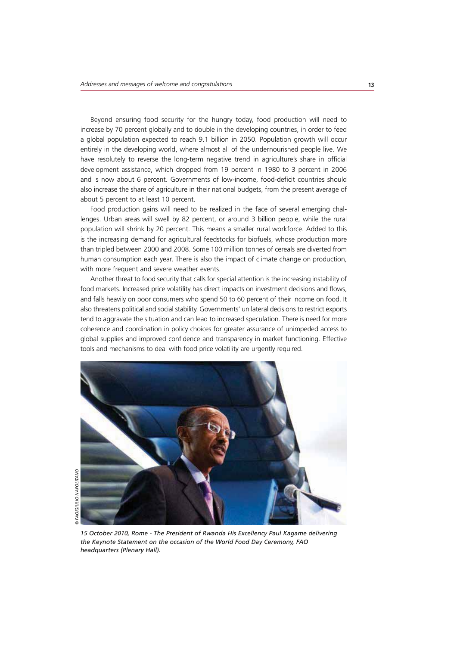Beyond ensuring food security for the hungry today, food production will need to increase by 70 percent globally and to double in the developing countries, in order to feed a global population expected to reach 9.1 billion in 2050. Population growth will occur entirely in the developing world, where almost all of the undernourished people live. We have resolutely to reverse the long-term negative trend in agriculture's share in official development assistance, which dropped from 19 percent in 1980 to 3 percent in 2006 and is now about 6 percent. Governments of low-income, food-deficit countries should also increase the share of agriculture in their national budgets, from the present average of about 5 percent to at least 10 percent.

Food production gains will need to be realized in the face of several emerging challenges. Urban areas will swell by 82 percent, or around 3 billion people, while the rural population will shrink by 20 percent. This means a smaller rural workforce. Added to this is the increasing demand for agricultural feedstocks for biofuels, whose production more than tripled between 2000 and 2008. Some 100 million tonnes of cereals are diverted from human consumption each year. There is also the impact of climate change on production, with more frequent and severe weather events.

Another threat to food security that calls for special attention is the increasing instability of food markets. Increased price volatility has direct impacts on investment decisions and flows, and falls heavily on poor consumers who spend 50 to 60 percent of their income on food. It also threatens political and social stability. Governments' unilateral decisions to restrict exports tend to aggravate the situation and can lead to increased speculation. There is need for more coherence and coordination in policy choices for greater assurance of unimpeded access to global supplies and improved confidence and transparency in market functioning. Effective tools and mechanisms to deal with food price volatility are urgently required.

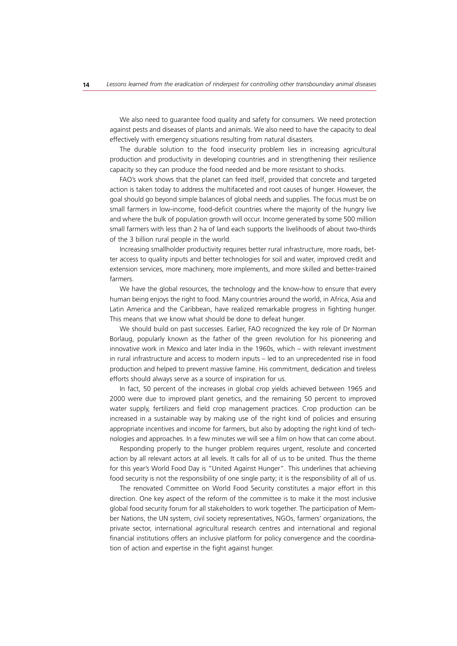We also need to guarantee food quality and safety for consumers. We need protection against pests and diseases of plants and animals. We also need to have the capacity to deal effectively with emergency situations resulting from natural disasters.

The durable solution to the food insecurity problem lies in increasing agricultural production and productivity in developing countries and in strengthening their resilience capacity so they can produce the food needed and be more resistant to shocks.

FAO's work shows that the planet can feed itself, provided that concrete and targeted action is taken today to address the multifaceted and root causes of hunger. However, the goal should go beyond simple balances of global needs and supplies. The focus must be on small farmers in low-income, food-deficit countries where the majority of the hungry live and where the bulk of population growth will occur. Income generated by some 500 million small farmers with less than 2 ha of land each supports the livelihoods of about two-thirds of the 3 billion rural people in the world.

Increasing smallholder productivity requires better rural infrastructure, more roads, better access to quality inputs and better technologies for soil and water, improved credit and extension services, more machinery, more implements, and more skilled and better-trained farmers.

We have the global resources, the technology and the know-how to ensure that every human being enjoys the right to food. Many countries around the world, in Africa, Asia and Latin America and the Caribbean, have realized remarkable progress in fighting hunger. This means that we know what should be done to defeat hunger.

We should build on past successes. Earlier, FAO recognized the key role of Dr Norman Borlaug, popularly known as the father of the green revolution for his pioneering and innovative work in Mexico and later India in the 1960s, which – with relevant investment in rural infrastructure and access to modern inputs – led to an unprecedented rise in food production and helped to prevent massive famine. His commitment, dedication and tireless efforts should always serve as a source of inspiration for us.

In fact, 50 percent of the increases in global crop yields achieved between 1965 and 2000 were due to improved plant genetics, and the remaining 50 percent to improved water supply, fertilizers and field crop management practices. Crop production can be increased in a sustainable way by making use of the right kind of policies and ensuring appropriate incentives and income for farmers, but also by adopting the right kind of technologies and approaches. In a few minutes we will see a film on how that can come about.

Responding properly to the hunger problem requires urgent, resolute and concerted action by all relevant actors at all levels. It calls for all of us to be united. Thus the theme for this year's World Food Day is "United Against Hunger". This underlines that achieving food security is not the responsibility of one single party; it is the responsibility of all of us.

The renovated Committee on World Food Security constitutes a major effort in this direction. One key aspect of the reform of the committee is to make it the most inclusive global food security forum for all stakeholders to work together. The participation of Member Nations, the UN system, civil society representatives, NGOs, farmers' organizations, the private sector, international agricultural research centres and international and regional financial institutions offers an inclusive platform for policy convergence and the coordination of action and expertise in the fight against hunger.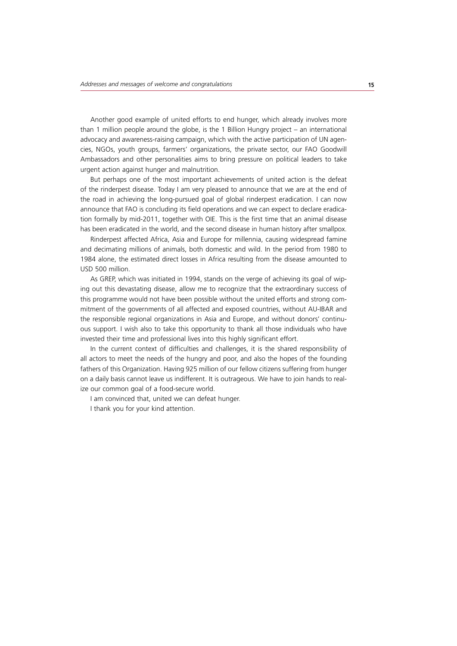Another good example of united efforts to end hunger, which already involves more than 1 million people around the globe, is the 1 Billion Hungry project – an international advocacy and awareness-raising campaign, which with the active participation of UN agencies, NGOs, youth groups, farmers' organizations, the private sector, our FAO Goodwill Ambassadors and other personalities aims to bring pressure on political leaders to take urgent action against hunger and malnutrition.

But perhaps one of the most important achievements of united action is the defeat of the rinderpest disease. Today I am very pleased to announce that we are at the end of the road in achieving the long-pursued goal of global rinderpest eradication. I can now announce that FAO is concluding its field operations and we can expect to declare eradication formally by mid-2011, together with OIE. This is the first time that an animal disease has been eradicated in the world, and the second disease in human history after smallpox.

Rinderpest affected Africa, Asia and Europe for millennia, causing widespread famine and decimating millions of animals, both domestic and wild. In the period from 1980 to 1984 alone, the estimated direct losses in Africa resulting from the disease amounted to USD 500 million.

As GREP, which was initiated in 1994, stands on the verge of achieving its goal of wiping out this devastating disease, allow me to recognize that the extraordinary success of this programme would not have been possible without the united efforts and strong commitment of the governments of all affected and exposed countries, without AU-IBAR and the responsible regional organizations in Asia and Europe, and without donors' continuous support. I wish also to take this opportunity to thank all those individuals who have invested their time and professional lives into this highly significant effort.

In the current context of difficulties and challenges, it is the shared responsibility of all actors to meet the needs of the hungry and poor, and also the hopes of the founding fathers of this Organization. Having 925 million of our fellow citizens suffering from hunger on a daily basis cannot leave us indifferent. It is outrageous. We have to join hands to realize our common goal of a food-secure world.

I am convinced that, united we can defeat hunger.

I thank you for your kind attention.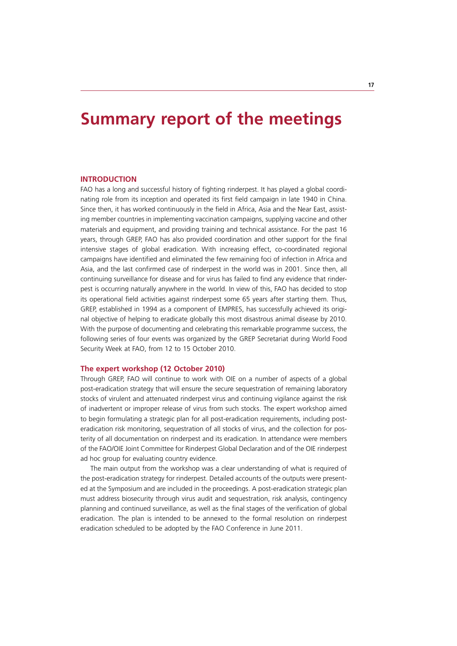# **Summary report of the meetings**

# **INTRODUCTION**

FAO has a long and successful history of fighting rinderpest. It has played a global coordinating role from its inception and operated its first field campaign in late 1940 in China. Since then, it has worked continuously in the field in Africa, Asia and the Near East, assisting member countries in implementing vaccination campaigns, supplying vaccine and other materials and equipment, and providing training and technical assistance. For the past 16 years, through GREP, FAO has also provided coordination and other support for the final intensive stages of global eradication. With increasing effect, co-coordinated regional campaigns have identified and eliminated the few remaining foci of infection in Africa and Asia, and the last confirmed case of rinderpest in the world was in 2001. Since then, all continuing surveillance for disease and for virus has failed to find any evidence that rinderpest is occurring naturally anywhere in the world. In view of this, FAO has decided to stop its operational field activities against rinderpest some 65 years after starting them. Thus, GREP, established in 1994 as a component of EMPRES, has successfully achieved its original objective of helping to eradicate globally this most disastrous animal disease by 2010. With the purpose of documenting and celebrating this remarkable programme success, the following series of four events was organized by the GREP Secretariat during World Food Security Week at FAO, from 12 to 15 October 2010.

### **The expert workshop (12 October 2010)**

Through GREP, FAO will continue to work with OIE on a number of aspects of a global post-eradication strategy that will ensure the secure sequestration of remaining laboratory stocks of virulent and attenuated rinderpest virus and continuing vigilance against the risk of inadvertent or improper release of virus from such stocks. The expert workshop aimed to begin formulating a strategic plan for all post-eradication requirements, including posteradication risk monitoring, sequestration of all stocks of virus, and the collection for posterity of all documentation on rinderpest and its eradication. In attendance were members of the FAO/OIE Joint Committee for Rinderpest Global Declaration and of the OIE rinderpest ad hoc group for evaluating country evidence.

The main output from the workshop was a clear understanding of what is required of the post-eradication strategy for rinderpest. Detailed accounts of the outputs were presented at the Symposium and are included in the proceedings. A post-eradication strategic plan must address biosecurity through virus audit and sequestration, risk analysis, contingency planning and continued surveillance, as well as the final stages of the verification of global eradication. The plan is intended to be annexed to the formal resolution on rinderpest eradication scheduled to be adopted by the FAO Conference in June 2011.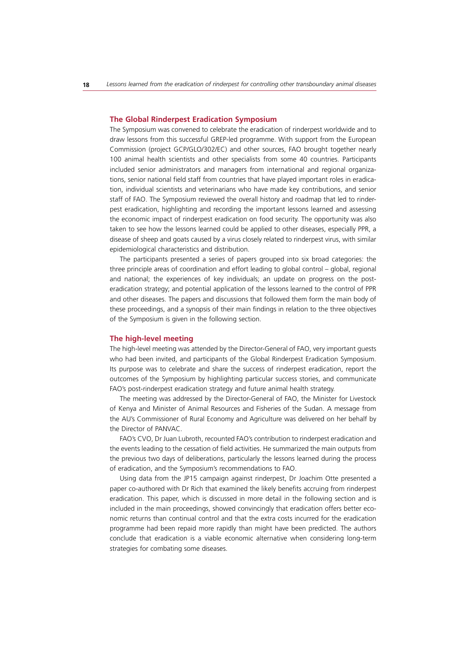#### **The Global Rinderpest Eradication Symposium**

The Symposium was convened to celebrate the eradication of rinderpest worldwide and to draw lessons from this successful GREP-led programme. With support from the European Commission (project GCP/GLO/302/EC) and other sources, FAO brought together nearly 100 animal health scientists and other specialists from some 40 countries. Participants included senior administrators and managers from international and regional organizations, senior national field staff from countries that have played important roles in eradication, individual scientists and veterinarians who have made key contributions, and senior staff of FAO. The Symposium reviewed the overall history and roadmap that led to rinderpest eradication, highlighting and recording the important lessons learned and assessing the economic impact of rinderpest eradication on food security. The opportunity was also taken to see how the lessons learned could be applied to other diseases, especially PPR, a disease of sheep and goats caused by a virus closely related to rinderpest virus, with similar epidemiological characteristics and distribution.

The participants presented a series of papers grouped into six broad categories: the three principle areas of coordination and effort leading to global control – global, regional and national; the experiences of key individuals; an update on progress on the posteradication strategy; and potential application of the lessons learned to the control of PPR and other diseases. The papers and discussions that followed them form the main body of these proceedings, and a synopsis of their main findings in relation to the three objectives of the Symposium is given in the following section.

### **The high-level meeting**

The high-level meeting was attended by the Director-General of FAO, very important guests who had been invited, and participants of the Global Rinderpest Eradication Symposium. Its purpose was to celebrate and share the success of rinderpest eradication, report the outcomes of the Symposium by highlighting particular success stories, and communicate FAO's post-rinderpest eradication strategy and future animal health strategy.

The meeting was addressed by the Director-General of FAO, the Minister for Livestock of Kenya and Minister of Animal Resources and Fisheries of the Sudan. A message from the AU's Commissioner of Rural Economy and Agriculture was delivered on her behalf by the Director of PANVAC.

FAO's CVO, Dr Juan Lubroth, recounted FAO's contribution to rinderpest eradication and the events leading to the cessation of field activities. He summarized the main outputs from the previous two days of deliberations, particularly the lessons learned during the process of eradication, and the Symposium's recommendations to FAO.

Using data from the JP15 campaign against rinderpest, Dr Joachim Otte presented a paper co-authored with Dr Rich that examined the likely benefits accruing from rinderpest eradication. This paper, which is discussed in more detail in the following section and is included in the main proceedings, showed convincingly that eradication offers better economic returns than continual control and that the extra costs incurred for the eradication programme had been repaid more rapidly than might have been predicted. The authors conclude that eradication is a viable economic alternative when considering long-term strategies for combating some diseases.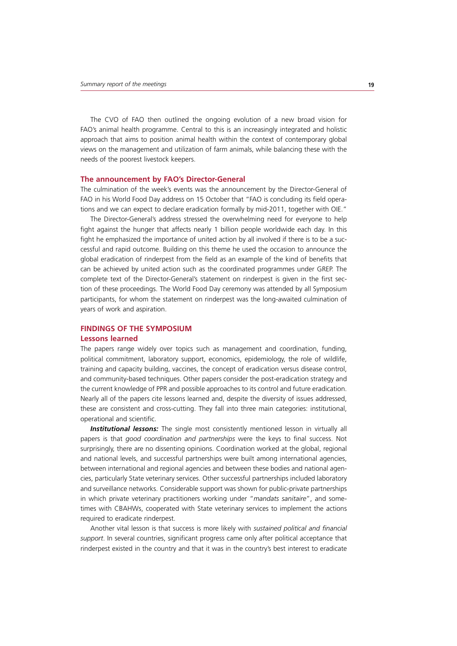The CVO of FAO then outlined the ongoing evolution of a new broad vision for FAO's animal health programme. Central to this is an increasingly integrated and holistic approach that aims to position animal health within the context of contemporary global views on the management and utilization of farm animals, while balancing these with the needs of the poorest livestock keepers.

#### **The announcement by FAO's Director-General**

The culmination of the week's events was the announcement by the Director-General of FAO in his World Food Day address on 15 October that "FAO is concluding its field operations and we can expect to declare eradication formally by mid-2011, together with OIE."

The Director-General's address stressed the overwhelming need for everyone to help fight against the hunger that affects nearly 1 billion people worldwide each day. In this fight he emphasized the importance of united action by all involved if there is to be a successful and rapid outcome. Building on this theme he used the occasion to announce the global eradication of rinderpest from the field as an example of the kind of benefits that can be achieved by united action such as the coordinated programmes under GREP. The complete text of the Director-General's statement on rinderpest is given in the first section of these proceedings. The World Food Day ceremony was attended by all Symposium participants, for whom the statement on rinderpest was the long-awaited culmination of years of work and aspiration.

# **FINDINGS OF THE SYMPOSIUM**

#### **Lessons learned**

The papers range widely over topics such as management and coordination, funding, political commitment, laboratory support, economics, epidemiology, the role of wildlife, training and capacity building, vaccines, the concept of eradication versus disease control, and community-based techniques. Other papers consider the post-eradication strategy and the current knowledge of PPR and possible approaches to its control and future eradication. Nearly all of the papers cite lessons learned and, despite the diversity of issues addressed, these are consistent and cross-cutting. They fall into three main categories: institutional, operational and scientific.

**Institutional lessons:** The single most consistently mentioned lesson in virtually all papers is that *good coordination and partnerships* were the keys to final success. Not surprisingly, there are no dissenting opinions. Coordination worked at the global, regional and national levels, and successful partnerships were built among international agencies, between international and regional agencies and between these bodies and national agencies, particularly State veterinary services. Other successful partnerships included laboratory and surveillance networks. Considerable support was shown for public-private partnerships in which private veterinary practitioners working under "*mandats sanitaire*", and sometimes with CBAHWs, cooperated with State veterinary services to implement the actions required to eradicate rinderpest.

Another vital lesson is that success is more likely with *sustained political and financial support*. In several countries, significant progress came only after political acceptance that rinderpest existed in the country and that it was in the country's best interest to eradicate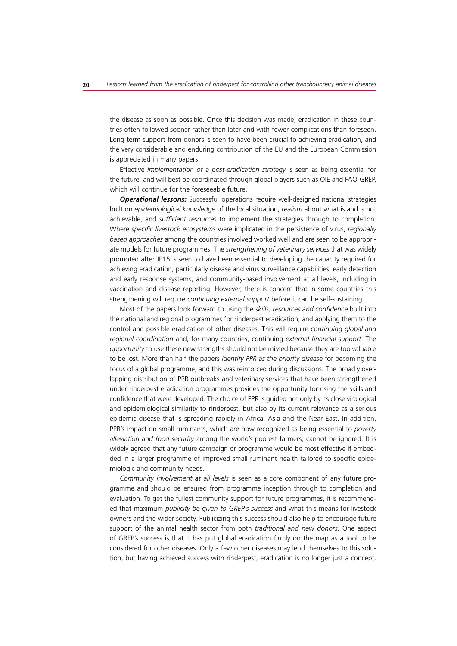the disease as soon as possible. Once this decision was made, eradication in these countries often followed sooner rather than later and with fewer complications than foreseen. Long-term support from donors is seen to have been crucial to achieving eradication, and the very considerable and enduring contribution of the EU and the European Commission is appreciated in many papers.

Effective *implementation of a post-eradication strategy* is seen as being essential for the future, and will best be coordinated through global players such as OIE and FAO-GREP, which will continue for the foreseeable future.

**Operational lessons:** Successful operations require well-designed national strategies built on *epidemiological knowledge* of the local situation, *realism* about what is and is not achievable, and *sufficient resources* to implement the strategies through to completion. Where *specific livestock ecosystems* were implicated in the persistence of virus, *regionally based approaches* among the countries involved worked well and are seen to be appropriate models for future programmes. The *strengthening of veterinary services* that was widely promoted after JP15 is seen to have been essential to developing the capacity required for achieving eradication, particularly disease and virus surveillance capabilities, early detection and early response systems, and community-based involvement at all levels, including in vaccination and disease reporting. However, there is concern that in some countries this strengthening will require *continuing external support* before it can be self-sustaining.

Most of the papers look forward to using the *skills, resources and confidence* built into the national and regional programmes for rinderpest eradication, and applying them to the control and possible eradication of other diseases. This will require *continuing global and regional coordination* and, for many countries, continuing *external financial support*. The *opportunity* to use these new strengths should not be missed because they are too valuable to be lost. More than half the papers *identify PPR as the priority disease* for becoming the focus of a global programme, and this was reinforced during discussions. The broadly overlapping distribution of PPR outbreaks and veterinary services that have been strengthened under rinderpest eradication programmes provides the opportunity for using the skills and confidence that were developed. The choice of PPR is guided not only by its close virological and epidemiological similarity to rinderpest, but also by its current relevance as a serious epidemic disease that is spreading rapidly in Africa, Asia and the Near East. In addition, PPR's impact on small ruminants, which are now recognized as being essential to *poverty alleviation and food security* among the world's poorest farmers, cannot be ignored. It is widely agreed that any future campaign or programme would be most effective if embedded in a larger programme of improved small ruminant health tailored to specific epidemiologic and community needs.

*Community involvement at all levels* is seen as a core component of any future programme and should be ensured from programme inception through to completion and evaluation. To get the fullest community support for future programmes, it is recommended that maximum *publicity be given to GREP's success* and what this means for livestock owners and the wider society. Publicizing this success should also help to encourage future support of the animal health sector from both *traditional and new donors*. One aspect of GREP's success is that it has put global eradication firmly on the map as a tool to be considered for other diseases. Only a few other diseases may lend themselves to this solution, but having achieved success with rinderpest, eradication is no longer just a concept.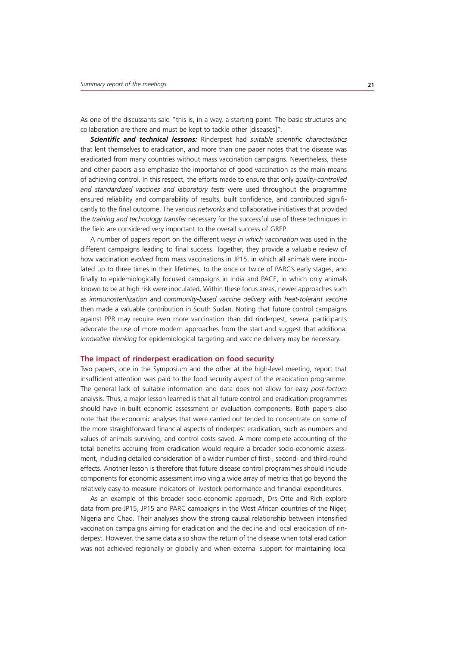As one of the discussants said "this is, in a way, a starting point. The basic structures and collaboration are there and must be kept to tackle other [diseases]".

*Scientific and technical lessons:* Rinderpest had *suitable scientific characteristics* that lent themselves to eradication, and more than one paper notes that the disease was eradicated from many countries without mass vaccination campaigns. Nevertheless, these and other papers also emphasize the importance of good vaccination as the main means of achieving control. In this respect, the efforts made to ensure that only *quality-controlled and standardized vaccines and laboratory tests* were used throughout the programme ensured reliability and comparability of results, built confidence, and contributed significantly to the final outcome. The various *networks* and collaborative initiatives that provided the *training and technology transfer* necessary for the successful use of these techniques in the field are considered very important to the overall success of GREP.

A number of papers report on the different *ways in which vaccination* was used in the different campaigns leading to final success. Together, they provide a valuable review of how vaccination *evolved* from mass vaccinations in JP15, in which all animals were inoculated up to three times in their lifetimes, to the once or twice of PARC's early stages, and finally to epidemiologically focused campaigns in India and PACE, in which only animals known to be at high risk were inoculated. Within these focus areas, newer approaches such as *immunosterilization* and *community-based vaccine delivery* with *heat-tolerant vaccine* then made a valuable contribution in South Sudan. Noting that future control campaigns against PPR may require even more vaccination than did rinderpest, several participants advocate the use of more modern approaches from the start and suggest that additional *innovative thinking* for epidemiological targeting and vaccine delivery may be necessary.

#### **The impact of rinderpest eradication on food security**

Two papers, one in the Symposium and the other at the high-level meeting, report that insufficient attention was paid to the food security aspect of the eradication programme. The general lack of suitable information and data does not allow for easy *post-factum* analysis. Thus, a major lesson learned is that all future control and eradication programmes should have in-built economic assessment or evaluation components. Both papers also note that the economic analyses that were carried out tended to concentrate on some of the more straightforward financial aspects of rinderpest eradication, such as numbers and values of animals surviving, and control costs saved. A more complete accounting of the total benefits accruing from eradication would require a broader socio-economic assessment, including detailed consideration of a wider number of first-, second- and third-round effects. Another lesson is therefore that future disease control programmes should include components for economic assessment involving a wide array of metrics that go beyond the relatively easy-to-measure indicators of livestock performance and financial expenditures.

As an example of this broader socio-economic approach, Drs Otte and Rich explore data from pre-JP15, JP15 and PARC campaigns in the West African countries of the Niger, Nigeria and Chad. Their analyses show the strong causal relationship between intensified vaccination campaigns aiming for eradication and the decline and local eradication of rinderpest. However, the same data also show the return of the disease when total eradication was not achieved regionally or globally and when external support for maintaining local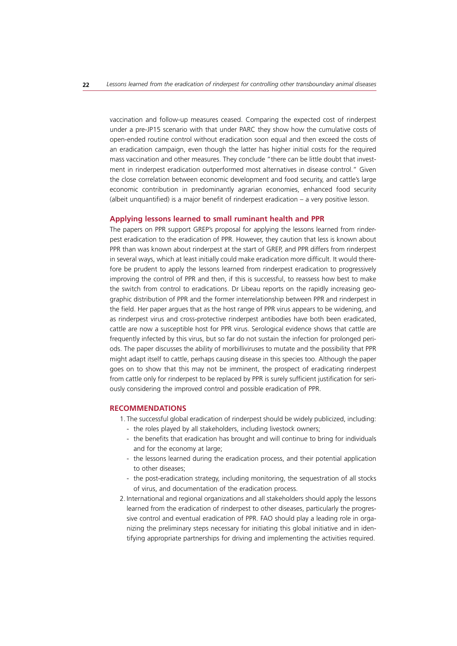vaccination and follow-up measures ceased. Comparing the expected cost of rinderpest under a pre-JP15 scenario with that under PARC they show how the cumulative costs of open-ended routine control without eradication soon equal and then exceed the costs of an eradication campaign, even though the latter has higher initial costs for the required mass vaccination and other measures. They conclude "there can be little doubt that investment in rinderpest eradication outperformed most alternatives in disease control." Given the close correlation between economic development and food security, and cattle's large economic contribution in predominantly agrarian economies, enhanced food security (albeit unquantified) is a major benefit of rinderpest eradication – a very positive lesson.

#### **Applying lessons learned to small ruminant health and PPR**

The papers on PPR support GREP's proposal for applying the lessons learned from rinderpest eradication to the eradication of PPR. However, they caution that less is known about PPR than was known about rinderpest at the start of GREP, and PPR differs from rinderpest in several ways, which at least initially could make eradication more difficult. It would therefore be prudent to apply the lessons learned from rinderpest eradication to progressively improving the control of PPR and then, if this is successful, to reassess how best to make the switch from control to eradications. Dr Libeau reports on the rapidly increasing geographic distribution of PPR and the former interrelationship between PPR and rinderpest in the field. Her paper argues that as the host range of PPR virus appears to be widening, and as rinderpest virus and cross-protective rinderpest antibodies have both been eradicated, cattle are now a susceptible host for PPR virus. Serological evidence shows that cattle are frequently infected by this virus, but so far do not sustain the infection for prolonged periods. The paper discusses the ability of morbilliviruses to mutate and the possibility that PPR might adapt itself to cattle, perhaps causing disease in this species too. Although the paper goes on to show that this may not be imminent, the prospect of eradicating rinderpest from cattle only for rinderpest to be replaced by PPR is surely sufficient justification for seriously considering the improved control and possible eradication of PPR.

# **RECOMMENDATIONS**

- 1. The successful global eradication of rinderpest should be widely publicized, including:
	- the roles played by all stakeholders, including livestock owners;
	- the benefits that eradication has brought and will continue to bring for individuals and for the economy at large;
	- the lessons learned during the eradication process, and their potential application to other diseases;
	- the post-eradication strategy, including monitoring, the sequestration of all stocks of virus, and documentation of the eradication process.
- 2. International and regional organizations and all stakeholders should apply the lessons learned from the eradication of rinderpest to other diseases, particularly the progressive control and eventual eradication of PPR. FAO should play a leading role in organizing the preliminary steps necessary for initiating this global initiative and in identifying appropriate partnerships for driving and implementing the activities required.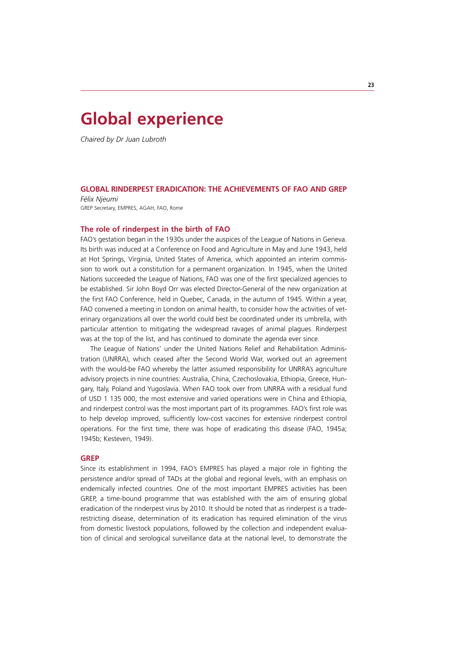# **Global experience**

*Chaired by Dr Juan Lubroth*

### **GLOBAL RINDERPEST ERADICATION: THE ACHIEVEMENTS OF FAO AND GREP**

*Félix Njeumi* GREP Secretary, EMPRES, AGAH, FAO, Rome

### **The role of rinderpest in the birth of FAO**

FAO's gestation began in the 1930s under the auspices of the League of Nations in Geneva. Its birth was induced at a Conference on Food and Agriculture in May and June 1943, held at Hot Springs, Virginia, United States of America, which appointed an interim commission to work out a constitution for a permanent organization. In 1945, when the United Nations succeeded the League of Nations, FAO was one of the first specialized agencies to be established. Sir John Boyd Orr was elected Director-General of the new organization at the first FAO Conference, held in Quebec, Canada, in the autumn of 1945. Within a year, FAO convened a meeting in London on animal health, to consider how the activities of veterinary organizations all over the world could best be coordinated under its umbrella, with particular attention to mitigating the widespread ravages of animal plagues. Rinderpest was at the top of the list, and has continued to dominate the agenda ever since.

The League of Nations' under the United Nations Relief and Rehabilitation Administration (UNRRA), which ceased after the Second World War, worked out an agreement with the would-be FAO whereby the latter assumed responsibility for UNRRA's agriculture advisory projects in nine countries: Australia, China, Czechoslovakia, Ethiopia, Greece, Hungary, Italy, Poland and Yugoslavia. When FAO took over from UNRRA with a residual fund of USD 1 135 000, the most extensive and varied operations were in China and Ethiopia, and rinderpest control was the most important part of its programmes. FAO's first role was to help develop improved, sufficiently low-cost vaccines for extensive rinderpest control operations. For the first time, there was hope of eradicating this disease (FAO, 1945a; 1945b; Kesteven, 1949).

#### **GREP**

Since its establishment in 1994, FAO's EMPRES has played a major role in fighting the persistence and/or spread of TADs at the global and regional levels, with an emphasis on endemically infected countries. One of the most important EMPRES activities has been GREP, a time-bound programme that was established with the aim of ensuring global eradication of the rinderpest virus by 2010. It should be noted that as rinderpest is a traderestricting disease, determination of its eradication has required elimination of the virus from domestic livestock populations, followed by the collection and independent evaluation of clinical and serological surveillance data at the national level, to demonstrate the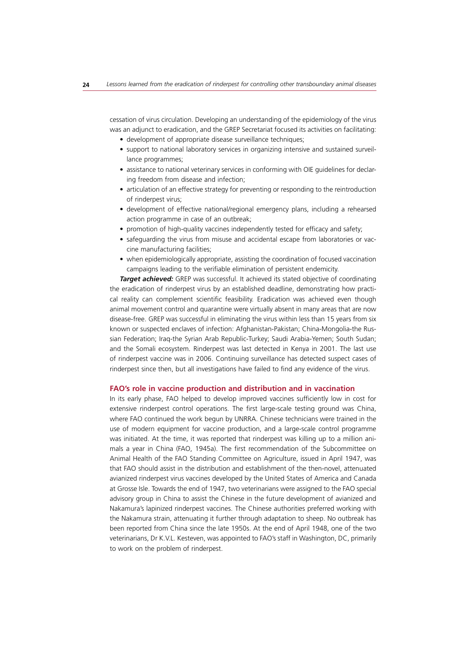cessation of virus circulation. Developing an understanding of the epidemiology of the virus was an adjunct to eradication, and the GREP Secretariat focused its activities on facilitating:

- development of appropriate disease surveillance techniques;
- support to national laboratory services in organizing intensive and sustained surveillance programmes;
- assistance to national veterinary services in conforming with OIE guidelines for declaring freedom from disease and infection;
- articulation of an effective strategy for preventing or responding to the reintroduction of rinderpest virus;
- development of effective national/regional emergency plans, including a rehearsed action programme in case of an outbreak;
- promotion of high-quality vaccines independently tested for efficacy and safety;
- safeguarding the virus from misuse and accidental escape from laboratories or vaccine manufacturing facilities;
- when epidemiologically appropriate, assisting the coordination of focused vaccination campaigns leading to the verifiable elimination of persistent endemicity.

**Target achieved:** GREP was successful. It achieved its stated objective of coordinating the eradication of rinderpest virus by an established deadline, demonstrating how practical reality can complement scientific feasibility. Eradication was achieved even though animal movement control and quarantine were virtually absent in many areas that are now disease-free. GREP was successful in eliminating the virus within less than 15 years from six known or suspected enclaves of infection: Afghanistan-Pakistan; China-Mongolia-the Russian Federation; Iraq-the Syrian Arab Republic-Turkey; Saudi Arabia-Yemen; South Sudan; and the Somali ecosystem. Rinderpest was last detected in Kenya in 2001. The last use of rinderpest vaccine was in 2006. Continuing surveillance has detected suspect cases of rinderpest since then, but all investigations have failed to find any evidence of the virus.

### **FAO's role in vaccine production and distribution and in vaccination**

In its early phase, FAO helped to develop improved vaccines sufficiently low in cost for extensive rinderpest control operations. The first large-scale testing ground was China, where FAO continued the work begun by UNRRA. Chinese technicians were trained in the use of modern equipment for vaccine production, and a large-scale control programme was initiated. At the time, it was reported that rinderpest was killing up to a million animals a year in China (FAO, 1945a). The first recommendation of the Subcommittee on Animal Health of the FAO Standing Committee on Agriculture, issued in April 1947, was that FAO should assist in the distribution and establishment of the then-novel, attenuated avianized rinderpest virus vaccines developed by the United States of America and Canada at Grosse Isle. Towards the end of 1947, two veterinarians were assigned to the FAO special advisory group in China to assist the Chinese in the future development of avianized and Nakamura's lapinized rinderpest vaccines. The Chinese authorities preferred working with the Nakamura strain, attenuating it further through adaptation to sheep. No outbreak has been reported from China since the late 1950s. At the end of April 1948, one of the two veterinarians, Dr K.V.L. Kesteven, was appointed to FAO's staff in Washington, DC, primarily to work on the problem of rinderpest.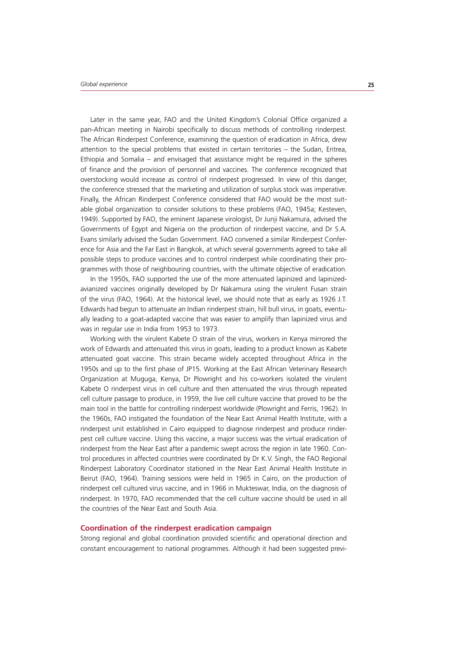Later in the same year, FAO and the United Kingdom's Colonial Office organized a pan-African meeting in Nairobi specifically to discuss methods of controlling rinderpest. The African Rinderpest Conference, examining the question of eradication in Africa, drew attention to the special problems that existed in certain territories – the Sudan, Eritrea, Ethiopia and Somalia – and envisaged that assistance might be required in the spheres of finance and the provision of personnel and vaccines. The conference recognized that overstocking would increase as control of rinderpest progressed. In view of this danger, the conference stressed that the marketing and utilization of surplus stock was imperative. Finally, the African Rinderpest Conference considered that FAO would be the most suitable global organization to consider solutions to these problems (FAO, 1945a; Kesteven, 1949). Supported by FAO, the eminent Japanese virologist, Dr Junji Nakamura, advised the Governments of Egypt and Nigeria on the production of rinderpest vaccine, and Dr S.A. Evans similarly advised the Sudan Government. FAO convened a similar Rinderpest Conference for Asia and the Far East in Bangkok, at which several governments agreed to take all possible steps to produce vaccines and to control rinderpest while coordinating their programmes with those of neighbouring countries, with the ultimate objective of eradication.

In the 1950s, FAO supported the use of the more attenuated lapinized and lapinizedavianized vaccines originally developed by Dr Nakamura using the virulent Fusan strain of the virus (FAO, 1964). At the historical level, we should note that as early as 1926 J.T. Edwards had begun to attenuate an Indian rinderpest strain, hill bull virus, in goats, eventually leading to a goat-adapted vaccine that was easier to amplify than lapinized virus and was in regular use in India from 1953 to 1973.

Working with the virulent Kabete O strain of the virus, workers in Kenya mirrored the work of Edwards and attenuated this virus in goats, leading to a product known as Kabete attenuated goat vaccine. This strain became widely accepted throughout Africa in the 1950s and up to the first phase of JP15. Working at the East African Veterinary Research Organization at Muguga, Kenya, Dr Plowright and his co-workers isolated the virulent Kabete O rinderpest virus in cell culture and then attenuated the virus through repeated cell culture passage to produce, in 1959, the live cell culture vaccine that proved to be the main tool in the battle for controlling rinderpest worldwide (Plowright and Ferris, 1962). In the 1960s, FAO instigated the foundation of the Near East Animal Health Institute, with a rinderpest unit established in Cairo equipped to diagnose rinderpest and produce rinderpest cell culture vaccine. Using this vaccine, a major success was the virtual eradication of rinderpest from the Near East after a pandemic swept across the region in late 1960. Control procedures in affected countries were coordinated by Dr K.V. Singh, the FAO Regional Rinderpest Laboratory Coordinator stationed in the Near East Animal Health Institute in Beirut (FAO, 1964). Training sessions were held in 1965 in Cairo, on the production of rinderpest cell cultured virus vaccine, and in 1966 in Mukteswar, India, on the diagnosis of rinderpest. In 1970, FAO recommended that the cell culture vaccine should be used in all the countries of the Near East and South Asia.

### **Coordination of the rinderpest eradication campaign**

Strong regional and global coordination provided scientific and operational direction and constant encouragement to national programmes. Although it had been suggested previ-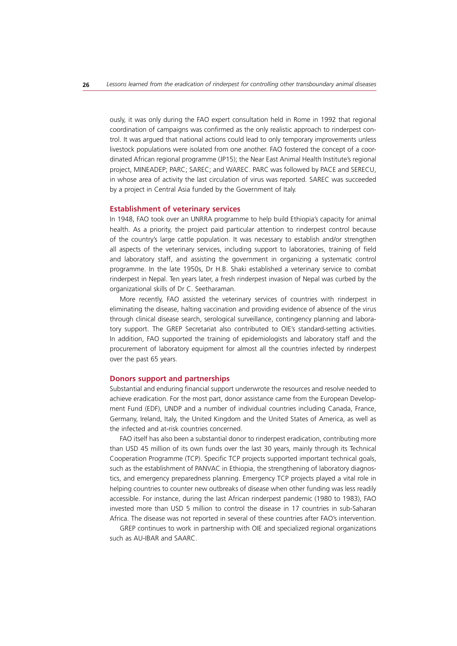ously, it was only during the FAO expert consultation held in Rome in 1992 that regional coordination of campaigns was confirmed as the only realistic approach to rinderpest control. It was argued that national actions could lead to only temporary improvements unless livestock populations were isolated from one another. FAO fostered the concept of a coordinated African regional programme (JP15); the Near East Animal Health Institute's regional project, MINEADEP; PARC; SAREC; and WAREC. PARC was followed by PACE and SERECU, in whose area of activity the last circulation of virus was reported. SAREC was succeeded by a project in Central Asia funded by the Government of Italy.

# **Establishment of veterinary services**

In 1948, FAO took over an UNRRA programme to help build Ethiopia's capacity for animal health. As a priority, the project paid particular attention to rinderpest control because of the country's large cattle population. It was necessary to establish and/or strengthen all aspects of the veterinary services, including support to laboratories, training of field and laboratory staff, and assisting the government in organizing a systematic control programme. In the late 1950s, Dr H.B. Shaki established a veterinary service to combat rinderpest in Nepal. Ten years later, a fresh rinderpest invasion of Nepal was curbed by the organizational skills of Dr C. Seetharaman.

More recently, FAO assisted the veterinary services of countries with rinderpest in eliminating the disease, halting vaccination and providing evidence of absence of the virus through clinical disease search, serological surveillance, contingency planning and laboratory support. The GREP Secretariat also contributed to OIE's standard-setting activities. In addition, FAO supported the training of epidemiologists and laboratory staff and the procurement of laboratory equipment for almost all the countries infected by rinderpest over the past 65 years.

#### **Donors support and partnerships**

Substantial and enduring financial support underwrote the resources and resolve needed to achieve eradication. For the most part, donor assistance came from the European Development Fund (EDF), UNDP and a number of individual countries including Canada, France, Germany, Ireland, Italy, the United Kingdom and the United States of America, as well as the infected and at-risk countries concerned.

FAO itself has also been a substantial donor to rinderpest eradication, contributing more than USD 45 million of its own funds over the last 30 years, mainly through its Technical Cooperation Programme (TCP). Specific TCP projects supported important technical goals, such as the establishment of PANVAC in Ethiopia, the strengthening of laboratory diagnostics, and emergency preparedness planning. Emergency TCP projects played a vital role in helping countries to counter new outbreaks of disease when other funding was less readily accessible. For instance, during the last African rinderpest pandemic (1980 to 1983), FAO invested more than USD 5 million to control the disease in 17 countries in sub-Saharan Africa. The disease was not reported in several of these countries after FAO's intervention.

GREP continues to work in partnership with OIE and specialized regional organizations such as AU-IBAR and SAARC.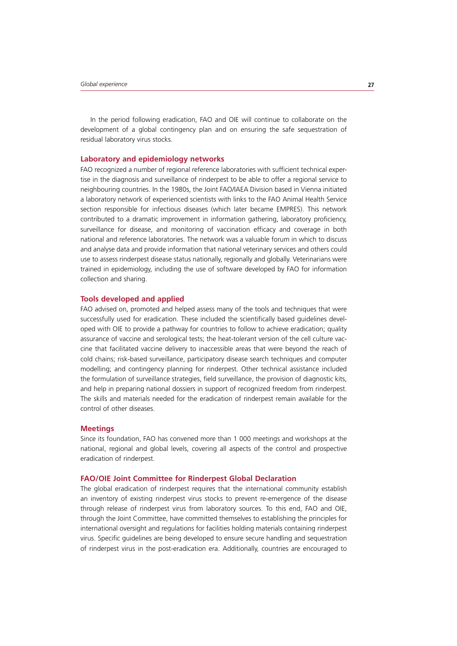In the period following eradication, FAO and OIE will continue to collaborate on the development of a global contingency plan and on ensuring the safe sequestration of residual laboratory virus stocks.

#### **Laboratory and epidemiology networks**

FAO recognized a number of regional reference laboratories with sufficient technical expertise in the diagnosis and surveillance of rinderpest to be able to offer a regional service to neighbouring countries. In the 1980s, the Joint FAO/IAEA Division based in Vienna initiated a laboratory network of experienced scientists with links to the FAO Animal Health Service section responsible for infectious diseases (which later became EMPRES). This network contributed to a dramatic improvement in information gathering, laboratory proficiency, surveillance for disease, and monitoring of vaccination efficacy and coverage in both national and reference laboratories. The network was a valuable forum in which to discuss and analyse data and provide information that national veterinary services and others could use to assess rinderpest disease status nationally, regionally and globally. Veterinarians were trained in epidemiology, including the use of software developed by FAO for information collection and sharing.

#### **Tools developed and applied**

FAO advised on, promoted and helped assess many of the tools and techniques that were successfully used for eradication. These included the scientifically based guidelines developed with OIE to provide a pathway for countries to follow to achieve eradication; quality assurance of vaccine and serological tests; the heat-tolerant version of the cell culture vaccine that facilitated vaccine delivery to inaccessible areas that were beyond the reach of cold chains; risk-based surveillance, participatory disease search techniques and computer modelling; and contingency planning for rinderpest. Other technical assistance included the formulation of surveillance strategies, field surveillance, the provision of diagnostic kits, and help in preparing national dossiers in support of recognized freedom from rinderpest. The skills and materials needed for the eradication of rinderpest remain available for the control of other diseases.

#### **Meetings**

Since its foundation, FAO has convened more than 1 000 meetings and workshops at the national, regional and global levels, covering all aspects of the control and prospective eradication of rinderpest.

#### **FAO/OIE Joint Committee for Rinderpest Global Declaration**

The global eradication of rinderpest requires that the international community establish an inventory of existing rinderpest virus stocks to prevent re-emergence of the disease through release of rinderpest virus from laboratory sources. To this end, FAO and OIE, through the Joint Committee, have committed themselves to establishing the principles for international oversight and regulations for facilities holding materials containing rinderpest virus. Specific guidelines are being developed to ensure secure handling and sequestration of rinderpest virus in the post-eradication era. Additionally, countries are encouraged to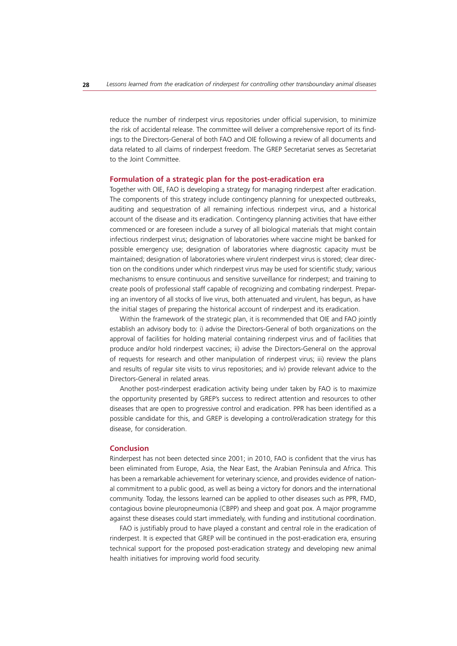reduce the number of rinderpest virus repositories under official supervision, to minimize the risk of accidental release. The committee will deliver a comprehensive report of its findings to the Directors-General of both FAO and OIE following a review of all documents and data related to all claims of rinderpest freedom. The GREP Secretariat serves as Secretariat to the Joint Committee.

#### **Formulation of a strategic plan for the post-eradication era**

Together with OIE, FAO is developing a strategy for managing rinderpest after eradication. The components of this strategy include contingency planning for unexpected outbreaks, auditing and sequestration of all remaining infectious rinderpest virus, and a historical account of the disease and its eradication. Contingency planning activities that have either commenced or are foreseen include a survey of all biological materials that might contain infectious rinderpest virus; designation of laboratories where vaccine might be banked for possible emergency use; designation of laboratories where diagnostic capacity must be maintained; designation of laboratories where virulent rinderpest virus is stored; clear direction on the conditions under which rinderpest virus may be used for scientific study; various mechanisms to ensure continuous and sensitive surveillance for rinderpest; and training to create pools of professional staff capable of recognizing and combating rinderpest. Preparing an inventory of all stocks of live virus, both attenuated and virulent, has begun, as have the initial stages of preparing the historical account of rinderpest and its eradication.

Within the framework of the strategic plan, it is recommended that OIE and FAO jointly establish an advisory body to: i) advise the Directors-General of both organizations on the approval of facilities for holding material containing rinderpest virus and of facilities that produce and/or hold rinderpest vaccines; ii) advise the Directors-General on the approval of requests for research and other manipulation of rinderpest virus; iii) review the plans and results of regular site visits to virus repositories; and iv) provide relevant advice to the Directors-General in related areas.

Another post-rinderpest eradication activity being under taken by FAO is to maximize the opportunity presented by GREP's success to redirect attention and resources to other diseases that are open to progressive control and eradication. PPR has been identified as a possible candidate for this, and GREP is developing a control/eradication strategy for this disease, for consideration.

#### **Conclusion**

Rinderpest has not been detected since 2001; in 2010, FAO is confident that the virus has been eliminated from Europe, Asia, the Near East, the Arabian Peninsula and Africa. This has been a remarkable achievement for veterinary science, and provides evidence of national commitment to a public good, as well as being a victory for donors and the international community. Today, the lessons learned can be applied to other diseases such as PPR, FMD, contagious bovine pleuropneumonia (CBPP) and sheep and goat pox. A major programme against these diseases could start immediately, with funding and institutional coordination.

FAO is justifiably proud to have played a constant and central role in the eradication of rinderpest. It is expected that GREP will be continued in the post-eradication era, ensuring technical support for the proposed post-eradication strategy and developing new animal health initiatives for improving world food security.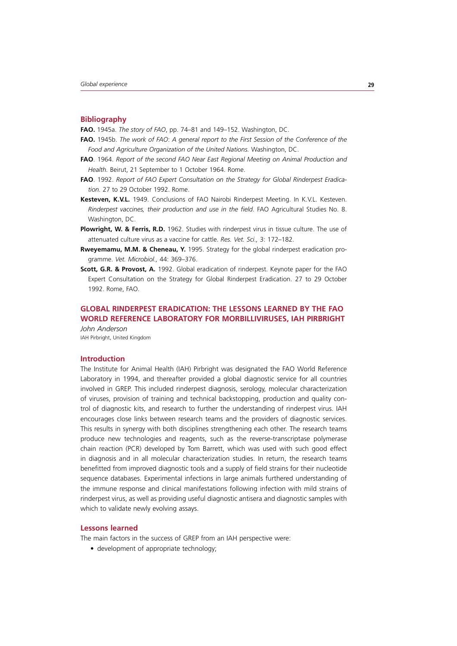#### **Bibliography**

**FAO.** 1945a. *The story of FAO*, pp. 74–81 and 149–152. Washington, DC.

- **FAO.** 1945b. *The work of FAO*: *A general report to the First Session of the Conference of the Food and Agriculture Organization of the United Nations.* Washington, DC.
- **FAO**. 1964. *Report of the second FAO Near East Regional Meeting on Animal Production and Health.* Beirut, 21 September to 1 October 1964. Rome.
- **FAO**. 1992. *Report of FAO Expert Consultation on the Strategy for Global Rinderpest Eradication.* 27 to 29 October 1992. Rome.
- **Kesteven, K.V.L.** 1949. Conclusions of FAO Nairobi Rinderpest Meeting. In K.V.L. Kesteven. *Rinderpest vaccines, their production and use in the field*. FAO Agricultural Studies No. 8. Washington, DC.
- **Plowright, W. & Ferris, R.D.** 1962. Studies with rinderpest virus in tissue culture. The use of attenuated culture virus as a vaccine for cattle. *Res. Vet. Sci.,* 3: 172–182.
- **Rweyemamu, M.M. & Cheneau, Y.** 1995. Strategy for the global rinderpest eradication programme. *Vet. Microbiol.,* 44: 369–376.
- **Scott, G.R. & Provost, A.** 1992. Global eradication of rinderpest. Keynote paper for the FAO Expert Consultation on the Strategy for Global Rinderpest Eradication. 27 to 29 October 1992. Rome, FAO.

# **GLOBAL RINDERPEST ERADICATION: THE LESSONS LEARNED BY THE FAO WORLD REFERENCE LABORATORY FOR MORBILLIVIRUSES, IAH PIRBRIGHT** *John Anderson*

IAH Pirbright, United Kingdom

# **Introduction**

The Institute for Animal Health (IAH) Pirbright was designated the FAO World Reference Laboratory in 1994, and thereafter provided a global diagnostic service for all countries involved in GREP. This included rinderpest diagnosis, serology, molecular characterization of viruses, provision of training and technical backstopping, production and quality control of diagnostic kits, and research to further the understanding of rinderpest virus. IAH encourages close links between research teams and the providers of diagnostic services. This results in synergy with both disciplines strengthening each other. The research teams produce new technologies and reagents, such as the reverse-transcriptase polymerase chain reaction (PCR) developed by Tom Barrett, which was used with such good effect in diagnosis and in all molecular characterization studies. In return, the research teams benefitted from improved diagnostic tools and a supply of field strains for their nucleotide sequence databases. Experimental infections in large animals furthered understanding of the immune response and clinical manifestations following infection with mild strains of rinderpest virus, as well as providing useful diagnostic antisera and diagnostic samples with which to validate newly evolving assays.

#### **Lessons learned**

The main factors in the success of GREP from an IAH perspective were:

• development of appropriate technology;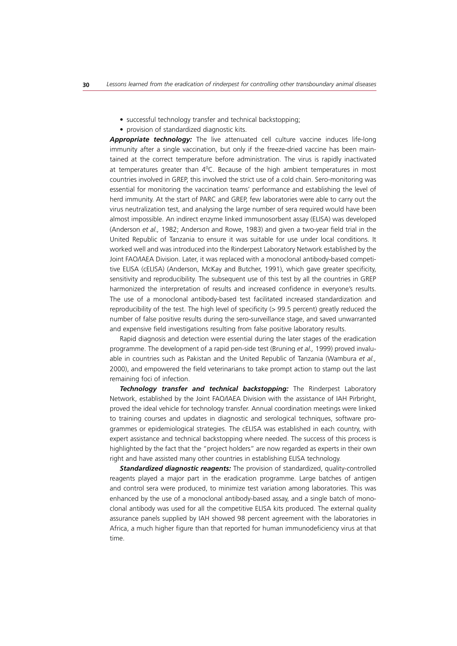- successful technology transfer and technical backstopping;
- provision of standardized diagnostic kits.

*Appropriate technology:* The live attenuated cell culture vaccine induces life-long immunity after a single vaccination, but only if the freeze-dried vaccine has been maintained at the correct temperature before administration. The virus is rapidly inactivated at temperatures greater than 40C. Because of the high ambient temperatures in most countries involved in GREP, this involved the strict use of a cold chain. Sero-monitoring was essential for monitoring the vaccination teams' performance and establishing the level of herd immunity. At the start of PARC and GREP, few laboratories were able to carry out the virus neutralization test, and analysing the large number of sera required would have been almost impossible. An indirect enzyme linked immunosorbent assay (ELISA) was developed (Anderson *et al.,* 1982; Anderson and Rowe, 1983) and given a two-year field trial in the United Republic of Tanzania to ensure it was suitable for use under local conditions. It worked well and was introduced into the Rinderpest Laboratory Network established by the Joint FAO/IAEA Division. Later, it was replaced with a monoclonal antibody-based competitive ELISA (cELISA) (Anderson, McKay and Butcher, 1991), which gave greater specificity, sensitivity and reproducibility. The subsequent use of this test by all the countries in GREP harmonized the interpretation of results and increased confidence in everyone's results. The use of a monoclonal antibody-based test facilitated increased standardization and reproducibility of the test. The high level of specificity (> 99.5 percent) greatly reduced the number of false positive results during the sero-surveillance stage, and saved unwarranted and expensive field investigations resulting from false positive laboratory results.

Rapid diagnosis and detection were essential during the later stages of the eradication programme. The development of a rapid pen-side test (Bruning *et al.,* 1999) proved invaluable in countries such as Pakistan and the United Republic of Tanzania (Wambura *et al.,* 2000), and empowered the field veterinarians to take prompt action to stamp out the last remaining foci of infection.

*Technology transfer and technical backstopping:* The Rinderpest Laboratory Network, established by the Joint FAO/IAEA Division with the assistance of IAH Pirbright, proved the ideal vehicle for technology transfer. Annual coordination meetings were linked to training courses and updates in diagnostic and serological techniques, software programmes or epidemiological strategies. The cELISA was established in each country, with expert assistance and technical backstopping where needed. The success of this process is highlighted by the fact that the "project holders" are now regarded as experts in their own right and have assisted many other countries in establishing ELISA technology.

*Standardized diagnostic reagents:* The provision of standardized, quality-controlled reagents played a major part in the eradication programme. Large batches of antigen and control sera were produced, to minimize test variation among laboratories. This was enhanced by the use of a monoclonal antibody-based assay, and a single batch of monoclonal antibody was used for all the competitive ELISA kits produced. The external quality assurance panels supplied by IAH showed 98 percent agreement with the laboratories in Africa, a much higher figure than that reported for human immunodeficiency virus at that time.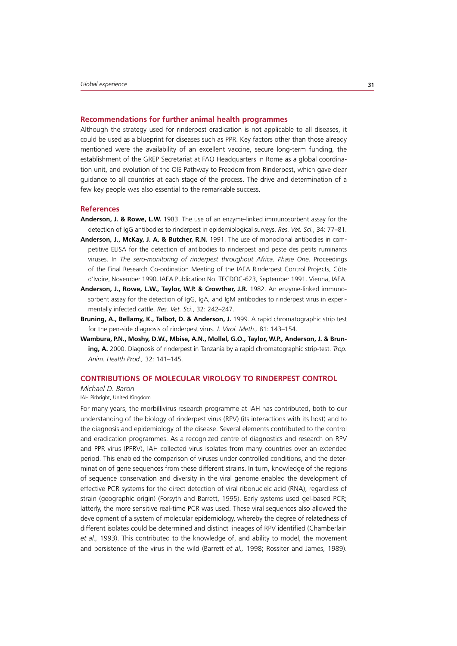#### **Recommendations for further animal health programmes**

Although the strategy used for rinderpest eradication is not applicable to all diseases, it could be used as a blueprint for diseases such as PPR. Key factors other than those already mentioned were the availability of an excellent vaccine, secure long-term funding, the establishment of the GREP Secretariat at FAO Headquarters in Rome as a global coordination unit, and evolution of the OIE Pathway to Freedom from Rinderpest, which gave clear guidance to all countries at each stage of the process. The drive and determination of a few key people was also essential to the remarkable success.

# **References**

- **Anderson, J. & Rowe, L.W.** 1983. The use of an enzyme-linked immunosorbent assay for the detection of IgG antibodies to rinderpest in epidemiological surveys. *Res. Vet. Sci*., 34: 77–81.
- **Anderson, J., McKay, J. A. & Butcher, R.N.** 1991. The use of monoclonal antibodies in competitive ELISA for the detection of antibodies to rinderpest and peste des petits ruminants viruses. In *The sero-monitoring of rinderpest throughout Africa, Phase One*. Proceedings of the Final Research Co-ordination Meeting of the IAEA Rinderpest Control Projects, Côte d'Ivoire, November 1990. IAEA Publication No. TECDOC-623, September 1991. Vienna, IAEA.
- **Anderson, J., Rowe, L.W., Taylor, W.P. & Crowther, J.R.** 1982. An enzyme-linked immunosorbent assay for the detection of IgG, IgA, and IgM antibodies to rinderpest virus in experimentally infected cattle. *Res. Vet. Sci*., 32: 242–247.
- Bruning, A., Bellamy, K., Talbot, D. & Anderson, J. 1999. A rapid chromatographic strip test for the pen-side diagnosis of rinderpest virus. *J. Virol. Meth.,* 81: 143–154.
- **Wambura, P.N., Moshy, D.W., Mbise, A.N., Mollel, G.O., Taylor, W.P., Anderson, J. & Bruning, A.** 2000. Diagnosis of rinderpest in Tanzania by a rapid chromatographic strip-test. *Trop. Anim. Health Prod.,* 32: 141–145.

#### **CONTRIBUTIONS OF MOLECULAR VIROLOGY TO RINDERPEST CONTROL**

*Michael D. Baron* IAH Pirbright, United Kingdom

For many years, the morbillivirus research programme at IAH has contributed, both to our understanding of the biology of rinderpest virus (RPV) (its interactions with its host) and to the diagnosis and epidemiology of the disease. Several elements contributed to the control and eradication programmes. As a recognized centre of diagnostics and research on RPV and PPR virus (PPRV), IAH collected virus isolates from many countries over an extended period. This enabled the comparison of viruses under controlled conditions, and the determination of gene sequences from these different strains. In turn, knowledge of the regions of sequence conservation and diversity in the viral genome enabled the development of effective PCR systems for the direct detection of viral ribonucleic acid (RNA), regardless of strain (geographic origin) (Forsyth and Barrett, 1995). Early systems used gel-based PCR; latterly, the more sensitive real-time PCR was used. These viral sequences also allowed the development of a system of molecular epidemiology, whereby the degree of relatedness of different isolates could be determined and distinct lineages of RPV identified (Chamberlain *et al.,* 1993). This contributed to the knowledge of, and ability to model, the movement and persistence of the virus in the wild (Barrett *et al.,* 1998; Rossiter and James, 1989).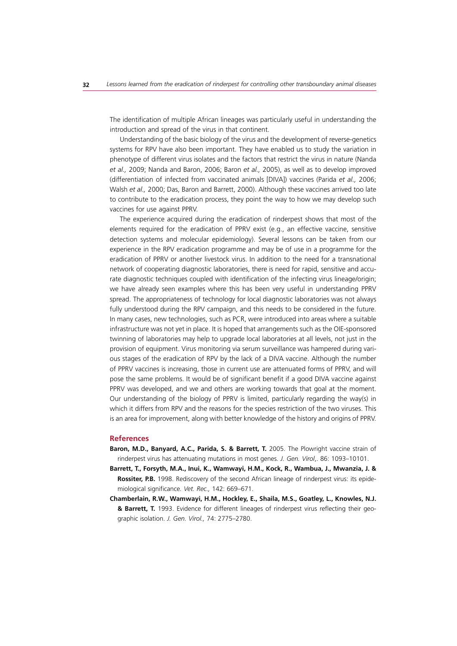The identification of multiple African lineages was particularly useful in understanding the introduction and spread of the virus in that continent.

Understanding of the basic biology of the virus and the development of reverse-genetics systems for RPV have also been important. They have enabled us to study the variation in phenotype of different virus isolates and the factors that restrict the virus in nature (Nanda *et al.,* 2009; Nanda and Baron, 2006; Baron *et al.,* 2005), as well as to develop improved (differentiation of infected from vaccinated animals [DIVA]) vaccines (Parida *et al.,* 2006; Walsh *et al.,* 2000; Das, Baron and Barrett, 2000). Although these vaccines arrived too late to contribute to the eradication process, they point the way to how we may develop such vaccines for use against PPRV.

The experience acquired during the eradication of rinderpest shows that most of the elements required for the eradication of PPRV exist (e.g., an effective vaccine, sensitive detection systems and molecular epidemiology). Several lessons can be taken from our experience in the RPV eradication programme and may be of use in a programme for the eradication of PPRV or another livestock virus. In addition to the need for a transnational network of cooperating diagnostic laboratories, there is need for rapid, sensitive and accurate diagnostic techniques coupled with identification of the infecting virus lineage/origin; we have already seen examples where this has been very useful in understanding PPRV spread. The appropriateness of technology for local diagnostic laboratories was not always fully understood during the RPV campaign, and this needs to be considered in the future. In many cases, new technologies, such as PCR, were introduced into areas where a suitable infrastructure was not yet in place. It is hoped that arrangements such as the OIE-sponsored twinning of laboratories may help to upgrade local laboratories at all levels, not just in the provision of equipment. Virus monitoring via serum surveillance was hampered during various stages of the eradication of RPV by the lack of a DIVA vaccine. Although the number of PPRV vaccines is increasing, those in current use are attenuated forms of PPRV, and will pose the same problems. It would be of significant benefit if a good DIVA vaccine against PPRV was developed, and we and others are working towards that goal at the moment. Our understanding of the biology of PPRV is limited, particularly regarding the way(s) in which it differs from RPV and the reasons for the species restriction of the two viruses. This is an area for improvement, along with better knowledge of the history and origins of PPRV.

#### **References**

- Baron, M.D., Banyard, A.C., Parida, S. & Barrett, T. 2005. The Plowright vaccine strain of rinderpest virus has attenuating mutations in most genes*. J. Gen. Virol*,. 86: 1093–10101.
- **Barrett, T., Forsyth, M.A., Inui, K., Wamwayi, H.M., Kock, R., Wambua, J., Mwanzia, J. & Rossiter, P.B.** 1998. Rediscovery of the second African lineage of rinderpest virus: its epidemiological significance*. Vet. Rec.,* 142: 669–671.
- **Chamberlain, R.W., Wamwayi, H.M., Hockley, E., Shaila, M.S., Goatley, L., Knowles, N.J. & Barrett, T.** 1993. Evidence for different lineages of rinderpest virus reflecting their geographic isolation. *J. Gen. Virol.,* 74: 2775–2780.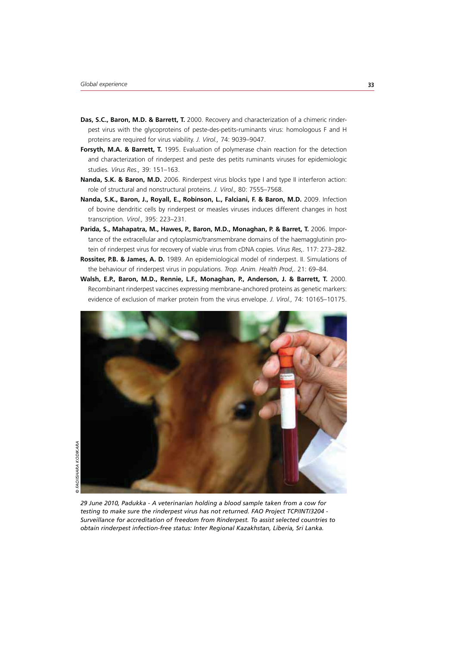- **Das, S.C., Baron, M.D. & Barrett, T.** 2000. Recovery and characterization of a chimeric rinderpest virus with the glycoproteins of peste-des-petits-ruminants virus: homologous F and H proteins are required for virus viability. *J. Virol.,* 74: 9039–9047.
- **Forsyth, M.A. & Barrett, T.** 1995. Evaluation of polymerase chain reaction for the detection and characterization of rinderpest and peste des petits ruminants viruses for epidemiologic studies*. Virus Res.,* 39: 151–163.
- **Nanda, S.K. & Baron, M.D.** 2006. Rinderpest virus blocks type I and type II interferon action: role of structural and nonstructural proteins. *J. Virol.,* 80: 7555–7568.
- Nanda, S.K., Baron, J., Royall, E., Robinson, L., Falciani, F. & Baron, M.D. 2009. Infection of bovine dendritic cells by rinderpest or measles viruses induces different changes in host transcription*. Virol.,* 395: 223–231.
- Parida, S., Mahapatra, M., Hawes, P., Baron, M.D., Monaghan, P. & Barret, T. 2006. Importance of the extracellular and cytoplasmic/transmembrane domains of the haemagglutinin protein of rinderpest virus for recovery of viable virus from cDNA copies. *Virus Res*,. 117: 273–282.
- **Rossiter, P.B. & James, A. D.** 1989. An epidemiological model of rinderpest. II. Simulations of the behaviour of rinderpest virus in populations. *Trop. Anim. Health Prod*,. 21: 69–84.
- **Walsh, E.P., Baron, M.D., Rennie, L.F., Monaghan, P., Anderson, J. & Barrett, T.** 2000. Recombinant rinderpest vaccines expressing membrane-anchored proteins as genetic markers: evidence of exclusion of marker protein from the virus envelope. *J. Virol.,* 74: 10165–10175.



*29 June 2010, Padukka - A veterinarian holding a blood sample taken from a cow for testing to make sure the rinderpest virus has not returned. FAO Project TCP/INT/3204 - Surveillance for accreditation of freedom from Rinderpest. To assist selected countries to obtain rinderpest infection-free status: Inter Regional Kazakhstan, Liberia, Sri Lanka.*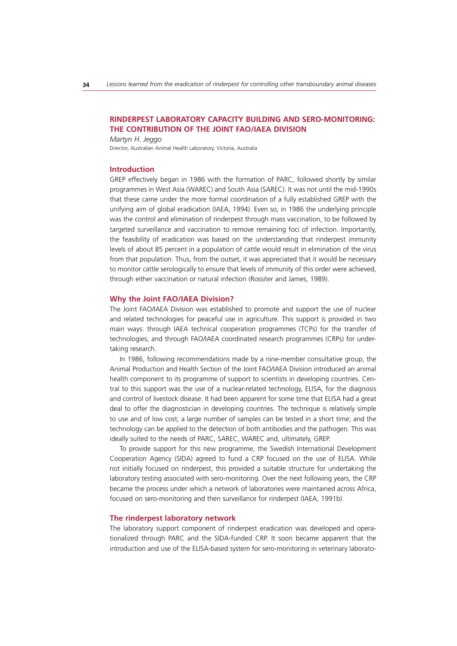# **RINDERPEST LABORATORY CAPACITY BUILDING AND SERO-MONITORING: THE CONTRIBUTION OF THE JOINT FAO/IAEA DIVISION**

*Martyn H. Jeggo* Director, Australian Animal Health Laboratory, Victoria, Australia

#### **Introduction**

GREP effectively began in 1986 with the formation of PARC, followed shortly by similar programmes in West Asia (WAREC) and South Asia (SAREC). It was not until the mid-1990s that these came under the more formal coordination of a fully established GREP with the unifying aim of global eradication (IAEA, 1994). Even so, in 1986 the underlying principle was the control and elimination of rinderpest through mass vaccination, to be followed by targeted surveillance and vaccination to remove remaining foci of infection. Importantly, the feasibility of eradication was based on the understanding that rinderpest immunity levels of about 85 percent in a population of cattle would result in elimination of the virus from that population. Thus, from the outset, it was appreciated that it would be necessary to monitor cattle serologically to ensure that levels of immunity of this order were achieved, through either vaccination or natural infection (Rossiter and James, 1989).

#### **Why the Joint FAO/IAEA Division?**

The Joint FAO/IAEA Division was established to promote and support the use of nuclear and related technologies for peaceful use in agriculture. This support is provided in two main ways: through IAEA technical cooperation programmes (TCPs) for the transfer of technologies; and through FAO/IAEA coordinated research programmes (CRPs) for undertaking research.

In 1986, following recommendations made by a nine-member consultative group, the Animal Production and Health Section of the Joint FAO/IAEA Division introduced an animal health component to its programme of support to scientists in developing countries. Central to this support was the use of a nuclear-related technology, ELISA, for the diagnosis and control of livestock disease. It had been apparent for some time that ELISA had a great deal to offer the diagnostician in developing countries. The technique is relatively simple to use and of low cost; a large number of samples can be tested in a short time; and the technology can be applied to the detection of both antibodies and the pathogen. This was ideally suited to the needs of PARC, SAREC, WAREC and, ultimately, GREP.

To provide support for this new programme, the Swedish International Development Cooperation Agency (SIDA) agreed to fund a CRP focused on the use of ELISA. While not initially focused on rinderpest, this provided a suitable structure for undertaking the laboratory testing associated with sero-monitoring. Over the next following years, the CRP became the process under which a network of laboratories were maintained across Africa, focused on sero-monitoring and then surveillance for rinderpest (IAEA, 1991b).

#### **The rinderpest laboratory network**

The laboratory support component of rinderpest eradication was developed and operationalized through PARC and the SIDA-funded CRP. It soon became apparent that the introduction and use of the ELISA-based system for sero-monitoring in veterinary laborato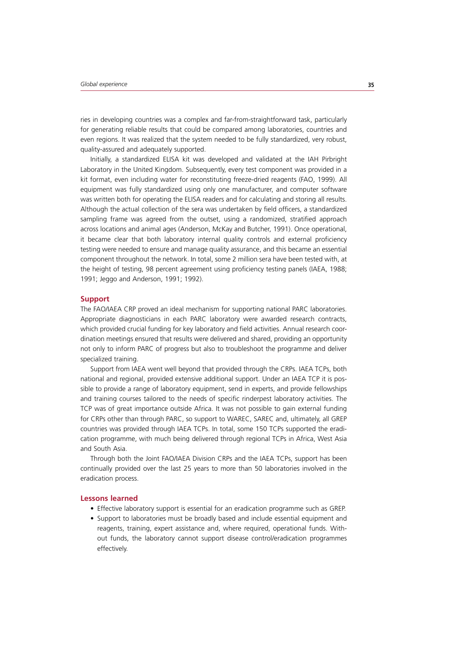ries in developing countries was a complex and far-from-straightforward task, particularly for generating reliable results that could be compared among laboratories, countries and even regions. It was realized that the system needed to be fully standardized, very robust, quality-assured and adequately supported.

Initially, a standardized ELISA kit was developed and validated at the IAH Pirbright Laboratory in the United Kingdom. Subsequently, every test component was provided in a kit format, even including water for reconstituting freeze-dried reagents (FAO, 1999). All equipment was fully standardized using only one manufacturer, and computer software was written both for operating the ELISA readers and for calculating and storing all results. Although the actual collection of the sera was undertaken by field officers, a standardized sampling frame was agreed from the outset, using a randomized, stratified approach across locations and animal ages (Anderson, McKay and Butcher, 1991). Once operational, it became clear that both laboratory internal quality controls and external proficiency testing were needed to ensure and manage quality assurance, and this became an essential component throughout the network. In total, some 2 million sera have been tested with, at the height of testing, 98 percent agreement using proficiency testing panels (IAEA, 1988; 1991; Jeggo and Anderson, 1991; 1992).

#### **Support**

The FAO/IAEA CRP proved an ideal mechanism for supporting national PARC laboratories. Appropriate diagnosticians in each PARC laboratory were awarded research contracts, which provided crucial funding for key laboratory and field activities. Annual research coordination meetings ensured that results were delivered and shared, providing an opportunity not only to inform PARC of progress but also to troubleshoot the programme and deliver specialized training.

Support from IAEA went well beyond that provided through the CRPs. IAEA TCPs, both national and regional, provided extensive additional support. Under an IAEA TCP it is possible to provide a range of laboratory equipment, send in experts, and provide fellowships and training courses tailored to the needs of specific rinderpest laboratory activities. The TCP was of great importance outside Africa. It was not possible to gain external funding for CRPs other than through PARC, so support to WAREC, SAREC and, ultimately, all GREP countries was provided through IAEA TCPs. In total, some 150 TCPs supported the eradication programme, with much being delivered through regional TCPs in Africa, West Asia and South Asia.

Through both the Joint FAO/IAEA Division CRPs and the IAEA TCPs, support has been continually provided over the last 25 years to more than 50 laboratories involved in the eradication process.

#### **Lessons learned**

- Effective laboratory support is essential for an eradication programme such as GREP.
- Support to laboratories must be broadly based and include essential equipment and reagents, training, expert assistance and, where required, operational funds. Without funds, the laboratory cannot support disease control/eradication programmes effectively.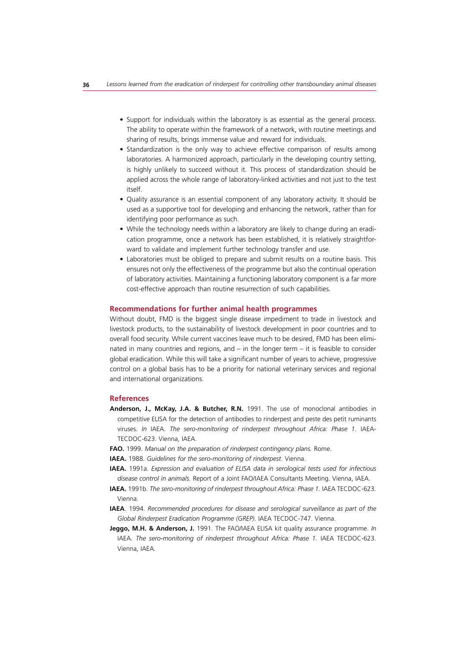- Support for individuals within the laboratory is as essential as the general process. The ability to operate within the framework of a network, with routine meetings and sharing of results, brings immense value and reward for individuals.
- Standardization is the only way to achieve effective comparison of results among laboratories. A harmonized approach, particularly in the developing country setting, is highly unlikely to succeed without it. This process of standardization should be applied across the whole range of laboratory-linked activities and not just to the test itself.
- Quality assurance is an essential component of any laboratory activity. It should be used as a supportive tool for developing and enhancing the network, rather than for identifying poor performance as such.
- While the technology needs within a laboratory are likely to change during an eradication programme, once a network has been established, it is relatively straightforward to validate and implement further technology transfer and use.
- Laboratories must be obliged to prepare and submit results on a routine basis. This ensures not only the effectiveness of the programme but also the continual operation of laboratory activities. Maintaining a functioning laboratory component is a far more cost-effective approach than routine resurrection of such capabilities.

# **Recommendations for further animal health programmes**

Without doubt, FMD is the biggest single disease impediment to trade in livestock and livestock products, to the sustainability of livestock development in poor countries and to overall food security. While current vaccines leave much to be desired, FMD has been eliminated in many countries and regions, and – in the longer term – it is feasible to consider global eradication. While this will take a significant number of years to achieve, progressive control on a global basis has to be a priority for national veterinary services and regional and international organizations.

#### **References**

- **Anderson, J., McKay, J.A. & Butcher, R.N.** 1991. The use of monoclonal antibodies in competitive ELISA for the detection of antibodies to rinderpest and peste des petit ruminants viruses. *In* IAEA. *The sero-monitoring of rinderpest throughout Africa: Phase 1.* IAEA-TECDOC-623. Vienna, IAEA.
- **FAO.** 1999. *Manual on the preparation of rinderpest contingency plans.* Rome.
- **IAEA.** 1988. *Guidelines for the sero-monitoring of rinderpest*. Vienna.
- **IAEA.** 1991a. *Expression and evaluation of ELISA data in serological tests used for infectious disease control in animals.* Report of a Joint FAO/IAEA Consultants Meeting. Vienna, IAEA.
- **IAEA.** 1991b. *The sero-monitoring of rinderpest throughout Africa: Phase 1.* IAEA TECDOC-623. Vienna.
- **IAEA**. 1994. *Recommended procedures for disease and serological surveillance as part of the Global Rinderpest Eradication Programme (GREP).* IAEA TECDOC-747. Vienna.
- **Jeggo, M.H. & Anderson, J.** 1991. The FAO/IAEA ELISA kit quality assurance programme. *In* IAEA. *The sero-monitoring of rinderpest throughout Africa: Phase 1.* IAEA TECDOC-623. Vienna, IAEA.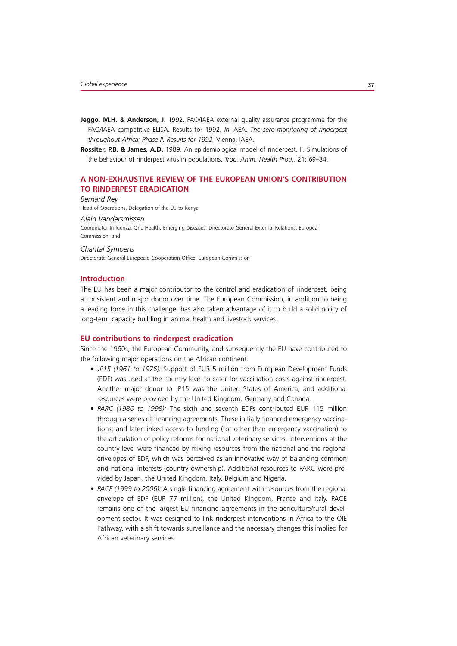- Jeggo, M.H. & Anderson, J. 1992. FAO/IAEA external quality assurance programme for the FAO/IAEA competitive ELISA. Results for 1992. *In* IAEA. *The sero-monitoring of rinderpest throughout Africa: Phase II. Results for 1992.* Vienna, IAEA.
- **Rossiter, P.B. & James, A.D.** 1989. An epidemiological model of rinderpest. II. Simulations of the behaviour of rinderpest virus in populations. *Trop. Anim. Health Prod*,. 21: 69–84.

# **A NON-EXHAUSTIVE REVIEW OF THE EUROPEAN UNION'S CONTRIBUTION TO RINDERPEST ERADICATION**

*Bernard Rey* Head of Operations, Delegation of *t*he EU to Kenya

*Alain Vandersmissen* Coordinator Influenza, One Health, Emerging Diseases, Directorate General External Relations, European Commission, and

*Chantal Symoens* Directorate General Europeaid Cooperation Office, European Commission

# **Introduction**

The EU has been a major contributor to the control and eradication of rinderpest, being a consistent and major donor over time. The European Commission, in addition to being a leading force in this challenge, has also taken advantage of it to build a solid policy of long-term capacity building in animal health and livestock services.

#### **EU contributions to rinderpest eradication**

Since the 1960s, the European Community, and subsequently the EU have contributed to the following major operations on the African continent:

- *t JP15 (1961 to 1976):* Support of EUR 5 million from European Development Funds (EDF) was used at the country level to cater for vaccination costs against rinderpest. Another major donor to JP15 was the United States of America, and additional resources were provided by the United Kingdom, Germany and Canada.
- *t PARC (1986 to 1998):* The sixth and seventh EDFs contributed EUR 115 million through a series of financing agreements. These initially financed emergency vaccinations, and later linked access to funding (for other than emergency vaccination) to the articulation of policy reforms for national veterinary services. Interventions at the country level were financed by mixing resources from the national and the regional envelopes of EDF, which was perceived as an innovative way of balancing common and national interests (country ownership). Additional resources to PARC were provided by Japan, the United Kingdom, Italy, Belgium and Nigeria.
- *t PACE (1999 to 2006):* A single financing agreement with resources from the regional envelope of EDF (EUR 77 million), the United Kingdom, France and Italy. PACE remains one of the largest EU financing agreements in the agriculture/rural development sector. It was designed to link rinderpest interventions in Africa to the OIE Pathway, with a shift towards surveillance and the necessary changes this implied for African veterinary services.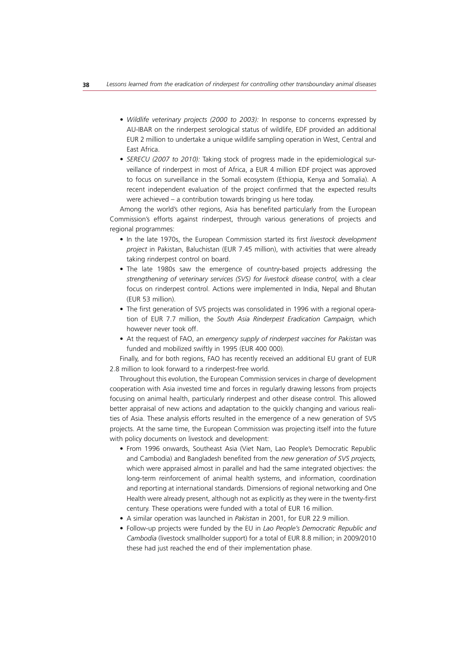- *t Wildlife veterinary projects (2000 to 2003):* In response to concerns expressed by AU-IBAR on the rinderpest serological status of wildlife, EDF provided an additional EUR 2 million to undertake a unique wildlife sampling operation in West, Central and East Africa.
- *t SERECU (2007 to 2010):* Taking stock of progress made in the epidemiological surveillance of rinderpest in most of Africa, a EUR 4 million EDF project was approved to focus on surveillance in the Somali ecosystem (Ethiopia, Kenya and Somalia). A recent independent evaluation of the project confirmed that the expected results were achieved – a contribution towards bringing us here today.

Among the world's other regions, Asia has benefited particularly from the European Commission's efforts against rinderpest, through various generations of projects and regional programmes:

- In the late 1970s, the European Commission started its first *livestock development project* in Pakistan, Baluchistan (EUR 7.45 million), with activities that were already taking rinderpest control on board.
- The late 1980s saw the emergence of country-based projects addressing the *strengthening of veterinary services (SVS) for livestock disease control,* with a clear focus on rinderpest control. Actions were implemented in India, Nepal and Bhutan (EUR 53 million).
- The first generation of SVS projects was consolidated in 1996 with a regional operation of EUR 7.7 million, the *South Asia Rinderpest Eradication Campaign,* which however never took off.
- At the request of FAO, an *emergency supply of rinderpest vaccines for Pakistan* was funded and mobilized swiftly in 1995 (EUR 400 000).

Finally, and for both regions, FAO has recently received an additional EU grant of EUR 2.8 million to look forward to a rinderpest-free world.

Throughout this evolution, the European Commission services in charge of development cooperation with Asia invested time and forces in regularly drawing lessons from projects focusing on animal health, particularly rinderpest and other disease control. This allowed better appraisal of new actions and adaptation to the quickly changing and various realities of Asia. These analysis efforts resulted in the emergence of a new generation of SVS projects. At the same time, the European Commission was projecting itself into the future with policy documents on livestock and development:

- From 1996 onwards, Southeast Asia (Viet Nam, Lao People's Democratic Republic and Cambodia) and Bangladesh benefited from the *new generation of SVS projects,* which were appraised almost in parallel and had the same integrated objectives: the long-term reinforcement of animal health systems, and information, coordination and reporting at international standards. Dimensions of regional networking and One Health were already present, although not as explicitly as they were in the twenty-first century. These operations were funded with a total of EUR 16 million.
- A similar operation was launched in *Pakistan* in 2001, for EUR 22.9 million.
- Follow-up projects were funded by the EU in *Lao People's Democratic Republic and Cambodia* (livestock smallholder support) for a total of EUR 8.8 million; in 2009/2010 these had just reached the end of their implementation phase.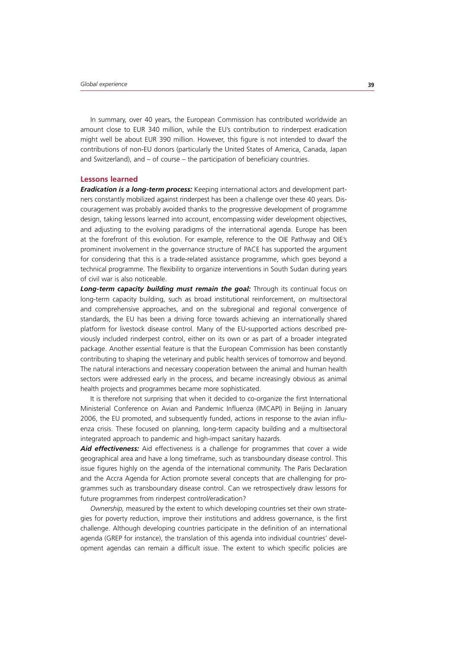In summary, over 40 years, the European Commission has contributed worldwide an amount close to EUR 340 million, while the EU's contribution to rinderpest eradication might well be about EUR 390 million. However, this figure is not intended to dwarf the contributions of non-EU donors (particularly the United States of America, Canada, Japan and Switzerland), and – of course – the participation of beneficiary countries.

#### **Lessons learned**

*Eradication is a long-term process:* Keeping international actors and development partners constantly mobilized against rinderpest has been a challenge over these 40 years. Discouragement was probably avoided thanks to the progressive development of programme design, taking lessons learned into account, encompassing wider development objectives, and adjusting to the evolving paradigms of the international agenda. Europe has been at the forefront of this evolution. For example, reference to the OIE Pathway and OIE's prominent involvement in the governance structure of PACE has supported the argument for considering that this is a trade-related assistance programme, which goes beyond a technical programme. The flexibility to organize interventions in South Sudan during years of civil war is also noticeable.

*Long-term capacity building must remain the goal:* Through its continual focus on long-term capacity building, such as broad institutional reinforcement, on multisectoral and comprehensive approaches, and on the subregional and regional convergence of standards, the EU has been a driving force towards achieving an internationally shared platform for livestock disease control. Many of the EU-supported actions described previously included rinderpest control, either on its own or as part of a broader integrated package. Another essential feature is that the European Commission has been constantly contributing to shaping the veterinary and public health services of tomorrow and beyond. The natural interactions and necessary cooperation between the animal and human health sectors were addressed early in the process, and became increasingly obvious as animal health projects and programmes became more sophisticated.

It is therefore not surprising that when it decided to co-organize the first International Ministerial Conference on Avian and Pandemic Influenza (IMCAPI) in Beijing in January 2006, the EU promoted, and subsequently funded, actions in response to the avian influenza crisis. These focused on planning, long-term capacity building and a multisectoral integrated approach to pandemic and high-impact sanitary hazards.

*Aid effectiveness:* Aid effectiveness is a challenge for programmes that cover a wide geographical area and have a long timeframe, such as transboundary disease control. This issue figures highly on the agenda of the international community. The Paris Declaration and the Accra Agenda for Action promote several concepts that are challenging for programmes such as transboundary disease control. Can we retrospectively draw lessons for future programmes from rinderpest control/eradication?

*Ownership,* measured by the extent to which developing countries set their own strategies for poverty reduction, improve their institutions and address governance, is the first challenge. Although developing countries participate in the definition of an international agenda (GREP for instance), the translation of this agenda into individual countries' development agendas can remain a difficult issue. The extent to which specific policies are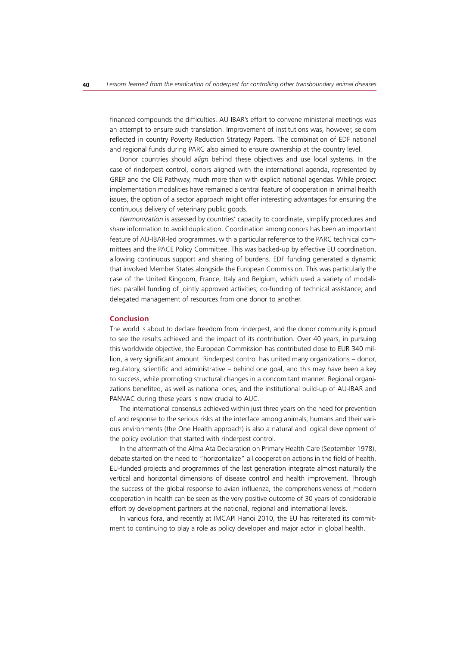financed compounds the difficulties. AU-IBAR's effort to convene ministerial meetings was an attempt to ensure such translation. Improvement of institutions was, however, seldom reflected in country Poverty Reduction Strategy Papers. The combination of EDF national and regional funds during PARC also aimed to ensure ownership at the country level.

Donor countries should *align* behind these objectives and use local systems. In the case of rinderpest control, donors aligned with the international agenda, represented by GREP and the OIE Pathway, much more than with explicit national agendas. While project implementation modalities have remained a central feature of cooperation in animal health issues, the option of a sector approach might offer interesting advantages for ensuring the continuous delivery of veterinary public goods.

*Harmonization* is assessed by countries' capacity to coordinate, simplify procedures and share information to avoid duplication. Coordination among donors has been an important feature of AU-IBAR-led programmes, with a particular reference to the PARC technical committees and the PACE Policy Committee. This was backed-up by effective EU coordination, allowing continuous support and sharing of burdens. EDF funding generated a dynamic that involved Member States alongside the European Commission. This was particularly the case of the United Kingdom, France, Italy and Belgium, which used a variety of modalities: parallel funding of jointly approved activities; co-funding of technical assistance; and delegated management of resources from one donor to another.

#### **Conclusion**

The world is about to declare freedom from rinderpest, and the donor community is proud to see the results achieved and the impact of its contribution. Over 40 years, in pursuing this worldwide objective, the European Commission has contributed close to EUR 340 million, a very significant amount. Rinderpest control has united many organizations – donor, regulatory, scientific and administrative – behind one goal, and this may have been a key to success, while promoting structural changes in a concomitant manner. Regional organizations benefited, as well as national ones, and the institutional build-up of AU-IBAR and PANVAC during these years is now crucial to AUC.

The international consensus achieved within just three years on the need for prevention of and response to the serious risks at the interface among animals, humans and their various environments (the One Health approach) is also a natural and logical development of the policy evolution that started with rinderpest control.

In the aftermath of the Alma Ata Declaration on Primary Health Care (September 1978), debate started on the need to "horizontalize" all cooperation actions in the field of health. EU-funded projects and programmes of the last generation integrate almost naturally the vertical and horizontal dimensions of disease control and health improvement. Through the success of the global response to avian influenza, the comprehensiveness of modern cooperation in health can be seen as the very positive outcome of 30 years of considerable effort by development partners at the national, regional and international levels.

In various fora, and recently at IMCAPI Hanoi 2010, the EU has reiterated its commitment to continuing to play a role as policy developer and major actor in global health.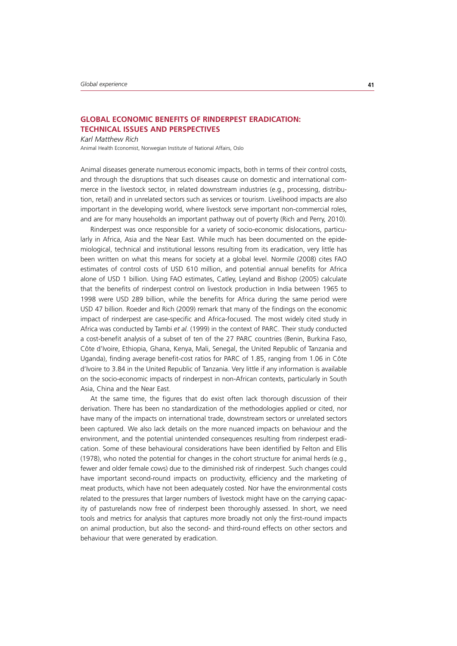# **GLOBAL ECONOMIC BENEFITS OF RINDERPEST ERADICATION: TECHNICAL ISSUES AND PERSPECTIVES**

*Karl Matthew Rich*

Animal Health Economist, Norwegian Institute of National Affairs, Oslo

Animal diseases generate numerous economic impacts, both in terms of their control costs, and through the disruptions that such diseases cause on domestic and international commerce in the livestock sector, in related downstream industries (e.g., processing, distribution, retail) and in unrelated sectors such as services or tourism. Livelihood impacts are also important in the developing world, where livestock serve important non-commercial roles, and are for many households an important pathway out of poverty (Rich and Perry, 2010).

Rinderpest was once responsible for a variety of socio-economic dislocations, particularly in Africa, Asia and the Near East. While much has been documented on the epidemiological, technical and institutional lessons resulting from its eradication, very little has been written on what this means for society at a global level. Normile (2008) cites FAO estimates of control costs of USD 610 million, and potential annual benefits for Africa alone of USD 1 billion. Using FAO estimates, Catley, Leyland and Bishop (2005) calculate that the benefits of rinderpest control on livestock production in India between 1965 to 1998 were USD 289 billion, while the benefits for Africa during the same period were USD 47 billion. Roeder and Rich (2009) remark that many of the findings on the economic impact of rinderpest are case-specific and Africa-focused. The most widely cited study in Africa was conducted by Tambi *et al.* (1999) in the context of PARC. Their study conducted a cost-benefit analysis of a subset of ten of the 27 PARC countries (Benin, Burkina Faso, Côte d'Ivoire, Ethiopia, Ghana, Kenya, Mali, Senegal, the United Republic of Tanzania and Uganda), finding average benefit-cost ratios for PARC of 1.85, ranging from 1.06 in Côte d'Ivoire to 3.84 in the United Republic of Tanzania. Very little if any information is available on the socio-economic impacts of rinderpest in non-African contexts, particularly in South Asia, China and the Near East.

At the same time, the figures that do exist often lack thorough discussion of their derivation. There has been no standardization of the methodologies applied or cited, nor have many of the impacts on international trade, downstream sectors or unrelated sectors been captured. We also lack details on the more nuanced impacts on behaviour and the environment, and the potential unintended consequences resulting from rinderpest eradication. Some of these behavioural considerations have been identified by Felton and Ellis (1978), who noted the potential for changes in the cohort structure for animal herds (e.g., fewer and older female cows) due to the diminished risk of rinderpest. Such changes could have important second-round impacts on productivity, efficiency and the marketing of meat products, which have not been adequately costed. Nor have the environmental costs related to the pressures that larger numbers of livestock might have on the carrying capacity of pasturelands now free of rinderpest been thoroughly assessed. In short, we need tools and metrics for analysis that captures more broadly not only the first-round impacts on animal production, but also the second- and third-round effects on other sectors and behaviour that were generated by eradication.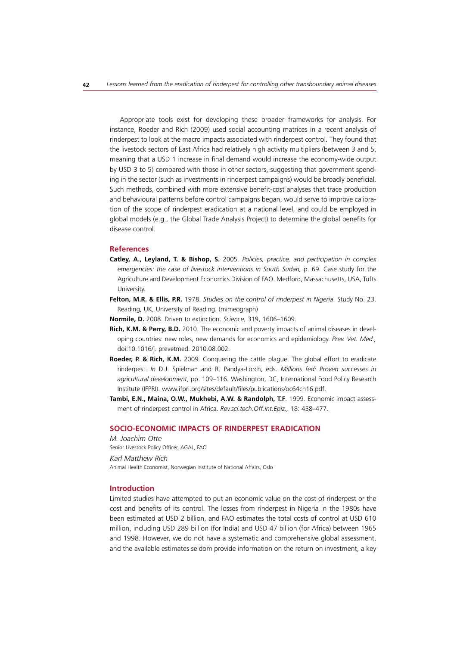Appropriate tools exist for developing these broader frameworks for analysis. For instance, Roeder and Rich (2009) used social accounting matrices in a recent analysis of rinderpest to look at the macro impacts associated with rinderpest control. They found that the livestock sectors of East Africa had relatively high activity multipliers (between 3 and 5, meaning that a USD 1 increase in final demand would increase the economy-wide output by USD 3 to 5) compared with those in other sectors, suggesting that government spending in the sector (such as investments in rinderpest campaigns) would be broadly beneficial. Such methods, combined with more extensive benefit-cost analyses that trace production and behavioural patterns before control campaigns began, would serve to improve calibration of the scope of rinderpest eradication at a national level, and could be employed in global models (e.g., the Global Trade Analysis Project) to determine the global benefits for disease control.

#### **References**

- **Catley, A., Leyland, T. & Bishop, S.** 2005. *Policies, practice, and participation in complex emergencies: the case of livestock interventions in South Sudan,* p. 69. Case study for the Agriculture and Development Economics Division of FAO. Medford, Massachusetts, USA, Tufts University.
- **Felton, M.R. & Ellis, P.R.** 1978. *Studies on the control of rinderpest in Nigeria*. Study No. 23. Reading, UK, University of Reading. (mimeograph)
- **Normile, D.** 2008. Driven to extinction. *Science,* 319, 1606–1609.
- **Rich, K.M. & Perry, B.D.** 2010. The economic and poverty impacts of animal diseases in developing countries: new roles, new demands for economics and epidemiology. *Prev. Vet. Med.,*  doi:10.1016/j. prevetmed. 2010.08.002*.*
- **Roeder, P. & Rich, K.M.** 2009. Conquering the cattle plague: The global effort to eradicate rinderpest. *In* D.J. Spielman and R. Pandya-Lorch, eds. *Millions fed: Proven successes in agricultural development*, pp. 109–116. Washington, DC, International Food Policy Research Institute (IFPRI). www.ifpri.org/sites/default/files/publications/oc64ch16.pdf.
- **Tambi, E.N., Maina, O.W., Mukhebi, A.W. & Randolph, T.F**. 1999. Economic impact assessment of rinderpest control in Africa. *Rev.sci.tech.Off.int.Epiz.,* 18: 458–477.

#### **SOCIO-ECONOMIC IMPACTS OF RINDERPEST ERADICATION**

*M. Joachim Otte* Senior Livestock Policy Officer, AGAL, FAO

*Karl Matthew Rich* Animal Health Economist, Norwegian Institute of National Affairs, Oslo

# **Introduction**

Limited studies have attempted to put an economic value on the cost of rinderpest or the cost and benefits of its control. The losses from rinderpest in Nigeria in the 1980s have been estimated at USD 2 billion, and FAO estimates the total costs of control at USD 610 million, including USD 289 billion (for India) and USD 47 billion (for Africa) between 1965 and 1998. However, we do not have a systematic and comprehensive global assessment, and the available estimates seldom provide information on the return on investment, a key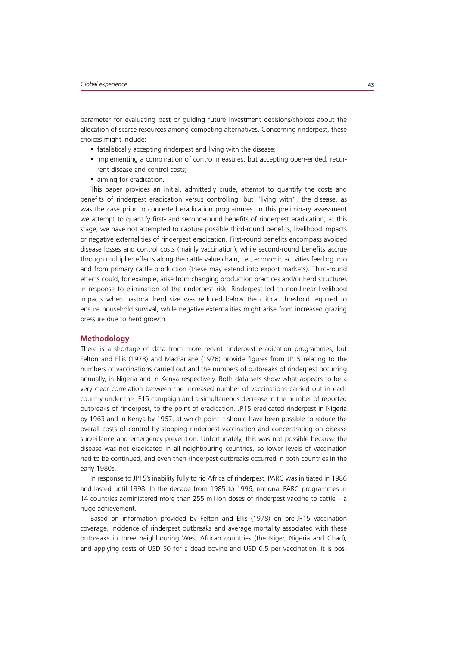parameter for evaluating past or guiding future investment decisions/choices about the allocation of scarce resources among competing alternatives. Concerning rinderpest, these choices might include:

- fatalistically accepting rinderpest and living with the disease;
- implementing a combination of control measures, but accepting open-ended, recurrent disease and control costs;
- aiming for eradication.

This paper provides an initial, admittedly crude, attempt to quantify the costs and benefits of rinderpest eradication versus controlling, but "living with", the disease, as was the case prior to concerted eradication programmes. In this preliminary assessment we attempt to quantify first- and second-round benefits of rinderpest eradication; at this stage, we have not attempted to capture possible third-round benefits, livelihood impacts or negative externalities of rinderpest eradication. First-round benefits encompass avoided disease losses and control costs (mainly vaccination), while second-round benefits accrue through multiplier effects along the cattle value chain, i.e., economic activities feeding into and from primary cattle production (these may extend into export markets). Third-round effects could, for example, arise from changing production practices and/or herd structures in response to elimination of the rinderpest risk. Rinderpest led to non-linear livelihood impacts when pastoral herd size was reduced below the critical threshold required to ensure household survival, while negative externalities might arise from increased grazing pressure due to herd growth.

#### **Methodology**

There is a shortage of data from more recent rinderpest eradication programmes, but Felton and Ellis (1978) and MacFarlane (1976) provide figures from JP15 relating to the numbers of vaccinations carried out and the numbers of outbreaks of rinderpest occurring annually, in Nigeria and in Kenya respectively. Both data sets show what appears to be a very clear correlation between the increased number of vaccinations carried out in each country under the JP15 campaign and a simultaneous decrease in the number of reported outbreaks of rinderpest, to the point of eradication. JP15 eradicated rinderpest in Nigeria by 1963 and in Kenya by 1967, at which point it should have been possible to reduce the overall costs of control by stopping rinderpest vaccination and concentrating on disease surveillance and emergency prevention. Unfortunately, this was not possible because the disease was not eradicated in all neighbouring countries, so lower levels of vaccination had to be continued, and even then rinderpest outbreaks occurred in both countries in the early 1980s.

In response to JP15's inability fully to rid Africa of rinderpest, PARC was initiated in 1986 and lasted until 1998. In the decade from 1985 to 1996, national PARC programmes in 14 countries administered more than 255 million doses of rinderpest vaccine to cattle – a huge achievement.

Based on information provided by Felton and Ellis (1978) on pre-JP15 vaccination coverage, incidence of rinderpest outbreaks and average mortality associated with these outbreaks in three neighbouring West African countries (the Niger, Nigeria and Chad), and applying costs of USD 50 for a dead bovine and USD 0.5 per vaccination, it is pos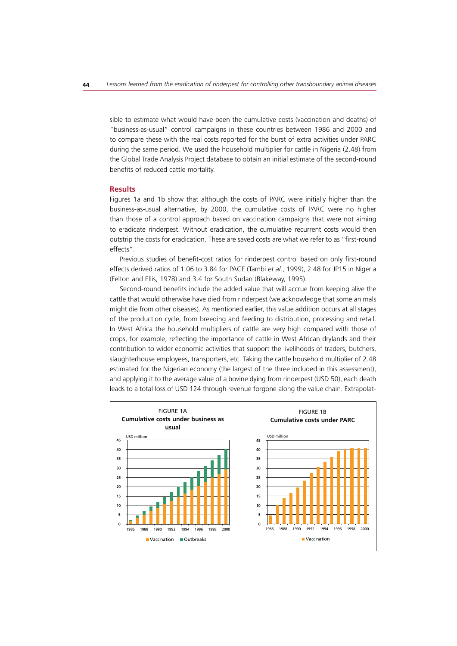sible to estimate what would have been the cumulative costs (vaccination and deaths) of "business-as-usual" control campaigns in these countries between 1986 and 2000 and to compare these with the real costs reported for the burst of extra activities under PARC during the same period. We used the household multiplier for cattle in Nigeria (2.48) from the Global Trade Analysis Project database to obtain an initial estimate of the second-round benefits of reduced cattle mortality.

#### **Results**

Figures 1a and 1b show that although the costs of PARC were initially higher than the business-as-usual alternative, by 2000, the cumulative costs of PARC were no higher than those of a control approach based on vaccination campaigns that were not aiming to eradicate rinderpest. Without eradication, the cumulative recurrent costs would then outstrip the costs for eradication. These are saved costs are what we refer to as "first-round effects".

Previous studies of benefit-cost ratios for rinderpest control based on only first-round effects derived ratios of 1.06 to 3.84 for PACE (Tambi *et al.*, 1999), 2.48 for JP15 in Nigeria (Felton and Ellis, 1978) and 3.4 for South Sudan (Blakeway, 1995).

Second-round benefits include the added value that will accrue from keeping alive the cattle that would otherwise have died from rinderpest (we acknowledge that some animals might die from other diseases). As mentioned earlier, this value addition occurs at all stages of the production cycle, from breeding and feeding to distribution, processing and retail. In West Africa the household multipliers of cattle are very high compared with those of crops, for example, reflecting the importance of cattle in West African drylands and their contribution to wider economic activities that support the livelihoods of traders, butchers, slaughterhouse employees, transporters, etc. Taking the cattle household multiplier of 2.48 estimated for the Nigerian economy (the largest of the three included in this assessment), and applying it to the average value of a bovine dying from rinderpest (USD 50), each death leads to a total loss of USD 124 through revenue forgone along the value chain. Extrapolat-

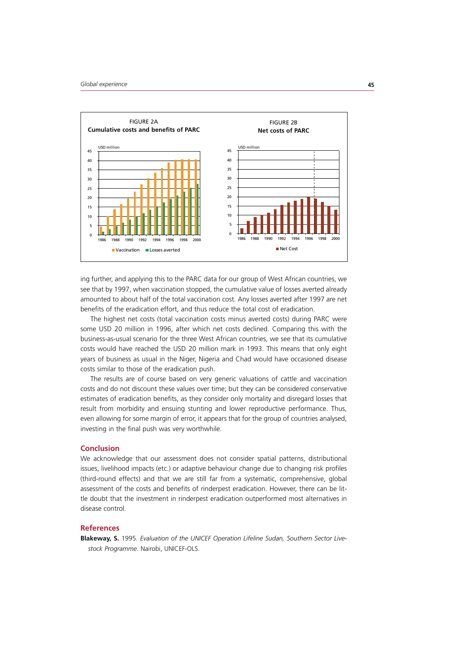

ing further, and applying this to the PARC data for our group of West African countries, we see that by 1997, when vaccination stopped, the cumulative value of losses averted already amounted to about half of the total vaccination cost. Any losses averted after 1997 are net benefits of the eradication effort, and thus reduce the total cost of eradication.

The highest net costs (total vaccination costs minus averted costs) during PARC were some USD 20 million in 1996, after which net costs declined. Comparing this with the business-as-usual scenario for the three West African countries, we see that its cumulative costs would have reached the USD 20 million mark in 1993. This means that only eight years of business as usual in the Niger, Nigeria and Chad would have occasioned disease costs similar to those of the eradication push.

The results are of course based on very generic valuations of cattle and vaccination costs and do not discount these values over time; but they can be considered conservative estimates of eradication benefits, as they consider only mortality and disregard losses that result from morbidity and ensuing stunting and lower reproductive performance. Thus, even allowing for some margin of error, it appears that for the group of countries analysed, investing in the final push was very worthwhile.

# **Conclusion**

We acknowledge that our assessment does not consider spatial patterns, distributional issues, livelihood impacts (etc.) or adaptive behaviour change due to changing risk profiles (third-round effects) and that we are still far from a systematic, comprehensive, global assessment of the costs and benefits of rinderpest eradication. However, there can be little doubt that the investment in rinderpest eradication outperformed most alternatives in disease control.

#### **References**

**Blakeway, S.** 1995. *Evaluation of the UNICEF Operation Lifeline Sudan, Southern Sector Livestock Programme*. Nairobi, UNICEF-OLS.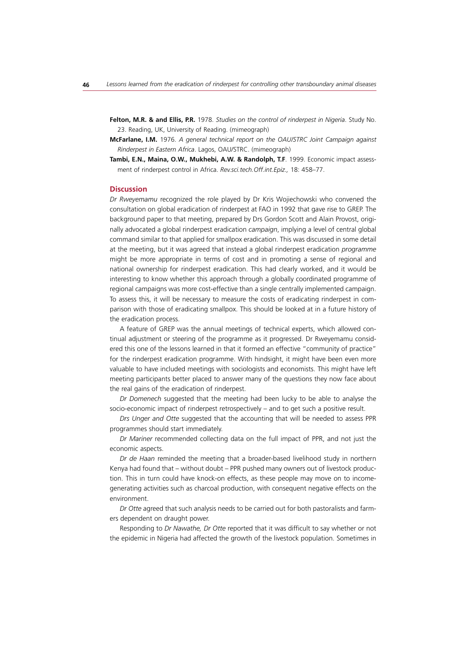- **Felton, M.R. & and Ellis, P.R.** 1978. *Studies on the control of rinderpest in Nigeria*. Study No. 23. Reading, UK, University of Reading. (mimeograph)
- **McFarlane, I.M.** 1976. *A general technical report on the OAU/STRC Joint Campaign against Rinderpest in Eastern Africa*. Lagos, OAU/STRC. (mimeograph)
- **Tambi, E.N., Maina, O.W., Mukhebi, A.W. & Randolph, T.F**. 1999. Economic impact assessment of rinderpest control in Africa. *Rev.sci.tech.Off.int.Epiz.,* 18: 458–77.

# **Discussion**

*Dr Rweyemamu* recognized the role played by Dr Kris Wojiechowski who convened the consultation on global eradication of rinderpest at FAO in 1992 that gave rise to GREP. The background paper to that meeting, prepared by Drs Gordon Scott and Alain Provost, originally advocated a global rinderpest eradication *campaign*, implying a level of central global command similar to that applied for smallpox eradication. This was discussed in some detail at the meeting, but it was agreed that instead a global rinderpest eradication *programme* might be more appropriate in terms of cost and in promoting a sense of regional and national ownership for rinderpest eradication. This had clearly worked, and it would be interesting to know whether this approach through a globally coordinated programme of regional campaigns was more cost-effective than a single centrally implemented campaign. To assess this, it will be necessary to measure the costs of eradicating rinderpest in comparison with those of eradicating smallpox. This should be looked at in a future history of the eradication process.

A feature of GREP was the annual meetings of technical experts, which allowed continual adjustment or steering of the programme as it progressed. Dr Rweyemamu considered this one of the lessons learned in that it formed an effective "community of practice" for the rinderpest eradication programme. With hindsight, it might have been even more valuable to have included meetings with sociologists and economists. This might have left meeting participants better placed to answer many of the questions they now face about the real gains of the eradication of rinderpest.

*Dr Domenech* suggested that the meeting had been lucky to be able to analyse the socio-economic impact of rinderpest retrospectively – and to get such a positive result.

*Drs Unger and Otte* suggested that the accounting that will be needed to assess PPR programmes should start immediately.

*Dr Mariner* recommended collecting data on the full impact of PPR, and not just the economic aspects.

*Dr de Haan* reminded the meeting that a broader-based livelihood study in northern Kenya had found that – without doubt – PPR pushed many owners out of livestock production. This in turn could have knock-on effects, as these people may move on to incomegenerating activities such as charcoal production, with consequent negative effects on the environment.

*Dr Otte* agreed that such analysis needs to be carried out for both pastoralists and farmers dependent on draught power.

Responding to *Dr Nawathe, Dr Otte* reported that it was difficult to say whether or not the epidemic in Nigeria had affected the growth of the livestock population. Sometimes in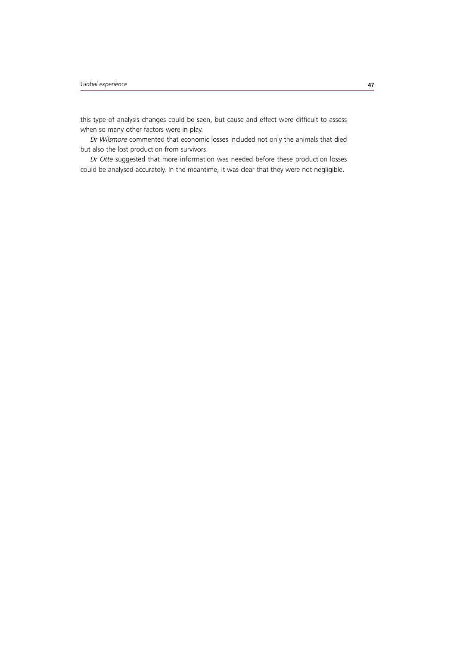this type of analysis changes could be seen, but cause and effect were difficult to assess when so many other factors were in play.

*Dr Wilsmore* commented that economic losses included not only the animals that died but also the lost production from survivors.

*Dr Otte* suggested that more information was needed before these production losses could be analysed accurately. In the meantime, it was clear that they were not negligible.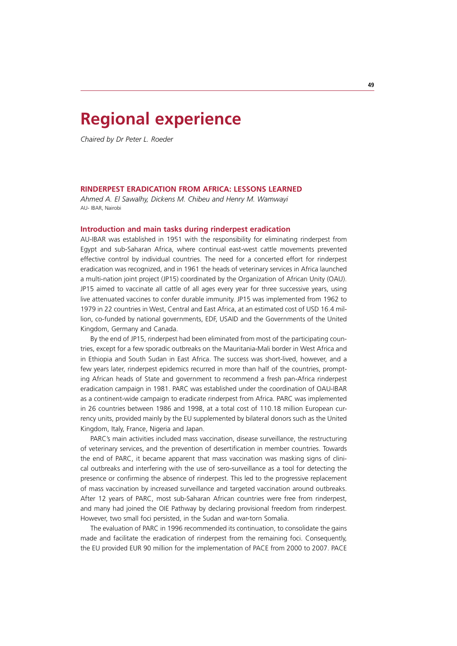# **Regional experience**

*Chaired by Dr Peter L. Roeder*

## **RINDERPEST ERADICATION FROM AFRICA: LESSONS LEARNED**

*Ahmed A. El Sawalhy, Dickens M. Chibeu and Henry M. Wamwayi* AU- IBAR, Nairobi

#### **Introduction and main tasks during rinderpest eradication**

AU-IBAR was established in 1951 with the responsibility for eliminating rinderpest from Egypt and sub-Saharan Africa, where continual east-west cattle movements prevented effective control by individual countries. The need for a concerted effort for rinderpest eradication was recognized, and in 1961 the heads of veterinary services in Africa launched a multi-nation joint project (JP15) coordinated by the Organization of African Unity (OAU). JP15 aimed to vaccinate all cattle of all ages every year for three successive years, using live attenuated vaccines to confer durable immunity. JP15 was implemented from 1962 to 1979 in 22 countries in West, Central and East Africa, at an estimated cost of USD 16.4 million, co-funded by national governments, EDF, USAID and the Governments of the United Kingdom, Germany and Canada.

By the end of JP15, rinderpest had been eliminated from most of the participating countries, except for a few sporadic outbreaks on the Mauritania-Mali border in West Africa and in Ethiopia and South Sudan in East Africa. The success was short-lived, however, and a few years later, rinderpest epidemics recurred in more than half of the countries, prompting African heads of State and government to recommend a fresh pan-Africa rinderpest eradication campaign in 1981. PARC was established under the coordination of OAU-IBAR as a continent-wide campaign to eradicate rinderpest from Africa. PARC was implemented in 26 countries between 1986 and 1998, at a total cost of 110.18 million European currency units, provided mainly by the EU supplemented by bilateral donors such as the United Kingdom, Italy, France, Nigeria and Japan.

PARC's main activities included mass vaccination, disease surveillance, the restructuring of veterinary services, and the prevention of desertification in member countries. Towards the end of PARC, it became apparent that mass vaccination was masking signs of clinical outbreaks and interfering with the use of sero-surveillance as a tool for detecting the presence or confirming the absence of rinderpest. This led to the progressive replacement of mass vaccination by increased surveillance and targeted vaccination around outbreaks. After 12 years of PARC, most sub-Saharan African countries were free from rinderpest, and many had joined the OIE Pathway by declaring provisional freedom from rinderpest. However, two small foci persisted, in the Sudan and war-torn Somalia.

The evaluation of PARC in 1996 recommended its continuation, to consolidate the gains made and facilitate the eradication of rinderpest from the remaining foci. Consequently, the EU provided EUR 90 million for the implementation of PACE from 2000 to 2007. PACE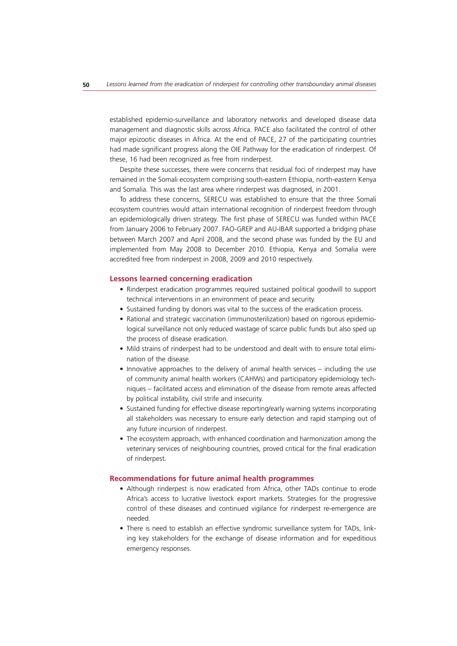established epidemio-surveillance and laboratory networks and developed disease data management and diagnostic skills across Africa. PACE also facilitated the control of other major epizootic diseases in Africa. At the end of PACE, 27 of the participating countries had made significant progress along the OIE Pathway for the eradication of rinderpest. Of these, 16 had been recognized as free from rinderpest.

Despite these successes, there were concerns that residual foci of rinderpest may have remained in the Somali ecosystem comprising south-eastern Ethiopia, north-eastern Kenya and Somalia. This was the last area where rinderpest was diagnosed, in 2001.

To address these concerns, SERECU was established to ensure that the three Somali ecosystem countries would attain international recognition of rinderpest freedom through an epidemiologically driven strategy. The first phase of SERECU was funded within PACE from January 2006 to February 2007. FAO-GREP and AU-IBAR supported a bridging phase between March 2007 and April 2008, and the second phase was funded by the EU and implemented from May 2008 to December 2010. Ethiopia, Kenya and Somalia were accredited free from rinderpest in 2008, 2009 and 2010 respectively.

#### **Lessons learned concerning eradication**

- Rinderpest eradication programmes required sustained political goodwill to support technical interventions in an environment of peace and security.
- Sustained funding by donors was vital to the success of the eradication process.
- Rational and strategic vaccination (immunosterilization) based on rigorous epidemiological surveillance not only reduced wastage of scarce public funds but also sped up the process of disease eradication.
- Mild strains of rinderpest had to be understood and dealt with to ensure total elimination of the disease.
- Innovative approaches to the delivery of animal health services including the use of community animal health workers (CAHWs) and participatory epidemiology techniques – facilitated access and elimination of the disease from remote areas affected by political instability, civil strife and insecurity.
- Sustained funding for effective disease reporting/early warning systems incorporating all stakeholders was necessary to ensure early detection and rapid stamping out of any future incursion of rinderpest.
- The ecosystem approach, with enhanced coordination and harmonization among the veterinary services of neighbouring countries, proved critical for the final eradication of rinderpest.

# **Recommendations for future animal health programmes**

- Although rinderpest is now eradicated from Africa, other TADs continue to erode Africa's access to lucrative livestock export markets. Strategies for the progressive control of these diseases and continued vigilance for rinderpest re-emergence are needed.
- There is need to establish an effective syndromic surveillance system for TADs, linking key stakeholders for the exchange of disease information and for expeditious emergency responses.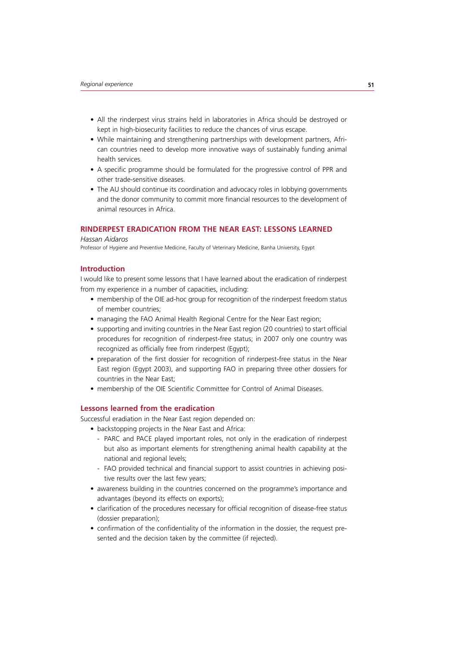- All the rinderpest virus strains held in laboratories in Africa should be destroyed or kept in high-biosecurity facilities to reduce the chances of virus escape.
- While maintaining and strengthening partnerships with development partners, African countries need to develop more innovative ways of sustainably funding animal health services.
- A specific programme should be formulated for the progressive control of PPR and other trade-sensitive diseases.
- The AU should continue its coordination and advocacy roles in lobbying governments and the donor community to commit more financial resources to the development of animal resources in Africa.

# **RINDERPEST ERADICATION FROM THE NEAR EAST: LESSONS LEARNED**

#### *Hassan Aidaros*

Professor of Hygiene and Preventive Medicine, Faculty of Veterinary Medicine, Banha University, Egypt

## **Introduction**

I would like to present some lessons that I have learned about the eradication of rinderpest from my experience in a number of capacities, including:

- membership of the OIE ad-hoc group for recognition of the rinderpest freedom status of member countries;
- managing the FAO Animal Health Regional Centre for the Near East region;
- supporting and inviting countries in the Near East region (20 countries) to start official procedures for recognition of rinderpest-free status; in 2007 only one country was recognized as officially free from rinderpest (Egypt);
- preparation of the first dossier for recognition of rinderpest-free status in the Near East region (Egypt 2003), and supporting FAO in preparing three other dossiers for countries in the Near East;
- membership of the OIE Scientific Committee for Control of Animal Diseases.

# **Lessons learned from the eradication**

Successful eradiation in the Near East region depended on:

- backstopping projects in the Near East and Africa:
	- PARC and PACE played important roles, not only in the eradication of rinderpest but also as important elements for strengthening animal health capability at the national and regional levels;
	- FAO provided technical and financial support to assist countries in achieving positive results over the last few years;
- awareness building in the countries concerned on the programme's importance and advantages (beyond its effects on exports);
- clarification of the procedures necessary for official recognition of disease-free status (dossier preparation);
- confirmation of the confidentiality of the information in the dossier, the request presented and the decision taken by the committee (if rejected).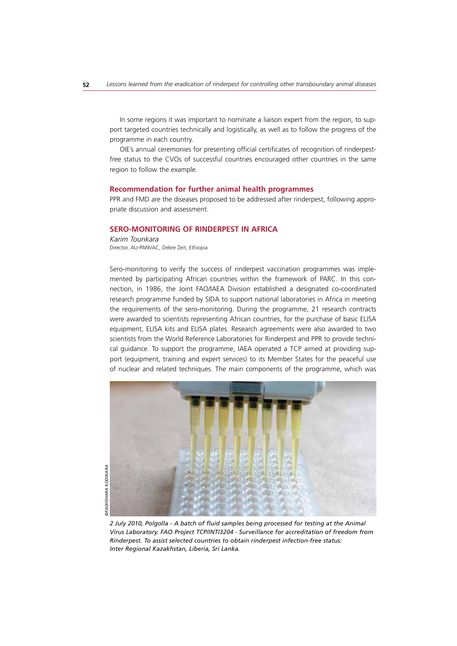In some regions it was important to nominate a liaison expert from the region, to support targeted countries technically and logistically, as well as to follow the progress of the programme in each country.

OIE's annual ceremonies for presenting official certificates of recognition of rinderpestfree status to the CVOs of successful countries encouraged other countries in the same region to follow the example.

#### **Recommendation for further animal health programmes**

PPR and FMD are the diseases proposed to be addressed after rinderpest, following appropriate discussion and assessment.

# **SERO-MONITORING OF RINDERPEST IN AFRICA**

*Karim Tounkara* Director, AU-PANVAC, Debre Zeit, Ethiopia

Sero-monitoring to verify the success of rinderpest vaccination programmes was implemented by participating African countries within the framework of PARC. In this connection, in 1986, the Joint FAO/IAEA Division established a designated co-coordinated research programme funded by SIDA to support national laboratories in Africa in meeting the requirements of the sero-monitoring. During the programme, 21 research contracts were awarded to scientists representing African countries, for the purchase of basic ELISA equipment, ELISA kits and ELISA plates. Research agreements were also awarded to two scientists from the World Reference Laboratories for Rinderpest and PPR to provide technical guidance. To support the programme, IAEA operated a TCP aimed at providing support (equipment, training and expert services) to its Member States for the peaceful use of nuclear and related techniques. The main components of the programme, which was



*2 July 2010, Polgolla - A batch of fluid samples being processed for testing at the Animal Virus Laboratory. FAO Project TCP/INT/3204 - Surveillance for accreditation of freedom from Rinderpest. To assist selected countries to obtain rinderpest infection-free status: Inter Regional Kazakhstan, Liberia, Sri Lanka.*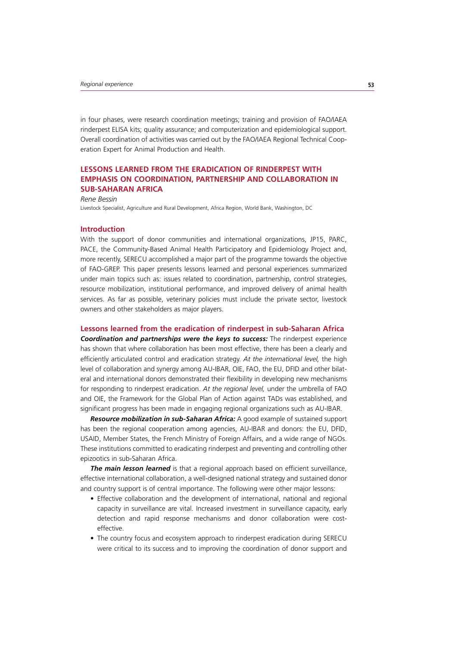in four phases, were research coordination meetings; training and provision of FAO/IAEA rinderpest ELISA kits; quality assurance; and computerization and epidemiological support. Overall coordination of activities was carried out by the FAO/IAEA Regional Technical Cooperation Expert for Animal Production and Health.

# **LESSONS LEARNED FROM THE ERADICATION OF RINDERPEST WITH EMPHASIS ON COORDINATION, PARTNERSHIP AND COLLABORATION IN SUB-SAHARAN AFRICA**

*Rene Bessin*

Livestock Specialist, Agriculture and Rural Development, Africa Region, World Bank, Washington, DC

# **Introduction**

With the support of donor communities and international organizations, JP15, PARC, PACE, the Community-Based Animal Health Participatory and Epidemiology Project and, more recently, SERECU accomplished a major part of the programme towards the objective of FAO-GREP. This paper presents lessons learned and personal experiences summarized under main topics such as: issues related to coordination, partnership, control strategies, resource mobilization, institutional performance, and improved delivery of animal health services. As far as possible, veterinary policies must include the private sector, livestock owners and other stakeholders as major players.

#### **Lessons learned from the eradication of rinderpest in sub-Saharan Africa**

*Coordination and partnerships were the keys to success:* The rinderpest experience has shown that where collaboration has been most effective, there has been a clearly and efficiently articulated control and eradication strategy. *At the international level,* the high level of collaboration and synergy among AU-IBAR, OIE, FAO, the EU, DFID and other bilateral and international donors demonstrated their flexibility in developing new mechanisms for responding to rinderpest eradication. *At the regional level,* under the umbrella of FAO and OIE, the Framework for the Global Plan of Action against TADs was established, and significant progress has been made in engaging regional organizations such as AU-IBAR.

*Resource mobilization in sub-Saharan Africa:* A good example of sustained support has been the regional cooperation among agencies, AU-IBAR and donors: the EU, DFID, USAID, Member States, the French Ministry of Foreign Affairs, and a wide range of NGOs. These institutions committed to eradicating rinderpest and preventing and controlling other epizootics in sub-Saharan Africa.

**The main lesson learned** is that a regional approach based on efficient surveillance, effective international collaboration, a well-designed national strategy and sustained donor and country support is of central importance. The following were other major lessons:

- Effective collaboration and the development of international, national and regional capacity in surveillance are vital. Increased investment in surveillance capacity, early detection and rapid response mechanisms and donor collaboration were costeffective.
- The country focus and ecosystem approach to rinderpest eradication during SERECU were critical to its success and to improving the coordination of donor support and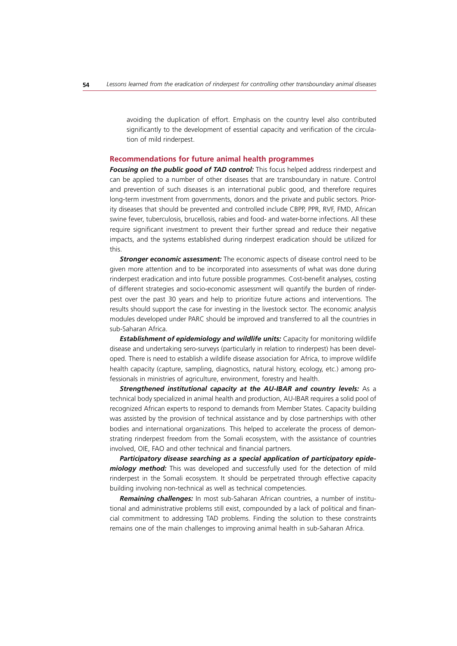avoiding the duplication of effort. Emphasis on the country level also contributed significantly to the development of essential capacity and verification of the circulation of mild rinderpest.

#### **Recommendations for future animal health programmes**

*Focusing on the public good of TAD control:* This focus helped address rinderpest and can be applied to a number of other diseases that are transboundary in nature. Control and prevention of such diseases is an international public good, and therefore requires long-term investment from governments, donors and the private and public sectors. Priority diseases that should be prevented and controlled include CBPP, PPR, RVF, FMD, African swine fever, tuberculosis, brucellosis, rabies and food- and water-borne infections. All these require significant investment to prevent their further spread and reduce their negative impacts, and the systems established during rinderpest eradication should be utilized for this.

**Stronger economic assessment:** The economic aspects of disease control need to be given more attention and to be incorporated into assessments of what was done during rinderpest eradication and into future possible programmes. Cost-benefit analyses, costing of different strategies and socio-economic assessment will quantify the burden of rinderpest over the past 30 years and help to prioritize future actions and interventions. The results should support the case for investing in the livestock sector. The economic analysis modules developed under PARC should be improved and transferred to all the countries in sub-Saharan Africa.

**Establishment of epidemiology and wildlife units:** Capacity for monitoring wildlife disease and undertaking sero-surveys (particularly in relation to rinderpest) has been developed. There is need to establish a wildlife disease association for Africa, to improve wildlife health capacity (capture, sampling, diagnostics, natural history, ecology, etc.) among professionals in ministries of agriculture, environment, forestry and health.

*Strengthened institutional capacity at the AU-IBAR and country levels:* As a technical body specialized in animal health and production, AU-IBAR requires a solid pool of recognized African experts to respond to demands from Member States. Capacity building was assisted by the provision of technical assistance and by close partnerships with other bodies and international organizations. This helped to accelerate the process of demonstrating rinderpest freedom from the Somali ecosystem, with the assistance of countries involved, OIE, FAO and other technical and financial partners.

*Participatory disease searching as a special application of participatory epidemiology method:* This was developed and successfully used for the detection of mild rinderpest in the Somali ecosystem. It should be perpetrated through effective capacity building involving non-technical as well as technical competencies.

*Remaining challenges:* In most sub-Saharan African countries, a number of institutional and administrative problems still exist, compounded by a lack of political and financial commitment to addressing TAD problems. Finding the solution to these constraints remains one of the main challenges to improving animal health in sub-Saharan Africa.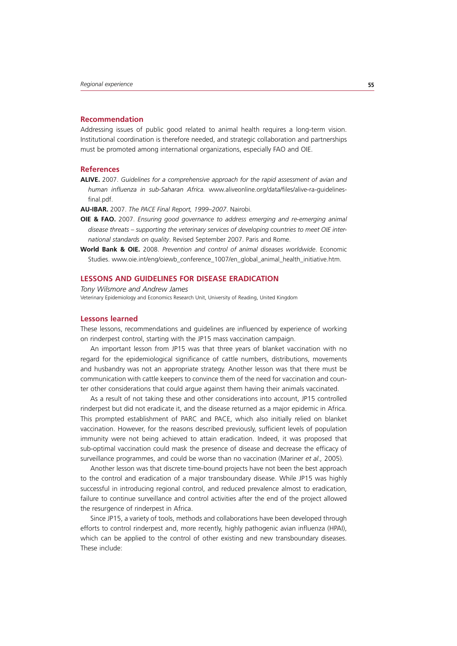#### **Recommendation**

Addressing issues of public good related to animal health requires a long-term vision. Institutional coordination is therefore needed, and strategic collaboration and partnerships must be promoted among international organizations, especially FAO and OIE.

#### **References**

**ALIVE.** 2007. *Guidelines for a comprehensive approach for the rapid assessment of avian and human influenza in sub-Saharan Africa.* www.aliveonline.org/data/files/alive-ra-guidelinesfinal.pdf.

**AU-IBAR.** 2007. *The PACE Final Report, 1999–2007*. Nairobi.

- **OIE & FAO.** 2007. *Ensuring good governance to address emerging and re-emerging animal*  disease threats – supporting the veterinary services of developing countries to meet OIE inter*national standards on quality*. Revised September 2007. Paris and Rome.
- **World Bank & OIE.** 2008. *Prevention and control of animal diseases worldwide*. Economic Studies. www.oie.int/eng/oiewb\_conference\_1007/en\_global\_animal\_health\_initiative.htm.

#### **LESSONS AND GUIDELINES FOR DISEASE ERADICATION**

*Tony Wilsmore and Andrew James* Veterinary Epidemiology and Economics Research Unit, University of Reading, United Kingdom

#### **Lessons learned**

These lessons, recommendations and guidelines are influenced by experience of working on rinderpest control, starting with the JP15 mass vaccination campaign.

An important lesson from JP15 was that three years of blanket vaccination with no regard for the epidemiological significance of cattle numbers, distributions, movements and husbandry was not an appropriate strategy. Another lesson was that there must be communication with cattle keepers to convince them of the need for vaccination and counter other considerations that could argue against them having their animals vaccinated.

As a result of not taking these and other considerations into account, JP15 controlled rinderpest but did not eradicate it, and the disease returned as a major epidemic in Africa. This prompted establishment of PARC and PACE, which also initially relied on blanket vaccination. However, for the reasons described previously, sufficient levels of population immunity were not being achieved to attain eradication. Indeed, it was proposed that sub-optimal vaccination could mask the presence of disease and decrease the efficacy of surveillance programmes, and could be worse than no vaccination (Mariner *et al.,* 2005).

Another lesson was that discrete time-bound projects have not been the best approach to the control and eradication of a major transboundary disease. While JP15 was highly successful in introducing regional control, and reduced prevalence almost to eradication, failure to continue surveillance and control activities after the end of the project allowed the resurgence of rinderpest in Africa.

Since JP15, a variety of tools, methods and collaborations have been developed through efforts to control rinderpest and, more recently, highly pathogenic avian influenza (HPAI), which can be applied to the control of other existing and new transboundary diseases. These include: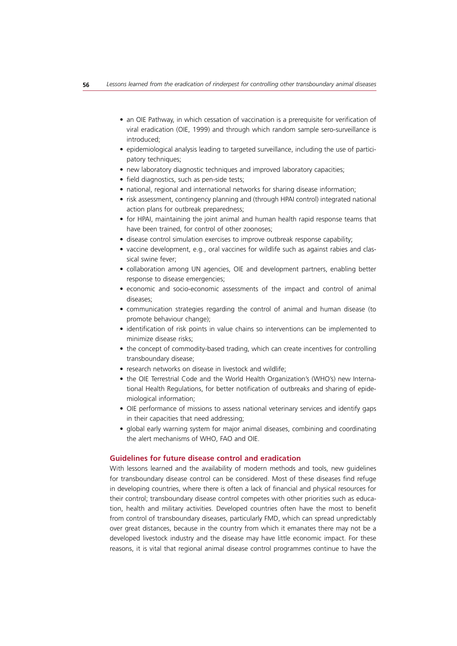- an OIE Pathway, in which cessation of vaccination is a prerequisite for verification of viral eradication (OIE, 1999) and through which random sample sero-surveillance is introduced;
- epidemiological analysis leading to targeted surveillance, including the use of participatory techniques:
- new laboratory diagnostic techniques and improved laboratory capacities;
- field diagnostics, such as pen-side tests;
- national, regional and international networks for sharing disease information;
- risk assessment, contingency planning and (through HPAI control) integrated national action plans for outbreak preparedness;
- for HPAI, maintaining the joint animal and human health rapid response teams that have been trained, for control of other zoonoses;
- disease control simulation exercises to improve outbreak response capability;
- vaccine development, e.g., oral vaccines for wildlife such as against rabies and classical swine fever;
- collaboration among UN agencies, OIE and development partners, enabling better response to disease emergencies;
- economic and socio-economic assessments of the impact and control of animal diseases;
- communication strategies regarding the control of animal and human disease (to promote behaviour change);
- identification of risk points in value chains so interventions can be implemented to minimize disease risks;
- the concept of commodity-based trading, which can create incentives for controlling transboundary disease;
- research networks on disease in livestock and wildlife;
- the OIE Terrestrial Code and the World Health Organization's (WHO's) new International Health Regulations, for better notification of outbreaks and sharing of epidemiological information;
- OIE performance of missions to assess national veterinary services and identify gaps in their capacities that need addressing;
- global early warning system for major animal diseases, combining and coordinating the alert mechanisms of WHO, FAO and OIE.

# **Guidelines for future disease control and eradication**

With lessons learned and the availability of modern methods and tools, new guidelines for transboundary disease control can be considered. Most of these diseases find refuge in developing countries, where there is often a lack of financial and physical resources for their control; transboundary disease control competes with other priorities such as education, health and military activities. Developed countries often have the most to benefit from control of transboundary diseases, particularly FMD, which can spread unpredictably over great distances, because in the country from which it emanates there may not be a developed livestock industry and the disease may have little economic impact. For these reasons, it is vital that regional animal disease control programmes continue to have the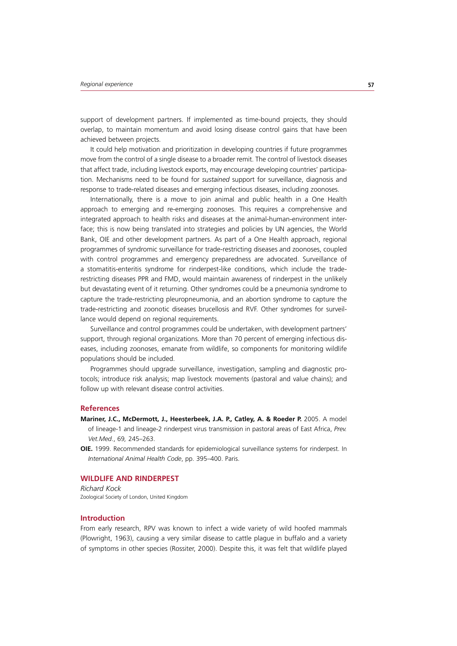support of development partners. If implemented as time-bound projects, they should overlap, to maintain momentum and avoid losing disease control gains that have been achieved between projects.

It could help motivation and prioritization in developing countries if future programmes move from the control of a single disease to a broader remit. The control of livestock diseases that affect trade, including livestock exports, may encourage developing countries' participation. Mechanisms need to be found for *sustained* support for surveillance, diagnosis and response to trade-related diseases and emerging infectious diseases, including zoonoses.

Internationally, there is a move to join animal and public health in a One Health approach to emerging and re-emerging zoonoses. This requires a comprehensive and integrated approach to health risks and diseases at the animal-human-environment interface; this is now being translated into strategies and policies by UN agencies, the World Bank, OIE and other development partners. As part of a One Health approach, regional programmes of syndromic surveillance for trade-restricting diseases and zoonoses, coupled with control programmes and emergency preparedness are advocated. Surveillance of a stomatitis-enteritis syndrome for rinderpest-like conditions, which include the traderestricting diseases PPR and FMD, would maintain awareness of rinderpest in the unlikely but devastating event of it returning. Other syndromes could be a pneumonia syndrome to capture the trade-restricting pleuropneumonia, and an abortion syndrome to capture the trade-restricting and zoonotic diseases brucellosis and RVF. Other syndromes for surveillance would depend on regional requirements.

Surveillance and control programmes could be undertaken, with development partners' support, through regional organizations. More than 70 percent of emerging infectious diseases, including zoonoses, emanate from wildlife, so components for monitoring wildlife populations should be included.

Programmes should upgrade surveillance, investigation, sampling and diagnostic protocols; introduce risk analysis; map livestock movements (pastoral and value chains); and follow up with relevant disease control activities.

#### **References**

- Mariner, J.C., McDermott, J., Heesterbeek, J.A. P., Catley, A. & Roeder P. 2005. A model of lineage-1 and lineage-2 rinderpest virus transmission in pastoral areas of East Africa, *Prev. Vet.Med*., 69*,* 245–263.
- **OIE.** 1999. Recommended standards for epidemiological surveillance systems for rinderpest. In *International Animal Health Code*, pp. 395–400. Paris.

# **WILDLIFE AND RINDERPEST**

*Richard Kock* Zoological Society of London, United Kingdom

# **Introduction**

From early research, RPV was known to infect a wide variety of wild hoofed mammals (Plowright, 1963), causing a very similar disease to cattle plague in buffalo and a variety of symptoms in other species (Rossiter, 2000). Despite this, it was felt that wildlife played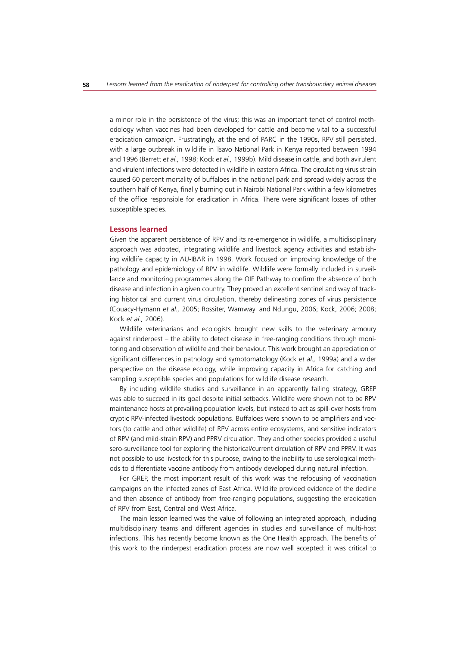a minor role in the persistence of the virus; this was an important tenet of control methodology when vaccines had been developed for cattle and become vital to a successful eradication campaign. Frustratingly, at the end of PARC in the 1990s, RPV still persisted, with a large outbreak in wildlife in Tsavo National Park in Kenya reported between 1994 and 1996 (Barrett *et al.,* 1998; Kock *et al.,* 1999b). Mild disease in cattle, and both avirulent and virulent infections were detected in wildlife in eastern Africa. The circulating virus strain caused 60 percent mortality of buffaloes in the national park and spread widely across the southern half of Kenya, finally burning out in Nairobi National Park within a few kilometres of the office responsible for eradication in Africa. There were significant losses of other susceptible species.

# **Lessons learned**

Given the apparent persistence of RPV and its re-emergence in wildlife, a multidisciplinary approach was adopted, integrating wildlife and livestock agency activities and establishing wildlife capacity in AU-IBAR in 1998. Work focused on improving knowledge of the pathology and epidemiology of RPV in wildlife. Wildlife were formally included in surveillance and monitoring programmes along the OIE Pathway to confirm the absence of both disease and infection in a given country. They proved an excellent sentinel and way of tracking historical and current virus circulation, thereby delineating zones of virus persistence (Couacy-Hymann *et al.,* 2005; Rossiter, Wamwayi and Ndungu, 2006; Kock, 2006; 2008; Kock *et al.,* 2006).

Wildlife veterinarians and ecologists brought new skills to the veterinary armoury against rinderpest – the ability to detect disease in free-ranging conditions through monitoring and observation of wildlife and their behaviour. This work brought an appreciation of significant differences in pathology and symptomatology (Kock *et al.,* 1999a) and a wider perspective on the disease ecology, while improving capacity in Africa for catching and sampling susceptible species and populations for wildlife disease research.

By including wildlife studies and surveillance in an apparently failing strategy, GREP was able to succeed in its goal despite initial setbacks. Wildlife were shown not to be RPV maintenance hosts at prevailing population levels, but instead to act as spill-over hosts from cryptic RPV-infected livestock populations. Buffaloes were shown to be amplifiers and vectors (to cattle and other wildlife) of RPV across entire ecosystems, and sensitive indicators of RPV (and mild-strain RPV) and PPRV circulation. They and other species provided a useful sero-surveillance tool for exploring the historical/current circulation of RPV and PPRV. It was not possible to use livestock for this purpose, owing to the inability to use serological methods to differentiate vaccine antibody from antibody developed during natural infection.

For GREP, the most important result of this work was the refocusing of vaccination campaigns on the infected zones of East Africa. Wildlife provided evidence of the decline and then absence of antibody from free-ranging populations, suggesting the eradication of RPV from East, Central and West Africa.

The main lesson learned was the value of following an integrated approach, including multidisciplinary teams and different agencies in studies and surveillance of multi-host infections. This has recently become known as the One Health approach. The benefits of this work to the rinderpest eradication process are now well accepted: it was critical to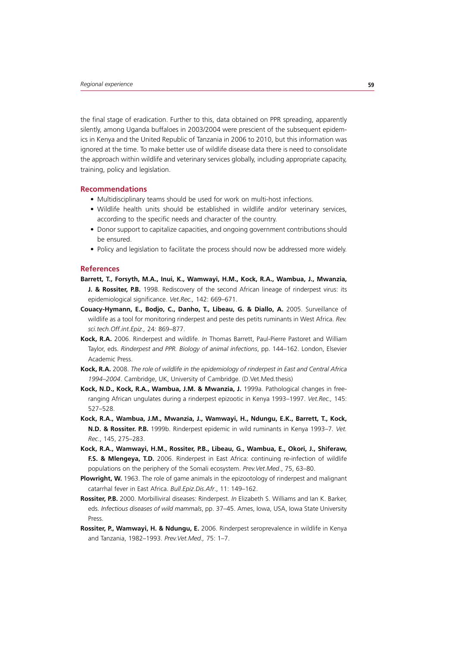the final stage of eradication. Further to this, data obtained on PPR spreading, apparently silently, among Uganda buffaloes in 2003/2004 were prescient of the subsequent epidemics in Kenya and the United Republic of Tanzania in 2006 to 2010, but this information was ignored at the time. To make better use of wildlife disease data there is need to consolidate the approach within wildlife and veterinary services globally, including appropriate capacity, training, policy and legislation.

#### **Recommendations**

- Multidisciplinary teams should be used for work on multi-host infections.
- Wildlife health units should be established in wildlife and/or veterinary services, according to the specific needs and character of the country.
- Donor support to capitalize capacities, and ongoing government contributions should be ensured.
- Policy and legislation to facilitate the process should now be addressed more widely.

#### **References**

- **Barrett, T., Forsyth, M.A., Inui, K., Wamwayi, H.M., Kock, R.A., Wambua, J., Mwanzia, J. & Rossiter, P.B.** 1998. Rediscovery of the second African lineage of rinderpest virus: its epidemiological significance. *Vet.Rec.,* 142: 669–671.
- **Couacy-Hymann, E., Bodjo, C., Danho, T., Libeau, G. & Diallo, A.** 2005. Surveillance of wildlife as a tool for monitoring rinderpest and peste des petits ruminants in West Africa. *Rev. sci.tech.Off.int.Epiz.,* 24: 869–877.
- **Kock, R.A.** 2006. Rinderpest and wildlife. *In* Thomas Barrett, Paul-Pierre Pastoret and William Taylor, eds. *Rinderpest and PPR. Biology of animal infections*, pp. 144–162. London, Elsevier Academic Press.
- **Kock, R.A.** 2008. *The role of wildlife in the epidemiology of rinderpest in East and Central Africa 1994–2004*. Cambridge, UK, University of Cambridge. (D.Vet.Med.thesis)
- **Kock, N.D., Kock, R.A., Wambua, J.M. & Mwanzia, J.** 1999a. Pathological changes in freeranging African ungulates during a rinderpest epizootic in Kenya 1993–1997. *Vet.Rec.,* 145: 527–528.
- **Kock, R.A., Wambua, J.M., Mwanzia, J., Wamwayi, H., Ndungu, E.K., Barrett, T., Kock, N.D. & Rossiter. P.B.** 1999b. Rinderpest epidemic in wild ruminants in Kenya 1993–7*. Vet. Rec*., 145, 275–283.
- **Kock, R.A., Wamwayi, H.M., Rossiter, P.B., Libeau, G., Wambua, E., Okori, J., Shiferaw, F.S. & Mlengeya, T.D.** 2006. Rinderpest in East Africa: continuing re-infection of wildlife populations on the periphery of the Somali ecosystem. *Prev.Vet.Med*., 75, 63–80.
- **Plowright, W.** 1963. The role of game animals in the epizootology of rinderpest and malignant catarrhal fever in East Africa. *Bull.Epiz.Dis.Afr*., 11: 149–162.
- **Rossiter, P.B.** 2000. Morbilliviral diseases: Rinderpest. *In* Elizabeth S. Williams and Ian K. Barker, eds. *Infectious diseases of wild mammals*, pp. 37–45. Ames, Iowa, USA, Iowa State University Press.
- **Rossiter, P., Wamwayi, H. & Ndungu, E.** 2006. Rinderpest seroprevalence in wildlife in Kenya and Tanzania, 1982–1993. *Prev.Vet.Med.,* 75: 1–7.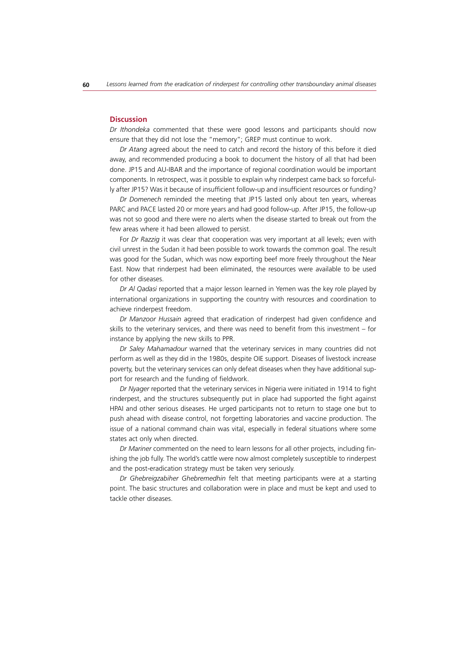#### **Discussion**

*Dr Ithondeka* commented that these were good lessons and participants should now ensure that they did not lose the "memory"; GREP must continue to work.

*Dr Atang* agreed about the need to catch and record the history of this before it died away, and recommended producing a book to document the history of all that had been done. JP15 and AU-IBAR and the importance of regional coordination would be important components. In retrospect, was it possible to explain why rinderpest came back so forcefully after JP15? Was it because of insufficient follow-up and insufficient resources or funding?

*Dr Domenech* reminded the meeting that JP15 lasted only about ten years, whereas PARC and PACE lasted 20 or more years and had good follow-up. After JP15, the follow-up was not so good and there were no alerts when the disease started to break out from the few areas where it had been allowed to persist.

For *Dr Razzig* it was clear that cooperation was very important at all levels; even with civil unrest in the Sudan it had been possible to work towards the common goal. The result was good for the Sudan, which was now exporting beef more freely throughout the Near East. Now that rinderpest had been eliminated, the resources were available to be used for other diseases.

*Dr Al Qadasi* reported that a major lesson learned in Yemen was the key role played by international organizations in supporting the country with resources and coordination to achieve rinderpest freedom.

*Dr Manzoor Hussain* agreed that eradication of rinderpest had given confidence and skills to the veterinary services, and there was need to benefit from this investment – for instance by applying the new skills to PPR.

*Dr Saley Mahamadour* warned that the veterinary services in many countries did not perform as well as they did in the 1980s, despite OIE support. Diseases of livestock increase poverty, but the veterinary services can only defeat diseases when they have additional support for research and the funding of fieldwork.

*Dr Nyager* reported that the veterinary services in Nigeria were initiated in 1914 to fight rinderpest, and the structures subsequently put in place had supported the fight against HPAI and other serious diseases. He urged participants not to return to stage one but to push ahead with disease control, not forgetting laboratories and vaccine production. The issue of a national command chain was vital, especially in federal situations where some states act only when directed.

*Dr Mariner* commented on the need to learn lessons for all other projects, including finishing the job fully. The world's cattle were now almost completely susceptible to rinderpest and the post-eradication strategy must be taken very seriously.

*Dr Ghebreigzabiher Ghebremedhin* felt that meeting participants were at a starting point. The basic structures and collaboration were in place and must be kept and used to tackle other diseases.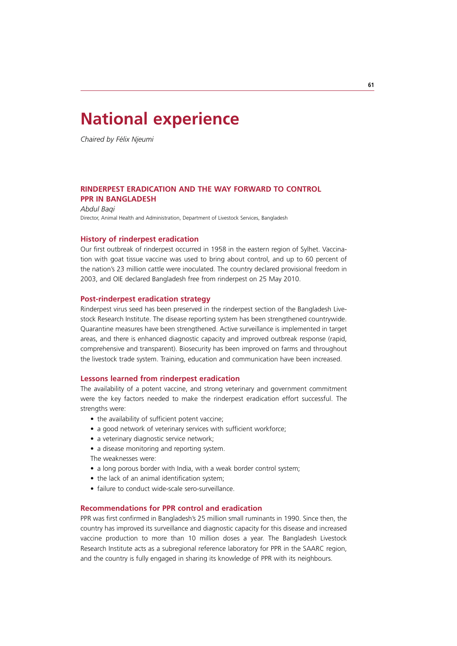# **National experience**

*Chaired by Félix Njeumi*

# **RINDERPEST ERADICATION AND THE WAY FORWARD TO CONTROL PPR IN BANGLADESH**

*Abdul Baqi* Director, Animal Health and Administration, Department of Livestock Services, Bangladesh

# **History of rinderpest eradication**

Our first outbreak of rinderpest occurred in 1958 in the eastern region of Sylhet. Vaccination with goat tissue vaccine was used to bring about control, and up to 60 percent of the nation's 23 million cattle were inoculated. The country declared provisional freedom in 2003, and OIE declared Bangladesh free from rinderpest on 25 May 2010.

### **Post-rinderpest eradication strategy**

Rinderpest virus seed has been preserved in the rinderpest section of the Bangladesh Livestock Research Institute. The disease reporting system has been strengthened countrywide. Quarantine measures have been strengthened. Active surveillance is implemented in target areas, and there is enhanced diagnostic capacity and improved outbreak response (rapid, comprehensive and transparent). Biosecurity has been improved on farms and throughout the livestock trade system. Training, education and communication have been increased.

#### **Lessons learned from rinderpest eradication**

The availability of a potent vaccine, and strong veterinary and government commitment were the key factors needed to make the rinderpest eradication effort successful. The strengths were:

- the availability of sufficient potent vaccine;
- a good network of veterinary services with sufficient workforce;
- a veterinary diagnostic service network;
- a disease monitoring and reporting system.
- The weaknesses were:
- a long porous border with India, with a weak border control system;
- the lack of an animal identification system;
- failure to conduct wide-scale sero-surveillance

# **Recommendations for PPR control and eradication**

PPR was first confirmed in Bangladesh's 25 million small ruminants in 1990. Since then, the country has improved its surveillance and diagnostic capacity for this disease and increased vaccine production to more than 10 million doses a year. The Bangladesh Livestock Research Institute acts as a subregional reference laboratory for PPR in the SAARC region, and the country is fully engaged in sharing its knowledge of PPR with its neighbours.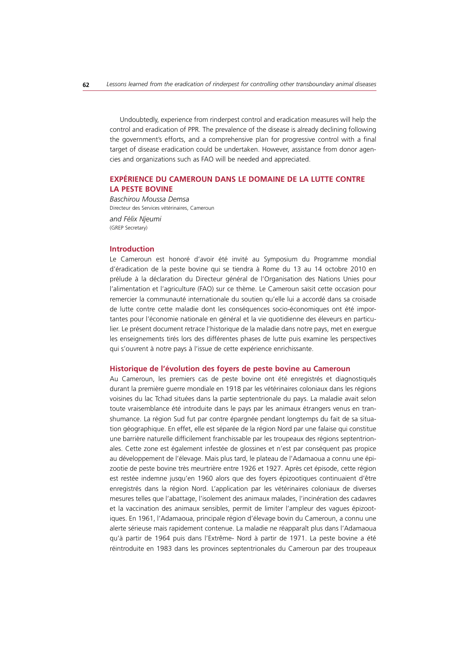Undoubtedly, experience from rinderpest control and eradication measures will help the control and eradication of PPR. The prevalence of the disease is already declining following the government's efforts, and a comprehensive plan for progressive control with a final target of disease eradication could be undertaken. However, assistance from donor agencies and organizations such as FAO will be needed and appreciated.

# **EXPÉRIENCE DU CAMEROUN DANS LE DOMAINE DE LA LUTTE CONTRE LA PESTE BOVINE**

*Baschirou Moussa Demsa* Directeur des Services vétérinaires, Cameroun

*and Félix Njeumi* (GREP Secretary)

#### **Introduction**

Le Cameroun est honoré d'avoir été invité au Symposium du Programme mondial d'éradication de la peste bovine qui se tiendra à Rome du 13 au 14 octobre 2010 en prélude à la déclaration du Directeur général de l'Organisation des Nations Unies pour l'alimentation et l'agriculture (FAO) sur ce thème. Le Cameroun saisit cette occasion pour remercier la communauté internationale du soutien qu'elle lui a accordé dans sa croisade de lutte contre cette maladie dont les conséquences socio-économiques ont été importantes pour l'économie nationale en général et la vie quotidienne des éleveurs en particulier. Le présent document retrace l'historique de la maladie dans notre pays, met en exergue les enseignements tirés lors des différentes phases de lutte puis examine les perspectives qui s'ouvrent à notre pays à l'issue de cette expérience enrichissante.

#### **Historique de l'évolution des foyers de peste bovine au Cameroun**

Au Cameroun, les premiers cas de peste bovine ont été enregistrés et diagnostiqués durant la première guerre mondiale en 1918 par les vétérinaires coloniaux dans les régions voisines du lac Tchad situées dans la partie septentrionale du pays. La maladie avait selon toute vraisemblance été introduite dans le pays par les animaux étrangers venus en transhumance. La région Sud fut par contre épargnée pendant longtemps du fait de sa situation géographique. En effet, elle est séparée de la région Nord par une falaise qui constitue une barrière naturelle difficilement franchissable par les troupeaux des régions septentrionales. Cette zone est également infestée de glossines et n'est par conséquent pas propice au développement de l'élevage. Mais plus tard, le plateau de l'Adamaoua a connu une épizootie de peste bovine très meurtrière entre 1926 et 1927. Après cet épisode, cette région est restée indemne jusqu'en 1960 alors que des foyers épizootiques continuaient d'être enregistrés dans la région Nord. L'application par les vétérinaires coloniaux de diverses mesures telles que l'abattage, l'isolement des animaux malades, l'incinération des cadavres et la vaccination des animaux sensibles, permit de limiter l'ampleur des vagues épizootiques. En 1961, l'Adamaoua, principale région d'élevage bovin du Cameroun, a connu une alerte sérieuse mais rapidement contenue. La maladie ne réapparaît plus dans l'Adamaoua qu'à partir de 1964 puis dans l'Extrême- Nord à partir de 1971. La peste bovine a été réintroduite en 1983 dans les provinces septentrionales du Cameroun par des troupeaux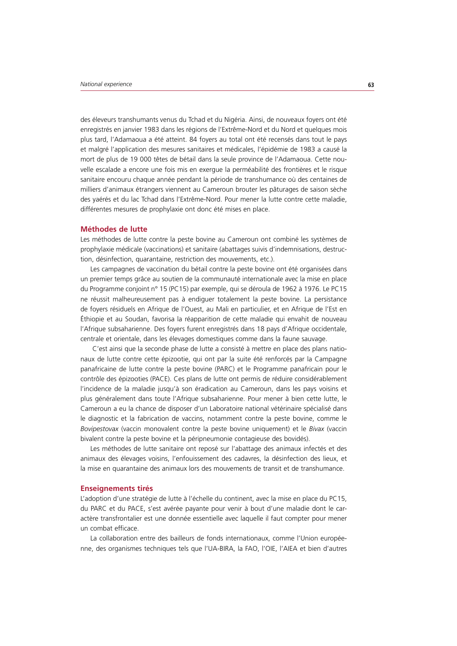des éleveurs transhumants venus du Tchad et du Nigéria. Ainsi, de nouveaux foyers ont été enregistrés en janvier 1983 dans les régions de l'Extrême-Nord et du Nord et quelques mois plus tard, l'Adamaoua a été atteint. 84 foyers au total ont été recensés dans tout le pays et malgré l'application des mesures sanitaires et médicales, l'épidémie de 1983 a causé la mort de plus de 19 000 têtes de bétail dans la seule province de l'Adamaoua. Cette nouvelle escalade a encore une fois mis en exergue la perméabilité des frontières et le risque sanitaire encouru chaque année pendant la période de transhumance où des centaines de milliers d'animaux étrangers viennent au Cameroun brouter les pâturages de saison sèche des yaérés et du lac Tchad dans l'Extrême-Nord. Pour mener la lutte contre cette maladie, différentes mesures de prophylaxie ont donc été mises en place.

# **Méthodes de lutte**

Les méthodes de lutte contre la peste bovine au Cameroun ont combiné les systèmes de prophylaxie médicale (vaccinations) et sanitaire (abattages suivis d'indemnisations, destruction, désinfection, quarantaine, restriction des mouvements, etc.).

Les campagnes de vaccination du bétail contre la peste bovine ont été organisées dans un premier temps grâce au soutien de la communauté internationale avec la mise en place du Programme conjoint n° 15 (PC15) par exemple, qui se déroula de 1962 à 1976. Le PC15 ne réussit malheureusement pas à endiguer totalement la peste bovine. La persistance de foyers résiduels en Afrique de l'Ouest, au Mali en particulier, et en Afrique de l'Est en Éthiopie et au Soudan, favorisa la réapparition de cette maladie qui envahit de nouveau l'Afrique subsaharienne. Des foyers furent enregistrés dans 18 pays d'Afrique occidentale, centrale et orientale, dans les élevages domestiques comme dans la faune sauvage.

 C'est ainsi que la seconde phase de lutte a consisté à mettre en place des plans nationaux de lutte contre cette épizootie, qui ont par la suite été renforcés par la Campagne panafricaine de lutte contre la peste bovine (PARC) et le Programme panafricain pour le contrôle des épizooties (PACE). Ces plans de lutte ont permis de réduire considérablement l'incidence de la maladie jusqu'à son éradication au Cameroun, dans les pays voisins et plus généralement dans toute l'Afrique subsaharienne. Pour mener à bien cette lutte, le Cameroun a eu la chance de disposer d'un Laboratoire national vétérinaire spécialisé dans le diagnostic et la fabrication de vaccins, notamment contre la peste bovine, comme le *Bovipestovax* (vaccin monovalent contre la peste bovine uniquement) et le *Bivax* (vaccin bivalent contre la peste bovine et la péripneumonie contagieuse des bovidés).

Les méthodes de lutte sanitaire ont reposé sur l'abattage des animaux infectés et des animaux des élevages voisins, l'enfouissement des cadavres, la désinfection des lieux, et la mise en quarantaine des animaux lors des mouvements de transit et de transhumance.

## **Enseignements tirés**

L'adoption d'une stratégie de lutte à l'échelle du continent, avec la mise en place du PC15, du PARC et du PACE, s'est avérée payante pour venir à bout d'une maladie dont le caractère transfrontalier est une donnée essentielle avec laquelle il faut compter pour mener un combat efficace.

La collaboration entre des bailleurs de fonds internationaux, comme l'Union européenne, des organismes techniques tels que l'UA-BIRA, la FAO, l'OIE, l'AIEA et bien d'autres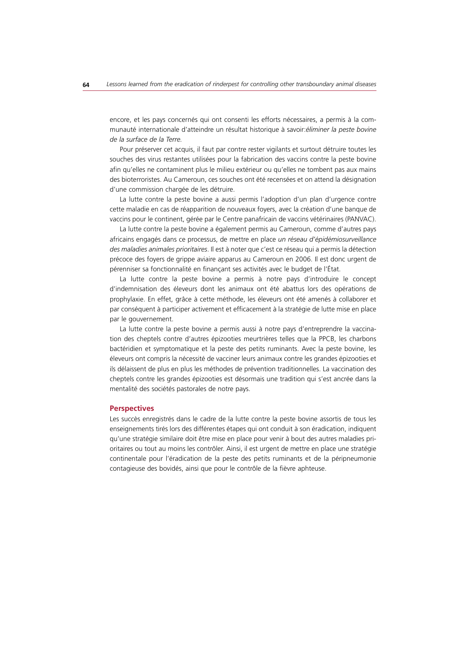encore, et les pays concernés qui ont consenti les efforts nécessaires, a permis à la communauté internationale d'atteindre un résultat historique à savoir:*éliminer la peste bovine de la surface de la Terre.* 

Pour préserver cet acquis, il faut par contre rester vigilants et surtout détruire toutes les souches des virus restantes utilisées pour la fabrication des vaccins contre la peste bovine afin qu'elles ne contaminent plus le milieu extérieur ou qu'elles ne tombent pas aux mains des bioterroristes. Au Cameroun, ces souches ont été recensées et on attend la désignation d'une commission chargée de les détruire.

La lutte contre la peste bovine a aussi permis l'adoption d'un plan d'urgence contre cette maladie en cas de réapparition de nouveaux foyers, avec la création d'une banque de vaccins pour le continent, gérée par le Centre panafricain de vaccins vétérinaires (PANVAC).

La lutte contre la peste bovine a également permis au Cameroun, comme d'autres pays africains engagés dans ce processus, de mettre en place *un réseau d'épidémiosurveillance des maladies animales prioritaires*. Il est à noter que c'est ce réseau qui a permis la détection précoce des foyers de grippe aviaire apparus au Cameroun en 2006. Il est donc urgent de pérenniser sa fonctionnalité en finançant ses activités avec le budget de l'État.

La lutte contre la peste bovine a permis à notre pays d'introduire le concept d'indemnisation des éleveurs dont les animaux ont été abattus lors des opérations de prophylaxie. En effet, grâce à cette méthode, les éleveurs ont été amenés à collaborer et par conséquent à participer activement et efficacement à la stratégie de lutte mise en place par le gouvernement.

La lutte contre la peste bovine a permis aussi à notre pays d'entreprendre la vaccination des cheptels contre d'autres épizooties meurtrières telles que la PPCB, les charbons bactéridien et symptomatique et la peste des petits ruminants. Avec la peste bovine, les éleveurs ont compris la nécessité de vacciner leurs animaux contre les grandes épizooties et ils délaissent de plus en plus les méthodes de prévention traditionnelles. La vaccination des cheptels contre les grandes épizooties est désormais une tradition qui s'est ancrée dans la mentalité des sociétés pastorales de notre pays.

#### **Perspectives**

Les succès enregistrés dans le cadre de la lutte contre la peste bovine assortis de tous les enseignements tirés lors des différentes étapes qui ont conduit à son éradication, indiquent qu'une stratégie similaire doit être mise en place pour venir à bout des autres maladies prioritaires ou tout au moins les contrôler. Ainsi, il est urgent de mettre en place une stratégie continentale pour l'éradication de la peste des petits ruminants et de la péripneumonie contagieuse des bovidés, ainsi que pour le contrôle de la fièvre aphteuse.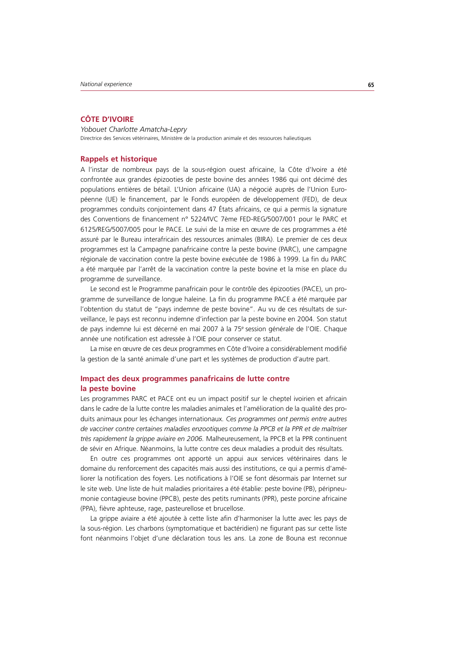# **CÔTE D'IVOIRE**

*Yobouet Charlotte Amatcha-Lepry* Directrice des Services vétérinaires, Ministère de la production animale et des ressources halieutiques

# **Rappels et historique**

A l'instar de nombreux pays de la sous-région ouest africaine, la Côte d'Ivoire a été confrontée aux grandes épizooties de peste bovine des années 1986 qui ont décimé des populations entières de bétail. L'Union africaine (UA) a négocié auprès de l'Union Européenne (UE) le financement, par le Fonds européen de développement (FED), de deux programmes conduits conjointement dans 47 États africains, ce qui a permis la signature des Conventions de financement n° 5224/IVC 7ème FED-REG/5007/001 pour le PARC et 6125/REG/5007/005 pour le PACE. Le suivi de la mise en œuvre de ces programmes a été assuré par le Bureau interafricain des ressources animales (BIRA). Le premier de ces deux programmes est la Campagne panafricaine contre la peste bovine (PARC), une campagne régionale de vaccination contre la peste bovine exécutée de 1986 à 1999. La fin du PARC a été marquée par l'arrêt de la vaccination contre la peste bovine et la mise en place du programme de surveillance.

Le second est le Programme panafricain pour le contrôle des épizooties (PACE), un programme de surveillance de longue haleine. La fin du programme PACE a été marquée par l'obtention du statut de "pays indemne de peste bovine". Au vu de ces résultats de surveillance, le pays est reconnu indemne d'infection par la peste bovine en 2004. Son statut de pays indemne lui est décerné en mai 2007 à la 75e session générale de l'OIE. Chaque année une notification est adressée à l'OIE pour conserver ce statut.

La mise en œuvre de ces deux programmes en Côte d'Ivoire a considérablement modifié la gestion de la santé animale d'une part et les systèmes de production d'autre part.

# **Impact des deux programmes panafricains de lutte contre la peste bovine**

Les programmes PARC et PACE ont eu un impact positif sur le cheptel ivoirien et africain dans le cadre de la lutte contre les maladies animales et l'amélioration de la qualité des produits animaux pour les échanges internationaux. *Ces programmes ont permis entre autres de vacciner contre certaines maladies enzootiques comme la PPCB et la PPR et de maîtriser très rapidement la grippe aviaire en 2006.* Malheureusement, la PPCB et la PPR continuent de sévir en Afrique. Néanmoins, la lutte contre ces deux maladies a produit des résultats.

En outre ces programmes ont apporté un appui aux services vétérinaires dans le domaine du renforcement des capacités mais aussi des institutions, ce qui a permis d'améliorer la notification des foyers. Les notifications à l'OIE se font désormais par Internet sur le site web. Une liste de huit maladies prioritaires a été établie: peste bovine (PB), péripneumonie contagieuse bovine (PPCB), peste des petits ruminants (PPR), peste porcine africaine (PPA), fièvre aphteuse, rage, pasteurellose et brucellose.

La grippe aviaire a été ajoutée à cette liste afin d'harmoniser la lutte avec les pays de la sous-région. Les charbons (symptomatique et bactéridien) ne figurant pas sur cette liste font néanmoins l'objet d'une déclaration tous les ans. La zone de Bouna est reconnue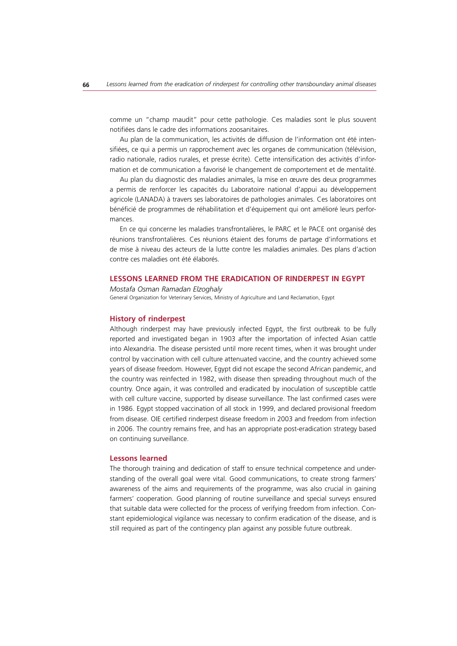comme un "champ maudit" pour cette pathologie. Ces maladies sont le plus souvent notifiées dans le cadre des informations zoosanitaires.

Au plan de la communication, les activités de diffusion de l'information ont été intensifiées, ce qui a permis un rapprochement avec les organes de communication (télévision, radio nationale, radios rurales, et presse écrite). Cette intensification des activités d'information et de communication a favorisé le changement de comportement et de mentalité.

Au plan du diagnostic des maladies animales, la mise en œuvre des deux programmes a permis de renforcer les capacités du Laboratoire national d'appui au développement agricole (LANADA) à travers ses laboratoires de pathologies animales. Ces laboratoires ont bénéficié de programmes de réhabilitation et d'équipement qui ont amélioré leurs performances.

En ce qui concerne les maladies transfrontalières, le PARC et le PACE ont organisé des réunions transfrontalières. Ces réunions étaient des forums de partage d'informations et de mise à niveau des acteurs de la lutte contre les maladies animales. Des plans d'action contre ces maladies ont été élaborés.

# **LESSONS LEARNED FROM THE ERADICATION OF RINDERPEST IN EGYPT**

*Mostafa Osman Ramadan Elzoghaly* General Organization for Veterinary Services, Ministry of Agriculture and Land Reclamation, Egypt

#### **History of rinderpest**

Although rinderpest may have previously infected Egypt, the first outbreak to be fully reported and investigated began in 1903 after the importation of infected Asian cattle into Alexandria. The disease persisted until more recent times, when it was brought under control by vaccination with cell culture attenuated vaccine, and the country achieved some years of disease freedom. However, Egypt did not escape the second African pandemic, and the country was reinfected in 1982, with disease then spreading throughout much of the country. Once again, it was controlled and eradicated by inoculation of susceptible cattle with cell culture vaccine, supported by disease surveillance. The last confirmed cases were in 1986. Egypt stopped vaccination of all stock in 1999, and declared provisional freedom from disease. OIE certified rinderpest disease freedom in 2003 and freedom from infection in 2006. The country remains free, and has an appropriate post-eradication strategy based on continuing surveillance.

#### **Lessons learned**

The thorough training and dedication of staff to ensure technical competence and understanding of the overall goal were vital. Good communications, to create strong farmers' awareness of the aims and requirements of the programme, was also crucial in gaining farmers' cooperation. Good planning of routine surveillance and special surveys ensured that suitable data were collected for the process of verifying freedom from infection. Constant epidemiological vigilance was necessary to confirm eradication of the disease, and is still required as part of the contingency plan against any possible future outbreak.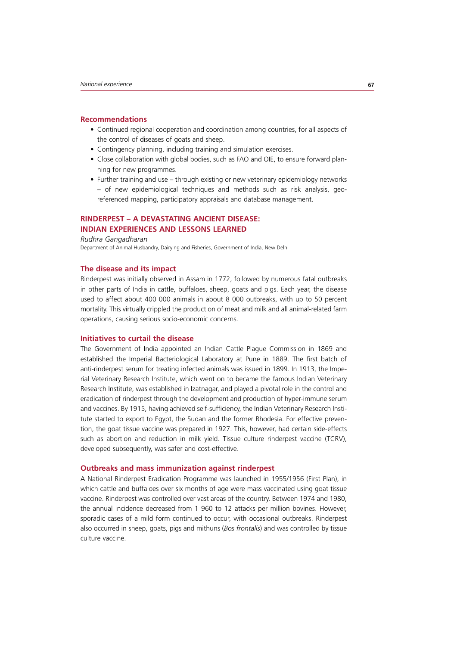#### **Recommendations**

- Continued regional cooperation and coordination among countries, for all aspects of the control of diseases of goats and sheep.
- Contingency planning, including training and simulation exercises.
- Close collaboration with global bodies, such as FAO and OIE, to ensure forward planning for new programmes.
- Further training and use through existing or new veterinary epidemiology networks – of new epidemiological techniques and methods such as risk analysis, georeferenced mapping, participatory appraisals and database management.

# **RINDERPEST – A DEVASTATING ANCIENT DISEASE: INDIAN EXPERIENCES AND LESSONS LEARNED**

*Rudhra Gangadharan*

Department of Animal Husbandry, Dairying and Fisheries, Government of India, New Delhi

# **The disease and its impact**

Rinderpest was initially observed in Assam in 1772, followed by numerous fatal outbreaks in other parts of India in cattle, buffaloes, sheep, goats and pigs. Each year, the disease used to affect about 400 000 animals in about 8 000 outbreaks, with up to 50 percent mortality. This virtually crippled the production of meat and milk and all animal-related farm operations, causing serious socio-economic concerns.

# **Initiatives to curtail the disease**

The Government of India appointed an Indian Cattle Plague Commission in 1869 and established the Imperial Bacteriological Laboratory at Pune in 1889. The first batch of anti-rinderpest serum for treating infected animals was issued in 1899. In 1913, the Imperial Veterinary Research Institute, which went on to became the famous Indian Veterinary Research Institute, was established in Izatnagar, and played a pivotal role in the control and eradication of rinderpest through the development and production of hyper-immune serum and vaccines. By 1915, having achieved self-sufficiency, the Indian Veterinary Research Institute started to export to Egypt, the Sudan and the former Rhodesia. For effective prevention, the goat tissue vaccine was prepared in 1927. This, however, had certain side-effects such as abortion and reduction in milk yield. Tissue culture rinderpest vaccine (TCRV), developed subsequently, was safer and cost-effective.

### **Outbreaks and mass immunization against rinderpest**

A National Rinderpest Eradication Programme was launched in 1955/1956 (First Plan), in which cattle and buffaloes over six months of age were mass vaccinated using goat tissue vaccine. Rinderpest was controlled over vast areas of the country. Between 1974 and 1980, the annual incidence decreased from 1 960 to 12 attacks per million bovines. However, sporadic cases of a mild form continued to occur, with occasional outbreaks. Rinderpest also occurred in sheep, goats, pigs and mithuns (*Bos frontalis*) and was controlled by tissue culture vaccine.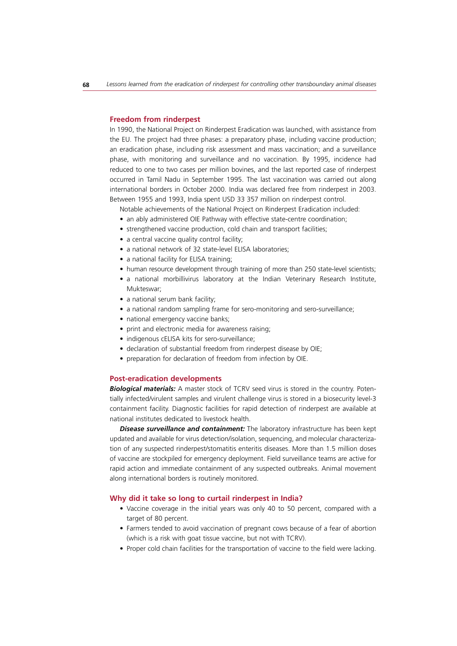#### **Freedom from rinderpest**

In 1990, the National Project on Rinderpest Eradication was launched, with assistance from the EU. The project had three phases: a preparatory phase, including vaccine production; an eradication phase, including risk assessment and mass vaccination; and a surveillance phase, with monitoring and surveillance and no vaccination. By 1995, incidence had reduced to one to two cases per million bovines, and the last reported case of rinderpest occurred in Tamil Nadu in September 1995. The last vaccination was carried out along international borders in October 2000. India was declared free from rinderpest in 2003. Between 1955 and 1993, India spent USD 33 357 million on rinderpest control.

Notable achievements of the National Project on Rinderpest Eradication included:

- an ably administered OIE Pathway with effective state-centre coordination;
- strengthened vaccine production, cold chain and transport facilities;
- a central vaccine quality control facility;
- a national network of 32 state-level ELISA laboratories:
- a national facility for ELISA training:
- human resource development through training of more than 250 state-level scientists;
- a national morbillivirus laboratory at the Indian Veterinary Research Institute, Mukteswar;
- a national serum bank facility;
- a national random sampling frame for sero-monitoring and sero-surveillance;
- national emergency vaccine banks;
- print and electronic media for awareness raising;
- indigenous cELISA kits for sero-surveillance;
- declaration of substantial freedom from rinderpest disease by OIE;
- preparation for declaration of freedom from infection by OIE.

# **Post-eradication developments**

*Biological materials:* A master stock of TCRV seed virus is stored in the country. Potentially infected/virulent samples and virulent challenge virus is stored in a biosecurity level-3 containment facility. Diagnostic facilities for rapid detection of rinderpest are available at national institutes dedicated to livestock health.

*Disease surveillance and containment:* The laboratory infrastructure has been kept updated and available for virus detection/isolation, sequencing, and molecular characterization of any suspected rinderpest/stomatitis enteritis diseases. More than 1.5 million doses of vaccine are stockpiled for emergency deployment. Field surveillance teams are active for rapid action and immediate containment of any suspected outbreaks. Animal movement along international borders is routinely monitored.

## **Why did it take so long to curtail rinderpest in India?**

- Vaccine coverage in the initial years was only 40 to 50 percent, compared with a target of 80 percent.
- Farmers tended to avoid vaccination of pregnant cows because of a fear of abortion (which is a risk with goat tissue vaccine, but not with TCRV).
- Proper cold chain facilities for the transportation of vaccine to the field were lacking.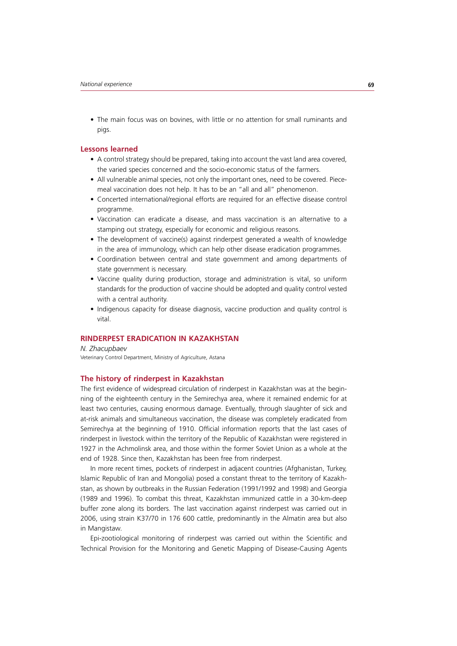• The main focus was on bovines, with little or no attention for small ruminants and pigs.

# **Lessons learned**

- A control strategy should be prepared, taking into account the vast land area covered. the varied species concerned and the socio-economic status of the farmers.
- All vulnerable animal species, not only the important ones, need to be covered. Piecemeal vaccination does not help. It has to be an "all and all" phenomenon.
- Concerted international/regional efforts are required for an effective disease control programme.
- Vaccination can eradicate a disease, and mass vaccination is an alternative to a stamping out strategy, especially for economic and religious reasons.
- The development of vaccine(s) against rinderpest generated a wealth of knowledge in the area of immunology, which can help other disease eradication programmes.
- Coordination between central and state government and among departments of state government is necessary.
- Vaccine quality during production, storage and administration is vital, so uniform standards for the production of vaccine should be adopted and quality control vested with a central authority.
- Indigenous capacity for disease diagnosis, vaccine production and quality control is vital.

# **RINDERPEST ERADICATION IN KAZAKHSTAN**

*N. Zhacupbaev* Veterinary Control Department, Ministry of Agriculture, Astana

# **The history of rinderpest in Kazakhstan**

The first evidence of widespread circulation of rinderpest in Kazakhstan was at the beginning of the eighteenth century in the Semirechya area, where it remained endemic for at least two centuries, causing enormous damage. Eventually, through slaughter of sick and at-risk animals and simultaneous vaccination, the disease was completely eradicated from Semirechya at the beginning of 1910. Official information reports that the last cases of rinderpest in livestock within the territory of the Republic of Kazakhstan were registered in 1927 in the Achmolinsk area, and those within the former Soviet Union as a whole at the end of 1928. Since then, Kazakhstan has been free from rinderpest.

In more recent times, pockets of rinderpest in adjacent countries (Afghanistan, Turkey, Islamic Republic of Iran and Mongolia) posed a constant threat to the territory of Kazakhstan, as shown by outbreaks in the Russian Federation (1991/1992 and 1998) and Georgia (1989 and 1996). To combat this threat, Kazakhstan immunized cattle in a 30-km-deep buffer zone along its borders. The last vaccination against rinderpest was carried out in 2006, using strain K37/70 in 176 600 cattle, predominantly in the Almatin area but also in Mangistaw.

Epi-zootiological monitoring of rinderpest was carried out within the Scientific and Technical Provision for the Monitoring and Genetic Mapping of Disease-Causing Agents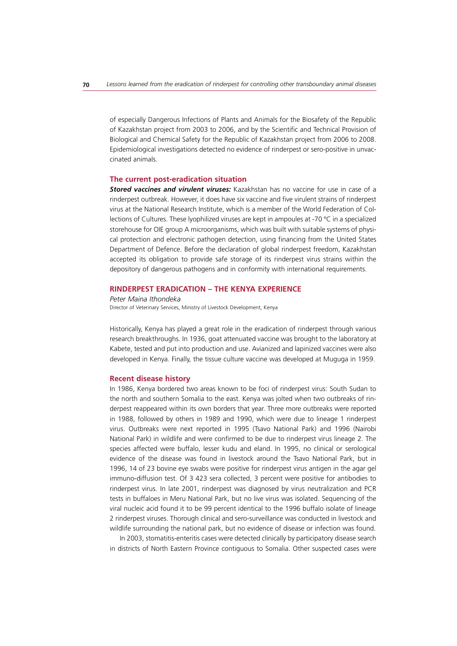of especially Dangerous Infections of Plants and Animals for the Biosafety of the Republic of Kazakhstan project from 2003 to 2006, and by the Scientific and Technical Provision of Biological and Chemical Safety for the Republic of Kazakhstan project from 2006 to 2008. Epidemiological investigations detected no evidence of rinderpest or sero-positive in unvaccinated animals.

#### **The current post-eradication situation**

*Stored vaccines and virulent viruses:* Kazakhstan has no vaccine for use in case of a rinderpest outbreak. However, it does have six vaccine and five virulent strains of rinderpest virus at the National Research Institute, which is a member of the World Federation of Collections of Cultures. These lyophilized viruses are kept in ampoules at -70  $\degree$ C in a specialized storehouse for OIE group A microorganisms, which was built with suitable systems of physical protection and electronic pathogen detection, using financing from the United States Department of Defence. Before the declaration of global rinderpest freedom, Kazakhstan accepted its obligation to provide safe storage of its rinderpest virus strains within the depository of dangerous pathogens and in conformity with international requirements.

## **RINDERPEST ERADICATION – THE KENYA EXPERIENCE**

*Peter Maina Ithondeka* Director of Veterinary Services, Ministry of Livestock Development, Kenya

Historically, Kenya has played a great role in the eradication of rinderpest through various research breakthroughs. In 1936, goat attenuated vaccine was brought to the laboratory at Kabete, tested and put into production and use. Avianized and lapinized vaccines were also developed in Kenya. Finally, the tissue culture vaccine was developed at Muguga in 1959.

### **Recent disease history**

In 1986, Kenya bordered two areas known to be foci of rinderpest virus: South Sudan to the north and southern Somalia to the east. Kenya was jolted when two outbreaks of rinderpest reappeared within its own borders that year. Three more outbreaks were reported in 1988, followed by others in 1989 and 1990, which were due to lineage 1 rinderpest virus. Outbreaks were next reported in 1995 (Tsavo National Park) and 1996 (Nairobi National Park) in wildlife and were confirmed to be due to rinderpest virus lineage 2. The species affected were buffalo, lesser kudu and eland. In 1995, no clinical or serological evidence of the disease was found in livestock around the Tsavo National Park, but in 1996, 14 of 23 bovine eye swabs were positive for rinderpest virus antigen in the agar gel immuno-diffusion test. Of 3 423 sera collected, 3 percent were positive for antibodies to rinderpest virus. In late 2001, rinderpest was diagnosed by virus neutralization and PCR tests in buffaloes in Meru National Park, but no live virus was isolated. Sequencing of the viral nucleic acid found it to be 99 percent identical to the 1996 buffalo isolate of lineage 2 rinderpest viruses. Thorough clinical and sero-surveillance was conducted in livestock and wildlife surrounding the national park, but no evidence of disease or infection was found.

In 2003, stomatitis-enteritis cases were detected clinically by participatory disease search in districts of North Eastern Province contiguous to Somalia. Other suspected cases were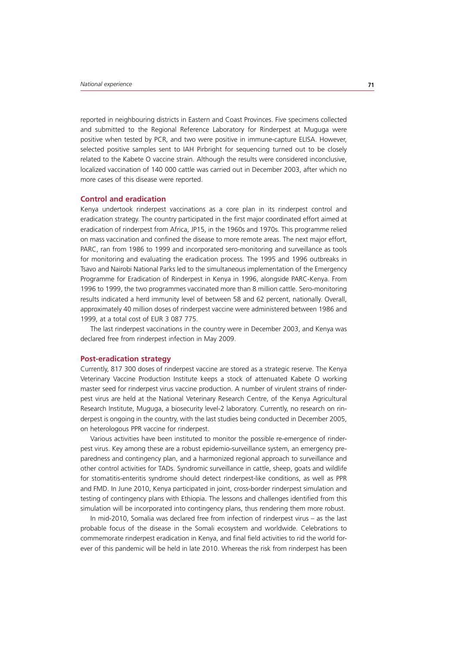reported in neighbouring districts in Eastern and Coast Provinces. Five specimens collected and submitted to the Regional Reference Laboratory for Rinderpest at Muguga were positive when tested by PCR, and two were positive in immune-capture ELISA. However, selected positive samples sent to IAH Pirbright for sequencing turned out to be closely related to the Kabete O vaccine strain. Although the results were considered inconclusive, localized vaccination of 140 000 cattle was carried out in December 2003, after which no more cases of this disease were reported.

## **Control and eradication**

Kenya undertook rinderpest vaccinations as a core plan in its rinderpest control and eradication strategy. The country participated in the first major coordinated effort aimed at eradication of rinderpest from Africa, JP15, in the 1960s and 1970s. This programme relied on mass vaccination and confined the disease to more remote areas. The next major effort, PARC, ran from 1986 to 1999 and incorporated sero-monitoring and surveillance as tools for monitoring and evaluating the eradication process. The 1995 and 1996 outbreaks in Tsavo and Nairobi National Parks led to the simultaneous implementation of the Emergency Programme for Eradication of Rinderpest in Kenya in 1996, alongside PARC-Kenya. From 1996 to 1999, the two programmes vaccinated more than 8 million cattle. Sero-monitoring results indicated a herd immunity level of between 58 and 62 percent, nationally. Overall, approximately 40 million doses of rinderpest vaccine were administered between 1986 and 1999, at a total cost of EUR 3 087 775.

The last rinderpest vaccinations in the country were in December 2003, and Kenya was declared free from rinderpest infection in May 2009.

## **Post-eradication strategy**

Currently, 817 300 doses of rinderpest vaccine are stored as a strategic reserve. The Kenya Veterinary Vaccine Production Institute keeps a stock of attenuated Kabete O working master seed for rinderpest virus vaccine production. A number of virulent strains of rinderpest virus are held at the National Veterinary Research Centre, of the Kenya Agricultural Research Institute, Muguga, a biosecurity level-2 laboratory. Currently, no research on rinderpest is ongoing in the country, with the last studies being conducted in December 2005, on heterologous PPR vaccine for rinderpest.

Various activities have been instituted to monitor the possible re-emergence of rinderpest virus. Key among these are a robust epidemio-surveillance system, an emergency preparedness and contingency plan, and a harmonized regional approach to surveillance and other control activities for TADs. Syndromic surveillance in cattle, sheep, goats and wildlife for stomatitis-enteritis syndrome should detect rinderpest-like conditions, as well as PPR and FMD. In June 2010, Kenya participated in joint, cross-border rinderpest simulation and testing of contingency plans with Ethiopia. The lessons and challenges identified from this simulation will be incorporated into contingency plans, thus rendering them more robust.

In mid-2010, Somalia was declared free from infection of rinderpest virus – as the last probable focus of the disease in the Somali ecosystem and worldwide. Celebrations to commemorate rinderpest eradication in Kenya, and final field activities to rid the world forever of this pandemic will be held in late 2010. Whereas the risk from rinderpest has been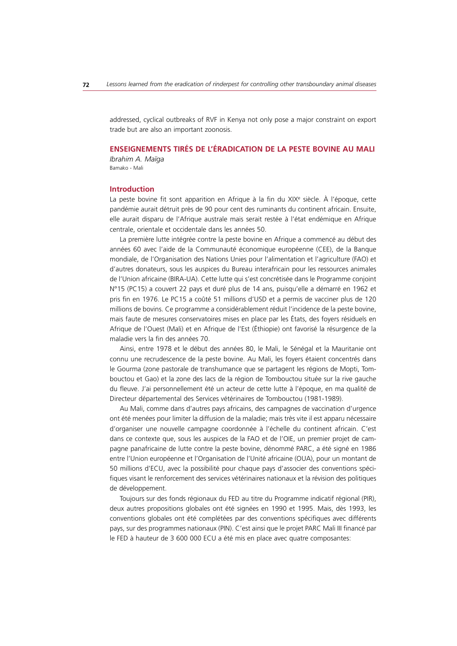addressed, cyclical outbreaks of RVF in Kenya not only pose a major constraint on export trade but are also an important zoonosis.

# **ENSEIGNEMENTS TIRÉS DE L'ÉRADICATION DE LA PESTE BOVINE AU MALI**

*Ibrahim A. Maïga* Bamako - Mali

#### **Introduction**

La peste bovine fit sont apparition en Afrique à la fin du XIXe siècle. À l'époque, cette pandémie aurait détruit près de 90 pour cent des ruminants du continent africain. Ensuite, elle aurait disparu de l'Afrique australe mais serait restée à l'état endémique en Afrique centrale, orientale et occidentale dans les années 50.

La première lutte intégrée contre la peste bovine en Afrique a commencé au début des années 60 avec l'aide de la Communauté économique européenne (CEE), de la Banque mondiale, de l'Organisation des Nations Unies pour l'alimentation et l'agriculture (FAO) et d'autres donateurs, sous les auspices du Bureau interafricain pour les ressources animales de l'Union africaine (BIRA-UA). Cette lutte qui s'est concrétisée dans le Programme conjoint N°15 (PC15) a couvert 22 pays et duré plus de 14 ans, puisqu'elle a démarré en 1962 et pris fin en 1976. Le PC15 a coûté 51 millions d'USD et a permis de vacciner plus de 120 millions de bovins. Ce programme a considérablement réduit l'incidence de la peste bovine, mais faute de mesures conservatoires mises en place par les États, des foyers résiduels en Afrique de l'Ouest (Mali) et en Afrique de l'Est (Éthiopie) ont favorisé la résurgence de la maladie vers la fin des années 70.

Ainsi, entre 1978 et le début des années 80, le Mali, le Sénégal et la Mauritanie ont connu une recrudescence de la peste bovine. Au Mali, les foyers étaient concentrés dans le Gourma (zone pastorale de transhumance que se partagent les régions de Mopti, Tombouctou et Gao) et la zone des lacs de la région de Tombouctou située sur la rive gauche du fleuve. J'ai personnellement été un acteur de cette lutte à l'époque, en ma qualité de Directeur départemental des Services vétérinaires de Tombouctou (1981-1989).

Au Mali, comme dans d'autres pays africains, des campagnes de vaccination d'urgence ont été menées pour limiter la diffusion de la maladie; mais très vite il est apparu nécessaire d'organiser une nouvelle campagne coordonnée à l'échelle du continent africain. C'est dans ce contexte que, sous les auspices de la FAO et de l'OIE, un premier projet de campagne panafricaine de lutte contre la peste bovine, dénommé PARC, a été signé en 1986 entre l'Union européenne et l'Organisation de l'Unité africaine (OUA), pour un montant de 50 millions d'ECU, avec la possibilité pour chaque pays d'associer des conventions spécifiques visant le renforcement des services vétérinaires nationaux et la révision des politiques de développement.

Toujours sur des fonds régionaux du FED au titre du Programme indicatif régional (PIR), deux autres propositions globales ont été signées en 1990 et 1995. Mais, dès 1993, les conventions globales ont été complétées par des conventions spécifiques avec différents pays, sur des programmes nationaux (PIN). C'est ainsi que le projet PARC Mali III financé par le FED à hauteur de 3 600 000 ECU a été mis en place avec quatre composantes: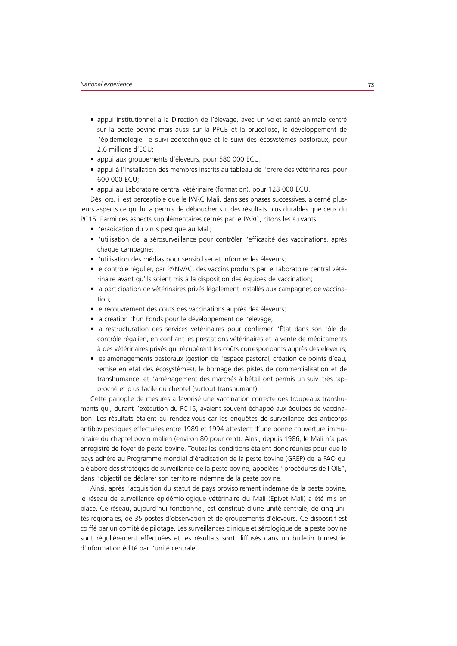- appui institutionnel à la Direction de l'élevage, avec un volet santé animale centré sur la peste bovine mais aussi sur la PPCB et la brucellose, le développement de l'épidémiologie, le suivi zootechnique et le suivi des écosystèmes pastoraux, pour 2,6 millions d'ECU;
- appui aux groupements d'éleveurs, pour 580 000 ECU;
- t appui à l'installation des membres inscrits au tableau de l'ordre des vétérinaires, pour 600 000 ECU;
- appui au Laboratoire central vétérinaire (formation), pour 128 000 ECU.

Dès lors, il est perceptible que le PARC Mali, dans ses phases successives, a cerné plusieurs aspects ce qui lui a permis de déboucher sur des résultats plus durables que ceux du PC15. Parmi ces aspects supplémentaires cernés par le PARC, citons les suivants:

- l'éradication du virus pestique au Mali;
- t l'utilisation de la sérosurveillance pour contrôler l'efficacité des vaccinations, après chaque campagne;
- l'utilisation des médias pour sensibiliser et informer les éleveurs;
- · le contrôle régulier, par PANVAC, des vaccins produits par le Laboratoire central vétérinaire avant qu'ils soient mis à la disposition des équipes de vaccination;
- la participation de vétérinaires privés légalement installés aux campagnes de vaccination;
- le recouvrement des coûts des vaccinations auprès des éleveurs;
- · la création d'un Fonds pour le développement de l'élevage;
- la restructuration des services vétérinaires pour confirmer l'État dans son rôle de contrôle régalien, en confiant les prestations vétérinaires et la vente de médicaments à des vétérinaires privés qui récupèrent les coûts correspondants auprès des éleveurs;
- t les aménagements pastoraux (gestion de l'espace pastoral, création de points d'eau, remise en état des écosystèmes), le bornage des pistes de commercialisation et de transhumance, et l'aménagement des marchés à bétail ont permis un suivi très rapproché et plus facile du cheptel (surtout transhumant).

Cette panoplie de mesures a favorisé une vaccination correcte des troupeaux transhumants qui, durant l'exécution du PC15, avaient souvent échappé aux équipes de vaccination. Les résultats étaient au rendez-vous car les enquêtes de surveillance des anticorps antibovipestiques effectuées entre 1989 et 1994 attestent d'une bonne couverture immunitaire du cheptel bovin malien (environ 80 pour cent). Ainsi, depuis 1986, le Mali n'a pas enregistré de foyer de peste bovine. Toutes les conditions étaient donc réunies pour que le pays adhère au Programme mondial d'éradication de la peste bovine (GREP) de la FAO qui a élaboré des stratégies de surveillance de la peste bovine, appelées "procédures de l'OIE", dans l'objectif de déclarer son territoire indemne de la peste bovine.

Ainsi, après l'acquisition du statut de pays provisoirement indemne de la peste bovine, le réseau de surveillance épidémiologique vétérinaire du Mali (Epivet Mali) a été mis en place. Ce réseau, aujourd'hui fonctionnel, est constitué d'une unité centrale, de cinq unités régionales, de 35 postes d'observation et de groupements d'éleveurs. Ce dispositif est coiffé par un comité de pilotage. Les surveillances clinique et sérologique de la peste bovine sont régulièrement effectuées et les résultats sont diffusés dans un bulletin trimestriel d'information édité par l'unité centrale.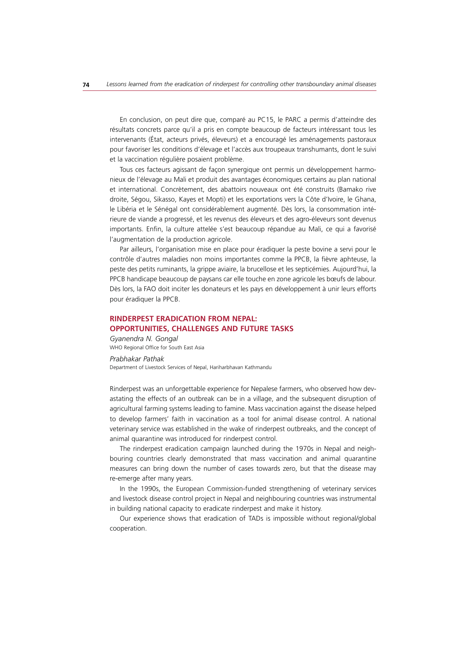En conclusion, on peut dire que, comparé au PC15, le PARC a permis d'atteindre des résultats concrets parce qu'il a pris en compte beaucoup de facteurs intéressant tous les intervenants (État, acteurs privés, éleveurs) et a encouragé les aménagements pastoraux pour favoriser les conditions d'élevage et l'accès aux troupeaux transhumants, dont le suivi et la vaccination régulière posaient problème.

Tous ces facteurs agissant de façon synergique ont permis un développement harmonieux de l'élevage au Mali et produit des avantages économiques certains au plan national et international. Concrètement, des abattoirs nouveaux ont été construits (Bamako rive droite, Ségou, Sikasso, Kayes et Mopti) et les exportations vers la Côte d'Ivoire, le Ghana, le Libéria et le Sénégal ont considérablement augmenté. Dès lors, la consommation intérieure de viande a progressé, et les revenus des éleveurs et des agro-éleveurs sont devenus importants. Enfin, la culture attelée s'est beaucoup répandue au Mali, ce qui a favorisé l'augmentation de la production agricole.

Par ailleurs, l'organisation mise en place pour éradiquer la peste bovine a servi pour le contrôle d'autres maladies non moins importantes comme la PPCB, la fièvre aphteuse, la peste des petits ruminants, la grippe aviaire, la brucellose et les septicémies. Aujourd'hui, la PPCB handicape beaucoup de paysans car elle touche en zone agricole les bœufs de labour. Dès lors, la FAO doit inciter les donateurs et les pays en développement à unir leurs efforts pour éradiquer la PPCB.

# **RINDERPEST ERADICATION FROM NEPAL: OPPORTUNITIES, CHALLENGES AND FUTURE TASKS**

*Gyanendra N. Gongal* WHO Regional Office for South East Asia

#### *Prabhakar Pathak*

Department of Livestock Services of Nepal, Hariharbhavan Kathmandu

Rinderpest was an unforgettable experience for Nepalese farmers, who observed how devastating the effects of an outbreak can be in a village, and the subsequent disruption of agricultural farming systems leading to famine. Mass vaccination against the disease helped to develop farmers' faith in vaccination as a tool for animal disease control. A national veterinary service was established in the wake of rinderpest outbreaks, and the concept of animal quarantine was introduced for rinderpest control.

The rinderpest eradication campaign launched during the 1970s in Nepal and neighbouring countries clearly demonstrated that mass vaccination and animal quarantine measures can bring down the number of cases towards zero, but that the disease may re-emerge after many years.

In the 1990s, the European Commission-funded strengthening of veterinary services and livestock disease control project in Nepal and neighbouring countries was instrumental in building national capacity to eradicate rinderpest and make it history.

Our experience shows that eradication of TADs is impossible without regional/global cooperation.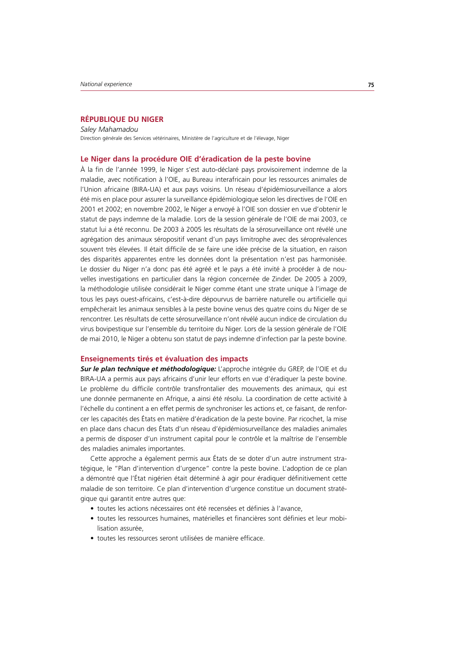# **RÉPUBLIQUE DU NIGER**

*Saley Mahamadou* Direction générale des Services vétérinaires, Ministère de l'agriculture et de l'élevage, Niger

### **Le Niger dans la procédure OIE d'éradication de la peste bovine**

À la fin de l'année 1999, le Niger s'est auto-déclaré pays provisoirement indemne de la maladie, avec notification à l'OIE, au Bureau interafricain pour les ressources animales de l'Union africaine (BIRA-UA) et aux pays voisins. Un réseau d'épidémiosurveillance a alors été mis en place pour assurer la surveillance épidémiologique selon les directives de l'OIE en 2001 et 2002; en novembre 2002, le Niger a envoyé à l'OIE son dossier en vue d'obtenir le statut de pays indemne de la maladie. Lors de la session générale de l'OIE de mai 2003, ce statut lui a été reconnu. De 2003 à 2005 les résultats de la sérosurveillance ont révélé une agrégation des animaux séropositif venant d'un pays limitrophe avec des séroprévalences souvent très élevées. Il était difficile de se faire une idée précise de la situation, en raison des disparités apparentes entre les données dont la présentation n'est pas harmonisée. Le dossier du Niger n'a donc pas été agréé et le pays a été invité à procéder à de nouvelles investigations en particulier dans la région concernée de Zinder. De 2005 à 2009, la méthodologie utilisée considérait le Niger comme étant une strate unique à l'image de tous les pays ouest-africains, c'est-à-dire dépourvus de barrière naturelle ou artificielle qui empêcherait les animaux sensibles à la peste bovine venus des quatre coins du Niger de se rencontrer. Les résultats de cette sérosurveillance n'ont révélé aucun indice de circulation du virus bovipestique sur l'ensemble du territoire du Niger. Lors de la session générale de l'OIE de mai 2010, le Niger a obtenu son statut de pays indemne d'infection par la peste bovine.

## **Enseignements tirés et évaluation des impacts**

*Sur le plan technique et méthodologique:* L'approche intégrée du GREP, de l'OIE et du BIRA-UA a permis aux pays africains d'unir leur efforts en vue d'éradiquer la peste bovine. Le problème du difficile contrôle transfrontalier des mouvements des animaux, qui est une donnée permanente en Afrique, a ainsi été résolu. La coordination de cette activité à l'échelle du continent a en effet permis de synchroniser les actions et, ce faisant, de renforcer les capacités des États en matière d'éradication de la peste bovine. Par ricochet, la mise en place dans chacun des États d'un réseau d'épidémiosurveillance des maladies animales a permis de disposer d'un instrument capital pour le contrôle et la maîtrise de l'ensemble des maladies animales importantes.

Cette approche a également permis aux États de se doter d'un autre instrument stratégique, le "Plan d'intervention d'urgence" contre la peste bovine. L'adoption de ce plan a démontré que l'État nigérien était déterminé à agir pour éradiquer définitivement cette maladie de son territoire. Ce plan d'intervention d'urgence constitue un document stratégique qui garantit entre autres que:

- toutes les actions nécessaires ont été recensées et définies à l'avance,
- t toutes les ressources humaines, matérielles et financières sont définies et leur mobilisation assurée,
- toutes les ressources seront utilisées de manière efficace.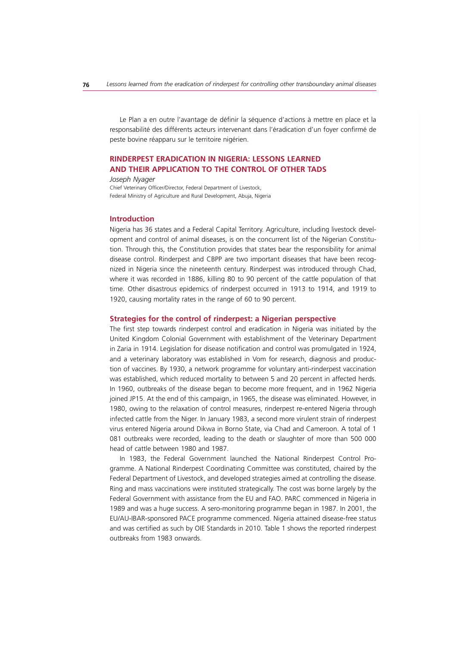Le Plan a en outre l'avantage de définir la séquence d'actions à mettre en place et la responsabilité des différents acteurs intervenant dans l'éradication d'un foyer confirmé de peste bovine réapparu sur le territoire nigérien.

# **RINDERPEST ERADICATION IN NIGERIA: LESSONS LEARNED AND THEIR APPLICATION TO THE CONTROL OF OTHER TADS**

#### *Joseph Nyager*

Chief Veterinary Officer/Director, Federal Department of Livestock, Federal Ministry of Agriculture and Rural Development, Abuja, Nigeria

#### **Introduction**

Nigeria has 36 states and a Federal Capital Territory. Agriculture, including livestock development and control of animal diseases, is on the concurrent list of the Nigerian Constitution. Through this, the Constitution provides that states bear the responsibility for animal disease control. Rinderpest and CBPP are two important diseases that have been recognized in Nigeria since the nineteenth century. Rinderpest was introduced through Chad, where it was recorded in 1886, killing 80 to 90 percent of the cattle population of that time. Other disastrous epidemics of rinderpest occurred in 1913 to 1914, and 1919 to 1920, causing mortality rates in the range of 60 to 90 percent.

#### **Strategies for the control of rinderpest: a Nigerian perspective**

The first step towards rinderpest control and eradication in Nigeria was initiated by the United Kingdom Colonial Government with establishment of the Veterinary Department in Zaria in 1914. Legislation for disease notification and control was promulgated in 1924, and a veterinary laboratory was established in Vom for research, diagnosis and production of vaccines. By 1930, a network programme for voluntary anti-rinderpest vaccination was established, which reduced mortality to between 5 and 20 percent in affected herds. In 1960, outbreaks of the disease began to become more frequent, and in 1962 Nigeria joined JP15. At the end of this campaign, in 1965, the disease was eliminated. However, in 1980, owing to the relaxation of control measures, rinderpest re-entered Nigeria through infected cattle from the Niger. In January 1983, a second more virulent strain of rinderpest virus entered Nigeria around Dikwa in Borno State, via Chad and Cameroon. A total of 1 081 outbreaks were recorded, leading to the death or slaughter of more than 500 000 head of cattle between 1980 and 1987.

In 1983, the Federal Government launched the National Rinderpest Control Programme. A National Rinderpest Coordinating Committee was constituted, chaired by the Federal Department of Livestock, and developed strategies aimed at controlling the disease. Ring and mass vaccinations were instituted strategically. The cost was borne largely by the Federal Government with assistance from the EU and FAO. PARC commenced in Nigeria in 1989 and was a huge success. A sero-monitoring programme began in 1987. In 2001, the EU/AU-IBAR-sponsored PACE programme commenced. Nigeria attained disease-free status and was certified as such by OIE Standards in 2010. Table 1 shows the reported rinderpest outbreaks from 1983 onwards.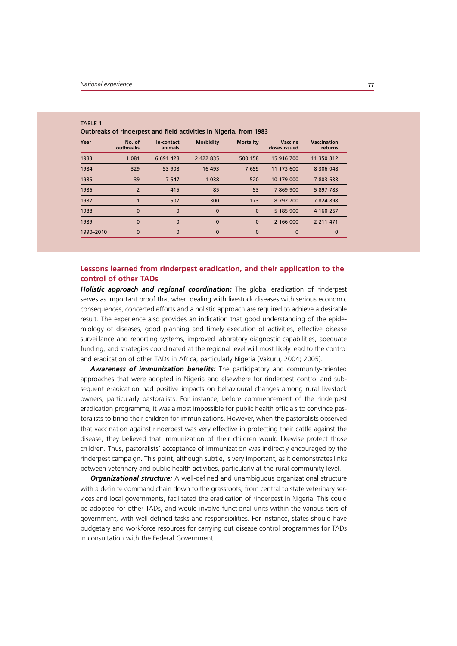$\pm$  ABLE

| Year      | No. of<br>outbreaks | In-contact<br>animals | <b>Morbidity</b> | <b>Mortality</b> | Vaccine<br>doses issued | <b>Vaccination</b><br>returns |
|-----------|---------------------|-----------------------|------------------|------------------|-------------------------|-------------------------------|
| 1983      | 1 0 8 1             | 6 691 428             | 2 422 835        | 500 158          | 15 916 700              | 11 350 812                    |
| 1984      | 329                 | 53 908                | 16 493           | 7659             | 11 173 600              | 8 306 048                     |
| 1985      | 39                  | 7 5 4 7               | 1 0 3 8          | 520              | 10 179 000              | 7 803 633                     |
| 1986      | $\overline{2}$      | 415                   | 85               | 53               | 7869900                 | 5 897 783                     |
| 1987      |                     | 507                   | 300              | 173              | 8792700                 | 7824898                       |
| 1988      | $\mathbf{0}$        | $\mathbf{0}$          | $\Omega$         | $\mathbf{0}$     | 5 185 900               | 4 160 267                     |
| 1989      | $\bf{0}$            | $\mathbf{0}$          | 0                | $\mathbf{0}$     | 2 166 000               | 2 2 1 4 7 1                   |
| 1990-2010 | $\mathbf 0$         | $\Omega$              | $\Omega$         | $\mathbf{0}$     | $\Omega$                | $\mathbf 0$                   |
|           |                     |                       |                  |                  |                         |                               |

| IADLE I |                                                                    |  |  |  |
|---------|--------------------------------------------------------------------|--|--|--|
|         | Outbreaks of rinderpest and field activities in Nigeria, from 1983 |  |  |  |

# **Lessons learned from rinderpest eradication, and their application to the control of other TADs**

*Holistic approach and regional coordination:* The global eradication of rinderpest serves as important proof that when dealing with livestock diseases with serious economic consequences, concerted efforts and a holistic approach are required to achieve a desirable result. The experience also provides an indication that good understanding of the epidemiology of diseases, good planning and timely execution of activities, effective disease surveillance and reporting systems, improved laboratory diagnostic capabilities, adequate funding, and strategies coordinated at the regional level will most likely lead to the control and eradication of other TADs in Africa, particularly Nigeria (Vakuru, 2004; 2005).

*Awareness of immunization benefits:* The participatory and community-oriented approaches that were adopted in Nigeria and elsewhere for rinderpest control and subsequent eradication had positive impacts on behavioural changes among rural livestock owners, particularly pastoralists. For instance, before commencement of the rinderpest eradication programme, it was almost impossible for public health officials to convince pastoralists to bring their children for immunizations. However, when the pastoralists observed that vaccination against rinderpest was very effective in protecting their cattle against the disease, they believed that immunization of their children would likewise protect those children. Thus, pastoralists' acceptance of immunization was indirectly encouraged by the rinderpest campaign. This point, although subtle, is very important, as it demonstrates links between veterinary and public health activities, particularly at the rural community level.

*Organizational structure:* A well-defined and unambiguous organizational structure with a definite command chain down to the grassroots, from central to state veterinary services and local governments, facilitated the eradication of rinderpest in Nigeria. This could be adopted for other TADs, and would involve functional units within the various tiers of government, with well-defined tasks and responsibilities. For instance, states should have budgetary and workforce resources for carrying out disease control programmes for TADs in consultation with the Federal Government.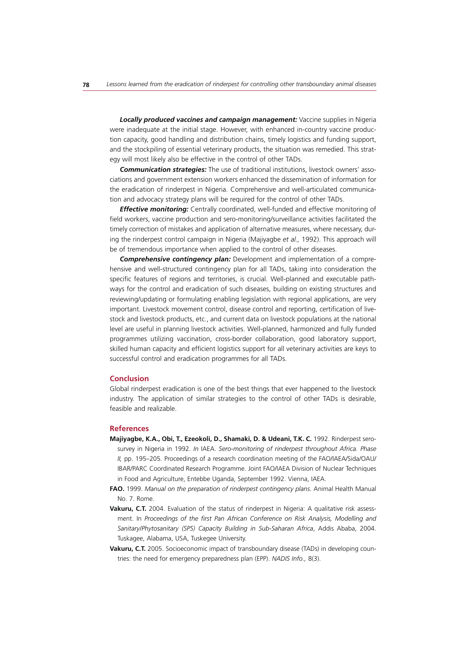*Locally produced vaccines and campaign management:* Vaccine supplies in Nigeria were inadequate at the initial stage. However, with enhanced in-country vaccine production capacity, good handling and distribution chains, timely logistics and funding support, and the stockpiling of essential veterinary products, the situation was remedied. This strategy will most likely also be effective in the control of other TADs.

*Communication strategies:* The use of traditional institutions, livestock owners' associations and government extension workers enhanced the dissemination of information for the eradication of rinderpest in Nigeria. Comprehensive and well-articulated communication and advocacy strategy plans will be required for the control of other TADs.

*Effective monitoring:* Centrally coordinated, well-funded and effective monitoring of field workers, vaccine production and sero-monitoring/surveillance activities facilitated the timely correction of mistakes and application of alternative measures, where necessary, during the rinderpest control campaign in Nigeria (Majiyagbe *et al.,* 1992). This approach will be of tremendous importance when applied to the control of other diseases.

*Comprehensive contingency plan:* Development and implementation of a comprehensive and well-structured contingency plan for all TADs, taking into consideration the specific features of regions and territories, is crucial. Well-planned and executable pathways for the control and eradication of such diseases, building on existing structures and reviewing/updating or formulating enabling legislation with regional applications, are very important. Livestock movement control, disease control and reporting, certification of livestock and livestock products, etc., and current data on livestock populations at the national level are useful in planning livestock activities. Well-planned, harmonized and fully funded programmes utilizing vaccination, cross-border collaboration, good laboratory support, skilled human capacity and efficient logistics support for all veterinary activities are keys to successful control and eradication programmes for all TADs.

#### **Conclusion**

Global rinderpest eradication is one of the best things that ever happened to the livestock industry. The application of similar strategies to the control of other TADs is desirable, feasible and realizable.

# **References**

- **Majiyagbe, K.A., Obi, T., Ezeokoli, D., Shamaki, D. & Udeani, T.K. C.** 1992. Rinderpest serosurvey in Nigeria in 1992. *In* IAEA. *Sero-monitoring of rinderpest throughout Africa. Phase II,* pp. 195–205*.* Proceedings of a research coordination meeting of the FAO/IAEA/Sida/OAU/ IBAR/PARC Coordinated Research Programme. Joint FAO/IAEA Division of Nuclear Techniques in Food and Agriculture, Entebbe Uganda, September 1992. Vienna, IAEA.
- **FAO.** 1999. *Manual on the preparation of rinderpest contingency plans*. Animal Health Manual No. 7. Rome.
- **Vakuru, C.T.** 2004. Evaluation of the status of rinderpest in Nigeria: A qualitative risk assessment. In *Proceedings of the first Pan African Conference on Risk Analysis, Modelling and Sanitary/Phytosanitary (SPS) Capacity Building in Sub-Saharan Africa*, Addis Ababa, 2004. Tuskagee, Alabama, USA, Tuskegee University.
- **Vakuru, C.T.** 2005. Socioeconomic impact of transboundary disease (TADs) in developing countries: the need for emergency preparedness plan (EPP). *NADIS Info.,* 8(3).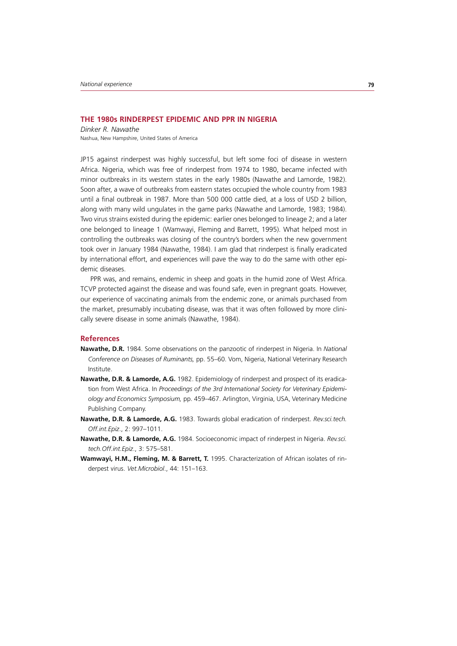# **THE 1980s RINDERPEST EPIDEMIC AND PPR IN NIGERIA**

*Dinker R. Nawathe* Nashua, New Hampshire, United States of America

JP15 against rinderpest was highly successful, but left some foci of disease in western Africa. Nigeria, which was free of rinderpest from 1974 to 1980, became infected with minor outbreaks in its western states in the early 1980s (Nawathe and Lamorde, 1982). Soon after, a wave of outbreaks from eastern states occupied the whole country from 1983 until a final outbreak in 1987. More than 500 000 cattle died, at a loss of USD 2 billion, along with many wild ungulates in the game parks (Nawathe and Lamorde, 1983; 1984). Two virus strains existed during the epidemic: earlier ones belonged to lineage 2; and a later one belonged to lineage 1 (Wamwayi, Fleming and Barrett, 1995). What helped most in controlling the outbreaks was closing of the country's borders when the new government took over in January 1984 (Nawathe, 1984). I am glad that rinderpest is finally eradicated by international effort, and experiences will pave the way to do the same with other epidemic diseases.

PPR was, and remains, endemic in sheep and goats in the humid zone of West Africa. TCVP protected against the disease and was found safe, even in pregnant goats. However, our experience of vaccinating animals from the endemic zone, or animals purchased from the market, presumably incubating disease, was that it was often followed by more clinically severe disease in some animals (Nawathe, 1984).

## **References**

- **Nawathe, D.R.** 1984. Some observations on the panzootic of rinderpest in Nigeria. In *National Conference on Diseases of Ruminants,* pp. 55–60. Vom, Nigeria, National Veterinary Research Institute.
- **Nawathe, D.R. & Lamorde, A.G.** 1982. Epidemiology of rinderpest and prospect of its eradication from West Africa. In *Proceedings of the 3rd International Society for Veterinary Epidemiology and Economics Symposium,* pp. 459–467. Arlington, Virginia, USA, Veterinary Medicine Publishing Company.
- **Nawathe, D.R. & Lamorde, A.G.** 1983. Towards global eradication of rinderpest. *Rev.sci.tech. Off.int.Epiz*., 2: 997–1011.
- **Nawathe, D.R. & Lamorde, A.G.** 1984. Socioeconomic impact of rinderpest in Nigeria. *Rev.sci. tech.Off.int.Epiz*., 3: 575–581.
- **Wamwayi, H.M., Fleming, M. & Barrett, T.** 1995. Characterization of African isolates of rinderpest virus. *Vet.Microbiol*., 44: 151–163.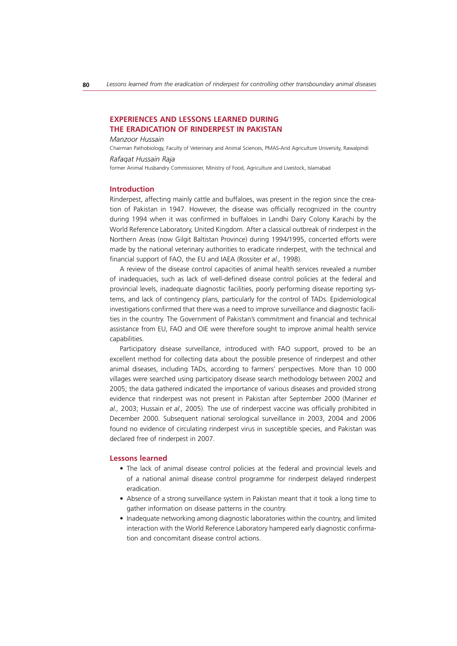# **EXPERIENCES AND LESSONS LEARNED DURING THE ERADICATION OF RINDERPEST IN PAKISTAN**

*Manzoor Hussain*

Chairman Pathobiology, Faculty of Veterinary and Animal Sciences, PMAS-Arid Agriculture University, Rawalpindi

#### *Rafaqat Hussain Raja*

former Animal Husbandry Commissioner, Ministry of Food, Agriculture and Livestock, Islamabad

#### **Introduction**

Rinderpest, affecting mainly cattle and buffaloes, was present in the region since the creation of Pakistan in 1947. However, the disease was officially recognized in the country during 1994 when it was confirmed in buffaloes in Landhi Dairy Colony Karachi by the World Reference Laboratory, United Kingdom. After a classical outbreak of rinderpest in the Northern Areas (now Gilgit Baltistan Province) during 1994/1995, concerted efforts were made by the national veterinary authorities to eradicate rinderpest, with the technical and financial support of FAO, the EU and IAEA (Rossiter *et al.,* 1998).

A review of the disease control capacities of animal health services revealed a number of inadequacies, such as lack of well-defined disease control policies at the federal and provincial levels, inadequate diagnostic facilities, poorly performing disease reporting systems, and lack of contingency plans, particularly for the control of TADs. Epidemiological investigations confirmed that there was a need to improve surveillance and diagnostic facilities in the country. The Government of Pakistan's commitment and financial and technical assistance from EU, FAO and OIE were therefore sought to improve animal health service capabilities.

Participatory disease surveillance, introduced with FAO support, proved to be an excellent method for collecting data about the possible presence of rinderpest and other animal diseases, including TADs, according to farmers' perspectives. More than 10 000 villages were searched using participatory disease search methodology between 2002 and 2005; the data gathered indicated the importance of various diseases and provided strong evidence that rinderpest was not present in Pakistan after September 2000 (Mariner *et al.,* 2003; Hussain *et al.,* 2005). The use of rinderpest vaccine was officially prohibited in December 2000. Subsequent national serological surveillance in 2003, 2004 and 2006 found no evidence of circulating rinderpest virus in susceptible species, and Pakistan was declared free of rinderpest in 2007.

#### **Lessons learned**

- The lack of animal disease control policies at the federal and provincial levels and of a national animal disease control programme for rinderpest delayed rinderpest eradication.
- Absence of a strong surveillance system in Pakistan meant that it took a long time to gather information on disease patterns in the country.
- Inadequate networking among diagnostic laboratories within the country, and limited interaction with the World Reference Laboratory hampered early diagnostic confirmation and concomitant disease control actions.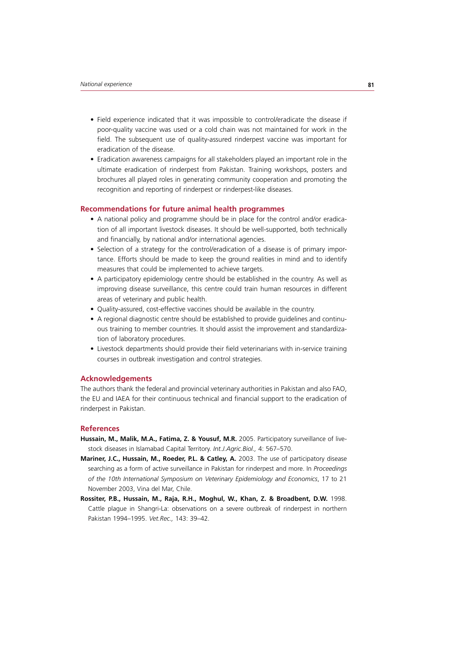- Field experience indicated that it was impossible to control/eradicate the disease if poor-quality vaccine was used or a cold chain was not maintained for work in the field. The subsequent use of quality-assured rinderpest vaccine was important for eradication of the disease.
- Eradication awareness campaigns for all stakeholders played an important role in the ultimate eradication of rinderpest from Pakistan. Training workshops, posters and brochures all played roles in generating community cooperation and promoting the recognition and reporting of rinderpest or rinderpest-like diseases.

# **Recommendations for future animal health programmes**

- A national policy and programme should be in place for the control and/or eradication of all important livestock diseases. It should be well-supported, both technically and financially, by national and/or international agencies.
- Selection of a strategy for the control/eradication of a disease is of primary importance. Efforts should be made to keep the ground realities in mind and to identify measures that could be implemented to achieve targets.
- A participatory epidemiology centre should be established in the country. As well as improving disease surveillance, this centre could train human resources in different areas of veterinary and public health.
- Quality-assured, cost-effective vaccines should be available in the country.
- A regional diagnostic centre should be established to provide guidelines and continuous training to member countries. It should assist the improvement and standardization of laboratory procedures.
- Livestock departments should provide their field veterinarians with in-service training courses in outbreak investigation and control strategies.

#### **Acknowledgements**

The authors thank the federal and provincial veterinary authorities in Pakistan and also FAO, the EU and IAEA for their continuous technical and financial support to the eradication of rinderpest in Pakistan.

## **References**

- **Hussain, M., Malik, M.A., Fatima, Z. & Yousuf, M.R.** 2005. Participatory surveillance of livestock diseases in Islamabad Capital Territory. *Int.J.Agric.Biol.,* 4: 567–570.
- **Mariner, J.C., Hussain, M., Roeder, P.L. & Catley, A.** 2003. The use of participatory disease searching as a form of active surveillance in Pakistan for rinderpest and more. In *Proceedings of the 10th International Symposium on Veterinary Epidemiology and Economics*, 17 to 21 November 2003, Vina del Mar, Chile.
- **Rossiter, P.B., Hussain, M., Raja, R.H., Moghul, W., Khan, Z. & Broadbent, D.W.** 1998. Cattle plague in Shangri-La: observations on a severe outbreak of rinderpest in northern Pakistan 1994–1995. *Vet.Rec.,* 143: 39–42.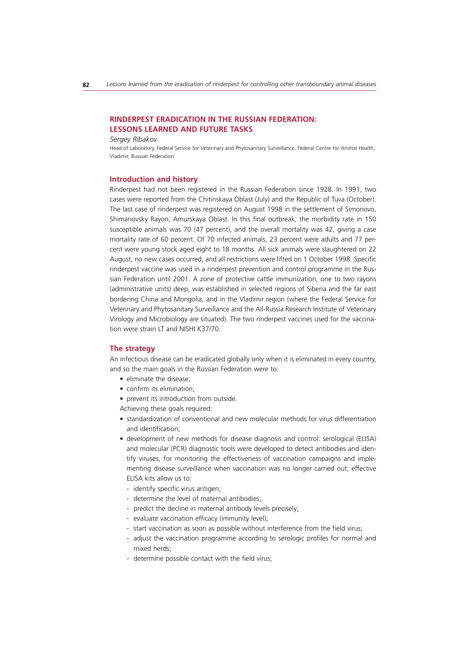# **RINDERPEST ERADICATION IN THE RUSSIAN FEDERATION: LESSONS LEARNED AND FUTURE TASKS**

#### *Sergey Ribakov*

Head of Laboratory, Federal Service for Veterinary and Phytosanitary Surveillance, Federal Centre for Animal Health, Vladimir, Russian Federation

#### **Introduction and history**

Rinderpest had not been registered in the Russian Federation since 1928. In 1991, two cases were reported from the Chitinskaya Oblast (July) and the Republic of Tuva (October). The last case of rinderpest was registered on August 1998 in the settlement of Simonovo, Shimanovsky Rayon, Amurskaya Oblast. In this final outbreak, the morbidity rate in 150 susceptible animals was 70 (47 percent), and the overall mortality was 42, giving a case mortality rate of 60 percent. Of 70 infected animals, 23 percent were adults and 77 percent were young stock aged eight to 18 months. All sick animals were slaughtered on 22 August, no new cases occurred, and all restrictions were lifted on 1 October 1998. Specific rinderpest vaccine was used in a rinderpest prevention and control programme in the Russian Federation until 2001. A zone of protective cattle immunization, one to two rayons (administrative units) deep, was established in selected regions of Siberia and the far east bordering China and Mongolia, and in the Vladimir region (where the Federal Service for Veterinary and Phytosanitary Surveillance and the All-Russia Research Institute of Veterinary Virology and Microbiology are situated). The two rinderpest vaccines used for the vaccination were strain LT and NISHI K37/70.

#### **The strategy**

An infectious disease can be eradicated globally only when it is eliminated in every country, and so the main goals in the Russian Federation were to:

- $\bullet$  eliminate the disease:
- confirm its elimination;
- prevent its introduction from outside.

Achieving these goals required:

- standardization of conventional and new molecular methods for virus differentiation and identification;
- development of new methods for disease diagnosis and control: serological (ELISA) and molecular (PCR) diagnostic tools were developed to detect antibodies and identify viruses, for monitoring the effectiveness of vaccination campaigns and implementing disease surveillance when vaccination was no longer carried out; effective ELISA kits allow us to:
	- identify specific virus antigen;
	- determine the level of maternal antibodies;
	- predict the decline in maternal antibody levels precisely;
	- evaluate vaccination efficacy (immunity level);
	- start vaccination as soon as possible without interference from the field virus;
	- adjust the vaccination programme according to serologic profiles for normal and mixed herds;
	- determine possible contact with the field virus;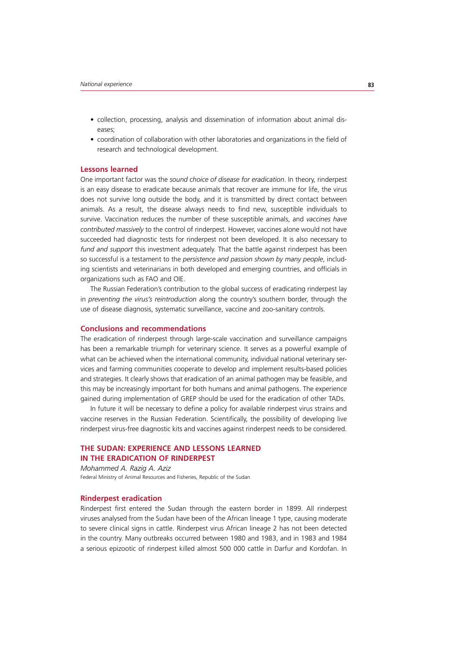- collection, processing, analysis and dissemination of information about animal diseases;
- coordination of collaboration with other laboratories and organizations in the field of research and technological development.

## **Lessons learned**

One important factor was the *sound choice of disease for eradication*. In theory, rinderpest is an easy disease to eradicate because animals that recover are immune for life, the virus does not survive long outside the body, and it is transmitted by direct contact between animals. As a result, the disease always needs to find new, susceptible individuals to survive. Vaccination reduces the number of these susceptible animals, and *vaccines have contributed massively* to the control of rinderpest. However, vaccines alone would not have succeeded had diagnostic tests for rinderpest not been developed. It is also necessary to *fund and support* this investment adequately. That the battle against rinderpest has been so successful is a testament to the *persistence and passion shown by many people*, including scientists and veterinarians in both developed and emerging countries, and officials in organizations such as FAO and OIE.

The Russian Federation's contribution to the global success of eradicating rinderpest lay in *preventing the virus's reintroduction* along the country's southern border, through the use of disease diagnosis, systematic surveillance, vaccine and zoo-sanitary controls.

# **Conclusions and recommendations**

The eradication of rinderpest through large-scale vaccination and surveillance campaigns has been a remarkable triumph for veterinary science. It serves as a powerful example of what can be achieved when the international community, individual national veterinary services and farming communities cooperate to develop and implement results-based policies and strategies. It clearly shows that eradication of an animal pathogen may be feasible, and this may be increasingly important for both humans and animal pathogens. The experience gained during implementation of GREP should be used for the eradication of other TADs.

In future it will be necessary to define a policy for available rinderpest virus strains and vaccine reserves in the Russian Federation. Scientifically, the possibility of developing live rinderpest virus-free diagnostic kits and vaccines against rinderpest needs to be considered.

# **THE SUDAN: EXPERIENCE AND LESSONS LEARNED IN THE ERADICATION OF RINDERPEST**

*Mohammed A. Razig A. Aziz* Federal Ministry of Animal Resources and Fisheries, Republic of the Sudan

## **Rinderpest eradication**

Rinderpest first entered the Sudan through the eastern border in 1899. All rinderpest viruses analysed from the Sudan have been of the African lineage 1 type, causing moderate to severe clinical signs in cattle. Rinderpest virus African lineage 2 has not been detected in the country. Many outbreaks occurred between 1980 and 1983, and in 1983 and 1984 a serious epizootic of rinderpest killed almost 500 000 cattle in Darfur and Kordofan. In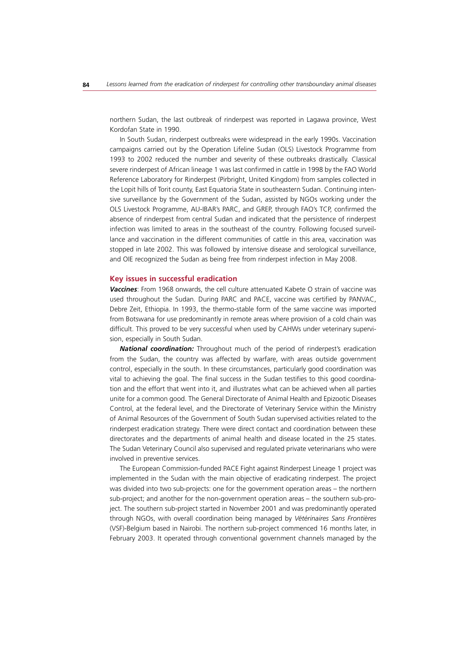northern Sudan, the last outbreak of rinderpest was reported in Lagawa province, West Kordofan State in 1990.

In South Sudan, rinderpest outbreaks were widespread in the early 1990s. Vaccination campaigns carried out by the Operation Lifeline Sudan (OLS) Livestock Programme from 1993 to 2002 reduced the number and severity of these outbreaks drastically. Classical severe rinderpest of African lineage 1 was last confirmed in cattle in 1998 by the FAO World Reference Laboratory for Rinderpest (Pirbright, United Kingdom) from samples collected in the Lopit hills of Torit county, East Equatoria State in southeastern Sudan. Continuing intensive surveillance by the Government of the Sudan, assisted by NGOs working under the OLS Livestock Programme, AU-IBAR's PARC, and GREP, through FAO's TCP, confirmed the absence of rinderpest from central Sudan and indicated that the persistence of rinderpest infection was limited to areas in the southeast of the country. Following focused surveillance and vaccination in the different communities of cattle in this area, vaccination was stopped in late 2002. This was followed by intensive disease and serological surveillance, and OIE recognized the Sudan as being free from rinderpest infection in May 2008.

## **Key issues in successful eradication**

*Vaccines*: From 1968 onwards, the cell culture attenuated Kabete O strain of vaccine was used throughout the Sudan. During PARC and PACE, vaccine was certified by PANVAC, Debre Zeit, Ethiopia. In 1993, the thermo-stable form of the same vaccine was imported from Botswana for use predominantly in remote areas where provision of a cold chain was difficult. This proved to be very successful when used by CAHWs under veterinary supervision, especially in South Sudan.

*National coordination:* Throughout much of the period of rinderpest's eradication from the Sudan, the country was affected by warfare, with areas outside government control, especially in the south. In these circumstances, particularly good coordination was vital to achieving the goal. The final success in the Sudan testifies to this good coordination and the effort that went into it, and illustrates what can be achieved when all parties unite for a common good. The General Directorate of Animal Health and Epizootic Diseases Control, at the federal level, and the Directorate of Veterinary Service within the Ministry of Animal Resources of the Government of South Sudan supervised activities related to the rinderpest eradication strategy. There were direct contact and coordination between these directorates and the departments of animal health and disease located in the 25 states. The Sudan Veterinary Council also supervised and regulated private veterinarians who were involved in preventive services.

The European Commission-funded PACE Fight against Rinderpest Lineage 1 project was implemented in the Sudan with the main objective of eradicating rinderpest. The project was divided into two sub-projects: one for the government operation areas – the northern sub-project; and another for the non-government operation areas – the southern sub-project. The southern sub-project started in November 2001 and was predominantly operated through NGOs, with overall coordination being managed by *Vétérinaires Sans Frontières* (VSF)-Belgium based in Nairobi. The northern sub-project commenced 16 months later, in February 2003. It operated through conventional government channels managed by the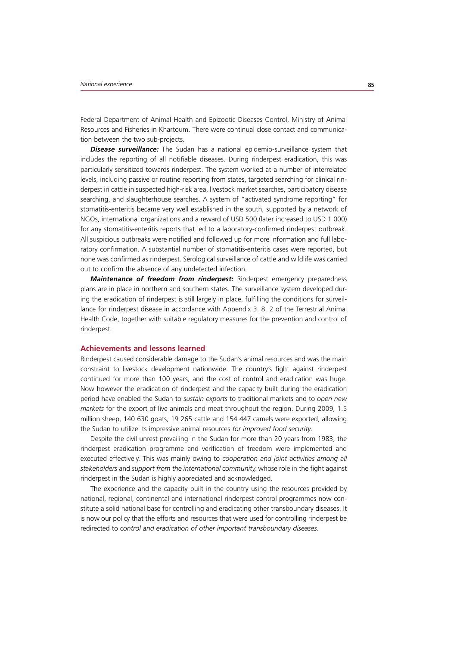Federal Department of Animal Health and Epizootic Diseases Control, Ministry of Animal Resources and Fisheries in Khartoum. There were continual close contact and communication between the two sub-projects.

*Disease surveillance:* The Sudan has a national epidemio-surveillance system that includes the reporting of all notifiable diseases. During rinderpest eradication, this was particularly sensitized towards rinderpest. The system worked at a number of interrelated levels, including passive or routine reporting from states, targeted searching for clinical rinderpest in cattle in suspected high-risk area, livestock market searches, participatory disease searching, and slaughterhouse searches. A system of "activated syndrome reporting" for stomatitis-enteritis became very well established in the south, supported by a network of NGOs, international organizations and a reward of USD 500 (later increased to USD 1 000) for any stomatitis-enteritis reports that led to a laboratory-confirmed rinderpest outbreak. All suspicious outbreaks were notified and followed up for more information and full laboratory confirmation. A substantial number of stomatitis-enteritis cases were reported, but none was confirmed as rinderpest. Serological surveillance of cattle and wildlife was carried out to confirm the absence of any undetected infection.

*Maintenance of freedom from rinderpest:* Rinderpest emergency preparedness plans are in place in northern and southern states. The surveillance system developed during the eradication of rinderpest is still largely in place, fulfilling the conditions for surveillance for rinderpest disease in accordance with Appendix 3. 8. 2 of the Terrestrial Animal Health Code, together with suitable regulatory measures for the prevention and control of rinderpest.

## **Achievements and lessons learned**

Rinderpest caused considerable damage to the Sudan's animal resources and was the main constraint to livestock development nationwide. The country's fight against rinderpest continued for more than 100 years, and the cost of control and eradication was huge. Now however the eradication of rinderpest and the capacity built during the eradication period have enabled the Sudan to *sustain exports* to traditional markets and to *open new markets* for the export of live animals and meat throughout the region. During 2009, 1.5 million sheep, 140 630 goats, 19 265 cattle and 154 447 camels were exported, allowing the Sudan to utilize its impressive animal resources *for improved food security*.

Despite the civil unrest prevailing in the Sudan for more than 20 years from 1983, the rinderpest eradication programme and verification of freedom were implemented and executed effectively. This was mainly owing to *cooperation and joint activities among all stakeholders* and *support from the international community,* whose role in the fight against rinderpest in the Sudan is highly appreciated and acknowledged.

The experience and the capacity built in the country using the resources provided by national, regional, continental and international rinderpest control programmes now constitute a solid national base for controlling and eradicating other transboundary diseases. It is now our policy that the efforts and resources that were used for controlling rinderpest be redirected to *control and eradication of other important transboundary diseases*.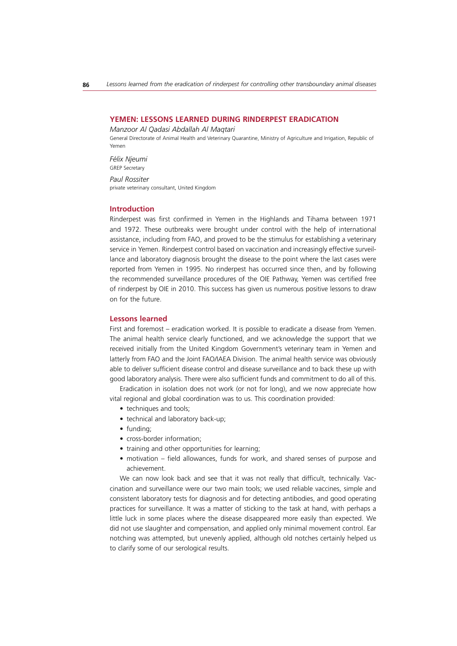## **YEMEN: LESSONS LEARNED DURING RINDERPEST ERADICATION**

*Manzoor Al Qadasi Abdallah Al Maqtari*

General Directorate of Animal Health and Veterinary Quarantine, Ministry of Agriculture and Irrigation, Republic of Yemen

*Félix Njeumi* GREP Secretary

*Paul Rossiter* private veterinary consultant, United Kingdom

# **Introduction**

Rinderpest was first confirmed in Yemen in the Highlands and Tihama between 1971 and 1972. These outbreaks were brought under control with the help of international assistance, including from FAO, and proved to be the stimulus for establishing a veterinary service in Yemen. Rinderpest control based on vaccination and increasingly effective surveillance and laboratory diagnosis brought the disease to the point where the last cases were reported from Yemen in 1995. No rinderpest has occurred since then, and by following the recommended surveillance procedures of the OIE Pathway, Yemen was certified free of rinderpest by OIE in 2010. This success has given us numerous positive lessons to draw on for the future.

#### **Lessons learned**

First and foremost – eradication worked. It is possible to eradicate a disease from Yemen. The animal health service clearly functioned, and we acknowledge the support that we received initially from the United Kingdom Government's veterinary team in Yemen and latterly from FAO and the Joint FAO/IAEA Division. The animal health service was obviously able to deliver sufficient disease control and disease surveillance and to back these up with good laboratory analysis. There were also sufficient funds and commitment to do all of this.

Eradication in isolation does not work (or not for long), and we now appreciate how vital regional and global coordination was to us. This coordination provided:

- techniques and tools;
- technical and laboratory back-up;
- $\bullet$  funding;
- cross-border information;
- training and other opportunities for learning;
- motivation field allowances, funds for work, and shared senses of purpose and achievement.

We can now look back and see that it was not really that difficult, technically. Vaccination and surveillance were our two main tools; we used reliable vaccines, simple and consistent laboratory tests for diagnosis and for detecting antibodies, and good operating practices for surveillance. It was a matter of sticking to the task at hand, with perhaps a little luck in some places where the disease disappeared more easily than expected. We did not use slaughter and compensation, and applied only minimal movement control. Ear notching was attempted, but unevenly applied, although old notches certainly helped us to clarify some of our serological results.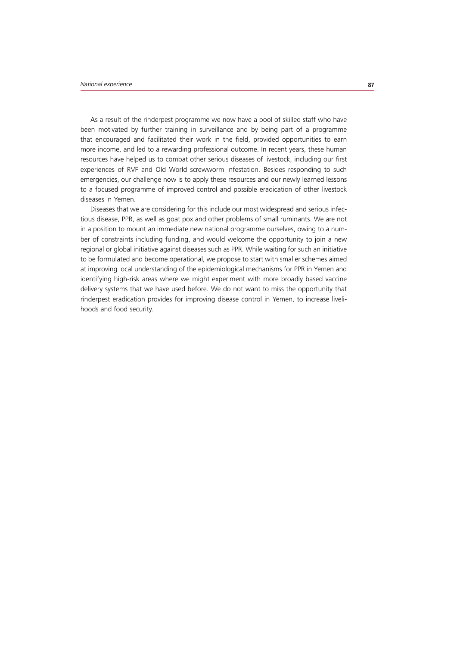As a result of the rinderpest programme we now have a pool of skilled staff who have been motivated by further training in surveillance and by being part of a programme that encouraged and facilitated their work in the field, provided opportunities to earn more income, and led to a rewarding professional outcome. In recent years, these human resources have helped us to combat other serious diseases of livestock, including our first experiences of RVF and Old World screwworm infestation. Besides responding to such emergencies, our challenge now is to apply these resources and our newly learned lessons to a focused programme of improved control and possible eradication of other livestock diseases in Yemen.

Diseases that we are considering for this include our most widespread and serious infectious disease, PPR, as well as goat pox and other problems of small ruminants. We are not in a position to mount an immediate new national programme ourselves, owing to a number of constraints including funding, and would welcome the opportunity to join a new regional or global initiative against diseases such as PPR. While waiting for such an initiative to be formulated and become operational, we propose to start with smaller schemes aimed at improving local understanding of the epidemiological mechanisms for PPR in Yemen and identifying high-risk areas where we might experiment with more broadly based vaccine delivery systems that we have used before. We do not want to miss the opportunity that rinderpest eradication provides for improving disease control in Yemen, to increase livelihoods and food security.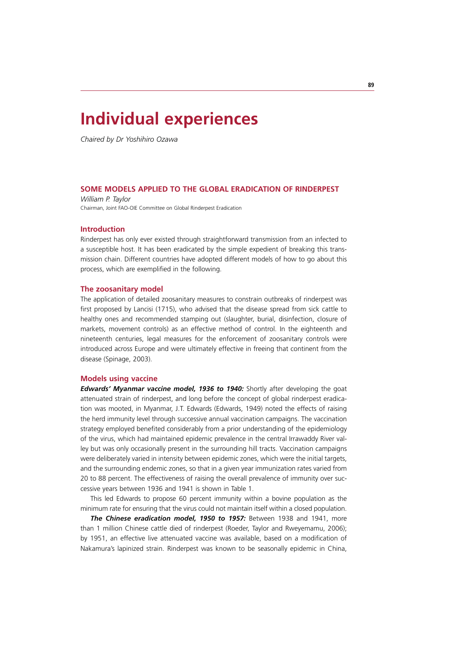# **Individual experiences**

*Chaired by Dr Yoshihiro Ozawa*

# **SOME MODELS APPLIED TO THE GLOBAL ERADICATION OF RINDERPEST**

*William P. Taylor* Chairman, Joint FAO-OIE Committee on Global Rinderpest Eradication

# **Introduction**

Rinderpest has only ever existed through straightforward transmission from an infected to a susceptible host. It has been eradicated by the simple expedient of breaking this transmission chain. Different countries have adopted different models of how to go about this process, which are exemplified in the following.

## **The zoosanitary model**

The application of detailed zoosanitary measures to constrain outbreaks of rinderpest was first proposed by Lancisi (1715), who advised that the disease spread from sick cattle to healthy ones and recommended stamping out (slaughter, burial, disinfection, closure of markets, movement controls) as an effective method of control. In the eighteenth and nineteenth centuries, legal measures for the enforcement of zoosanitary controls were introduced across Europe and were ultimately effective in freeing that continent from the disease (Spinage, 2003).

#### **Models using vaccine**

*Edwards' Myanmar vaccine model, 1936 to 1940: Shortly after developing the goat* attenuated strain of rinderpest, and long before the concept of global rinderpest eradication was mooted, in Myanmar, J.T. Edwards (Edwards, 1949) noted the effects of raising the herd immunity level through successive annual vaccination campaigns. The vaccination strategy employed benefited considerably from a prior understanding of the epidemiology of the virus, which had maintained epidemic prevalence in the central Irrawaddy River valley but was only occasionally present in the surrounding hill tracts. Vaccination campaigns were deliberately varied in intensity between epidemic zones, which were the initial targets, and the surrounding endemic zones, so that in a given year immunization rates varied from 20 to 88 percent. The effectiveness of raising the overall prevalence of immunity over successive years between 1936 and 1941 is shown in Table 1.

This led Edwards to propose 60 percent immunity within a bovine population as the minimum rate for ensuring that the virus could not maintain itself within a closed population.

*The Chinese eradication model, 1950 to 1957:* Between 1938 and 1941, more than 1 million Chinese cattle died of rinderpest (Roeder, Taylor and Rweyemamu, 2006); by 1951, an effective live attenuated vaccine was available, based on a modification of Nakamura's lapinized strain. Rinderpest was known to be seasonally epidemic in China,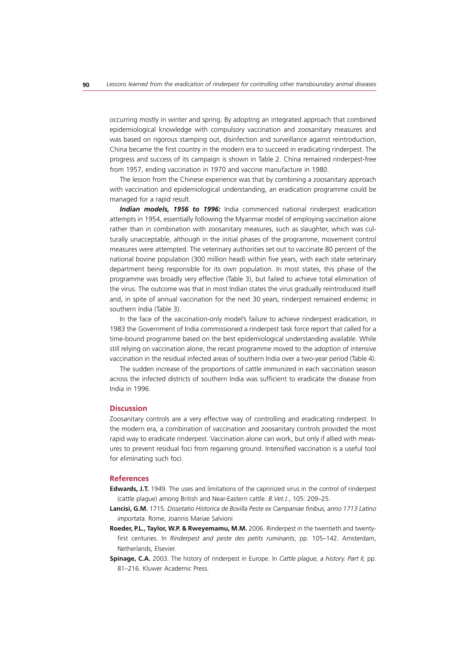occurring mostly in winter and spring. By adopting an integrated approach that combined epidemiological knowledge with compulsory vaccination and zoosanitary measures and was based on rigorous stamping out, disinfection and surveillance against reintroduction, China became the first country in the modern era to succeed in eradicating rinderpest. The progress and success of its campaign is shown in Table 2. China remained rinderpest-free from 1957, ending vaccination in 1970 and vaccine manufacture in 1980.

The lesson from the Chinese experience was that by combining a zoosanitary approach with vaccination and epidemiological understanding, an eradication programme could be managed for a rapid result.

*Indian models, 1956 to 1996:* India commenced national rinderpest eradication attempts in 1954, essentially following the Myanmar model of employing vaccination alone rather than in combination with zoosanitary measures, such as slaughter, which was culturally unacceptable, although in the initial phases of the programme, movement control measures were attempted. The veterinary authorities set out to vaccinate 80 percent of the national bovine population (300 million head) within five years, with each state veterinary department being responsible for its own population. In most states, this phase of the programme was broadly very effective (Table 3), but failed to achieve total elimination of the virus. The outcome was that in most Indian states the virus gradually reintroduced itself and, in spite of annual vaccination for the next 30 years, rinderpest remained endemic in southern India (Table 3).

In the face of the vaccination-only model's failure to achieve rinderpest eradication, in 1983 the Government of India commissioned a rinderpest task force report that called for a time-bound programme based on the best epidemiological understanding available. While still relying on vaccination alone, the recast programme moved to the adoption of intensive vaccination in the residual infected areas of southern India over a two-year period (Table 4).

The sudden increase of the proportions of cattle immunized in each vaccination season across the infected districts of southern India was sufficient to eradicate the disease from India in 1996.

# **Discussion**

Zoosanitary controls are a very effective way of controlling and eradicating rinderpest. In the modern era, a combination of vaccination and zoosanitary controls provided the most rapid way to eradicate rinderpest. Vaccination alone can work, but only if allied with measures to prevent residual foci from regaining ground. Intensified vaccination is a useful tool for eliminating such foci.

#### **References**

- **Edwards, J.T.** 1949. The uses and limitations of the caprinized virus in the control of rinderpest (cattle plague) among British and Near-Eastern cattle. *B.Vet.J*., 105: 209–25.
- **Lancisi, G.M.** 1715. *Dissetatio Historica de Bovilla Peste ex Campaniae finibus, anno 1713 Latino importata.* Rome, Joannis Mariae Salvioni
- **Roeder, P.L., Taylor, W.P. & Rweyemamu, M.M.** 2006. Rinderpest in the twentieth and twentyfirst centuries. In *Rinderpest and peste des petits ruminants*, pp. 105–142. Amsterdam, Netherlands, Elsevier.
- **Spinage, C.A.** 2003. The history of rinderpest in Europe. In *Cattle plague, a history. Part II,* pp. 81–216. Kluwer Academic Press.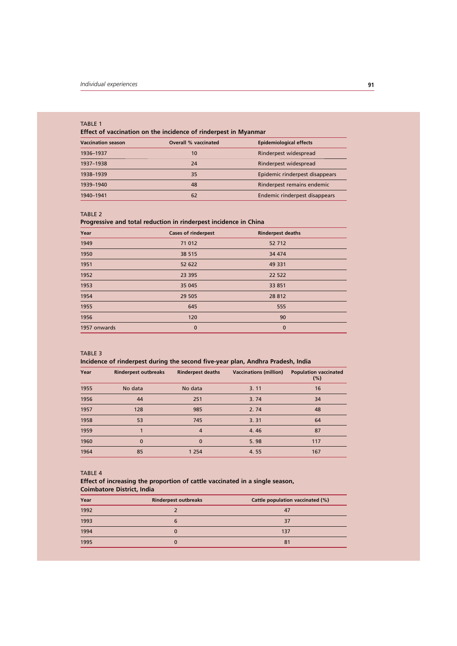#### TABLE 1

**Effect of vaccination on the incidence of rinderpest in Myanmar**

| <b>Vaccination season</b> | <b>Overall % vaccinated</b> | <b>Epidemiological effects</b> |
|---------------------------|-----------------------------|--------------------------------|
| 1936-1937                 | 10                          | Rinderpest widespread          |
| 1937-1938                 | 24                          | Rinderpest widespread          |
| 1938-1939                 | 35                          | Epidemic rinderpest disappears |
| 1939-1940                 | 48                          | Rinderpest remains endemic     |
| 1940-1941                 | 62                          | Endemic rinderpest disappears  |

#### TABLE 2

#### **Progressive and total reduction in rinderpest incidence in China**

| Year         | <b>Cases of rinderpest</b> | <b>Rinderpest deaths</b> |  |
|--------------|----------------------------|--------------------------|--|
| 1949         | 71 012                     | 52 712                   |  |
| 1950         | 38 515                     | 34 474                   |  |
| 1951         | 52 622                     | 49 331                   |  |
| 1952         | 23 395                     | 22 522                   |  |
| 1953         | 35 045                     | 33 851                   |  |
| 1954         | 29 505                     | 28 812                   |  |
| 1955         | 645                        | 555                      |  |
| 1956         | 120                        | 90                       |  |
| 1957 onwards | $\bf{0}$                   | $\mathbf{0}$             |  |

#### TABLE 3

# **Incidence of rinderpest during the second five-year plan, Andhra Pradesh, India**

| Year | <b>Rinderpest outbreaks</b> | <b>Rinderpest deaths</b> | <b>Vaccinations (million)</b> | <b>Population vaccinated</b><br>(%) |
|------|-----------------------------|--------------------------|-------------------------------|-------------------------------------|
| 1955 | No data                     | No data                  | 3.11                          | 16                                  |
| 1956 | 44                          | 251                      | 3.74                          | 34                                  |
| 1957 | 128                         | 985                      | 2.74                          | 48                                  |
| 1958 | 53                          | 745                      | 3.31                          | 64                                  |
| 1959 |                             | $\overline{4}$           | 4.46                          | 87                                  |
| 1960 | $\Omega$                    | $\Omega$                 | 5.98                          | 117                                 |
| 1964 | 85                          | 1 2 5 4                  | 4.55                          | 167                                 |

#### TABLE 4

## **Effect of increasing the proportion of cattle vaccinated in a single season, Coimbatore District, India**

| Year | <b>Rinderpest outbreaks</b> | Cattle population vaccinated (%) |
|------|-----------------------------|----------------------------------|
| 1992 |                             | 47                               |
| 1993 | 6                           | 37                               |
| 1994 |                             | 137                              |
| 1995 | 0                           | 81                               |
|      |                             |                                  |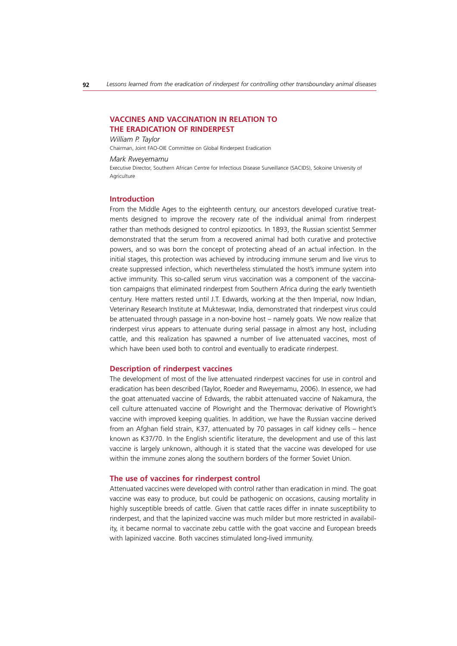# **VACCINES AND VACCINATION IN RELATION TO THE ERADICATION OF RINDERPEST**

#### *William P. Taylor*

Chairman, Joint FAO-OIE Committee on Global Rinderpest Eradication

#### *Mark Rweyemamu*

Executive Director, Southern African Centre for Infectious Disease Surveillance (SACIDS), Sokoine University of Agriculture

#### **Introduction**

From the Middle Ages to the eighteenth century, our ancestors developed curative treatments designed to improve the recovery rate of the individual animal from rinderpest rather than methods designed to control epizootics. In 1893, the Russian scientist Semmer demonstrated that the serum from a recovered animal had both curative and protective powers, and so was born the concept of protecting ahead of an actual infection. In the initial stages, this protection was achieved by introducing immune serum and live virus to create suppressed infection, which nevertheless stimulated the host's immune system into active immunity. This so-called serum virus vaccination was a component of the vaccination campaigns that eliminated rinderpest from Southern Africa during the early twentieth century. Here matters rested until J.T. Edwards, working at the then Imperial, now Indian, Veterinary Research Institute at Mukteswar, India, demonstrated that rinderpest virus could be attenuated through passage in a non-bovine host – namely goats. We now realize that rinderpest virus appears to attenuate during serial passage in almost any host, including cattle, and this realization has spawned a number of live attenuated vaccines, most of which have been used both to control and eventually to eradicate rinderpest.

#### **Description of rinderpest vaccines**

The development of most of the live attenuated rinderpest vaccines for use in control and eradication has been described (Taylor, Roeder and Rweyemamu, 2006). In essence, we had the goat attenuated vaccine of Edwards, the rabbit attenuated vaccine of Nakamura, the cell culture attenuated vaccine of Plowright and the Thermovac derivative of Plowright's vaccine with improved keeping qualities. In addition, we have the Russian vaccine derived from an Afghan field strain, K37, attenuated by 70 passages in calf kidney cells – hence known as K37/70. In the English scientific literature, the development and use of this last vaccine is largely unknown, although it is stated that the vaccine was developed for use within the immune zones along the southern borders of the former Soviet Union.

#### **The use of vaccines for rinderpest control**

Attenuated vaccines were developed with control rather than eradication in mind. The goat vaccine was easy to produce, but could be pathogenic on occasions, causing mortality in highly susceptible breeds of cattle. Given that cattle races differ in innate susceptibility to rinderpest, and that the lapinized vaccine was much milder but more restricted in availability, it became normal to vaccinate zebu cattle with the goat vaccine and European breeds with lapinized vaccine. Both vaccines stimulated long-lived immunity.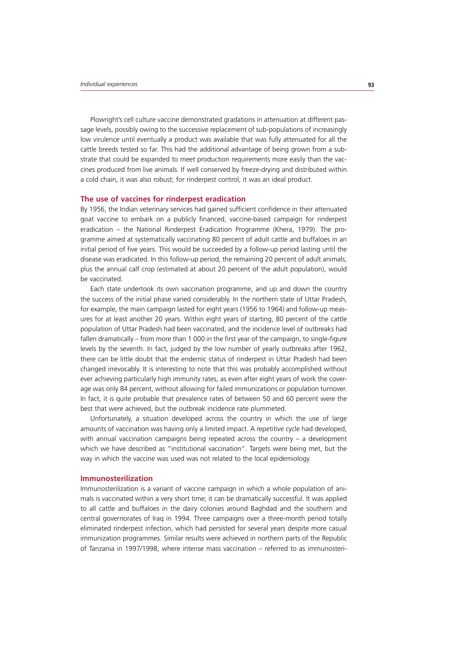Plowright's cell culture vaccine demonstrated gradations in attenuation at different passage levels, possibly owing to the successive replacement of sub-populations of increasingly low virulence until eventually a product was available that was fully attenuated for all the cattle breeds tested so far. This had the additional advantage of being grown from a substrate that could be expanded to meet production requirements more easily than the vaccines produced from live animals. If well conserved by freeze-drying and distributed within a cold chain, it was also robust; for rinderpest control, it was an ideal product.

#### **The use of vaccines for rinderpest eradication**

By 1956, the Indian veterinary services had gained sufficient confidence in their attenuated goat vaccine to embark on a publicly financed, vaccine-based campaign for rinderpest eradication – the National Rinderpest Eradication Programme (Khera, 1979). The programme aimed at systematically vaccinating 80 percent of adult cattle and buffaloes in an initial period of five years. This would be succeeded by a follow-up period lasting until the disease was eradicated. In this follow-up period, the remaining 20 percent of adult animals, plus the annual calf crop (estimated at about 20 percent of the adult population), would be vaccinated.

Each state undertook its own vaccination programme, and up and down the country the success of the initial phase varied considerably. In the northern state of Uttar Pradesh, for example, the main campaign lasted for eight years (1956 to 1964) and follow-up measures for at least another 20 years. Within eight years of starting, 80 percent of the cattle population of Uttar Pradesh had been vaccinated, and the incidence level of outbreaks had fallen dramatically – from more than 1 000 in the first year of the campaign, to single-figure levels by the seventh. In fact, judged by the low number of yearly outbreaks after 1962, there can be little doubt that the endemic status of rinderpest in Uttar Pradesh had been changed irrevocably. It is interesting to note that this was probably accomplished without ever achieving particularly high immunity rates, as even after eight years of work the coverage was only 84 percent, without allowing for failed immunizations or population turnover. In fact, it is quite probable that prevalence rates of between 50 and 60 percent were the best that were achieved, but the outbreak incidence rate plummeted.

Unfortunately, a situation developed across the country in which the use of large amounts of vaccination was having only a limited impact. A repetitive cycle had developed, with annual vaccination campaigns being repeated across the country – a development which we have described as "institutional vaccination". Targets were being met, but the way in which the vaccine was used was not related to the local epidemiology.

# **Immunosterilization**

Immunosterilization is a variant of vaccine campaign in which a whole population of animals is vaccinated within a very short time; it can be dramatically successful. It was applied to all cattle and buffaloes in the dairy colonies around Baghdad and the southern and central governorates of Iraq in 1994. Three campaigns over a three-month period totally eliminated rinderpest infection, which had persisted for several years despite more casual immunization programmes. Similar results were achieved in northern parts of the Republic of Tanzania in 1997/1998, where intense mass vaccination – referred to as immunosteri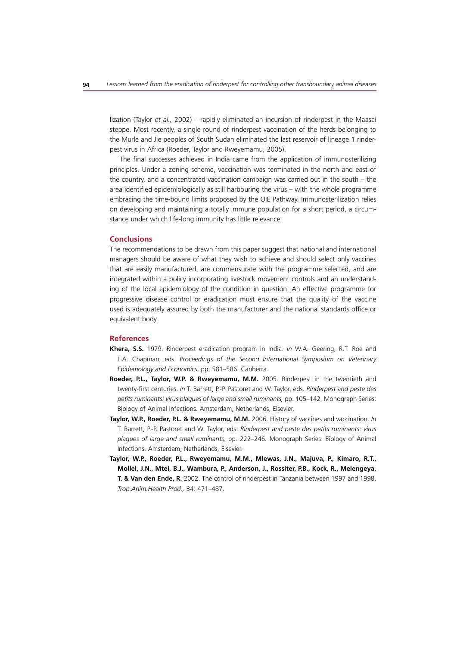lization (Taylor *et al.,* 2002) – rapidly eliminated an incursion of rinderpest in the Maasai steppe. Most recently, a single round of rinderpest vaccination of the herds belonging to the Murle and Jie peoples of South Sudan eliminated the last reservoir of lineage 1 rinderpest virus in Africa (Roeder, Taylor and Rweyemamu, 2005).

The final successes achieved in India came from the application of immunosterilizing principles. Under a zoning scheme, vaccination was terminated in the north and east of the country, and a concentrated vaccination campaign was carried out in the south – the area identified epidemiologically as still harbouring the virus – with the whole programme embracing the time-bound limits proposed by the OIE Pathway. Immunosterilization relies on developing and maintaining a totally immune population for a short period, a circumstance under which life-long immunity has little relevance.

#### **Conclusions**

The recommendations to be drawn from this paper suggest that national and international managers should be aware of what they wish to achieve and should select only vaccines that are easily manufactured, are commensurate with the programme selected, and are integrated within a policy incorporating livestock movement controls and an understanding of the local epidemiology of the condition in question. An effective programme for progressive disease control or eradication must ensure that the quality of the vaccine used is adequately assured by both the manufacturer and the national standards office or equivalent body.

# **References**

- **Khera, S.S.** 1979. Rinderpest eradication program in India. *In* W.A. Geering, R.T. Roe and L.A. Chapman, eds. *Proceedings of the Second International Symposium on Veterinary Epidemology and Economics*, pp. 581–586. Canberra.
- **Roeder, P.L., Taylor, W.P. & Rweyemamu, M.M.** 2005. Rinderpest in the twentieth and twenty-first centuries. *In* T. Barrett, P.-P. Pastoret and W. Taylor, eds. *Rinderpest and peste des petits ruminants: virus plagues of large and small ruminants,* pp. 105–142*.* Monograph Series: Biology of Animal Infections. Amsterdam, Netherlands, Elsevier.
- **Taylor, W.P., Roeder, P.L. & Rweyemamu, M.M.** 2006. History of vaccines and vaccination. *In* T. Barrett, P.-P. Pastoret and W. Taylor, eds. *Rinderpest and peste des petits ruminants: virus plagues of large and small ruminants,* pp. 222–246*.* Monograph Series: Biology of Animal Infections. Amsterdam, Netherlands, Elsevier.
- **Taylor, W.P., Roeder, P.L., Rweyemamu, M.M., Mlewas, J.N., Majuva, P., Kimaro, R.T., Mollel, J.N., Mtei, B.J., Wambura, P., Anderson, J., Rossiter, P.B., Kock, R., Melengeya, T. & Van den Ende, R.** 2002. The control of rinderpest in Tanzania between 1997 and 1998. *Trop.Anim.Health Prod.,* 34: 471–487.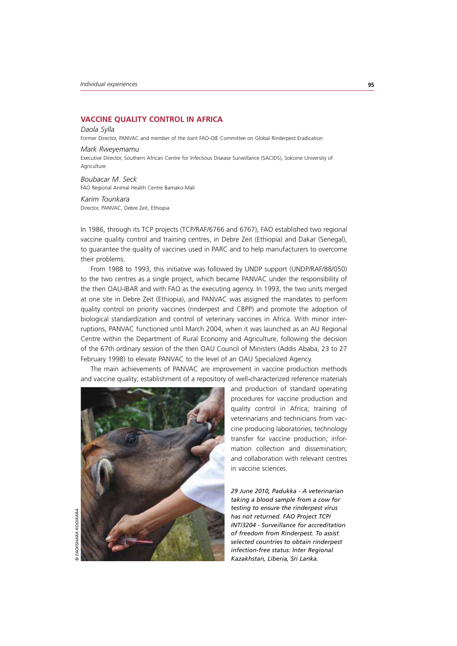*Daola Sylla*

# **VACCINE QUALITY CONTROL IN AFRICA**

Former Director, PANVAC and member of the Joint FAO-OIE Committee on Global Rinderpest Eradication

*Mark Rweyemamu* Executive Director, Southern African Centre for Infectious Disease Surveillance (SACIDS), Sokoine University of **Agriculture** 

*Boubacar M. Seck* FAO Regional Animal Health Centre Bamako-Mali

*Karim Tounkara* Director, PANVAC, Debre Zeit, Ethiopia

In 1986, through its TCP projects (TCP/RAF/6766 and 6767), FAO established two regional vaccine quality control and training centres, in Debre Zeit (Ethiopia) and Dakar (Senegal), to guarantee the quality of vaccines used in PARC and to help manufacturers to overcome their problems.

From 1988 to 1993, this initiative was followed by UNDP support (UNDP/RAF/88/050) to the two centres as a single project, which became PANVAC under the responsibility of the then OAU-IBAR and with FAO as the executing agency. In 1993, the two units merged at one site in Debre Zeit (Ethiopia), and PANVAC was assigned the mandates to perform quality control on priority vaccines (rinderpest and CBPP) and promote the adoption of biological standardization and control of veterinary vaccines in Africa. With minor interruptions, PANVAC functioned until March 2004, when it was launched as an AU Regional Centre within the Department of Rural Economy and Agriculture, following the decision of the 67th ordinary session of the then OAU Council of Ministers (Addis Ababa, 23 to 27 February 1998) to elevate PANVAC to the level of an OAU Specialized Agency.

The main achievements of PANVAC are improvement in vaccine production methods and vaccine quality; establishment of a repository of well-characterized reference materials



and production of standard operating procedures for vaccine production and quality control in Africa; training of veterinarians and technicians from vaccine producing laboratories; technology transfer for vaccine production; information collection and dissemination; and collaboration with relevant centres in vaccine sciences.

*29 June 2010, Padukka - A veterinarian taking a blood sample from a cow for testing to ensure the rinderpest virus has not returned. FAO Project TCP/ INT/3204 - Surveillance for accreditation of freedom from Rinderpest. To assist selected countries to obtain rinderpest infection-free status: Inter Regional Kazakhstan, Liberia, Sri Lanka.*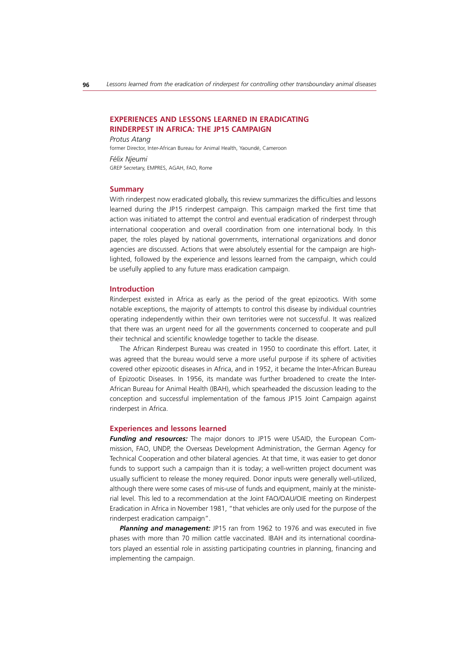# **EXPERIENCES AND LESSONS LEARNED IN ERADICATING RINDERPEST IN AFRICA: THE JP15 CAMPAIGN**

*Protus Atang* former Director, Inter-African Bureau for Animal Health, Yaoundé, Cameroon *Félix Njeumi* GREP Secretary, EMPRES, AGAH, FAO, Rome

## **Summary**

With rinderpest now eradicated globally, this review summarizes the difficulties and lessons learned during the JP15 rinderpest campaign. This campaign marked the first time that action was initiated to attempt the control and eventual eradication of rinderpest through international cooperation and overall coordination from one international body. In this paper, the roles played by national governments, international organizations and donor agencies are discussed. Actions that were absolutely essential for the campaign are highlighted, followed by the experience and lessons learned from the campaign, which could be usefully applied to any future mass eradication campaign.

#### **Introduction**

Rinderpest existed in Africa as early as the period of the great epizootics. With some notable exceptions, the majority of attempts to control this disease by individual countries operating independently within their own territories were not successful. It was realized that there was an urgent need for all the governments concerned to cooperate and pull their technical and scientific knowledge together to tackle the disease.

The African Rinderpest Bureau was created in 1950 to coordinate this effort. Later, it was agreed that the bureau would serve a more useful purpose if its sphere of activities covered other epizootic diseases in Africa, and in 1952, it became the Inter-African Bureau of Epizootic Diseases. In 1956, its mandate was further broadened to create the Inter-African Bureau for Animal Health (IBAH), which spearheaded the discussion leading to the conception and successful implementation of the famous JP15 Joint Campaign against rinderpest in Africa.

## **Experiences and lessons learned**

*Funding and resources:* The major donors to JP15 were USAID, the European Commission, FAO, UNDP, the Overseas Development Administration, the German Agency for Technical Cooperation and other bilateral agencies. At that time, it was easier to get donor funds to support such a campaign than it is today; a well-written project document was usually sufficient to release the money required. Donor inputs were generally well-utilized, although there were some cases of mis-use of funds and equipment, mainly at the ministerial level. This led to a recommendation at the Joint FAO/OAU/OIE meeting on Rinderpest Eradication in Africa in November 1981, "that vehicles are only used for the purpose of the rinderpest eradication campaign".

**Planning and management:** JP15 ran from 1962 to 1976 and was executed in five phases with more than 70 million cattle vaccinated. IBAH and its international coordinators played an essential role in assisting participating countries in planning, financing and implementing the campaign.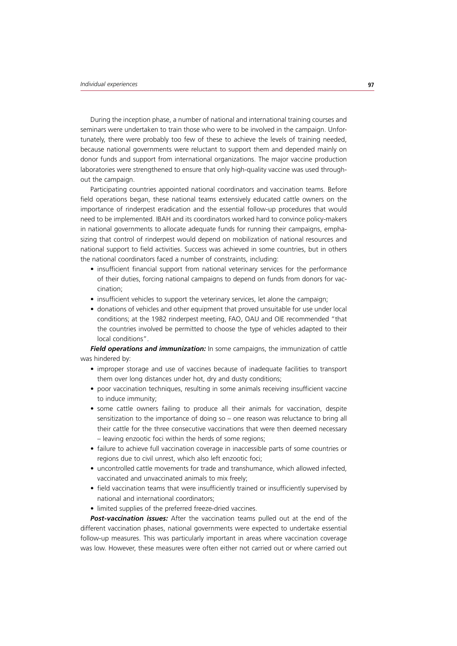During the inception phase, a number of national and international training courses and seminars were undertaken to train those who were to be involved in the campaign. Unfortunately, there were probably too few of these to achieve the levels of training needed, because national governments were reluctant to support them and depended mainly on donor funds and support from international organizations. The major vaccine production laboratories were strengthened to ensure that only high-quality vaccine was used throughout the campaign.

Participating countries appointed national coordinators and vaccination teams. Before field operations began, these national teams extensively educated cattle owners on the importance of rinderpest eradication and the essential follow-up procedures that would need to be implemented. IBAH and its coordinators worked hard to convince policy-makers in national governments to allocate adequate funds for running their campaigns, emphasizing that control of rinderpest would depend on mobilization of national resources and national support to field activities. Success was achieved in some countries, but in others the national coordinators faced a number of constraints, including:

- insufficient financial support from national veterinary services for the performance of their duties, forcing national campaigns to depend on funds from donors for vaccination;
- insufficient vehicles to support the veterinary services, let alone the campaign;
- donations of vehicles and other equipment that proved unsuitable for use under local conditions; at the 1982 rinderpest meeting, FAO, OAU and OIE recommended "that the countries involved be permitted to choose the type of vehicles adapted to their local conditions".

**Field operations and immunization:** In some campaigns, the immunization of cattle was hindered by:

- improper storage and use of vaccines because of inadequate facilities to transport them over long distances under hot, dry and dusty conditions;
- poor vaccination techniques, resulting in some animals receiving insufficient vaccine to induce immunity;
- some cattle owners failing to produce all their animals for vaccination, despite sensitization to the importance of doing so – one reason was reluctance to bring all their cattle for the three consecutive vaccinations that were then deemed necessary – leaving enzootic foci within the herds of some regions;
- failure to achieve full vaccination coverage in inaccessible parts of some countries or regions due to civil unrest, which also left enzootic foci;
- uncontrolled cattle movements for trade and transhumance, which allowed infected, vaccinated and unvaccinated animals to mix freely;
- field vaccination teams that were insufficiently trained or insufficiently supervised by national and international coordinators;
- limited supplies of the preferred freeze-dried vaccines.

*Post-vaccination issues:* After the vaccination teams pulled out at the end of the different vaccination phases, national governments were expected to undertake essential follow-up measures. This was particularly important in areas where vaccination coverage was low. However, these measures were often either not carried out or where carried out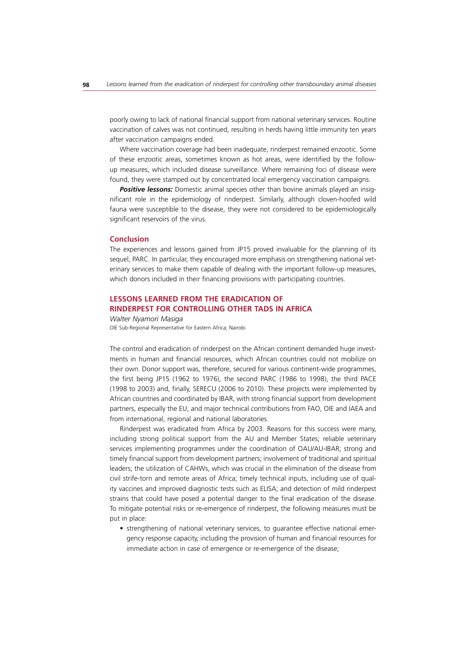poorly owing to lack of national financial support from national veterinary services. Routine vaccination of calves was not continued, resulting in herds having little immunity ten years after vaccination campaigns ended.

Where vaccination coverage had been inadequate, rinderpest remained enzootic. Some of these enzootic areas, sometimes known as hot areas, were identified by the followup measures, which included disease surveillance. Where remaining foci of disease were found, they were stamped out by concentrated local emergency vaccination campaigns.

**Positive lessons:** Domestic animal species other than bovine animals played an insignificant role in the epidemiology of rinderpest. Similarly, although cloven-hoofed wild fauna were susceptible to the disease, they were not considered to be epidemiologically significant reservoirs of the virus.

## **Conclusion**

The experiences and lessons gained from JP15 proved invaluable for the planning of its sequel, PARC. In particular, they encouraged more emphasis on strengthening national veterinary services to make them capable of dealing with the important follow-up measures, which donors included in their financing provisions with participating countries.

# **LESSONS LEARNED FROM THE ERADICATION OF RINDERPEST FOR CONTROLLING OTHER TADS IN AFRICA**

*Walter Nyamori Masiga* OIE Sub-Regional Representative for Eastern Africa, Nairobi

The control and eradication of rinderpest on the African continent demanded huge investments in human and financial resources, which African countries could not mobilize on their own. Donor support was, therefore, secured for various continent-wide programmes, the first being JP15 (1962 to 1976), the second PARC (1986 to 1998), the third PACE (1998 to 2003) and, finally, SERECU (2006 to 2010). These projects were implemented by African countries and coordinated by IBAR, with strong financial support from development partners, especially the EU, and major technical contributions from FAO, OIE and IAEA and from international, regional and national laboratories.

Rinderpest was eradicated from Africa by 2003. Reasons for this success were many, including strong political support from the AU and Member States; reliable veterinary services implementing programmes under the coordination of OAU/AU-IBAR; strong and timely financial support from development partners; involvement of traditional and spiritual leaders; the utilization of CAHWs, which was crucial in the elimination of the disease from civil strife-torn and remote areas of Africa; timely technical inputs, including use of quality vaccines and improved diagnostic tests such as ELISA; and detection of mild rinderpest strains that could have posed a potential danger to the final eradication of the disease. To mitigate potential risks or re-emergence of rinderpest, the following measures must be put in place:

• strengthening of national veterinary services, to guarantee effective national emergency response capacity, including the provision of human and financial resources for immediate action in case of emergence or re-emergence of the disease;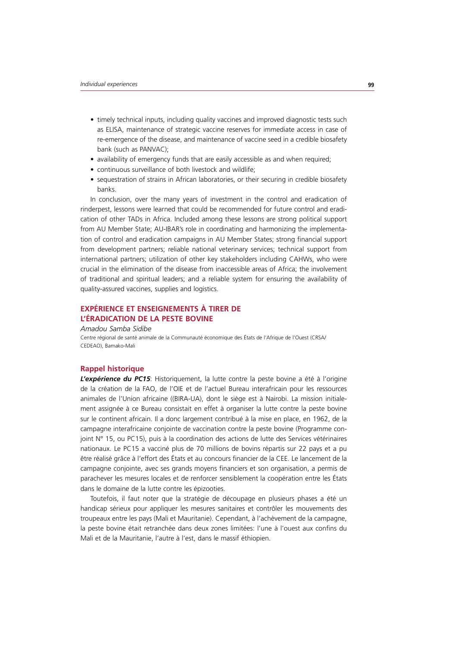- timely technical inputs, including quality vaccines and improved diagnostic tests such as ELISA, maintenance of strategic vaccine reserves for immediate access in case of re-emergence of the disease, and maintenance of vaccine seed in a credible biosafety bank (such as PANVAC);
- availability of emergency funds that are easily accessible as and when required;
- continuous surveillance of both livestock and wildlife:
- sequestration of strains in African laboratories, or their securing in credible biosafety banks.

In conclusion, over the many years of investment in the control and eradication of rinderpest, lessons were learned that could be recommended for future control and eradication of other TADs in Africa. Included among these lessons are strong political support from AU Member State; AU-IBAR's role in coordinating and harmonizing the implementation of control and eradication campaigns in AU Member States; strong financial support from development partners; reliable national veterinary services; technical support from international partners; utilization of other key stakeholders including CAHWs, who were crucial in the elimination of the disease from inaccessible areas of Africa; the involvement of traditional and spiritual leaders; and a reliable system for ensuring the availability of quality-assured vaccines, supplies and logistics.

# **EXPÉRIENCE ET ENSEIGNEMENTS À TIRER DE L'ÉRADICATION DE LA PESTE BOVINE**

#### *Amadou Samba Sidibe*

Centre régional de santé animale de la Communauté économique des États de l'Afrique de l'Ouest (CRSA/ CEDEAO), Bamako-Mali

# **Rappel historique**

*L'expérience du PC15*: Historiquement, la lutte contre la peste bovine a été à l'origine de la création de la FAO, de l'OIE et de l'actuel Bureau interafricain pour les ressources animales de l'Union africaine ((BIRA-UA), dont le siège est à Nairobi. La mission initialement assignée à ce Bureau consistait en effet à organiser la lutte contre la peste bovine sur le continent africain. Il a donc largement contribué à la mise en place, en 1962, de la campagne interafricaine conjointe de vaccination contre la peste bovine (Programme conjoint N° 15, ou PC15), puis à la coordination des actions de lutte des Services vétérinaires nationaux. Le PC15 a vacciné plus de 70 millions de bovins répartis sur 22 pays et a pu être réalisé grâce à l'effort des États et au concours financier de la CEE. Le lancement de la campagne conjointe, avec ses grands moyens financiers et son organisation, a permis de parachever les mesures locales et de renforcer sensiblement la coopération entre les États dans le domaine de la lutte contre les épizooties.

Toutefois, il faut noter que la stratégie de découpage en plusieurs phases a été un handicap sérieux pour appliquer les mesures sanitaires et contrôler les mouvements des troupeaux entre les pays (Mali et Mauritanie). Cependant, à l'achèvement de la campagne, la peste bovine était retranchée dans deux zones limitées: l'une à l'ouest aux confins du Mali et de la Mauritanie, l'autre à l'est, dans le massif éthiopien.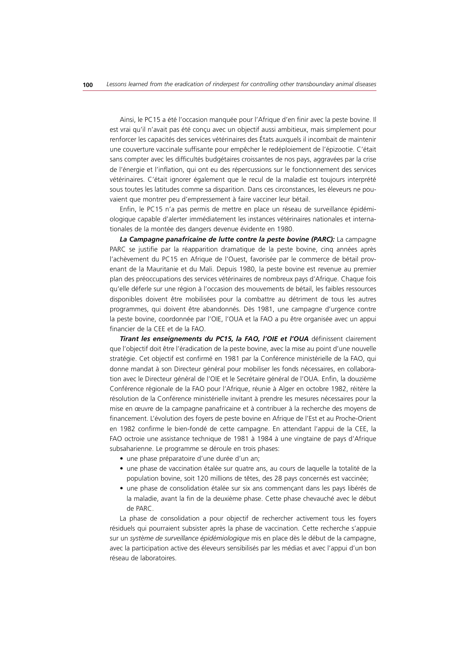Ainsi, le PC15 a été l'occasion manquée pour l'Afrique d'en finir avec la peste bovine. Il est vrai qu'il n'avait pas été conçu avec un objectif aussi ambitieux, mais simplement pour renforcer les capacités des services vétérinaires des États auxquels il incombait de maintenir une couverture vaccinale suffisante pour empêcher le redéploiement de l'épizootie. C'était sans compter avec les difficultés budgétaires croissantes de nos pays, aggravées par la crise de l'énergie et l'inflation, qui ont eu des répercussions sur le fonctionnement des services vétérinaires. C'était ignorer également que le recul de la maladie est toujours interprété sous toutes les latitudes comme sa disparition. Dans ces circonstances, les éleveurs ne pouvaient que montrer peu d'empressement à faire vacciner leur bétail.

Enfin, le PC15 n'a pas permis de mettre en place un réseau de surveillance épidémiologique capable d'alerter immédiatement les instances vétérinaires nationales et internationales de la montée des dangers devenue évidente en 1980.

La Campagne panafricaine de lutte contre la peste bovine (PARC): La campagne PARC se justifie par la réapparition dramatique de la peste bovine, cinq années après l'achèvement du PC15 en Afrique de l'Ouest, favorisée par le commerce de bétail provenant de la Mauritanie et du Mali. Depuis 1980, la peste bovine est revenue au premier plan des préoccupations des services vétérinaires de nombreux pays d'Afrique. Chaque fois qu'elle déferle sur une région à l'occasion des mouvements de bétail, les faibles ressources disponibles doivent être mobilisées pour la combattre au détriment de tous les autres programmes, qui doivent être abandonnés. Dès 1981, une campagne d'urgence contre la peste bovine, coordonnée par l'OIE, l'OUA et la FAO a pu être organisée avec un appui financier de la CEE et de la FAO.

*Tirant les enseignements du PC15, la FAO, l'OIE et l'OUA* définissent clairement que l'objectif doit être l'éradication de la peste bovine, avec la mise au point d'une nouvelle stratégie. Cet objectif est confirmé en 1981 par la Conférence ministérielle de la FAO, qui donne mandat à son Directeur général pour mobiliser les fonds nécessaires, en collaboration avec le Directeur général de l'OIE et le Secrétaire général de l'OUA. Enfin, la douzième Conférence régionale de la FAO pour l'Afrique, réunie à Alger en octobre 1982, réitère la résolution de la Conférence ministérielle invitant à prendre les mesures nécessaires pour la mise en œuvre de la campagne panafricaine et à contribuer à la recherche des moyens de financement. L'évolution des foyers de peste bovine en Afrique de l'Est et au Proche-Orient en 1982 confirme le bien-fondé de cette campagne. En attendant l'appui de la CEE, la FAO octroie une assistance technique de 1981 à 1984 à une vingtaine de pays d'Afrique subsaharienne. Le programme se déroule en trois phases:

- une phase préparatoire d'une durée d'un an;
- une phase de vaccination étalée sur quatre ans, au cours de laquelle la totalité de la population bovine, soit 120 millions de têtes, des 28 pays concernés est vaccinée;
- une phase de consolidation étalée sur six ans commençant dans les pays libérés de la maladie, avant la fin de la deuxième phase. Cette phase chevauché avec le début de PARC.

La phase de consolidation a pour objectif de rechercher activement tous les foyers résiduels qui pourraient subsister après la phase de vaccination. Cette recherche s'appuie sur un *système de surveillance épidémiologique* mis en place dès le début de la campagne, avec la participation active des éleveurs sensibilisés par les médias et avec l'appui d'un bon réseau de laboratoires.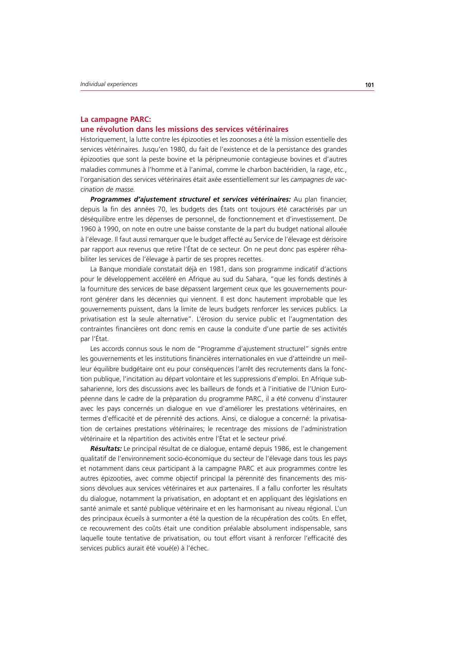#### **La campagne PARC:**

#### **une révolution dans les missions des services vétérinaires**

Historiquement, la lutte contre les épizooties et les zoonoses a été la mission essentielle des services vétérinaires. Jusqu'en 1980, du fait de l'existence et de la persistance des grandes épizooties que sont la peste bovine et la péripneumonie contagieuse bovines et d'autres maladies communes à l'homme et à l'animal, comme le charbon bactéridien, la rage, etc., l'organisation des services vétérinaires était axée essentiellement sur les *campagnes de vaccination de masse.* 

**Programmes d'ajustement structurel et services vétérinaires:** Au plan financier, depuis la fin des années 70, les budgets des États ont toujours été caractérisés par un déséquilibre entre les dépenses de personnel, de fonctionnement et d'investissement. De 1960 à 1990, on note en outre une baisse constante de la part du budget national allouée à l'élevage. Il faut aussi remarquer que le budget affecté au Service de l'élevage est dérisoire par rapport aux revenus que retire l'État de ce secteur. On ne peut donc pas espérer réhabiliter les services de l'élevage à partir de ses propres recettes.

La Banque mondiale constatait déjà en 1981, dans son programme indicatif d'actions pour le développement accéléré en Afrique au sud du Sahara, "que les fonds destinés à la fourniture des services de base dépassent largement ceux que les gouvernements pourront générer dans les décennies qui viennent. Il est donc hautement improbable que les gouvernements puissent, dans la limite de leurs budgets renforcer les services publics. La privatisation est la seule alternative". L'érosion du service public et l'augmentation des contraintes financières ont donc remis en cause la conduite d'une partie de ses activités par l'État.

Les accords connus sous le nom de "Programme d'ajustement structurel" signés entre les gouvernements et les institutions financières internationales en vue d'atteindre un meilleur équilibre budgétaire ont eu pour conséquences l'arrêt des recrutements dans la fonction publique, l'incitation au départ volontaire et les suppressions d'emploi. En Afrique subsaharienne, lors des discussions avec les bailleurs de fonds et à l'initiative de l'Union Européenne dans le cadre de la préparation du programme PARC, il a été convenu d'instaurer avec les pays concernés un dialogue en vue d'améliorer les prestations vétérinaires, en termes d'efficacité et de pérennité des actions. Ainsi, ce dialogue a concerné: la privatisation de certaines prestations vétérinaires; le recentrage des missions de l'administration vétérinaire et la répartition des activités entre l'État et le secteur privé.

*Résultats:* Le principal résultat de ce dialogue, entamé depuis 1986, est le changement qualitatif de l'environnement socio-économique du secteur de l'élevage dans tous les pays et notamment dans ceux participant à la campagne PARC et aux programmes contre les autres épizooties, avec comme objectif principal la pérennité des financements des missions dévolues aux services vétérinaires et aux partenaires. Il a fallu conforter les résultats du dialogue, notamment la privatisation, en adoptant et en appliquant des législations en santé animale et santé publique vétérinaire et en les harmonisant au niveau régional. L'un des principaux écueils à surmonter a été la question de la récupération des coûts. En effet, ce recouvrement des coûts était une condition préalable absolument indispensable, sans laquelle toute tentative de privatisation, ou tout effort visant à renforcer l'efficacité des services publics aurait été voué(e) à l'échec.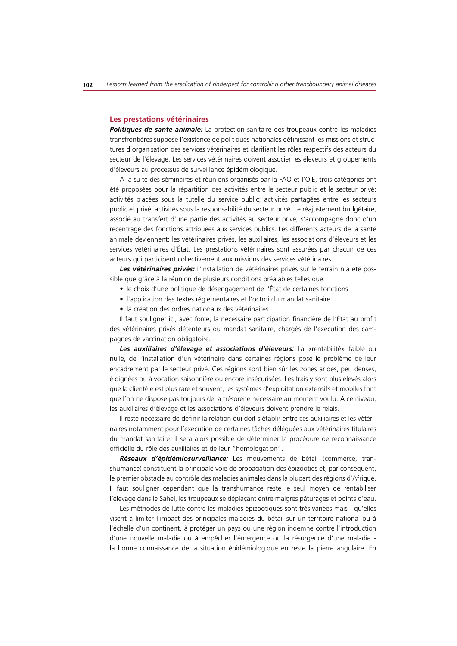#### **Les prestations vétérinaires**

*Politiques de santé animale:* La protection sanitaire des troupeaux contre les maladies transfrontières suppose l'existence de politiques nationales définissant les missions et structures d'organisation des services vétérinaires et clarifiant les rôles respectifs des acteurs du secteur de l'élevage. Les services vétérinaires doivent associer les éleveurs et groupements d'éleveurs au processus de surveillance épidémiologique.

A la suite des séminaires et réunions organisés par la FAO et l'OIE, trois catégories ont été proposées pour la répartition des activités entre le secteur public et le secteur privé: activités placées sous la tutelle du service public; activités partagées entre les secteurs public et privé; activités sous la responsabilité du secteur privé. Le réajustement budgétaire, associé au transfert d'une partie des activités au secteur privé, s'accompagne donc d'un recentrage des fonctions attribuées aux services publics. Les différents acteurs de la santé animale deviennent: les vétérinaires privés, les auxiliaires, les associations d'éleveurs et les services vétérinaires d'État. Les prestations vétérinaires sont assurées par chacun de ces acteurs qui participent collectivement aux missions des services vétérinaires.

*Les vétérinaires privés:* L'installation de vétérinaires privés sur le terrain n'a été possible que grâce à la réunion de plusieurs conditions préalables telles que:

- le choix d'une politique de désengagement de l'État de certaines fonctions
- l'application des textes réglementaires et l'octroi du mandat sanitaire
- la création des ordres nationaux des vétérinaires

Il faut souligner ici, avec force, la nécessaire participation financière de l'État au profit des vétérinaires privés détenteurs du mandat sanitaire, chargés de l'exécution des campagnes de vaccination obligatoire.

*Les auxiliaires d'élevage et associations d'éleveurs:* La «rentabilité» faible ou nulle, de l'installation d'un vétérinaire dans certaines régions pose le problème de leur encadrement par le secteur privé. Ces régions sont bien sûr les zones arides, peu denses, éloignées ou à vocation saisonnière ou encore insécurisées. Les frais y sont plus élevés alors que la clientèle est plus rare et souvent, les systèmes d'exploitation extensifs et mobiles font que l'on ne dispose pas toujours de la trésorerie nécessaire au moment voulu. A ce niveau, les auxiliaires d'élevage et les associations d'éleveurs doivent prendre le relais.

Il reste nécessaire de définir la relation qui doit s'établir entre ces auxiliaires et les vétérinaires notamment pour l'exécution de certaines tâches déléguées aux vétérinaires titulaires du mandat sanitaire. Il sera alors possible de déterminer la procédure de reconnaissance officielle du rôle des auxiliaires et de leur "homologation".

*Réseaux d'épidémiosurveillance:* Les mouvements de bétail (commerce, transhumance) constituent la principale voie de propagation des épizooties et, par conséquent, le premier obstacle au contrôle des maladies animales dans la plupart des régions d'Afrique. Il faut souligner cependant que la transhumance reste le seul moyen de rentabiliser l'élevage dans le Sahel, les troupeaux se déplaçant entre maigres pâturages et points d'eau.

Les méthodes de lutte contre les maladies épizootiques sont très variées mais - qu'elles visent à limiter l'impact des principales maladies du bétail sur un territoire national ou à l'échelle d'un continent, à protéger un pays ou une région indemne contre l'introduction d'une nouvelle maladie ou à empêcher l'émergence ou la résurgence d'une maladie la bonne connaissance de la situation épidémiologique en reste la pierre angulaire. En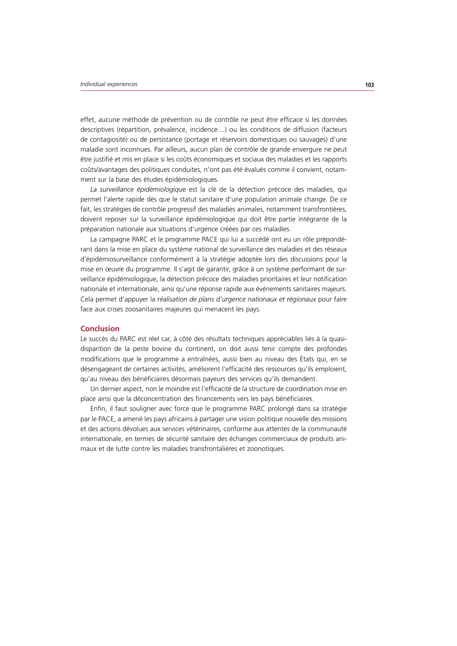effet, aucune méthode de prévention ou de contrôle ne peut être efficace si les données descriptives (répartition, prévalence, incidence…) ou les conditions de diffusion (facteurs de contagiosité) ou de persistance (portage et réservoirs domestiques ou sauvages) d'une maladie sont inconnues. Par ailleurs, aucun plan de contrôle de grande envergure ne peut être justifié et mis en place si les coûts économiques et sociaux des maladies et les rapports coûts/avantages des politiques conduites, n'ont pas été évalués comme il convient, notamment sur la base des études épidémiologiques.

*La surveillance épidémiologique* est la clé de la détection précoce des maladies, qui permet l'alerte rapide dès que le statut sanitaire d'une population animale change. De ce fait, les stratégies de contrôle progressif des maladies animales, notamment transfrontières, doivent reposer sur la surveillance épidémiologique qui doit être partie intégrante de la préparation nationale aux situations d'urgence créées par ces maladies.

La campagne PARC et le programme PACE qui lui a succédé ont eu un rôle prépondérant dans la mise en place du système national de surveillance des maladies et des réseaux d'épidémiosurveillance conformément à la stratégie adoptée lors des discussions pour la mise en œuvre du programme. Il s'agit de garantir, grâce à un système performant de surveillance épidémiologique, la détection précoce des maladies prioritaires et leur notification nationale et internationale, ainsi qu'une réponse rapide aux événements sanitaires majeurs. Cela permet d'appuyer la *réalisation de plans d'urgence nationaux et régionaux* pour faire face aux crises zoosanitaires majeures qui menacent les pays.

## **Conclusion**

Le succès du PARC est réel car, à côté des résultats techniques appréciables liés à la quasidisparition de la peste bovine du continent, on doit aussi tenir compte des profondes modifications que le programme a entraînées, aussi bien au niveau des États qui, en se désengageant de certaines activités, améliorent l'efficacité des ressources qu'ils emploient, qu'au niveau des bénéficiaires désormais payeurs des services qu'ils demandent.

Un dernier aspect, non le moindre est l'efficacité de la structure de coordination mise en place ainsi que la déconcentration des financements vers les pays bénéficiaires.

Enfin, il faut souligner avec force que le programme PARC prolongé dans sa stratégie par le PACE, a amené les pays africains à partager une vision politique nouvelle des missions et des actions dévolues aux services vétérinaires, conforme aux attentes de la communauté internationale, en termes de sécurité sanitaire des échanges commerciaux de produits animaux et de lutte contre les maladies transfrontalières et zoonotiques.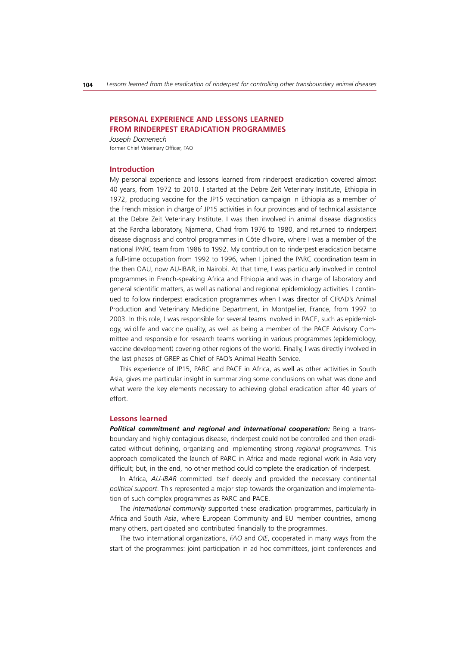## **PERSONAL EXPERIENCE AND LESSONS LEARNED FROM RINDERPEST ERADICATION PROGRAMMES**

*Joseph Domenech* former Chief Veterinary Officer, FAO

#### **Introduction**

My personal experience and lessons learned from rinderpest eradication covered almost 40 years, from 1972 to 2010. I started at the Debre Zeit Veterinary Institute, Ethiopia in 1972, producing vaccine for the JP15 vaccination campaign in Ethiopia as a member of the French mission in charge of JP15 activities in four provinces and of technical assistance at the Debre Zeit Veterinary Institute. I was then involved in animal disease diagnostics at the Farcha laboratory, Njamena, Chad from 1976 to 1980, and returned to rinderpest disease diagnosis and control programmes in Côte d'Ivoire, where I was a member of the national PARC team from 1986 to 1992. My contribution to rinderpest eradication became a full-time occupation from 1992 to 1996, when I joined the PARC coordination team in the then OAU, now AU-IBAR, in Nairobi. At that time, I was particularly involved in control programmes in French-speaking Africa and Ethiopia and was in charge of laboratory and general scientific matters, as well as national and regional epidemiology activities. I continued to follow rinderpest eradication programmes when I was director of CIRAD's Animal Production and Veterinary Medicine Department, in Montpellier, France, from 1997 to 2003. In this role, I was responsible for several teams involved in PACE, such as epidemiology, wildlife and vaccine quality, as well as being a member of the PACE Advisory Committee and responsible for research teams working in various programmes (epidemiology, vaccine development) covering other regions of the world. Finally, I was directly involved in the last phases of GREP as Chief of FAO's Animal Health Service.

This experience of JP15, PARC and PACE in Africa, as well as other activities in South Asia, gives me particular insight in summarizing some conclusions on what was done and what were the key elements necessary to achieving global eradication after 40 years of effort.

#### **Lessons learned**

**Political commitment and regional and international cooperation:** Being a transboundary and highly contagious disease, rinderpest could not be controlled and then eradicated without defining, organizing and implementing strong *regional programmes*. This approach complicated the launch of PARC in Africa and made regional work in Asia very difficult; but, in the end, no other method could complete the eradication of rinderpest.

In Africa, *AU-IBAR* committed itself deeply and provided the necessary continental *political support*. This represented a major step towards the organization and implementation of such complex programmes as PARC and PACE.

The *international community* supported these eradication programmes, particularly in Africa and South Asia, where European Community and EU member countries, among many others, participated and contributed financially to the programmes.

The two international organizations, *FAO* and *OIE*, cooperated in many ways from the start of the programmes: joint participation in ad hoc committees, joint conferences and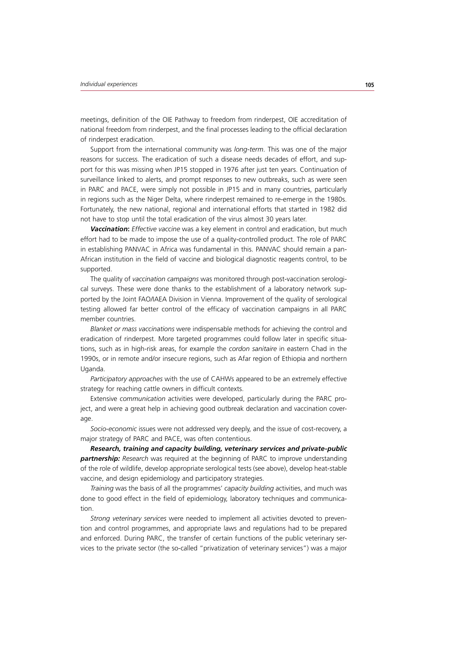meetings, definition of the OIE Pathway to freedom from rinderpest, OIE accreditation of national freedom from rinderpest, and the final processes leading to the official declaration of rinderpest eradication.

Support from the international community was *long-term*. This was one of the major reasons for success. The eradication of such a disease needs decades of effort, and support for this was missing when JP15 stopped in 1976 after just ten years. Continuation of surveillance linked to alerts, and prompt responses to new outbreaks, such as were seen in PARC and PACE, were simply not possible in JP15 and in many countries, particularly in regions such as the Niger Delta, where rinderpest remained to re-emerge in the 1980s. Fortunately, the new national, regional and international efforts that started in 1982 did not have to stop until the total eradication of the virus almost 30 years later.

*Vaccination: Effective vaccine* was a key element in control and eradication, but much effort had to be made to impose the use of a quality-controlled product. The role of PARC in establishing PANVAC in Africa was fundamental in this. PANVAC should remain a pan-African institution in the field of vaccine and biological diagnostic reagents control, to be supported.

The quality of *vaccination campaigns* was monitored through post-vaccination serological surveys. These were done thanks to the establishment of a laboratory network supported by the Joint FAO/IAEA Division in Vienna. Improvement of the quality of serological testing allowed far better control of the efficacy of vaccination campaigns in all PARC member countries.

*Blanket or mass vaccinations* were indispensable methods for achieving the control and eradication of rinderpest. More targeted programmes could follow later in specific situations, such as in high-risk areas, for example the *cordon sanitaire* in eastern Chad in the 1990s, or in remote and/or insecure regions, such as Afar region of Ethiopia and northern Uganda.

*Participatory approaches* with the use of CAHWs appeared to be an extremely effective strategy for reaching cattle owners in difficult contexts.

Extensive *communication* activities were developed, particularly during the PARC project, and were a great help in achieving good outbreak declaration and vaccination coverage.

*Socio-economic* issues were not addressed very deeply, and the issue of cost-recovery, a major strategy of PARC and PACE, was often contentious.

*Research, training and capacity building, veterinary services and private-public partnership: Research was required at the beginning of PARC to improve understanding* of the role of wildlife, develop appropriate serological tests (see above), develop heat-stable vaccine, and design epidemiology and participatory strategies.

*Training* was the basis of all the programmes' *capacity building* activities, and much was done to good effect in the field of epidemiology, laboratory techniques and communication.

*Strong veterinary services* were needed to implement all activities devoted to prevention and control programmes, and appropriate laws and regulations had to be prepared and enforced. During PARC, the transfer of certain functions of the public veterinary services to the private sector (the so-called "privatization of veterinary services") was a major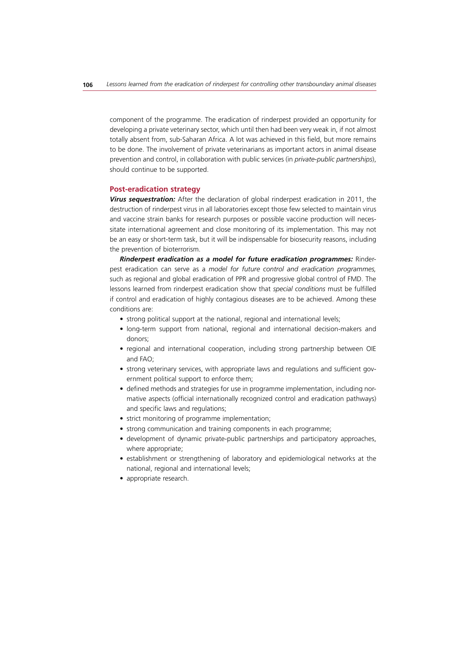component of the programme. The eradication of rinderpest provided an opportunity for developing a private veterinary sector, which until then had been very weak in, if not almost totally absent from, sub-Saharan Africa. A lot was achieved in this field, but more remains to be done. The involvement of private veterinarians as important actors in animal disease prevention and control, in collaboration with public services (in *private-public partnerships*), should continue to be supported.

#### **Post-eradication strategy**

*Virus sequestration:* After the declaration of global rinderpest eradication in 2011, the destruction of rinderpest virus in all laboratories except those few selected to maintain virus and vaccine strain banks for research purposes or possible vaccine production will necessitate international agreement and close monitoring of its implementation. This may not be an easy or short-term task, but it will be indispensable for biosecurity reasons, including the prevention of bioterrorism.

*Rinderpest eradication as a model for future eradication programmes:* Rinderpest eradication can serve as a *model for future control and eradication programmes,* such as regional and global eradication of PPR and progressive global control of FMD. The lessons learned from rinderpest eradication show that *special conditions* must be fulfilled if control and eradication of highly contagious diseases are to be achieved. Among these conditions are:

- strong political support at the national, regional and international levels;
- long-term support from national, regional and international decision-makers and donors;
- regional and international cooperation, including strong partnership between OIE and FAO;
- strong veterinary services, with appropriate laws and regulations and sufficient government political support to enforce them;
- defined methods and strategies for use in programme implementation, including normative aspects (official internationally recognized control and eradication pathways) and specific laws and regulations;
- strict monitoring of programme implementation;
- strong communication and training components in each programme;
- development of dynamic private-public partnerships and participatory approaches, where appropriate;
- establishment or strengthening of laboratory and epidemiological networks at the national, regional and international levels;
- appropriate research.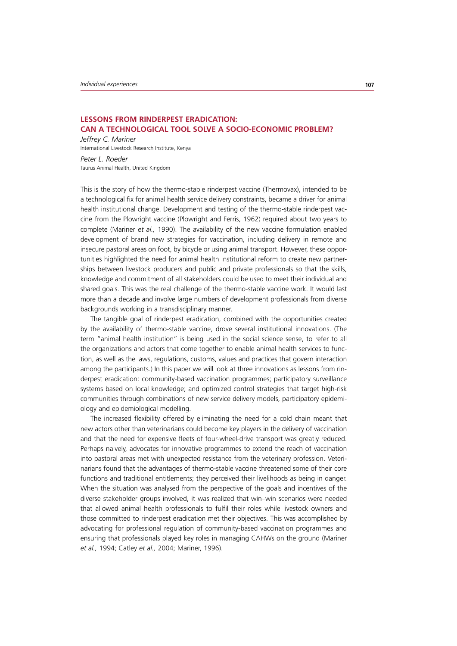## **LESSONS FROM RINDERPEST ERADICATION: CAN A TECHNOLOGICAL TOOL SOLVE A SOCIO-ECONOMIC PROBLEM?**

*Jeffrey C. Mariner* International Livestock Research Institute, Kenya

*Peter L. Roeder* Taurus Animal Health, United Kingdom

This is the story of how the thermo-stable rinderpest vaccine (Thermovax), intended to be a technological fix for animal health service delivery constraints, became a driver for animal health institutional change. Development and testing of the thermo-stable rinderpest vaccine from the Plowright vaccine (Plowright and Ferris, 1962) required about two years to complete (Mariner *et al.,* 1990). The availability of the new vaccine formulation enabled development of brand new strategies for vaccination, including delivery in remote and insecure pastoral areas on foot, by bicycle or using animal transport. However, these opportunities highlighted the need for animal health institutional reform to create new partnerships between livestock producers and public and private professionals so that the skills, knowledge and commitment of all stakeholders could be used to meet their individual and shared goals. This was the real challenge of the thermo-stable vaccine work. It would last more than a decade and involve large numbers of development professionals from diverse backgrounds working in a transdisciplinary manner.

The tangible goal of rinderpest eradication, combined with the opportunities created by the availability of thermo-stable vaccine, drove several institutional innovations. (The term "animal health institution" is being used in the social science sense, to refer to all the organizations and actors that come together to enable animal health services to function, as well as the laws, regulations, customs, values and practices that govern interaction among the participants.) In this paper we will look at three innovations as lessons from rinderpest eradication: community-based vaccination programmes; participatory surveillance systems based on local knowledge; and optimized control strategies that target high-risk communities through combinations of new service delivery models, participatory epidemiology and epidemiological modelling.

The increased flexibility offered by eliminating the need for a cold chain meant that new actors other than veterinarians could become key players in the delivery of vaccination and that the need for expensive fleets of four-wheel-drive transport was greatly reduced. Perhaps naively, advocates for innovative programmes to extend the reach of vaccination into pastoral areas met with unexpected resistance from the veterinary profession. Veterinarians found that the advantages of thermo-stable vaccine threatened some of their core functions and traditional entitlements; they perceived their livelihoods as being in danger. When the situation was analysed from the perspective of the goals and incentives of the diverse stakeholder groups involved, it was realized that win–win scenarios were needed that allowed animal health professionals to fulfil their roles while livestock owners and those committed to rinderpest eradication met their objectives. This was accomplished by advocating for professional regulation of community-based vaccination programmes and ensuring that professionals played key roles in managing CAHWs on the ground (Mariner *et al.,* 1994; Catley *et al.,* 2004; Mariner, 1996).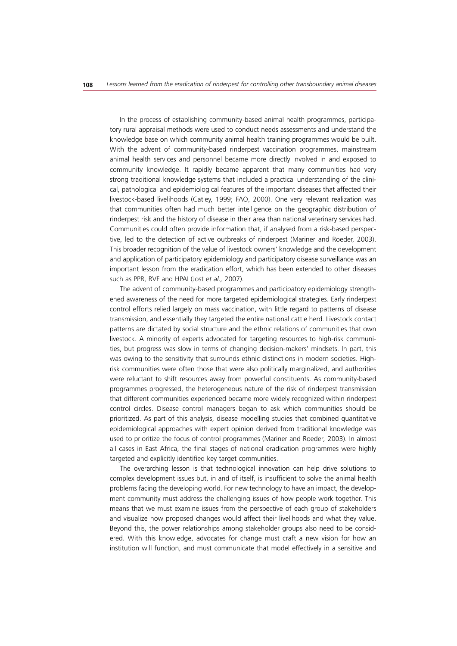In the process of establishing community-based animal health programmes, participatory rural appraisal methods were used to conduct needs assessments and understand the knowledge base on which community animal health training programmes would be built. With the advent of community-based rinderpest vaccination programmes, mainstream animal health services and personnel became more directly involved in and exposed to community knowledge. It rapidly became apparent that many communities had very strong traditional knowledge systems that included a practical understanding of the clinical, pathological and epidemiological features of the important diseases that affected their livestock-based livelihoods (Catley, 1999; FAO, 2000). One very relevant realization was that communities often had much better intelligence on the geographic distribution of rinderpest risk and the history of disease in their area than national veterinary services had. Communities could often provide information that, if analysed from a risk-based perspective, led to the detection of active outbreaks of rinderpest (Mariner and Roeder, 2003). This broader recognition of the value of livestock owners' knowledge and the development and application of participatory epidemiology and participatory disease surveillance was an important lesson from the eradication effort, which has been extended to other diseases such as PPR, RVF and HPAI (Jost *et al.,* 2007).

The advent of community-based programmes and participatory epidemiology strengthened awareness of the need for more targeted epidemiological strategies. Early rinderpest control efforts relied largely on mass vaccination, with little regard to patterns of disease transmission, and essentially they targeted the entire national cattle herd. Livestock contact patterns are dictated by social structure and the ethnic relations of communities that own livestock. A minority of experts advocated for targeting resources to high-risk communities, but progress was slow in terms of changing decision-makers' mindsets. In part, this was owing to the sensitivity that surrounds ethnic distinctions in modern societies. Highrisk communities were often those that were also politically marginalized, and authorities were reluctant to shift resources away from powerful constituents. As community-based programmes progressed, the heterogeneous nature of the risk of rinderpest transmission that different communities experienced became more widely recognized within rinderpest control circles. Disease control managers began to ask which communities should be prioritized. As part of this analysis, disease modelling studies that combined quantitative epidemiological approaches with expert opinion derived from traditional knowledge was used to prioritize the focus of control programmes (Mariner and Roeder*,* 2003). In almost all cases in East Africa, the final stages of national eradication programmes were highly targeted and explicitly identified key target communities.

The overarching lesson is that technological innovation can help drive solutions to complex development issues but, in and of itself, is insufficient to solve the animal health problems facing the developing world. For new technology to have an impact, the development community must address the challenging issues of how people work together. This means that we must examine issues from the perspective of each group of stakeholders and visualize how proposed changes would affect their livelihoods and what they value. Beyond this, the power relationships among stakeholder groups also need to be considered. With this knowledge, advocates for change must craft a new vision for how an institution will function, and must communicate that model effectively in a sensitive and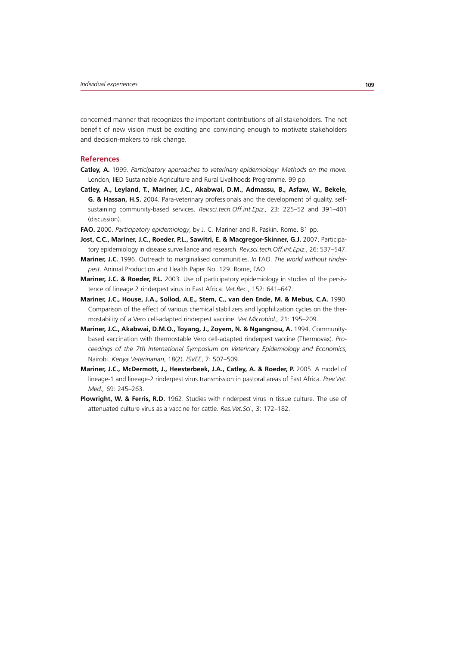concerned manner that recognizes the important contributions of all stakeholders. The net benefit of new vision must be exciting and convincing enough to motivate stakeholders and decision-makers to risk change.

#### **References**

- **Catley, A.** 1999. *Participatory approaches to veterinary epidemiology: Methods on the move.*  London, IIED Sustainable Agriculture and Rural Livelihoods Programme*.* 99 pp.
- **Catley, A., Leyland, T., Mariner, J.C., Akabwai, D.M., Admassu, B., Asfaw, W., Bekele, G. & Hassan, H.S.** 2004. Para-veterinary professionals and the development of quality, selfsustaining community-based services. *Rev.sci.tech.Off.int.Epiz.,* 23: 225–52 and 391–401 (discussion).
- **FAO.** 2000. *Participatory epidemiology*, by J. C. Mariner and R. Paskin. Rome. 81 pp.
- **Jost, C.C., Mariner, J.C., Roeder, P.L., Sawitri, E. & Macgregor-Skinner, G.J.** 2007. Participatory epidemiology in disease surveillance and research. *Rev.sci.tech.Off.int.Epiz*., 26: 537–547.
- **Mariner, J.C.** 1996. Outreach to marginalised communities. *In* FAO. *The world without rinderpest*. Animal Production and Health Paper No. 129. Rome, FAO.
- **Mariner, J.C. & Roeder, P.L.** 2003. Use of participatory epidemiology in studies of the persistence of lineage 2 rinderpest virus in East Africa. *Vet.Rec.,* 152: 641–647.
- **Mariner, J.C., House, J.A., Sollod, A.E., Stem, C., van den Ende, M. & Mebus, C.A.** 1990. Comparison of the effect of various chemical stabilizers and lyophilization cycles on the thermostability of a Vero cell-adapted rinderpest vaccine. *Vet.Microbiol.,* 21: 195–209.
- Mariner, J.C., Akabwai, D.M.O., Toyang, J., Zoyem, N. & Ngangnou, A. 1994. Communitybased vaccination with thermostable Vero cell-adapted rinderpest vaccine (Thermovax). *Proceedings of the 7th International Symposium on Veterinary Epidemiology and Economics*, Nairobi. *Kenya Veterinarian*, 18(2). *ISVEE*, 7: 507–509.
- Mariner, J.C., McDermott, J., Heesterbeek, J.A., Catley, A. & Roeder, P. 2005. A model of lineage-1 and lineage-2 rinderpest virus transmission in pastoral areas of East Africa. *Prev.Vet. Med.,* 69: 245–263.
- **Plowright, W. & Ferris, R.D.** 1962. Studies with rinderpest virus in tissue culture. The use of attenuated culture virus as a vaccine for cattle. *Res.Vet.Sci.,* 3: 172–182.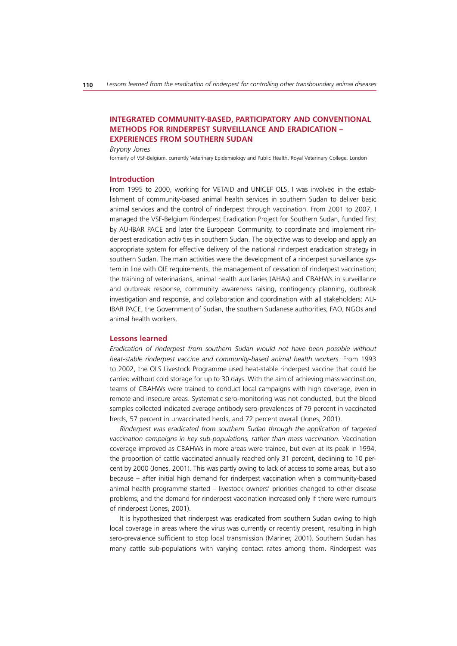## **INTEGRATED COMMUNITY-BASED, PARTICIPATORY AND CONVENTIONAL METHODS FOR RINDERPEST SURVEILLANCE AND ERADICATION – EXPERIENCES FROM SOUTHERN SUDAN**

*Bryony Jones*

formerly of VSF-Belgium, currently Veterinary Epidemiology and Public Health, Royal Veterinary College, London

#### **Introduction**

From 1995 to 2000, working for VETAID and UNICEF OLS, I was involved in the establishment of community-based animal health services in southern Sudan to deliver basic animal services and the control of rinderpest through vaccination. From 2001 to 2007, I managed the VSF-Belgium Rinderpest Eradication Project for Southern Sudan, funded first by AU-IBAR PACE and later the European Community, to coordinate and implement rinderpest eradication activities in southern Sudan. The objective was to develop and apply an appropriate system for effective delivery of the national rinderpest eradication strategy in southern Sudan. The main activities were the development of a rinderpest surveillance system in line with OIE requirements; the management of cessation of rinderpest vaccination; the training of veterinarians, animal health auxiliaries (AHAs) and CBAHWs in surveillance and outbreak response, community awareness raising, contingency planning, outbreak investigation and response, and collaboration and coordination with all stakeholders: AU-IBAR PACE, the Government of Sudan, the southern Sudanese authorities, FAO, NGOs and animal health workers.

#### **Lessons learned**

*Eradication of rinderpest from southern Sudan would not have been possible without heat-stable rinderpest vaccine and community-based animal health workers.* From 1993 to 2002, the OLS Livestock Programme used heat-stable rinderpest vaccine that could be carried without cold storage for up to 30 days. With the aim of achieving mass vaccination, teams of CBAHWs were trained to conduct local campaigns with high coverage, even in remote and insecure areas. Systematic sero-monitoring was not conducted, but the blood samples collected indicated average antibody sero-prevalences of 79 percent in vaccinated herds, 57 percent in unvaccinated herds, and 72 percent overall (Jones, 2001).

*Rinderpest was eradicated from southern Sudan through the application of targeted*  vaccination campaigns in key sub-populations, rather than mass vaccination. Vaccination coverage improved as CBAHWs in more areas were trained, but even at its peak in 1994, the proportion of cattle vaccinated annually reached only 31 percent, declining to 10 percent by 2000 (Jones, 2001). This was partly owing to lack of access to some areas, but also because – after initial high demand for rinderpest vaccination when a community-based animal health programme started – livestock owners' priorities changed to other disease problems, and the demand for rinderpest vaccination increased only if there were rumours of rinderpest (Jones, 2001).

It is hypothesized that rinderpest was eradicated from southern Sudan owing to high local coverage in areas where the virus was currently or recently present, resulting in high sero-prevalence sufficient to stop local transmission (Mariner, 2001). Southern Sudan has many cattle sub-populations with varying contact rates among them. Rinderpest was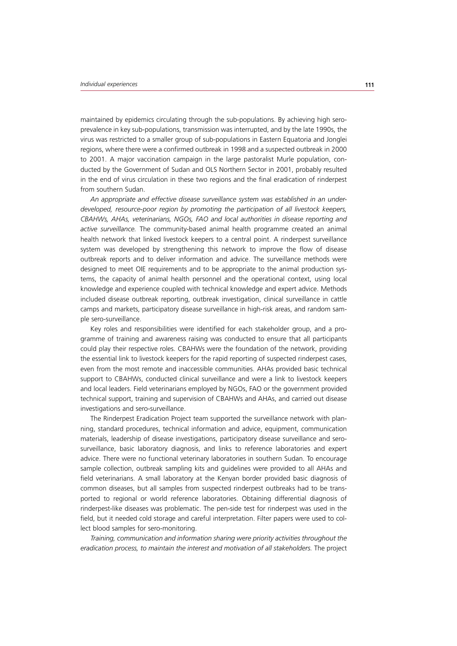maintained by epidemics circulating through the sub-populations. By achieving high seroprevalence in key sub-populations, transmission was interrupted, and by the late 1990s, the virus was restricted to a smaller group of sub-populations in Eastern Equatoria and Jonglei regions, where there were a confirmed outbreak in 1998 and a suspected outbreak in 2000 to 2001. A major vaccination campaign in the large pastoralist Murle population, conducted by the Government of Sudan and OLS Northern Sector in 2001, probably resulted in the end of virus circulation in these two regions and the final eradication of rinderpest from southern Sudan.

*An appropriate and effective disease surveillance system was established in an under*developed, resource-poor region by promoting the participation of all livestock keepers, *CBAHWs, AHAs, veterinarians, NGOs, FAO and local authorities in disease reporting and active surveillance.* The community-based animal health programme created an animal health network that linked livestock keepers to a central point. A rinderpest surveillance system was developed by strengthening this network to improve the flow of disease outbreak reports and to deliver information and advice. The surveillance methods were designed to meet OIE requirements and to be appropriate to the animal production systems, the capacity of animal health personnel and the operational context, using local knowledge and experience coupled with technical knowledge and expert advice. Methods included disease outbreak reporting, outbreak investigation, clinical surveillance in cattle camps and markets, participatory disease surveillance in high-risk areas, and random sample sero-surveillance.

Key roles and responsibilities were identified for each stakeholder group, and a programme of training and awareness raising was conducted to ensure that all participants could play their respective roles. CBAHWs were the foundation of the network, providing the essential link to livestock keepers for the rapid reporting of suspected rinderpest cases, even from the most remote and inaccessible communities. AHAs provided basic technical support to CBAHWs, conducted clinical surveillance and were a link to livestock keepers and local leaders. Field veterinarians employed by NGOs, FAO or the government provided technical support, training and supervision of CBAHWs and AHAs, and carried out disease investigations and sero-surveillance.

The Rinderpest Eradication Project team supported the surveillance network with planning, standard procedures, technical information and advice, equipment, communication materials, leadership of disease investigations, participatory disease surveillance and serosurveillance, basic laboratory diagnosis, and links to reference laboratories and expert advice. There were no functional veterinary laboratories in southern Sudan. To encourage sample collection, outbreak sampling kits and guidelines were provided to all AHAs and field veterinarians. A small laboratory at the Kenyan border provided basic diagnosis of common diseases, but all samples from suspected rinderpest outbreaks had to be transported to regional or world reference laboratories. Obtaining differential diagnosis of rinderpest-like diseases was problematic. The pen-side test for rinderpest was used in the field, but it needed cold storage and careful interpretation. Filter papers were used to collect blood samples for sero-monitoring.

*Training, communication and information sharing were priority activities throughout the*  eradication process, to maintain the interest and motivation of all stakeholders. The project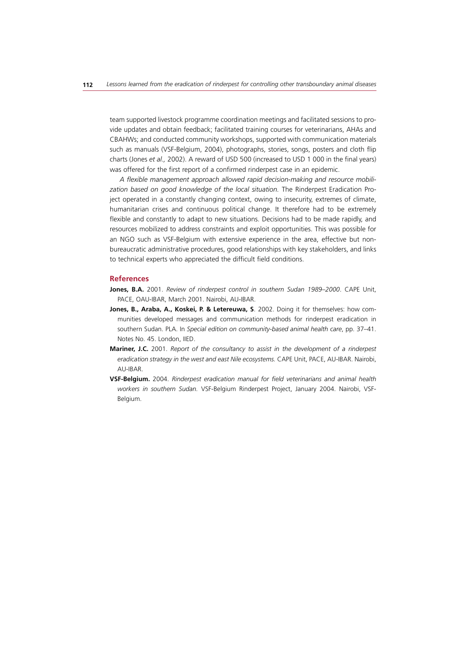team supported livestock programme coordination meetings and facilitated sessions to provide updates and obtain feedback; facilitated training courses for veterinarians, AHAs and CBAHWs; and conducted community workshops, supported with communication materials such as manuals (VSF-Belgium, 2004), photographs, stories, songs, posters and cloth flip charts (Jones *et al.,* 2002). A reward of USD 500 (increased to USD 1 000 in the final years) was offered for the first report of a confirmed rinderpest case in an epidemic.

*A flexible management approach allowed rapid decision-making and resource mobili*zation based on good knowledge of the local situation. The Rinderpest Eradication Project operated in a constantly changing context, owing to insecurity, extremes of climate, humanitarian crises and continuous political change. It therefore had to be extremely flexible and constantly to adapt to new situations. Decisions had to be made rapidly, and resources mobilized to address constraints and exploit opportunities. This was possible for an NGO such as VSF-Belgium with extensive experience in the area, effective but nonbureaucratic administrative procedures, good relationships with key stakeholders, and links to technical experts who appreciated the difficult field conditions.

#### **References**

- **Jones, B.A.** 2001. *Review of rinderpest control in southern Sudan 1989–2000*. CAPE Unit, PACE, OAU-IBAR, March 2001. Nairobi, AU-IBAR.
- **Jones, B., Araba, A., Koskei, P. & Letereuwa, S**. 2002. Doing it for themselves: how communities developed messages and communication methods for rinderpest eradication in southern Sudan. PLA. In *Special edition on community-based animal health care*, pp. 37–41. Notes No. 45. London, IIED.
- **Mariner, J.C.** 2001. *Report of the consultancy to assist in the development of a rinderpest eradication strategy in the west and east Nile ecosystems.* CAPE Unit, PACE, AU-IBAR. Nairobi, AU-IBAR.
- **VSF-Belgium.** 2004. *Rinderpest eradication manual for field veterinarians and animal health workers in southern Sudan.* VSF-Belgium Rinderpest Project, January 2004. Nairobi, VSF-Belgium.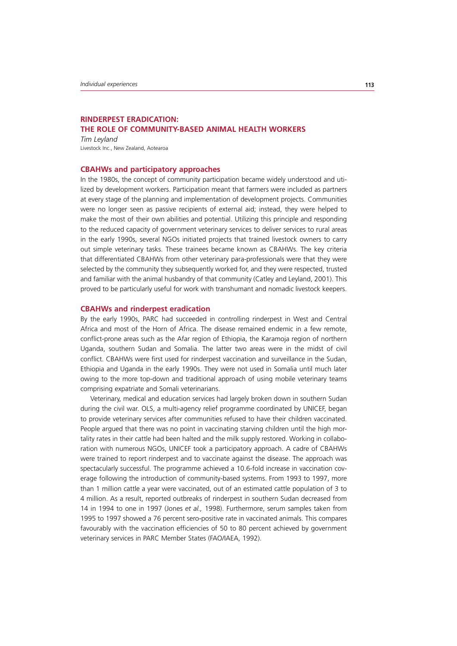## **RINDERPEST ERADICATION: THE ROLE OF COMMUNITY-BASED ANIMAL HEALTH WORKERS**

*Tim Leyland* Livestock Inc., New Zealand, Aotearoa

#### **CBAHWs and participatory approaches**

In the 1980s, the concept of community participation became widely understood and utilized by development workers. Participation meant that farmers were included as partners at every stage of the planning and implementation of development projects. Communities were no longer seen as passive recipients of external aid; instead, they were helped to make the most of their own abilities and potential. Utilizing this principle and responding to the reduced capacity of government veterinary services to deliver services to rural areas in the early 1990s, several NGOs initiated projects that trained livestock owners to carry out simple veterinary tasks. These trainees became known as CBAHWs. The key criteria that differentiated CBAHWs from other veterinary para-professionals were that they were selected by the community they subsequently worked for, and they were respected, trusted and familiar with the animal husbandry of that community (Catley and Leyland, 2001). This proved to be particularly useful for work with transhumant and nomadic livestock keepers.

#### **CBAHWs and rinderpest eradication**

By the early 1990s, PARC had succeeded in controlling rinderpest in West and Central Africa and most of the Horn of Africa. The disease remained endemic in a few remote, conflict-prone areas such as the Afar region of Ethiopia, the Karamoja region of northern Uganda, southern Sudan and Somalia. The latter two areas were in the midst of civil conflict. CBAHWs were first used for rinderpest vaccination and surveillance in the Sudan, Ethiopia and Uganda in the early 1990s. They were not used in Somalia until much later owing to the more top-down and traditional approach of using mobile veterinary teams comprising expatriate and Somali veterinarians.

Veterinary, medical and education services had largely broken down in southern Sudan during the civil war. OLS, a multi-agency relief programme coordinated by UNICEF, began to provide veterinary services after communities refused to have their children vaccinated. People argued that there was no point in vaccinating starving children until the high mortality rates in their cattle had been halted and the milk supply restored. Working in collaboration with numerous NGOs, UNICEF took a participatory approach. A cadre of CBAHWs were trained to report rinderpest and to vaccinate against the disease. The approach was spectacularly successful. The programme achieved a 10.6-fold increase in vaccination coverage following the introduction of community-based systems. From 1993 to 1997, more than 1 million cattle a year were vaccinated, out of an estimated cattle population of 3 to 4 million. As a result, reported outbreaks of rinderpest in southern Sudan decreased from 14 in 1994 to one in 1997 (Jones *et al.,* 1998). Furthermore, serum samples taken from 1995 to 1997 showed a 76 percent sero-positive rate in vaccinated animals. This compares favourably with the vaccination efficiencies of 50 to 80 percent achieved by government veterinary services in PARC Member States (FAO/IAEA, 1992).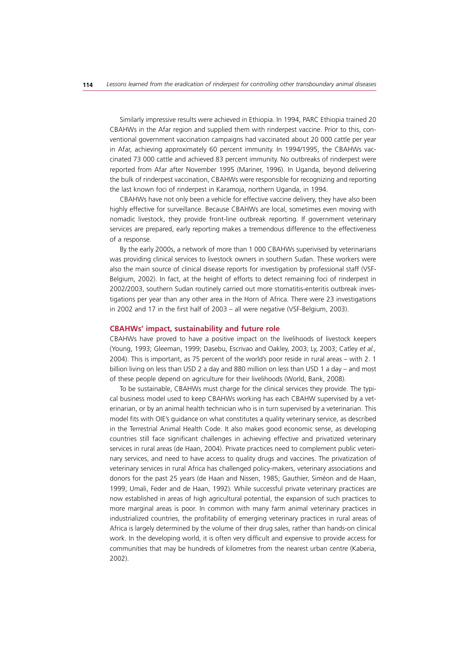Similarly impressive results were achieved in Ethiopia. In 1994, PARC Ethiopia trained 20 CBAHWs in the Afar region and supplied them with rinderpest vaccine. Prior to this, conventional government vaccination campaigns had vaccinated about 20 000 cattle per year in Afar, achieving approximately 60 percent immunity. In 1994/1995, the CBAHWs vaccinated 73 000 cattle and achieved 83 percent immunity. No outbreaks of rinderpest were reported from Afar after November 1995 (Mariner, 1996). In Uganda, beyond delivering the bulk of rinderpest vaccination, CBAHWs were responsible for recognizing and reporting the last known foci of rinderpest in Karamoja, northern Uganda, in 1994.

CBAHWs have not only been a vehicle for effective vaccine delivery, they have also been highly effective for surveillance. Because CBAHWs are local, sometimes even moving with nomadic livestock, they provide front-line outbreak reporting. If government veterinary services are prepared, early reporting makes a tremendous difference to the effectiveness of a response.

By the early 2000s, a network of more than 1 000 CBAHWs superivised by veterinarians was providing clinical services to livestock owners in southern Sudan. These workers were also the main source of clinical disease reports for investigation by professional staff (VSF-Belgium, 2002). In fact, at the height of efforts to detect remaining foci of rinderpest in 2002/2003, southern Sudan routinely carried out more stomatitis-enteritis outbreak investigations per year than any other area in the Horn of Africa. There were 23 investigations in 2002 and 17 in the first half of 2003 – all were negative (VSF-Belgium, 2003).

#### **CBAHWs' impact, sustainability and future role**

CBAHWs have proved to have a positive impact on the livelihoods of livestock keepers (Young, 1993; Gleeman, 1999; Dasebu, Escrivao and Oakley, 2003; Ly, 2003; Catley *et al.,*  2004). This is important, as 75 percent of the world's poor reside in rural areas – with 2. 1 billion living on less than USD 2 a day and 880 million on less than USD 1 a day – and most of these people depend on agriculture for their livelihoods (World, Bank, 2008).

To be sustainable, CBAHWs must charge for the clinical services they provide. The typical business model used to keep CBAHWs working has each CBAHW supervised by a veterinarian, or by an animal health technician who is in turn supervised by a veterinarian. This model fits with OIE's guidance on what constitutes a quality veterinary service, as described in the Terrestrial Animal Health Code. It also makes good economic sense, as developing countries still face significant challenges in achieving effective and privatized veterinary services in rural areas (de Haan, 2004). Private practices need to complement public veterinary services, and need to have access to quality drugs and vaccines. The privatization of veterinary services in rural Africa has challenged policy-makers, veterinary associations and donors for the past 25 years (de Haan and Nissen, 1985; Gauthier, Siméon and de Haan, 1999; Umali, Feder and de Haan, 1992). While successful private veterinary practices are now established in areas of high agricultural potential, the expansion of such practices to more marginal areas is poor. In common with many farm animal veterinary practices in industrialized countries, the profitability of emerging veterinary practices in rural areas of Africa is largely determined by the volume of their drug sales, rather than hands-on clinical work. In the developing world, it is often very difficult and expensive to provide access for communities that may be hundreds of kilometres from the nearest urban centre (Kaberia, 2002).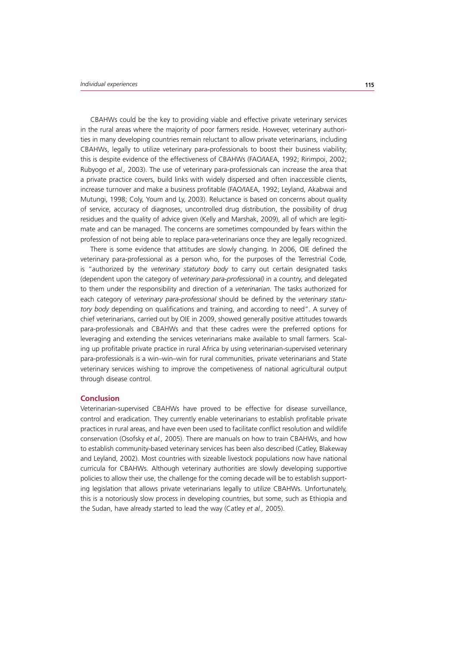CBAHWs could be the key to providing viable and effective private veterinary services in the rural areas where the majority of poor farmers reside. However, veterinary authorities in many developing countries remain reluctant to allow private veterinarians, including CBAHWs, legally to utilize veterinary para-professionals to boost their business viability; this is despite evidence of the effectiveness of CBAHWs (FAO/IAEA, 1992; Ririmpoi, 2002; Rubyogo *et al.,* 2003). The use of veterinary para-professionals can increase the area that a private practice covers, build links with widely dispersed and often inaccessible clients, increase turnover and make a business profitable (FAO/IAEA, 1992; Leyland, Akabwai and Mutungi, 1998; Coly, Youm and Ly, 2003). Reluctance is based on concerns about quality of service, accuracy of diagnoses, uncontrolled drug distribution, the possibility of drug residues and the quality of advice given (Kelly and Marshak, 2009), all of which are legitimate and can be managed. The concerns are sometimes compounded by fears within the profession of not being able to replace para-veterinarians once they are legally recognized.

There is some evidence that attitudes are slowly changing. In 2006, OIE defined the veterinary para-professional as a person who, for the purposes of the Terrestrial Code*,*  is "authorized by the *veterinary statutory body* to carry out certain designated tasks (dependent upon the category of *veterinary para-professional)* in a country, and delegated to them under the responsibility and direction of a *veterinarian.* The tasks authorized for each category of *veterinary para-professional* should be defined by the *veterinary statutory body* depending on qualifications and training, and according to need". A survey of chief veterinarians, carried out by OIE in 2009, showed generally positive attitudes towards para-professionals and CBAHWs and that these cadres were the preferred options for leveraging and extending the services veterinarians make available to small farmers. Scaling up profitable private practice in rural Africa by using veterinarian-supervised veterinary para-professionals is a win–win–win for rural communities, private veterinarians and State veterinary services wishing to improve the competiveness of national agricultural output through disease control.

#### **Conclusion**

Veterinarian-supervised CBAHWs have proved to be effective for disease surveillance, control and eradication. They currently enable veterinarians to establish profitable private practices in rural areas, and have even been used to facilitate conflict resolution and wildlife conservation (Osofsky *et al.,* 2005). There are manuals on how to train CBAHWs, and how to establish community-based veterinary services has been also described (Catley, Blakeway and Leyland, 2002). Most countries with sizeable livestock populations now have national curricula for CBAHWs. Although veterinary authorities are slowly developing supportive policies to allow their use, the challenge for the coming decade will be to establish supporting legislation that allows private veterinarians legally to utilize CBAHWs. Unfortunately, this is a notoriously slow process in developing countries, but some, such as Ethiopia and the Sudan, have already started to lead the way (Catley *et al.,* 2005).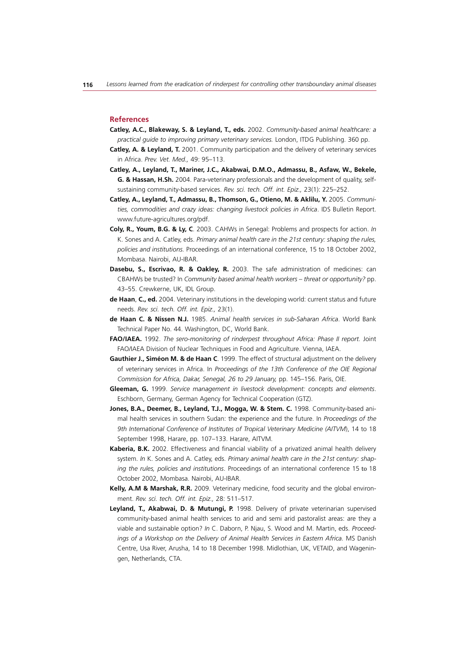#### **References**

- **Catley, A.C., Blakeway, S. & Leyland, T., eds.** 2002. *Community-based animal healthcare: a practical guide to improving primary veterinary services.* London, ITDG Publishing. 360 pp.
- **Catley, A. & Leyland, T.** 2001. Community participation and the delivery of veterinary services in Africa. *Prev. Vet. Med.,* 49: 95–113.
- **Catley, A., Leyland, T., Mariner, J.C., Akabwai, D.M.O., Admassu, B., Asfaw, W., Bekele, G. & Hassan, H.Sh.** 2004. Para-veterinary professionals and the development of quality, selfsustaining community-based services. *Rev. sci. tech. Off. int. Epiz.,* 23(1): 225–252.
- Catley, A., Leyland, T., Admassu, B., Thomson, G., Otieno, M. & Aklilu, Y. 2005. Communi*ties, commodities and crazy ideas: changing livestock policies in Africa*. IDS Bulletin Report. www.future-agricultures.org/pdf.
- **Coly, R., Youm, B.G. & Ly, C**. 2003. CAHWs in Senegal: Problems and prospects for action. *In* K. Sones and A. Catley, eds. *Primary animal health care in the 21st century: shaping the rules, policies and institutions.* Proceedings of an international conference, 15 to 18 October 2002, Mombasa. Nairobi, AU-IBAR.
- **Dasebu, S., Escrivao, R. & Oakley, R.** 2003. The safe administration of medicines: can CBAHWs be trusted? In *Community based animal health workers – threat or opportunity?* pp. 43–55. Crewkerne, UK, IDL Group.
- **de Haan**, **C., ed.** 2004. Veterinary institutions in the developing world: current status and future needs. *Rev. sci. tech. Off. int. Epiz.,* 23(1).
- **de Haan C. & Nissen N.J.** 1985. *Animal health services in sub-Saharan Africa*. World Bank Technical Paper No. 44. Washington, DC, World Bank.
- **FAO/IAEA.** 1992. *The sero-monitoring of rinderpest throughout Africa: Phase II report.* Joint FAO/IAEA Division of Nuclear Techniques in Food and Agriculture. Vienna, IAEA.
- **Gauthier J., Siméon M. & de Haan C**. 1999. The effect of structural adjustment on the delivery of veterinary services in Africa. In *Proceedings of the 13th Conference of the OIE Regional Commission for Africa, Dakar, Senegal, 26 to 29 January,* pp. 145–156. Paris, OIE.
- **Gleeman, G.** 1999. *Service management in livestock development: concepts and elements*. Eschborn, Germany, German Agency for Technical Cooperation (GTZ).
- **Jones, B.A., Deemer, B., Leyland, T.J., Mogga, W. & Stem. C.** 1998. Community-based animal health services in southern Sudan: the experience and the future. In *Proceedings of the 9th International Conference of Institutes of Tropical Veterinary Medicine (AITVM*), 14 to 18 September 1998, Harare, pp. 107–133. Harare, AITVM.
- **Kaberia, B.K.** 2002. Effectiveness and financial viability of a privatized animal health delivery system. *In* K. Sones and A. Catley, eds. *Primary animal health care in the 21st century: shaping the rules, policies and institutions*. Proceedings of an international conference 15 to 18 October 2002, Mombasa. Nairobi, AU-IBAR.
- **Kelly, A.M & Marshak, R.R.** 2009. Veterinary medicine, food security and the global environment. *Rev. sci. tech. Off. int. Epiz.,* 28: 511–517.
- **Leyland, T., Akabwai, D. & Mutungi, P.** 1998. Delivery of private veterinarian supervised community-based animal health services to arid and semi arid pastoralist areas: are they a viable and sustainable option? *In* C. Daborn, P. Njau, S. Wood and M. Martin, eds. *Proceed*ings of a Workshop on the Delivery of Animal Health Services in Eastern Africa. MS Danish Centre, Usa River, Arusha, 14 to 18 December 1998. Midlothian, UK, VETAID, and Wageningen, Netherlands, CTA.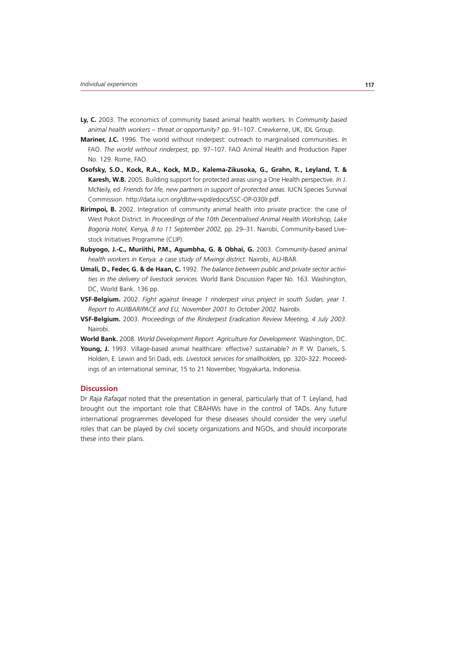- **Ly, C.** 2003. The economics of community based animal health workers. In *Community based animal health workers – threat or opportunity?* pp. 91–107. Crewkerne, UK, IDL Group.
- **Mariner, J.C.** 1996. The world without rinderpest: outreach to marginalised communities. *In* FAO. *The world without rinderpest*, pp. 97–107. FAO Animal Health and Production Paper No. 129. Rome, FAO.
- **Osofsky, S.O., Kock, R.A., Kock, M.D., Kalema-Zikusoka, G., Grahn, R., Leyland, T. & Karesh, W.B.** 2005. Building support for protected areas using a One Health perspective. *In* J. McNeily, ed. Friends for life, new partners in support of protected areas. IUCN Species Survival Commission. http://data.iucn.org/dbtw-wpd/edocs/SSC-OP-030lr.pdf.
- **Ririmpoi, B.** 2002. Integration of community animal health into private practice: the case of West Pokot District. In *Proceedings of the 10th Decentralised Animal Health Workshop, Lake Bogoria Hotel, Kenya, 8 to 11 September 2002,* pp. 29–31. Nairobi, Community-based Livestock Initiatives Programme (CLIP).
- **Rubyogo, J.-C., Muriithi, P.M., Agumbha, G. & Obhai, G.** 2003. *Community-based animal health workers in Kenya: a case study of Mwingi district.* Nairobi, AU-IBAR.
- **Umali, D., Feder, G. & de Haan, C.** 1992. *The balance between public and private sector activities in the delivery of livestock services.* World Bank Discussion Paper No. 163. Washington, DC, World Bank. 136 pp.
- **VSF-Belgium.** 2002. *Fight against lineage 1 rinderpest virus project in south Sudan, year 1. Report to AU/IBAR/PACE and EU, November 2001 to October 2002.* Nairobi.
- **VSF-Belgium.** 2003. *Proceedings of the Rinderpest Eradication Review Meeting, 4 July 2003*. Nairobi.
- **World Bank.** 2008. *World Development Report. Agriculture for Development*. Washington, DC.
- **Young, J.** 1993. Village-based animal healthcare: effective? sustainable? *In* P. W. Daniels, S. Holden, E. Lewin and Sri Dadi, eds. *Livestock services for smallholders,* pp. 320–322. Proceedings of an international seminar, 15 to 21 November, Yogyakarta, Indonesia.

#### **Discussion**

Dr *Raja Rafaqat* noted that the presentation in general, particularly that of T. Leyland, had brought out the important role that CBAHWs have in the control of TADs. Any future international programmes developed for these diseases should consider the very useful roles that can be played by civil society organizations and NGOs, and should incorporate these into their plans.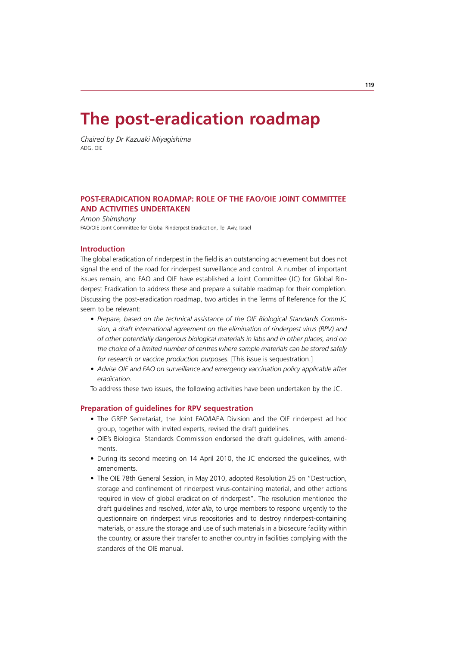# **The post-eradication roadmap**

*Chaired by Dr Kazuaki Miyagishima* ADG, OIE

## **POST-ERADICATION ROADMAP: ROLE OF THE FAO/OIE JOINT COMMITTEE AND ACTIVITIES UNDERTAKEN**

*Arnon Shimshony* FAO/OIE Joint Committee for Global Rinderpest Eradication, Tel Aviv, Israel

## **Introduction**

The global eradication of rinderpest in the field is an outstanding achievement but does not signal the end of the road for rinderpest surveillance and control. A number of important issues remain, and FAO and OIE have established a Joint Committee (JC) for Global Rinderpest Eradication to address these and prepare a suitable roadmap for their completion. Discussing the post-eradication roadmap, two articles in the Terms of Reference for the JC seem to be relevant:

- Prepare, based on the technical assistance of the OIE Biological Standards Commis*sion, a draft international agreement on the elimination of rinderpest virus (RPV) and of other potentially dangerous biological materials in labs and in other places, and on the choice of a limited number of centres where sample materials can be stored safely for research or vaccine production purposes.* [This issue is sequestration.]
- *t Advise OIE and FAO on surveillance and emergency vaccination policy applicable after eradication.*

To address these two issues, the following activities have been undertaken by the JC.

## **Preparation of guidelines for RPV sequestration**

- The GREP Secretariat, the Joint FAO/IAEA Division and the OIE rinderpest ad hoc group, together with invited experts, revised the draft guidelines.
- OIE's Biological Standards Commission endorsed the draft guidelines, with amendments.
- During its second meeting on 14 April 2010, the JC endorsed the guidelines, with amendments.
- The OIE 78th General Session, in May 2010, adopted Resolution 25 on "Destruction, storage and confinement of rinderpest virus-containing material, and other actions required in view of global eradication of rinderpest". The resolution mentioned the draft guidelines and resolved, *inter alia*, to urge members to respond urgently to the questionnaire on rinderpest virus repositories and to destroy rinderpest-containing materials, or assure the storage and use of such materials in a biosecure facility within the country, or assure their transfer to another country in facilities complying with the standards of the OIE manual.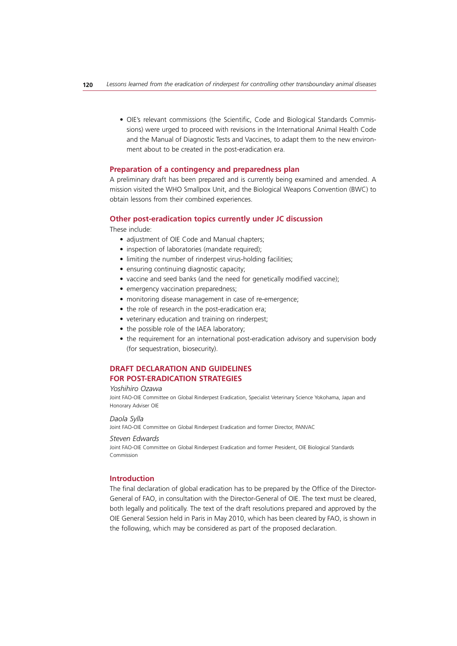• OIE's relevant commissions (the Scientific, Code and Biological Standards Commissions) were urged to proceed with revisions in the International Animal Health Code and the Manual of Diagnostic Tests and Vaccines, to adapt them to the new environment about to be created in the post-eradication era.

#### **Preparation of a contingency and preparedness plan**

A preliminary draft has been prepared and is currently being examined and amended. A mission visited the WHO Smallpox Unit, and the Biological Weapons Convention (BWC) to obtain lessons from their combined experiences.

#### **Other post-eradication topics currently under JC discussion**

These include:

- adjustment of OIE Code and Manual chapters;
- inspection of laboratories (mandate required);
- limiting the number of rinderpest virus-holding facilities;
- ensuring continuing diagnostic capacity;
- vaccine and seed banks (and the need for genetically modified vaccine);
- emergency vaccination preparedness;
- monitoring disease management in case of re-emergence;
- the role of research in the post-eradication era;
- veterinary education and training on rinderpest;
- the possible role of the IAEA laboratory;
- the requirement for an international post-eradication advisory and supervision body (for sequestration, biosecurity).

## **DRAFT DECLARATION AND GUIDELINES FOR POST-ERADICATION STRATEGIES**

#### *Yoshihiro Ozawa*

Joint FAO-OIE Committee on Global Rinderpest Eradication, Specialist Veterinary Science Yokohama, Japan and Honorary Adviser OIE

#### *Daola Sylla*

Joint FAO-OIE Committee on Global Rinderpest Eradication and former Director, PANVAC

#### *Steven Edwards*

Joint FAO-OIE Committee on Global Rinderpest Eradication and former President, OIE Biological Standards Commission

#### **Introduction**

The final declaration of global eradication has to be prepared by the Office of the Director-General of FAO, in consultation with the Director-General of OIE. The text must be cleared, both legally and politically. The text of the draft resolutions prepared and approved by the OIE General Session held in Paris in May 2010, which has been cleared by FAO, is shown in the following, which may be considered as part of the proposed declaration.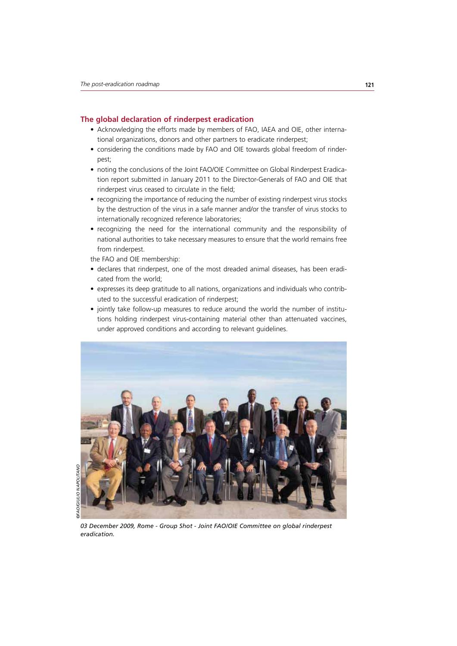#### **The global declaration of rinderpest eradication**

- Acknowledging the efforts made by members of FAO, IAEA and OIE, other international organizations, donors and other partners to eradicate rinderpest;
- considering the conditions made by FAO and OIE towards global freedom of rinderpest;
- noting the conclusions of the Joint FAO/OIE Committee on Global Rinderpest Eradication report submitted in January 2011 to the Director-Generals of FAO and OIE that rinderpest virus ceased to circulate in the field;
- recognizing the importance of reducing the number of existing rinderpest virus stocks by the destruction of the virus in a safe manner and/or the transfer of virus stocks to internationally recognized reference laboratories;
- recognizing the need for the international community and the responsibility of national authorities to take necessary measures to ensure that the world remains free from rinderpest.

the FAO and OIE membership:

- declares that rinderpest, one of the most dreaded animal diseases, has been eradicated from the world;
- expresses its deep gratitude to all nations, organizations and individuals who contributed to the successful eradication of rinderpest;
- jointly take follow-up measures to reduce around the world the number of institutions holding rinderpest virus-containing material other than attenuated vaccines, under approved conditions and according to relevant guidelines.

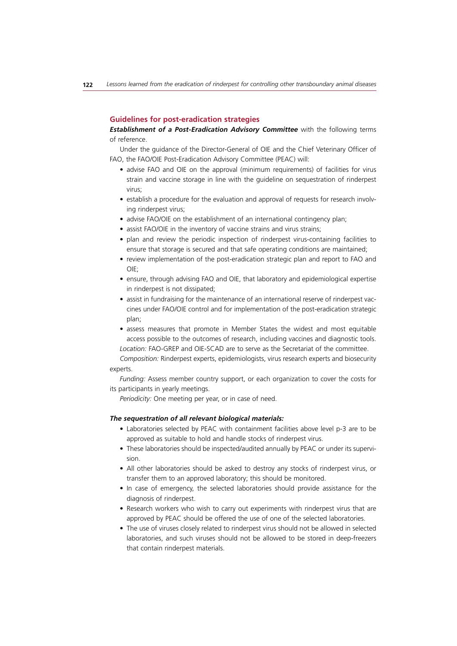#### **Guidelines for post-eradication strategies**

**Establishment of a Post-Eradication Advisory Committee** with the following terms of reference.

Under the guidance of the Director-General of OIE and the Chief Veterinary Officer of FAO, the FAO/OIE Post-Eradication Advisory Committee (PEAC) will:

- advise FAO and OIE on the approval (minimum requirements) of facilities for virus strain and vaccine storage in line with the guideline on sequestration of rinderpest virus;
- establish a procedure for the evaluation and approval of requests for research involving rinderpest virus;
- advise FAO/OIE on the establishment of an international contingency plan;
- assist FAO/OIE in the inventory of vaccine strains and virus strains;
- plan and review the periodic inspection of rinderpest virus-containing facilities to ensure that storage is secured and that safe operating conditions are maintained;
- review implementation of the post-eradication strategic plan and report to FAO and OIE;
- ensure, through advising FAO and OIE, that laboratory and epidemiological expertise in rinderpest is not dissipated;
- assist in fundraising for the maintenance of an international reserve of rinderpest vaccines under FAO/OIE control and for implementation of the post-eradication strategic plan;
- assess measures that promote in Member States the widest and most equitable access possible to the outcomes of research, including vaccines and diagnostic tools. *Location:* FAO-GREP and OIE-SCAD are to serve as the Secretariat of the committee.

*Composition:* Rinderpest experts, epidemiologists, virus research experts and biosecurity experts.

*Funding:* Assess member country support, or each organization to cover the costs for its participants in yearly meetings.

*Periodicity:* One meeting per year, or in case of need.

#### *The sequestration of all relevant biological materials:*

- Laboratories selected by PEAC with containment facilities above level p-3 are to be approved as suitable to hold and handle stocks of rinderpest virus.
- These laboratories should be inspected/audited annually by PEAC or under its supervision.
- All other laboratories should be asked to destroy any stocks of rinderpest virus, or transfer them to an approved laboratory; this should be monitored.
- In case of emergency, the selected laboratories should provide assistance for the diagnosis of rinderpest.
- Research workers who wish to carry out experiments with rinderpest virus that are approved by PEAC should be offered the use of one of the selected laboratories.
- The use of viruses closely related to rinderpest virus should not be allowed in selected laboratories, and such viruses should not be allowed to be stored in deep-freezers that contain rinderpest materials.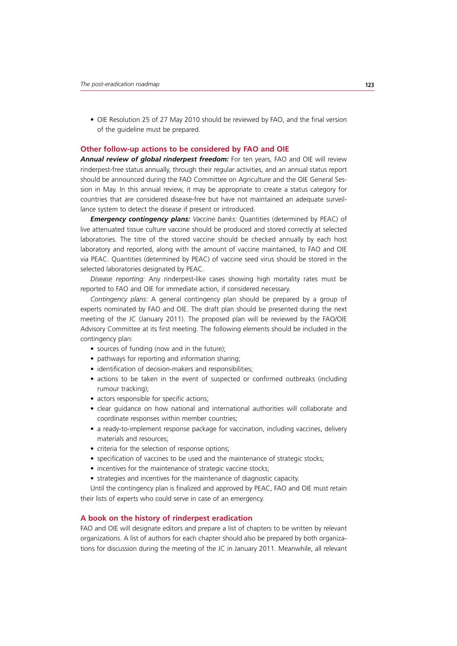• OIE Resolution 25 of 27 May 2010 should be reviewed by FAO, and the final version of the guideline must be prepared.

#### **Other follow-up actions to be considered by FAO and OIE**

*Annual review of global rinderpest freedom:* For ten years, FAO and OIE will review rinderpest-free status annually, through their regular activities, and an annual status report should be announced during the FAO Committee on Agriculture and the OIE General Session in May. In this annual review, it may be appropriate to create a status category for countries that are considered disease-free but have not maintained an adequate surveillance system to detect the disease if present or introduced.

*Emergency contingency plans: Vaccine banks:* Quantities (determined by PEAC) of live attenuated tissue culture vaccine should be produced and stored correctly at selected laboratories. The titre of the stored vaccine should be checked annually by each host laboratory and reported, along with the amount of vaccine maintained, to FAO and OIE via PEAC. Quantities (determined by PEAC) of vaccine seed virus should be stored in the selected laboratories designated by PEAC.

*Disease reporting:* Any rinderpest-like cases showing high mortality rates must be reported to FAO and OIE for immediate action, if considered necessary.

*Contingency plans:* A general contingency plan should be prepared by a group of experts nominated by FAO and OIE. The draft plan should be presented during the next meeting of the JC (January 2011). The proposed plan will be reviewed by the FAO/OIE Advisory Committee at its first meeting. The following elements should be included in the contingency plan:

- sources of funding (now and in the future);
- pathways for reporting and information sharing;
- identification of decision-makers and responsibilities;
- actions to be taken in the event of suspected or confirmed outbreaks (including rumour tracking);
- actors responsible for specific actions;
- clear guidance on how national and international authorities will collaborate and coordinate responses within member countries;
- a ready-to-implement response package for vaccination, including vaccines, delivery materials and resources;
- criteria for the selection of response options;
- specification of vaccines to be used and the maintenance of strategic stocks;
- incentives for the maintenance of strategic vaccine stocks;
- strategies and incentives for the maintenance of diagnostic capacity.

Until the contingency plan is finalized and approved by PEAC, FAO and OIE must retain their lists of experts who could serve in case of an emergency.

#### **A book on the history of rinderpest eradication**

FAO and OIE will designate editors and prepare a list of chapters to be written by relevant organizations. A list of authors for each chapter should also be prepared by both organizations for discussion during the meeting of the JC in January 2011. Meanwhile, all relevant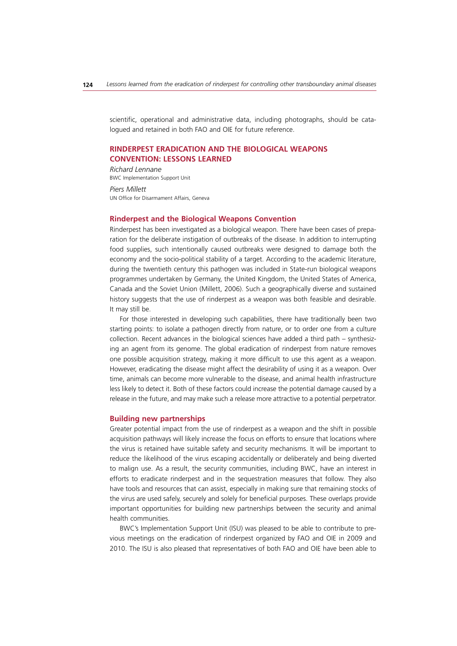scientific, operational and administrative data, including photographs, should be catalogued and retained in both FAO and OIE for future reference.

## **RINDERPEST ERADICATION AND THE BIOLOGICAL WEAPONS CONVENTION: LESSONS LEARNED**

*Richard Lennane* BWC Implementation Support Unit

*Piers Millett* UN Office for Disarmament Affairs, Geneva

#### **Rinderpest and the Biological Weapons Convention**

Rinderpest has been investigated as a biological weapon. There have been cases of preparation for the deliberate instigation of outbreaks of the disease. In addition to interrupting food supplies, such intentionally caused outbreaks were designed to damage both the economy and the socio-political stability of a target. According to the academic literature, during the twentieth century this pathogen was included in State-run biological weapons programmes undertaken by Germany, the United Kingdom, the United States of America, Canada and the Soviet Union (Millett, 2006). Such a geographically diverse and sustained history suggests that the use of rinderpest as a weapon was both feasible and desirable. It may still be.

For those interested in developing such capabilities, there have traditionally been two starting points: to isolate a pathogen directly from nature, or to order one from a culture collection. Recent advances in the biological sciences have added a third path – synthesizing an agent from its genome. The global eradication of rinderpest from nature removes one possible acquisition strategy, making it more difficult to use this agent as a weapon. However, eradicating the disease might affect the desirability of using it as a weapon. Over time, animals can become more vulnerable to the disease, and animal health infrastructure less likely to detect it. Both of these factors could increase the potential damage caused by a release in the future, and may make such a release more attractive to a potential perpetrator.

#### **Building new partnerships**

Greater potential impact from the use of rinderpest as a weapon and the shift in possible acquisition pathways will likely increase the focus on efforts to ensure that locations where the virus is retained have suitable safety and security mechanisms. It will be important to reduce the likelihood of the virus escaping accidentally or deliberately and being diverted to malign use. As a result, the security communities, including BWC, have an interest in efforts to eradicate rinderpest and in the sequestration measures that follow. They also have tools and resources that can assist, especially in making sure that remaining stocks of the virus are used safely, securely and solely for beneficial purposes. These overlaps provide important opportunities for building new partnerships between the security and animal health communities.

BWC's Implementation Support Unit (ISU) was pleased to be able to contribute to previous meetings on the eradication of rinderpest organized by FAO and OIE in 2009 and 2010. The ISU is also pleased that representatives of both FAO and OIE have been able to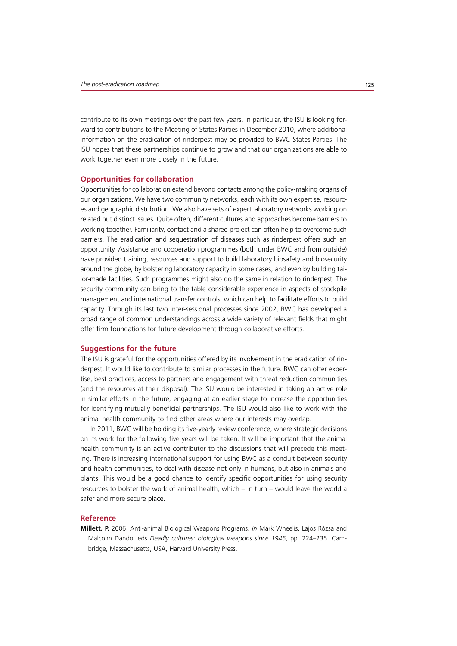contribute to its own meetings over the past few years. In particular, the ISU is looking forward to contributions to the Meeting of States Parties in December 2010, where additional information on the eradication of rinderpest may be provided to BWC States Parties. The ISU hopes that these partnerships continue to grow and that our organizations are able to work together even more closely in the future.

#### **Opportunities for collaboration**

Opportunities for collaboration extend beyond contacts among the policy-making organs of our organizations. We have two community networks, each with its own expertise, resources and geographic distribution. We also have sets of expert laboratory networks working on related but distinct issues. Quite often, different cultures and approaches become barriers to working together. Familiarity, contact and a shared project can often help to overcome such barriers. The eradication and sequestration of diseases such as rinderpest offers such an opportunity. Assistance and cooperation programmes (both under BWC and from outside) have provided training, resources and support to build laboratory biosafety and biosecurity around the globe, by bolstering laboratory capacity in some cases, and even by building tailor-made facilities. Such programmes might also do the same in relation to rinderpest. The security community can bring to the table considerable experience in aspects of stockpile management and international transfer controls, which can help to facilitate efforts to build capacity. Through its last two inter-sessional processes since 2002, BWC has developed a broad range of common understandings across a wide variety of relevant fields that might offer firm foundations for future development through collaborative efforts.

#### **Suggestions for the future**

The ISU is grateful for the opportunities offered by its involvement in the eradication of rinderpest. It would like to contribute to similar processes in the future. BWC can offer expertise, best practices, access to partners and engagement with threat reduction communities (and the resources at their disposal). The ISU would be interested in taking an active role in similar efforts in the future, engaging at an earlier stage to increase the opportunities for identifying mutually beneficial partnerships. The ISU would also like to work with the animal health community to find other areas where our interests may overlap.

In 2011, BWC will be holding its five-yearly review conference, where strategic decisions on its work for the following five years will be taken. It will be important that the animal health community is an active contributor to the discussions that will precede this meeting. There is increasing international support for using BWC as a conduit between security and health communities, to deal with disease not only in humans, but also in animals and plants. This would be a good chance to identify specific opportunities for using security resources to bolster the work of animal health, which – in turn – would leave the world a safer and more secure place.

## **Reference**

**Millett, P.** 2006. Anti-animal Biological Weapons Programs. *In* Mark Wheelis, Lajos Rózsa and Malcolm Dando, eds *Deadly cultures: biological weapons since 1945*, pp. 224–235. Cambridge, Massachusetts, USA, Harvard University Press.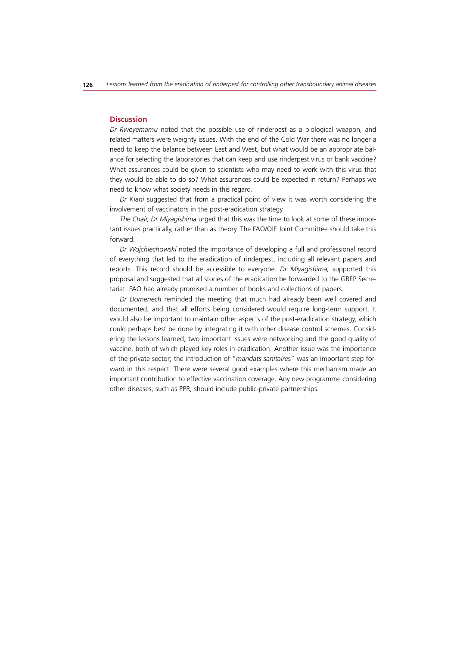#### **Discussion**

*Dr Rweyemamu* noted that the possible use of rinderpest as a biological weapon, and related matters were weighty issues. With the end of the Cold War there was no longer a need to keep the balance between East and West, but what would be an appropriate balance for selecting the laboratories that can keep and use rinderpest virus or bank vaccine? What assurances could be given to scientists who may need to work with this virus that they would be able to do so? What assurances could be expected in return? Perhaps we need to know what society needs in this regard.

*Dr Kiani* suggested that from a practical point of view it was worth considering the involvement of vaccinators in the post-eradication strategy.

*The Chair, Dr Miyagishima* urged that this was the time to look at some of these important issues practically, rather than as theory. The FAO/OIE Joint Committee should take this forward.

*Dr Wojchiechowski* noted the importance of developing a full and professional record of everything that led to the eradication of rinderpest, including all relevant papers and reports. This record should be accessible to everyone. *Dr Miyagishima,* supported this proposal and suggested that all stories of the eradication be forwarded to the GREP Secretariat. FAO had already promised a number of books and collections of papers.

*Dr Domenech* reminded the meeting that much had already been well covered and documented, and that all efforts being considered would require long-term support. It would also be important to maintain other aspects of the post-eradication strategy, which could perhaps best be done by integrating it with other disease control schemes. Considering the lessons learned, two important issues were networking and the good quality of vaccine, both of which played key roles in eradication. Another issue was the importance of the private sector; the introduction of "*mandats sanitaire*s" was an important step forward in this respect. There were several good examples where this mechanism made an important contribution to effective vaccination coverage. Any new programme considering other diseases, such as PPR, should include public-private partnerships.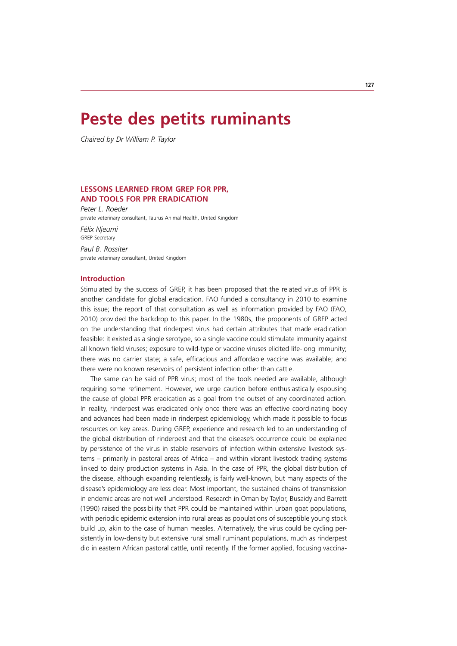## **Peste des petits ruminants**

*Chaired by Dr William P. Taylor*

## **LESSONS LEARNED FROM GREP FOR PPR, AND TOOLS FOR PPR ERADICATION**

*Peter L. Roeder* private veterinary consultant, Taurus Animal Health, United Kingdom

*Félix Njeumi* GREP Secretary

*Paul B. Rossiter* private veterinary consultant, United Kingdom

#### **Introduction**

Stimulated by the success of GREP, it has been proposed that the related virus of PPR is another candidate for global eradication. FAO funded a consultancy in 2010 to examine this issue; the report of that consultation as well as information provided by FAO (FAO, 2010) provided the backdrop to this paper. In the 1980s, the proponents of GREP acted on the understanding that rinderpest virus had certain attributes that made eradication feasible: it existed as a single serotype, so a single vaccine could stimulate immunity against all known field viruses; exposure to wild-type or vaccine viruses elicited life-long immunity; there was no carrier state; a safe, efficacious and affordable vaccine was available; and there were no known reservoirs of persistent infection other than cattle.

The same can be said of PPR virus; most of the tools needed are available, although requiring some refinement. However, we urge caution before enthusiastically espousing the cause of global PPR eradication as a goal from the outset of any coordinated action. In reality, rinderpest was eradicated only once there was an effective coordinating body and advances had been made in rinderpest epidemiology, which made it possible to focus resources on key areas. During GREP, experience and research led to an understanding of the global distribution of rinderpest and that the disease's occurrence could be explained by persistence of the virus in stable reservoirs of infection within extensive livestock systems – primarily in pastoral areas of Africa – and within vibrant livestock trading systems linked to dairy production systems in Asia. In the case of PPR, the global distribution of the disease, although expanding relentlessly, is fairly well-known, but many aspects of the disease's epidemiology are less clear. Most important, the sustained chains of transmission in endemic areas are not well understood. Research in Oman by Taylor, Busaidy and Barrett (1990) raised the possibility that PPR could be maintained within urban goat populations, with periodic epidemic extension into rural areas as populations of susceptible young stock build up, akin to the case of human measles. Alternatively, the virus could be cycling persistently in low-density but extensive rural small ruminant populations, much as rinderpest did in eastern African pastoral cattle, until recently. If the former applied, focusing vaccina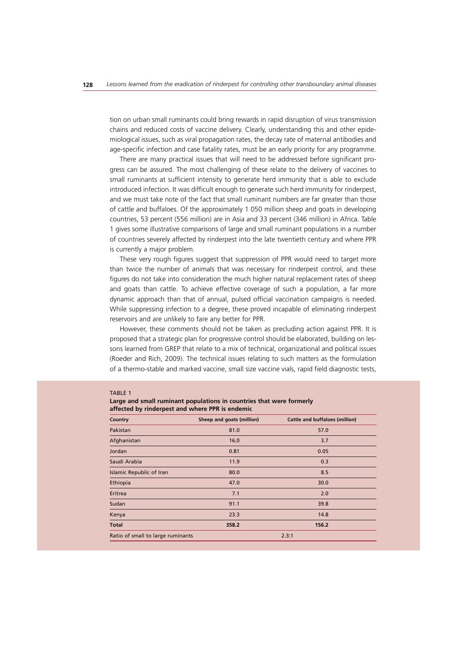tion on urban small ruminants could bring rewards in rapid disruption of virus transmission chains and reduced costs of vaccine delivery. Clearly, understanding this and other epidemiological issues, such as viral propagation rates, the decay rate of maternal antibodies and age-specific infection and case fatality rates, must be an early priority for any programme.

There are many practical issues that will need to be addressed before significant progress can be assured. The most challenging of these relate to the delivery of vaccines to small ruminants at sufficient intensity to generate herd immunity that is able to exclude introduced infection. It was difficult enough to generate such herd immunity for rinderpest, and we must take note of the fact that small ruminant numbers are far greater than those of cattle and buffaloes. Of the approximately 1 050 million sheep and goats in developing countries, 53 percent (556 million) are in Asia and 33 percent (346 million) in Africa. Table 1 gives some illustrative comparisons of large and small ruminant populations in a number of countries severely affected by rinderpest into the late twentieth century and where PPR is currently a major problem.

These very rough figures suggest that suppression of PPR would need to target more than twice the number of animals that was necessary for rinderpest control, and these figures do not take into consideration the much higher natural replacement rates of sheep and goats than cattle. To achieve effective coverage of such a population, a far more dynamic approach than that of annual, pulsed official vaccination campaigns is needed. While suppressing infection to a degree, these proved incapable of eliminating rinderpest reservoirs and are unlikely to fare any better for PPR.

However, these comments should not be taken as precluding action against PPR. It is proposed that a strategic plan for progressive control should be elaborated, building on lessons learned from GREP that relate to a mix of technical, organizational and political issues (Roeder and Rich, 2009). The technical issues relating to such matters as the formulation of a thermo-stable and marked vaccine, small size vaccine vials, rapid field diagnostic tests,

#### TABLE 1 **Large and small ruminant populations in countries that were formerly affected by rinderpest and where PPR is endemic**

| Country                           | Sheep and goats (million) | <b>Cattle and buffaloes (million)</b> |
|-----------------------------------|---------------------------|---------------------------------------|
| Pakistan                          | 81.0                      | 57.0                                  |
| Afghanistan                       | 16.0                      | 3.7                                   |
| Jordan                            | 0.81                      | 0.05                                  |
| Saudi Arabia                      | 11.9                      | 0.3                                   |
| <b>Islamic Republic of Iran</b>   | 80.0                      | 8.5                                   |
| Ethiopia                          | 47.0                      | 30.0                                  |
| Eritrea                           | 7.1                       | 2.0                                   |
| Sudan                             | 91.1                      | 39.8                                  |
| Kenya                             | 23.3                      | 14.8                                  |
| <b>Total</b>                      | 358.2                     | 156.2                                 |
| Ratio of small to large ruminants |                           | 2.3:1                                 |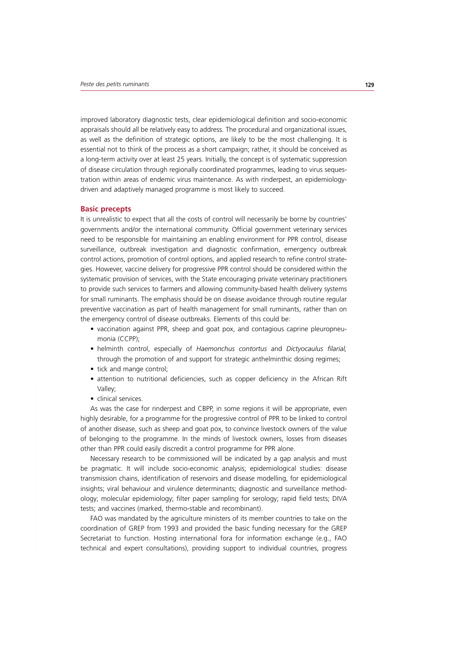improved laboratory diagnostic tests, clear epidemiological definition and socio-economic appraisals should all be relatively easy to address. The procedural and organizational issues, as well as the definition of strategic options, are likely to be the most challenging. It is essential not to think of the process as a short campaign; rather, it should be conceived as a long-term activity over at least 25 years. Initially, the concept is of systematic suppression of disease circulation through regionally coordinated programmes, leading to virus sequestration within areas of endemic virus maintenance. As with rinderpest, an epidemiologydriven and adaptively managed programme is most likely to succeed.

#### **Basic precepts**

It is unrealistic to expect that all the costs of control will necessarily be borne by countries' governments and/or the international community. Official government veterinary services need to be responsible for maintaining an enabling environment for PPR control, disease surveillance, outbreak investigation and diagnostic confirmation, emergency outbreak control actions, promotion of control options, and applied research to refine control strategies. However, vaccine delivery for progressive PPR control should be considered within the systematic provision of services, with the State encouraging private veterinary practitioners to provide such services to farmers and allowing community-based health delivery systems for small ruminants. The emphasis should be on disease avoidance through routine regular preventive vaccination as part of health management for small ruminants, rather than on the emergency control of disease outbreaks. Elements of this could be:

- vaccination against PPR, sheep and goat pox, and contagious caprine pleuropneumonia (CCPP);
- t helminth control, especially of *Haemonchus contortus* and *Dictyocaulus filarial,* through the promotion of and support for strategic anthelminthic dosing regimes;
- tick and mange control;
- attention to nutritional deficiencies, such as copper deficiency in the African Rift Valley;
- clinical services.

As was the case for rinderpest and CBPP, in some regions it will be appropriate, even highly desirable, for a programme for the progressive control of PPR to be linked to control of another disease, such as sheep and goat pox, to convince livestock owners of the value of belonging to the programme. In the minds of livestock owners, losses from diseases other than PPR could easily discredit a control programme for PPR alone.

Necessary research to be commissioned will be indicated by a gap analysis and must be pragmatic. It will include socio-economic analysis; epidemiological studies: disease transmission chains, identification of reservoirs and disease modelling, for epidemiological insights; viral behaviour and virulence determinants; diagnostic and surveillance methodology; molecular epidemiology; filter paper sampling for serology; rapid field tests; DIVA tests; and vaccines (marked, thermo-stable and recombinant).

FAO was mandated by the agriculture ministers of its member countries to take on the coordination of GREP from 1993 and provided the basic funding necessary for the GREP Secretariat to function. Hosting international fora for information exchange (e.g., FAO technical and expert consultations), providing support to individual countries, progress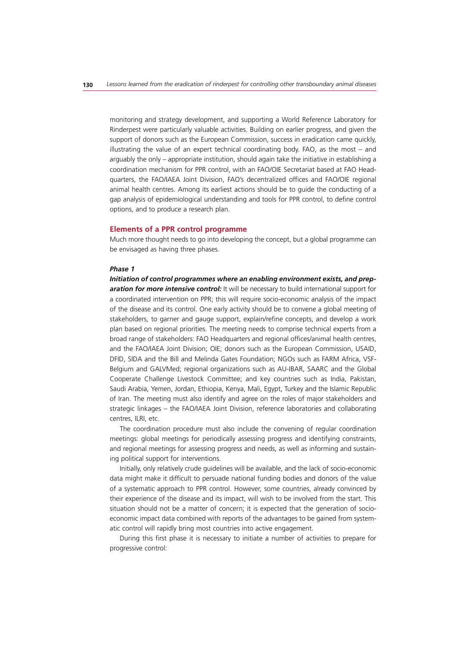monitoring and strategy development, and supporting a World Reference Laboratory for Rinderpest were particularly valuable activities. Building on earlier progress, and given the support of donors such as the European Commission, success in eradication came quickly, illustrating the value of an expert technical coordinating body. FAO, as the most – and arguably the only – appropriate institution, should again take the initiative in establishing a coordination mechanism for PPR control, with an FAO/OIE Secretariat based at FAO Headquarters, the FAO/IAEA Joint Division, FAO's decentralized offices and FAO/OIE regional animal health centres. Among its earliest actions should be to guide the conducting of a gap analysis of epidemiological understanding and tools for PPR control, to define control options, and to produce a research plan.

#### **Elements of a PPR control programme**

Much more thought needs to go into developing the concept, but a global programme can be envisaged as having three phases.

#### *Phase 1*

*Initiation of control programmes where an enabling environment exists, and preparation for more intensive control:* It will be necessary to build international support for a coordinated intervention on PPR; this will require socio-economic analysis of the impact of the disease and its control. One early activity should be to convene a global meeting of stakeholders, to garner and gauge support, explain/refine concepts, and develop a work plan based on regional priorities. The meeting needs to comprise technical experts from a broad range of stakeholders: FAO Headquarters and regional offices/animal health centres, and the FAO/IAEA Joint Division; OIE; donors such as the European Commission, USAID, DFID, SIDA and the Bill and Melinda Gates Foundation; NGOs such as FARM Africa, VSF-Belgium and GALVMed; regional organizations such as AU-IBAR, SAARC and the Global Cooperate Challenge Livestock Committee; and key countries such as India, Pakistan, Saudi Arabia, Yemen, Jordan, Ethiopia, Kenya, Mali, Egypt, Turkey and the Islamic Republic of Iran. The meeting must also identify and agree on the roles of major stakeholders and strategic linkages – the FAO/IAEA Joint Division, reference laboratories and collaborating centres, ILRI, etc.

The coordination procedure must also include the convening of regular coordination meetings: global meetings for periodically assessing progress and identifying constraints, and regional meetings for assessing progress and needs, as well as informing and sustaining political support for interventions.

Initially, only relatively crude guidelines will be available, and the lack of socio-economic data might make it difficult to persuade national funding bodies and donors of the value of a systematic approach to PPR control. However, some countries, already convinced by their experience of the disease and its impact, will wish to be involved from the start. This situation should not be a matter of concern; it is expected that the generation of socioeconomic impact data combined with reports of the advantages to be gained from systematic control will rapidly bring most countries into active engagement.

During this first phase it is necessary to initiate a number of activities to prepare for progressive control: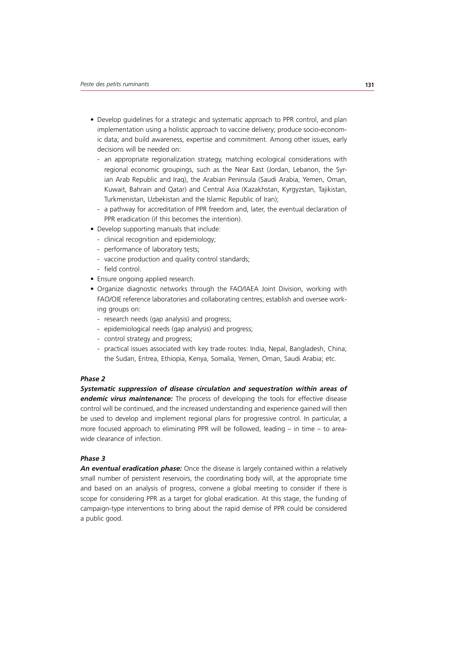- Develop guidelines for a strategic and systematic approach to PPR control, and plan implementation using a holistic approach to vaccine delivery; produce socio-economic data; and build awareness, expertise and commitment. Among other issues, early decisions will be needed on:
	- an appropriate regionalization strategy, matching ecological considerations with regional economic groupings, such as the Near East (Jordan, Lebanon, the Syrian Arab Republic and Iraq), the Arabian Peninsula (Saudi Arabia, Yemen, Oman, Kuwait, Bahrain and Qatar) and Central Asia (Kazakhstan, Kyrgyzstan, Tajikistan, Turkmenistan, Uzbekistan and the Islamic Republic of Iran);
	- a pathway for accreditation of PPR freedom and, later, the eventual declaration of PPR eradication (if this becomes the intention).
- Develop supporting manuals that include:
	- clinical recognition and epidemiology;
	- performance of laboratory tests;
	- vaccine production and quality control standards;
	- field control.
- Ensure ongoing applied research.
- Organize diagnostic networks through the FAO/IAEA Joint Division, working with FAO/OIE reference laboratories and collaborating centres; establish and oversee working groups on:
	- research needs (gap analysis) and progress;
	- epidemiological needs (gap analysis) and progress;
	- control strategy and progress;
	- practical issues associated with key trade routes: India, Nepal, Bangladesh, China; the Sudan, Eritrea, Ethiopia, Kenya, Somalia, Yemen, Oman, Saudi Arabia; etc.

#### *Phase 2*

*Systematic suppression of disease circulation and sequestration within areas of endemic virus maintenance:* The process of developing the tools for effective disease control will be continued, and the increased understanding and experience gained will then be used to develop and implement regional plans for progressive control. In particular, a more focused approach to eliminating PPR will be followed, leading – in time – to areawide clearance of infection.

## *Phase 3*

*An eventual eradication phase:* Once the disease is largely contained within a relatively small number of persistent reservoirs, the coordinating body will, at the appropriate time and based on an analysis of progress, convene a global meeting to consider if there is scope for considering PPR as a target for global eradication. At this stage, the funding of campaign-type interventions to bring about the rapid demise of PPR could be considered a public good.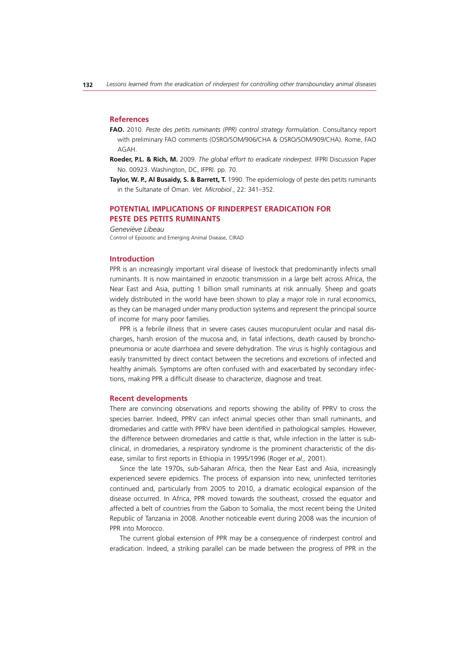#### **References**

- **FAO.** 2010. *Peste des petits ruminants (PPR) control strategy formulation.* Consultancy report with preliminary FAO comments (OSRO/SOM/906/CHA & OSRO/SOM/909/CHA). Rome, FAO AGAH.
- **Roeder, P.L. & Rich, M.** 2009. *The global effort to eradicate rinderpest.* IFPRI Discussion Paper No. 00923. Washington, DC, IFPRI. pp. 70.
- **Taylor, W. P., Al Busaidy, S. & Barrett, T.** 1990. The epidemiology of peste des petits ruminants in the Sultanate of Oman. *Vet. Microbiol*., 22: 341–352.

## **POTENTIAL IMPLICATIONS OF RINDERPEST ERADICATION FOR PESTE DES PETITS RUMINANTS**

*Geneviève Libeau*

Control of Epizootic and Emerging Animal Disease, CIRAD

#### **Introduction**

PPR is an increasingly important viral disease of livestock that predominantly infects small ruminants. It is now maintained in enzootic transmission in a large belt across Africa, the Near East and Asia, putting 1 billion small ruminants at risk annually. Sheep and goats widely distributed in the world have been shown to play a major role in rural economics, as they can be managed under many production systems and represent the principal source of income for many poor families.

PPR is a febrile illness that in severe cases causes mucopurulent ocular and nasal discharges, harsh erosion of the mucosa and, in fatal infections, death caused by bronchopneumonia or acute diarrhoea and severe dehydration. The virus is highly contagious and easily transmitted by direct contact between the secretions and excretions of infected and healthy animals. Symptoms are often confused with and exacerbated by secondary infections, making PPR a difficult disease to characterize, diagnose and treat.

#### **Recent developments**

There are convincing observations and reports showing the ability of PPRV to cross the species barrier. Indeed, PPRV can infect animal species other than small ruminants, and dromedaries and cattle with PPRV have been identified in pathological samples. However, the difference between dromedaries and cattle is that, while infection in the latter is subclinical, in dromedaries, a respiratory syndrome is the prominent characteristic of the disease, similar to first reports in Ethiopia in 1995/1996 (Roger *et al.,* 2001).

Since the late 1970s, sub-Saharan Africa, then the Near East and Asia, increasingly experienced severe epidemics. The process of expansion into new, uninfected territories continued and, particularly from 2005 to 2010, a dramatic ecological expansion of the disease occurred. In Africa, PPR moved towards the southeast, crossed the equator and affected a belt of countries from the Gabon to Somalia, the most recent being the United Republic of Tanzania in 2008. Another noticeable event during 2008 was the incursion of PPR into Morocco.

The current global extension of PPR may be a consequence of rinderpest control and eradication. Indeed, a striking parallel can be made between the progress of PPR in the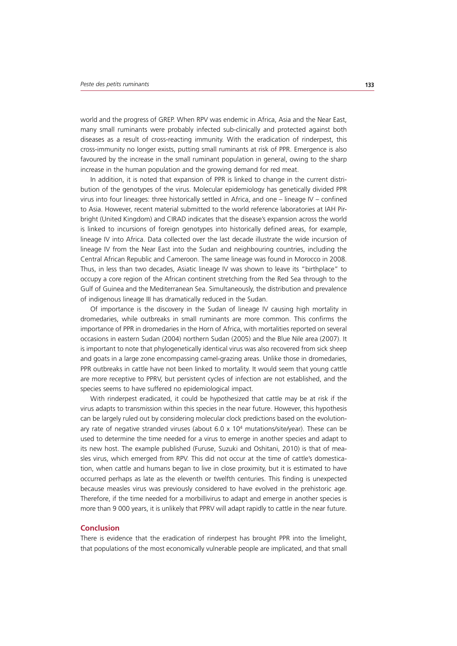world and the progress of GREP. When RPV was endemic in Africa, Asia and the Near East, many small ruminants were probably infected sub-clinically and protected against both diseases as a result of cross-reacting immunity. With the eradication of rinderpest, this cross-immunity no longer exists, putting small ruminants at risk of PPR. Emergence is also favoured by the increase in the small ruminant population in general, owing to the sharp increase in the human population and the growing demand for red meat.

In addition, it is noted that expansion of PPR is linked to change in the current distribution of the genotypes of the virus. Molecular epidemiology has genetically divided PPR virus into four lineages: three historically settled in Africa, and one – lineage IV – confined to Asia. However, recent material submitted to the world reference laboratories at IAH Pirbright (United Kingdom) and CIRAD indicates that the disease's expansion across the world is linked to incursions of foreign genotypes into historically defined areas, for example, lineage IV into Africa. Data collected over the last decade illustrate the wide incursion of lineage IV from the Near East into the Sudan and neighbouring countries, including the Central African Republic and Cameroon. The same lineage was found in Morocco in 2008. Thus, in less than two decades, Asiatic lineage IV was shown to leave its "birthplace" to occupy a core region of the African continent stretching from the Red Sea through to the Gulf of Guinea and the Mediterranean Sea. Simultaneously, the distribution and prevalence of indigenous lineage III has dramatically reduced in the Sudan.

Of importance is the discovery in the Sudan of lineage IV causing high mortality in dromedaries, while outbreaks in small ruminants are more common. This confirms the importance of PPR in dromedaries in the Horn of Africa, with mortalities reported on several occasions in eastern Sudan (2004) northern Sudan (2005) and the Blue Nile area (2007). It is important to note that phylogenetically identical virus was also recovered from sick sheep and goats in a large zone encompassing camel-grazing areas. Unlike those in dromedaries, PPR outbreaks in cattle have not been linked to mortality. It would seem that young cattle are more receptive to PPRV, but persistent cycles of infection are not established, and the species seems to have suffered no epidemiological impact.

With rinderpest eradicated, it could be hypothesized that cattle may be at risk if the virus adapts to transmission within this species in the near future. However, this hypothesis can be largely ruled out by considering molecular clock predictions based on the evolutionary rate of negative stranded viruses (about  $6.0 \times 10^4$  mutations/site/year). These can be used to determine the time needed for a virus to emerge in another species and adapt to its new host. The example published (Furuse, Suzuki and Oshitani, 2010) is that of measles virus, which emerged from RPV. This did not occur at the time of cattle's domestication, when cattle and humans began to live in close proximity, but it is estimated to have occurred perhaps as late as the eleventh or twelfth centuries. This finding is unexpected because measles virus was previously considered to have evolved in the prehistoric age. Therefore, if the time needed for a morbillivirus to adapt and emerge in another species is more than 9 000 years, it is unlikely that PPRV will adapt rapidly to cattle in the near future.

#### **Conclusion**

There is evidence that the eradication of rinderpest has brought PPR into the limelight, that populations of the most economically vulnerable people are implicated, and that small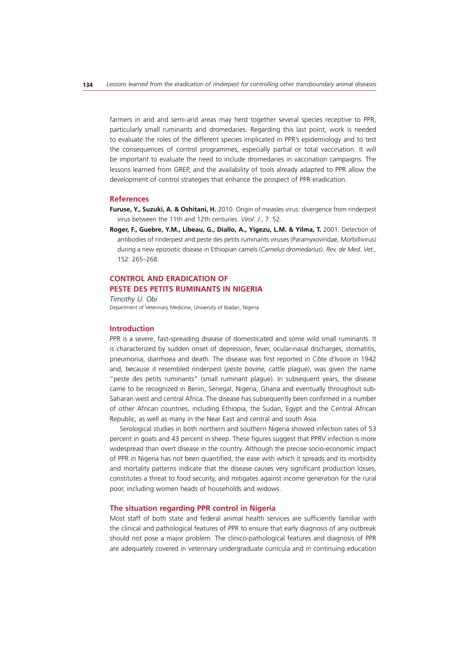farmers in arid and semi-arid areas may herd together several species receptive to PPR, particularly small ruminants and dromedaries. Regarding this last point, work is needed to evaluate the roles of the different species implicated in PPR's epidemiology and to test the consequences of control programmes, especially partial or total vaccination. It will be important to evaluate the need to include dromedaries in vaccination campaigns. The lessons learned from GREP, and the availability of tools already adapted to PPR allow the development of control strategies that enhance the prospect of PPR eradication.

#### **References**

- **Furuse, Y., Suzuki, A. & Oshitani, H.** 2010. Origin of measles virus: divergence from rinderpest virus between the 11th and 12th centuries. *Virol. J.*, 7: 52.
- **Roger, F., Guebre, Y.M., Libeau, G., Diallo, A., Yigezu, L.M. & Yilma, T.** 2001. Detection of antibodies of rinderpest and peste des petits ruminants viruses (Paramyxoviridae, Morbillivirus) during a new epizootic disease in Ethiopian camels (*Camelus dromedarius*). *Rev. de Med. Vet.,* 152: 265–268.

## **CONTROL AND ERADICATION OF PESTE DES PETITS RUMINANTS IN NIGERIA**

*Timothy U. Obi* Department of Veterinary Medicine, University of Ibadan, Nigeria

## **Introduction**

PPR is a severe, fast-spreading disease of domesticated and some wild small ruminants. It is characterized by sudden onset of depression, fever, ocular-nasal discharges, stomatitis, pneumonia, diarrhoea and death. The disease was first reported in Côte d'Ivoire in 1942 and, because it resembled rinderpest (*peste bovine,* cattle plague), was given the name "peste des petits ruminants" (small ruminant plague). In subsequent years, the disease came to be recognized in Benin, Senegal, Nigeria, Ghana and eventually throughout sub-Saharan west and central Africa. The disease has subsequently been confirmed in a number of other African countries, including Ethiopia, the Sudan, Egypt and the Central African Republic, as well as many in the Near East and central and south Asia.

Serological studies in both northern and southern Nigeria showed infection rates of 53 percent in goats and 43 percent in sheep. These figures suggest that PPRV infection is more widespread than overt disease in the country. Although the precise socio-economic impact of PPR in Nigeria has not been quantified, the ease with which it spreads and its morbidity and mortality patterns indicate that the disease causes very significant production losses, constitutes a threat to food security, and mitigates against income generation for the rural poor, including women heads of households and widows.

#### **The situation regarding PPR control in Nigeria**

Most staff of both state and federal animal health services are sufficiently familiar with the clinical and pathological features of PPR to ensure that early diagnosis of any outbreak should not pose a major problem. The clinico-pathological features and diagnosis of PPR are adequately covered in veterinary undergraduate curricula and in continuing education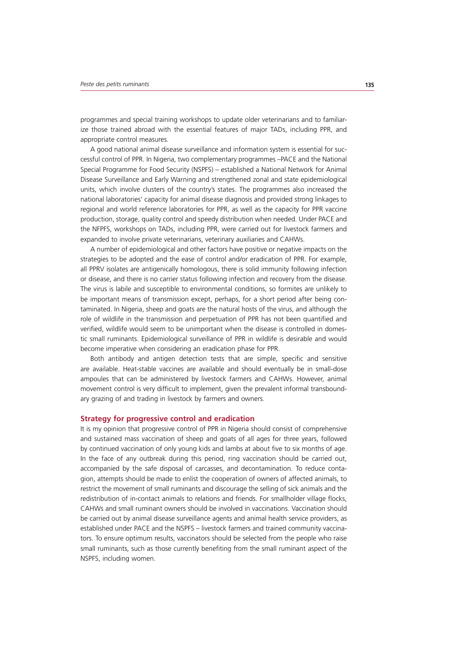programmes and special training workshops to update older veterinarians and to familiarize those trained abroad with the essential features of major TADs, including PPR, and appropriate control measures.

A good national animal disease surveillance and information system is essential for successful control of PPR. In Nigeria, two complementary programmes –PACE and the National Special Programme for Food Security (NSPFS) – established a National Network for Animal Disease Surveillance and Early Warning and strengthened zonal and state epidemiological units, which involve clusters of the country's states. The programmes also increased the national laboratories' capacity for animal disease diagnosis and provided strong linkages to regional and world reference laboratories for PPR, as well as the capacity for PPR vaccine production, storage, quality control and speedy distribution when needed. Under PACE and the NFPFS, workshops on TADs, including PPR, were carried out for livestock farmers and expanded to involve private veterinarians, veterinary auxiliaries and CAHWs.

A number of epidemiological and other factors have positive or negative impacts on the strategies to be adopted and the ease of control and/or eradication of PPR. For example, all PPRV isolates are antigenically homologous, there is solid immunity following infection or disease, and there is no carrier status following infection and recovery from the disease. The virus is labile and susceptible to environmental conditions, so formites are unlikely to be important means of transmission except, perhaps, for a short period after being contaminated. In Nigeria, sheep and goats are the natural hosts of the virus, and although the role of wildlife in the transmission and perpetuation of PPR has not been quantified and verified, wildlife would seem to be unimportant when the disease is controlled in domestic small ruminants. Epidemiological surveillance of PPR in wildlife is desirable and would become imperative when considering an eradication phase for PPR.

Both antibody and antigen detection tests that are simple, specific and sensitive are available. Heat-stable vaccines are available and should eventually be in small-dose ampoules that can be administered by livestock farmers and CAHWs. However, animal movement control is very difficult to implement, given the prevalent informal transboundary grazing of and trading in livestock by farmers and owners.

#### **Strategy for progressive control and eradication**

It is my opinion that progressive control of PPR in Nigeria should consist of comprehensive and sustained mass vaccination of sheep and goats of all ages for three years, followed by continued vaccination of only young kids and lambs at about five to six months of age. In the face of any outbreak during this period, ring vaccination should be carried out, accompanied by the safe disposal of carcasses, and decontamination. To reduce contagion, attempts should be made to enlist the cooperation of owners of affected animals, to restrict the movement of small ruminants and discourage the selling of sick animals and the redistribution of in-contact animals to relations and friends. For smallholder village flocks, CAHWs and small ruminant owners should be involved in vaccinations. Vaccination should be carried out by animal disease surveillance agents and animal health service providers, as established under PACE and the NSPFS – livestock farmers and trained community vaccinators. To ensure optimum results, vaccinators should be selected from the people who raise small ruminants, such as those currently benefiting from the small ruminant aspect of the NSPFS, including women.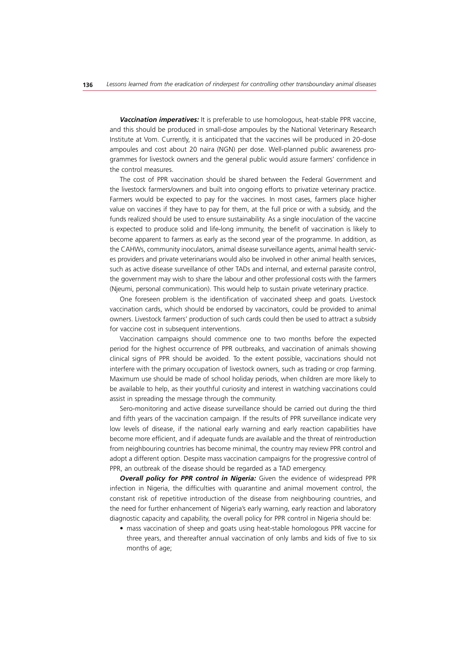*Vaccination imperatives:* It is preferable to use homologous, heat-stable PPR vaccine, and this should be produced in small-dose ampoules by the National Veterinary Research Institute at Vom. Currently, it is anticipated that the vaccines will be produced in 20-dose ampoules and cost about 20 naira (NGN) per dose. Well-planned public awareness programmes for livestock owners and the general public would assure farmers' confidence in the control measures.

The cost of PPR vaccination should be shared between the Federal Government and the livestock farmers/owners and built into ongoing efforts to privatize veterinary practice. Farmers would be expected to pay for the vaccines. In most cases, farmers place higher value on vaccines if they have to pay for them, at the full price or with a subsidy, and the funds realized should be used to ensure sustainability. As a single inoculation of the vaccine is expected to produce solid and life-long immunity, the benefit of vaccination is likely to become apparent to farmers as early as the second year of the programme. In addition, as the CAHWs, community inoculators, animal disease surveillance agents, animal health services providers and private veterinarians would also be involved in other animal health services, such as active disease surveillance of other TADs and internal, and external parasite control, the government may wish to share the labour and other professional costs with the farmers (Njeumi, personal communication). This would help to sustain private veterinary practice.

One foreseen problem is the identification of vaccinated sheep and goats. Livestock vaccination cards, which should be endorsed by vaccinators, could be provided to animal owners. Livestock farmers' production of such cards could then be used to attract a subsidy for vaccine cost in subsequent interventions.

Vaccination campaigns should commence one to two months before the expected period for the highest occurrence of PPR outbreaks, and vaccination of animals showing clinical signs of PPR should be avoided. To the extent possible, vaccinations should not interfere with the primary occupation of livestock owners, such as trading or crop farming. Maximum use should be made of school holiday periods, when children are more likely to be available to help, as their youthful curiosity and interest in watching vaccinations could assist in spreading the message through the community.

Sero-monitoring and active disease surveillance should be carried out during the third and fifth years of the vaccination campaign. If the results of PPR surveillance indicate very low levels of disease, if the national early warning and early reaction capabilities have become more efficient, and if adequate funds are available and the threat of reintroduction from neighbouring countries has become minimal, the country may review PPR control and adopt a different option. Despite mass vaccination campaigns for the progressive control of PPR, an outbreak of the disease should be regarded as a TAD emergency.

**Overall policy for PPR control in Nigeria:** Given the evidence of widespread PPR infection in Nigeria, the difficulties with quarantine and animal movement control, the constant risk of repetitive introduction of the disease from neighbouring countries, and the need for further enhancement of Nigeria's early warning, early reaction and laboratory diagnostic capacity and capability, the overall policy for PPR control in Nigeria should be:

• mass vaccination of sheep and goats using heat-stable homologous PPR vaccine for three years, and thereafter annual vaccination of only lambs and kids of five to six months of age;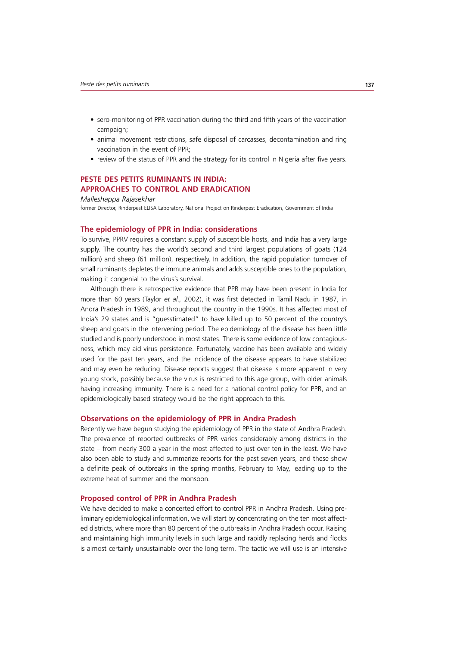- sero-monitoring of PPR vaccination during the third and fifth years of the vaccination campaign;
- animal movement restrictions, safe disposal of carcasses, decontamination and ring vaccination in the event of PPR;
- review of the status of PPR and the strategy for its control in Nigeria after five years.

# **PESTE DES PETITS RUMINANTS IN INDIA: APPROACHES TO CONTROL AND ERADICATION**

#### *Malleshappa Rajasekhar*

former Director, Rinderpest ELISA Laboratory, National Project on Rinderpest Eradication, Government of India

#### **The epidemiology of PPR in India: considerations**

To survive, PPRV requires a constant supply of susceptible hosts, and India has a very large supply. The country has the world's second and third largest populations of goats (124 million) and sheep (61 million), respectively. In addition, the rapid population turnover of small ruminants depletes the immune animals and adds susceptible ones to the population, making it congenial to the virus's survival.

Although there is retrospective evidence that PPR may have been present in India for more than 60 years (Taylor *et al.,* 2002), it was first detected in Tamil Nadu in 1987, in Andra Pradesh in 1989, and throughout the country in the 1990s. It has affected most of India's 29 states and is "guesstimated" to have killed up to 50 percent of the country's sheep and goats in the intervening period. The epidemiology of the disease has been little studied and is poorly understood in most states. There is some evidence of low contagiousness, which may aid virus persistence. Fortunately, vaccine has been available and widely used for the past ten years, and the incidence of the disease appears to have stabilized and may even be reducing. Disease reports suggest that disease is more apparent in very young stock, possibly because the virus is restricted to this age group, with older animals having increasing immunity. There is a need for a national control policy for PPR, and an epidemiologically based strategy would be the right approach to this.

#### **Observations on the epidemiology of PPR in Andra Pradesh**

Recently we have begun studying the epidemiology of PPR in the state of Andhra Pradesh. The prevalence of reported outbreaks of PPR varies considerably among districts in the state – from nearly 300 a year in the most affected to just over ten in the least. We have also been able to study and summarize reports for the past seven years, and these show a definite peak of outbreaks in the spring months, February to May, leading up to the extreme heat of summer and the monsoon.

#### **Proposed control of PPR in Andhra Pradesh**

We have decided to make a concerted effort to control PPR in Andhra Pradesh. Using preliminary epidemiological information, we will start by concentrating on the ten most affected districts, where more than 80 percent of the outbreaks in Andhra Pradesh occur. Raising and maintaining high immunity levels in such large and rapidly replacing herds and flocks is almost certainly unsustainable over the long term. The tactic we will use is an intensive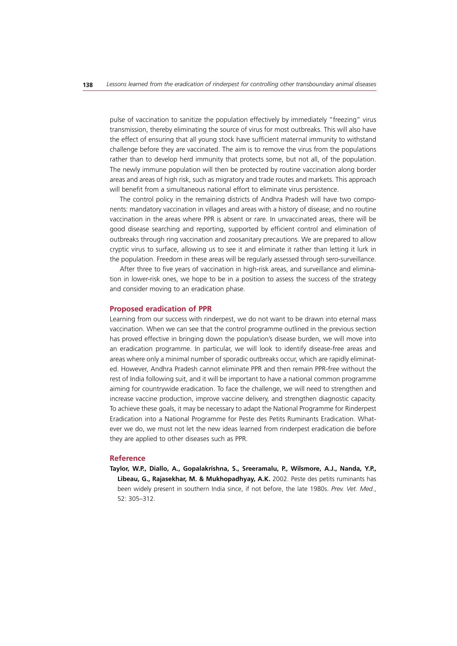pulse of vaccination to sanitize the population effectively by immediately "freezing" virus transmission, thereby eliminating the source of virus for most outbreaks. This will also have the effect of ensuring that all young stock have sufficient maternal immunity to withstand challenge before they are vaccinated. The aim is to remove the virus from the populations rather than to develop herd immunity that protects some, but not all, of the population. The newly immune population will then be protected by routine vaccination along border areas and areas of high risk, such as migratory and trade routes and markets. This approach will benefit from a simultaneous national effort to eliminate virus persistence.

The control policy in the remaining districts of Andhra Pradesh will have two components: mandatory vaccination in villages and areas with a history of disease; and no routine vaccination in the areas where PPR is absent or rare. In unvaccinated areas, there will be good disease searching and reporting, supported by efficient control and elimination of outbreaks through ring vaccination and zoosanitary precautions. We are prepared to allow cryptic virus to surface, allowing us to see it and eliminate it rather than letting it lurk in the population. Freedom in these areas will be regularly assessed through sero-surveillance.

After three to five years of vaccination in high-risk areas, and surveillance and elimination in lower-risk ones, we hope to be in a position to assess the success of the strategy and consider moving to an eradication phase.

# **Proposed eradication of PPR**

Learning from our success with rinderpest, we do not want to be drawn into eternal mass vaccination. When we can see that the control programme outlined in the previous section has proved effective in bringing down the population's disease burden, we will move into an eradication programme. In particular, we will look to identify disease-free areas and areas where only a minimal number of sporadic outbreaks occur, which are rapidly eliminated. However, Andhra Pradesh cannot eliminate PPR and then remain PPR-free without the rest of India following suit, and it will be important to have a national common programme aiming for countrywide eradication. To face the challenge, we will need to strengthen and increase vaccine production, improve vaccine delivery, and strengthen diagnostic capacity. To achieve these goals, it may be necessary to adapt the National Programme for Rinderpest Eradication into a National Programme for Peste des Petits Ruminants Eradication. Whatever we do, we must not let the new ideas learned from rinderpest eradication die before they are applied to other diseases such as PPR.

#### **Reference**

**Taylor, W.P., Diallo, A., Gopalakrishna, S., Sreeramalu, P., Wilsmore, A.J., Nanda, Y.P., Libeau, G., Rajasekhar, M. & Mukhopadhyay, A.K.** 2002. Peste des petits ruminants has been widely present in southern India since, if not before, the late 1980s. *Prev. Vet. Med.*, 52: 305–312.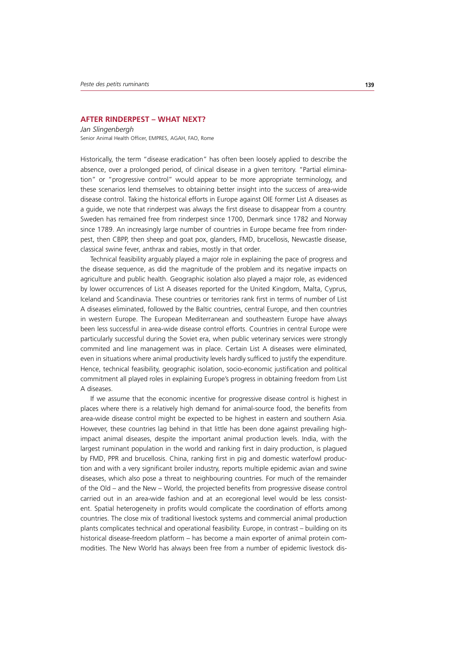#### **AFTER RINDERPEST – WHAT NEXT?**

*Jan Slingenbergh* Senior Animal Health Officer, EMPRES, AGAH, FAO, Rome

Historically, the term "disease eradication" has often been loosely applied to describe the absence, over a prolonged period, of clinical disease in a given territory. "Partial elimination" or "progressive control" would appear to be more appropriate terminology, and these scenarios lend themselves to obtaining better insight into the success of area-wide disease control. Taking the historical efforts in Europe against OIE former List A diseases as a guide, we note that rinderpest was always the first disease to disappear from a country. Sweden has remained free from rinderpest since 1700, Denmark since 1782 and Norway since 1789. An increasingly large number of countries in Europe became free from rinderpest, then CBPP, then sheep and goat pox, glanders, FMD, brucellosis, Newcastle disease, classical swine fever, anthrax and rabies, mostly in that order.

Technical feasibility arguably played a major role in explaining the pace of progress and the disease sequence, as did the magnitude of the problem and its negative impacts on agriculture and public health. Geographic isolation also played a major role, as evidenced by lower occurrences of List A diseases reported for the United Kingdom, Malta, Cyprus, Iceland and Scandinavia. These countries or territories rank first in terms of number of List A diseases eliminated, followed by the Baltic countries, central Europe, and then countries in western Europe. The European Mediterranean and southeastern Europe have always been less successful in area-wide disease control efforts. Countries in central Europe were particularly successful during the Soviet era, when public veterinary services were strongly commited and line management was in place. Certain List A diseases were eliminated, even in situations where animal productivity levels hardly sufficed to justify the expenditure. Hence, technical feasibility, geographic isolation, socio-economic justification and political commitment all played roles in explaining Europe's progress in obtaining freedom from List A diseases.

If we assume that the economic incentive for progressive disease control is highest in places where there is a relatively high demand for animal-source food, the benefits from area-wide disease control might be expected to be highest in eastern and southern Asia. However, these countries lag behind in that little has been done against prevailing highimpact animal diseases, despite the important animal production levels. India, with the largest ruminant population in the world and ranking first in dairy production, is plagued by FMD, PPR and brucellosis. China, ranking first in pig and domestic waterfowl production and with a very significant broiler industry, reports multiple epidemic avian and swine diseases, which also pose a threat to neighbouring countries. For much of the remainder of the Old – and the New – World, the projected benefits from progressive disease control carried out in an area-wide fashion and at an ecoregional level would be less consistent. Spatial heterogeneity in profits would complicate the coordination of efforts among countries. The close mix of traditional livestock systems and commercial animal production plants complicates technical and operational feasibility. Europe, in contrast – building on its historical disease-freedom platform – has become a main exporter of animal protein commodities. The New World has always been free from a number of epidemic livestock dis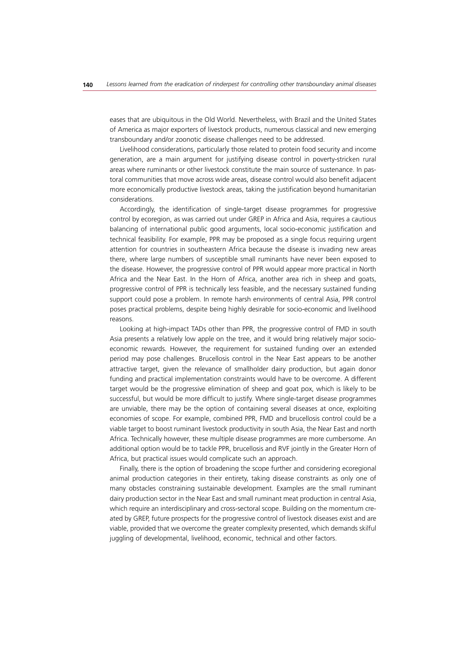eases that are ubiquitous in the Old World. Nevertheless, with Brazil and the United States of America as major exporters of livestock products, numerous classical and new emerging transboundary and/or zoonotic disease challenges need to be addressed.

Livelihood considerations, particularly those related to protein food security and income generation, are a main argument for justifying disease control in poverty-stricken rural areas where ruminants or other livestock constitute the main source of sustenance. In pastoral communities that move across wide areas, disease control would also benefit adjacent more economically productive livestock areas, taking the justification beyond humanitarian considerations.

Accordingly, the identification of single-target disease programmes for progressive control by ecoregion, as was carried out under GREP in Africa and Asia, requires a cautious balancing of international public good arguments, local socio-economic justification and technical feasibility. For example, PPR may be proposed as a single focus requiring urgent attention for countries in southeastern Africa because the disease is invading new areas there, where large numbers of susceptible small ruminants have never been exposed to the disease. However, the progressive control of PPR would appear more practical in North Africa and the Near East. In the Horn of Africa, another area rich in sheep and goats, progressive control of PPR is technically less feasible, and the necessary sustained funding support could pose a problem. In remote harsh environments of central Asia, PPR control poses practical problems, despite being highly desirable for socio-economic and livelihood reasons.

Looking at high-impact TADs other than PPR, the progressive control of FMD in south Asia presents a relatively low apple on the tree, and it would bring relatively major socioeconomic rewards. However, the requirement for sustained funding over an extended period may pose challenges. Brucellosis control in the Near East appears to be another attractive target, given the relevance of smallholder dairy production, but again donor funding and practical implementation constraints would have to be overcome. A different target would be the progressive elimination of sheep and goat pox, which is likely to be successful, but would be more difficult to justify. Where single-target disease programmes are unviable, there may be the option of containing several diseases at once, exploiting economies of scope. For example, combined PPR, FMD and brucellosis control could be a viable target to boost ruminant livestock productivity in south Asia, the Near East and north Africa. Technically however, these multiple disease programmes are more cumbersome. An additional option would be to tackle PPR, brucellosis and RVF jointly in the Greater Horn of Africa, but practical issues would complicate such an approach.

Finally, there is the option of broadening the scope further and considering ecoregional animal production categories in their entirety, taking disease constraints as only one of many obstacles constraining sustainable development. Examples are the small ruminant dairy production sector in the Near East and small ruminant meat production in central Asia, which require an interdisciplinary and cross-sectoral scope. Building on the momentum created by GREP, future prospects for the progressive control of livestock diseases exist and are viable, provided that we overcome the greater complexity presented, which demands skilful juggling of developmental, livelihood, economic, technical and other factors.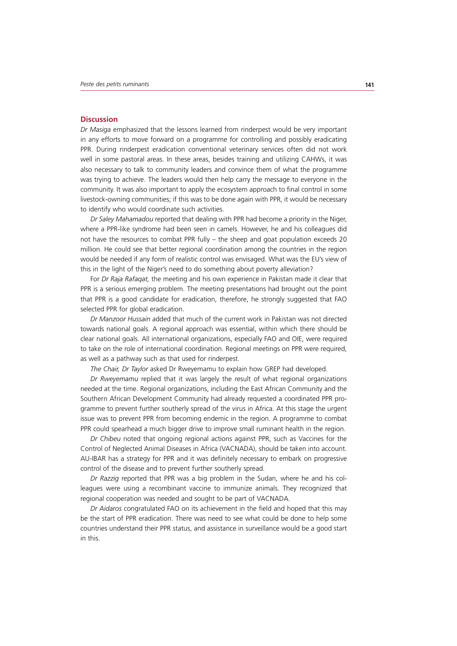#### **Discussion**

*Dr Masiga* emphasized that the lessons learned from rinderpest would be very important in any efforts to move forward on a programme for controlling and possibly eradicating PPR. During rinderpest eradication conventional veterinary services often did not work well in some pastoral areas. In these areas, besides training and utilizing CAHWs, it was also necessary to talk to community leaders and convince them of what the programme was trying to achieve. The leaders would then help carry the message to everyone in the community. It was also important to apply the ecosystem approach to final control in some livestock-owning communities; if this was to be done again with PPR, it would be necessary to identify who would coordinate such activities.

*Dr Saley Mahamadou* reported that dealing with PPR had become a priority in the Niger, where a PPR-like syndrome had been seen in camels. However, he and his colleagues did not have the resources to combat PPR fully – the sheep and goat population exceeds 20 million. He could see that better regional coordination among the countries in the region would be needed if any form of realistic control was envisaged. What was the EU's view of this in the light of the Niger's need to do something about poverty alleviation?

For *Dr Raja Rafaqat,* the meeting and his own experience in Pakistan made it clear that PPR is a serious emerging problem. The meeting presentations had brought out the point that PPR is a good candidate for eradication, therefore, he strongly suggested that FAO selected PPR for global eradication.

*Dr Manzoor Hussain* added that much of the current work in Pakistan was not directed towards national goals. A regional approach was essential, within which there should be clear national goals. All international organizations, especially FAO and OIE, were required to take on the role of international coordination. Regional meetings on PPR were required, as well as a pathway such as that used for rinderpest.

*The Chair, Dr Taylor* asked Dr Rweyemamu to explain how GREP had developed.

*Dr Rweyemamu* replied that it was largely the result of what regional organizations needed at the time. Regional organizations, including the East African Community and the Southern African Development Community had already requested a coordinated PPR programme to prevent further southerly spread of the virus in Africa. At this stage the urgent issue was to prevent PPR from becoming endemic in the region. A programme to combat PPR could spearhead a much bigger drive to improve small ruminant health in the region.

*Dr Chibeu* noted that ongoing regional actions against PPR, such as Vaccines for the Control of Neglected Animal Diseases in Africa (VACNADA), should be taken into account. AU-IBAR has a strategy for PPR and it was definitely necessary to embark on progressive control of the disease and to prevent further southerly spread.

*Dr Razzig* reported that PPR was a big problem in the Sudan, where he and his colleagues were using a recombinant vaccine to immunize animals. They recognized that regional cooperation was needed and sought to be part of VACNADA.

*Dr Aidaros* congratulated FAO on its achievement in the field and hoped that this may be the start of PPR eradication. There was need to see what could be done to help some countries understand their PPR status, and assistance in surveillance would be a good start in this.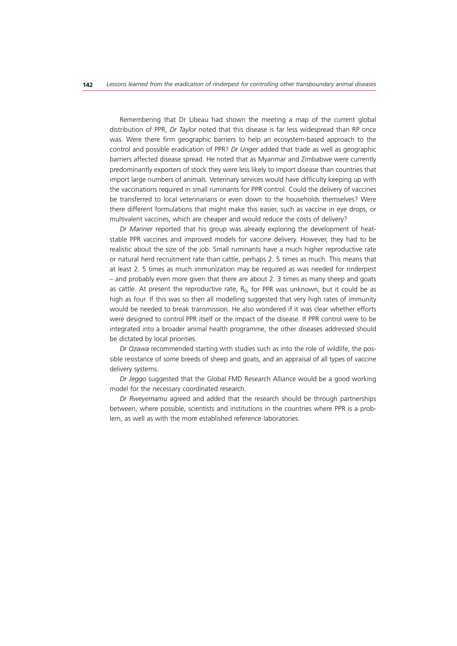Remembering that Dr Libeau had shown the meeting a map of the current global distribution of PPR, *Dr Taylor* noted that this disease is far less widespread than RP once was. Were there firm geographic barriers to help an ecosystem-based approach to the control and possible eradication of PPR? *Dr Unger* added that trade as well as geographic barriers affected disease spread. He noted that as Myanmar and Zimbabwe were currently predominantly exporters of stock they were less likely to import disease than countries that import large numbers of animals. Veterinary services would have difficulty keeping up with the vaccinations required in small ruminants for PPR control. Could the delivery of vaccines be transferred to local veterinarians or even down to the households themselves? Were there different formulations that might make this easier, such as vaccine in eye drops, or multivalent vaccines, which are cheaper and would reduce the costs of delivery?

*Dr Mariner* reported that his group was already exploring the development of heatstable PPR vaccines and improved models for vaccine delivery. However, they had to be realistic about the size of the job. Small ruminants have a much higher reproductive rate or natural herd recruitment rate than cattle, perhaps 2. 5 times as much. This means that at least 2. 5 times as much immunization may be required as was needed for rinderpest – and probably even more given that there are about 2. 3 times as many sheep and goats as cattle. At present the reproductive rate,  $R_0$ , for PPR was unknown, but it could be as high as four. If this was so then all modelling suggested that very high rates of immunity would be needed to break transmission. He also wondered if it was clear whether efforts were designed to control PPR itself or the impact of the disease. If PPR control were to be integrated into a broader animal health programme, the other diseases addressed should be dictated by local priorities.

*Dr Ozawa* recommended starting with studies such as into the role of wildlife, the possible resistance of some breeds of sheep and goats, and an appraisal of all types of vaccine delivery systems.

*Dr Jeggo* suggested that the Global FMD Research Alliance would be a good working model for the necessary coordinated research.

*Dr Rweyemamu* agreed and added that the research should be through partnerships between, where possible, scientists and institutions in the countries where PPR is a problem, as well as with the more established reference laboratories.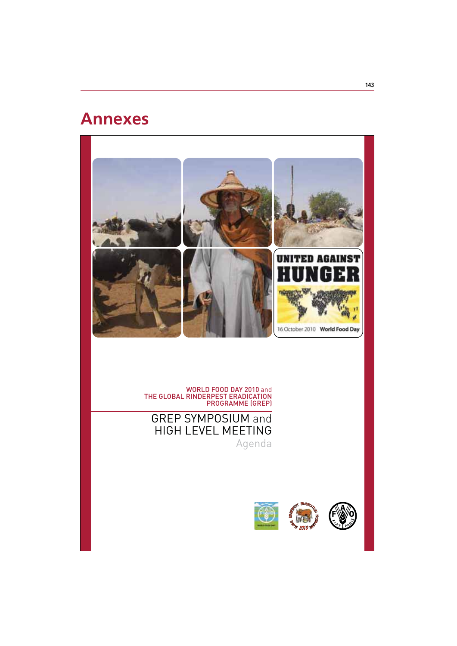# **Annexes**



WORLD FOOD DAY 2010 and THE GLOBAL RINDERPEST ERADICATION PROGRAMME (GREP)

GREP SYMPOSIUM and HIGH LEVEL MEETING

Agenda

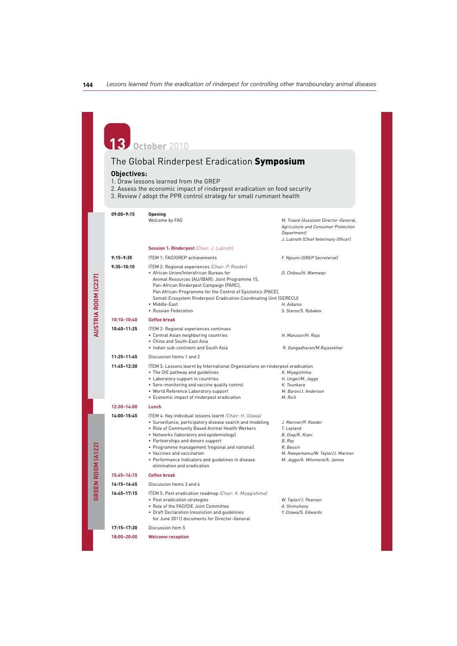**13** October <sup>2010</sup>

# The Global Rinderpest Eradication Symposium

#### **Objectives:**

**AUSTRIA ROOM (C237)**

**AUSTRIA ROOM (C237)** 

**GREEN ROOM (A122)**

**GREEN ROOM (A122)** 

- 1. Draw lessons learned from the GREP
- 2. Assess the economic impact of rinderpest eradication on food security
- 3. Review / adopt the PPR control strategy for small ruminant health

**09:00–9:15 Opening**  Welcome by FAO **M.** Traoré (Assistant Director-General, Agriculture and Consumer Protection Department) J. Lubroth (Chief Veterinary Officer)  **Session 1: Rinderpest** (Chair: J. Lubroth) 9:15-9:35 ITEM 1: FAO/GREP achievements F. Nieumi (GREP Secretariat) **9:35–10:10** ITEM 2: Regional experiences (Chair: P. Roeder) ~ African Union/Interafrican Bureau for D. Chibeu/H. Wamwayi Animal Resources (AU/IBAR): Joint Programme 15, Pan-African Rinderpest Campaign (PARC), Pan African-Programme for the Control of Epizootics (PACE), Somali Ecosystem Rinderpest Eradication Coordinating Unit (SERECU) • Middle-East H. Aidaros<br>• Russian Federation S. Starov/S. Rybakov **10:10–10:40 Coffee break 10:40–11:25** ITEM 2: Regional experiences continues • Central Asian neighboring countries H. Manzoor/H. Raja ~ China and South-East Asia • Indian sub-continent and South Asia R. Gangadharan/M. Rajasekhar **11:25–11:45** Discussion Items 1 and 2 **11:45–12:30** ITEM 3: Lessons learnt by International Organizations on rinderpest eradication • The OIE pathway and guidelines<br>
• Laboratory support in countries The Communication of H. Unger/M. Jeggo • Laboratory support in countries <br>• Sero-monitoring and vaccine quality control **H. Unger/M.** Gunkara ~ Sero-monitoring and vaccine quality control K. Tounkara • World Reference Laboratory support M. Baron/J. Anderson<br>• Economic impact of rinderpest eradication M. Rich ~ Economic impact of rinderpest eradication M. Rich **12:30–14:00 Lunch 14:00–15:45** ITEM 4: Key individual lessons learnt (Chair: H. Ozawa) • Surveillance, participatory disease search and modeling J. Mariner/P. Roeder ~Role of Community Based Animal Health Workers T. Leyland • Networks (laboratory and epidemiology) B. Diop/K. Kiani<br>• Partnerships and donors support B. Rey • Partnerships and donors support ~ Programme management (regional and national) R. Bessin M. Rweyemamu/W. Taylor/J. Mariner<br>M. Jeggo/A. Wilsmore/A. James • Performance Indicators and quidelines in disease elimination and eradication **15:45–16:15 Coffee break 16:15–16:45** Discussion Items 3 and 4 **16:45–17:15** ITEM 5: Post eradication roadmap (Chair: K. Miyagishima) ~ Post eradication strategies W. Taylor/J. Pearson • Role of the FAO/OIE Joint Committee A. Shimshony ~Draft Declaration (resolution and guidelines Y. Ozawa/S. Edwards for June 2011) documents for Director-General **17:15–17:30** Discussion Item 5 **18:00–20:00 Welcome reception**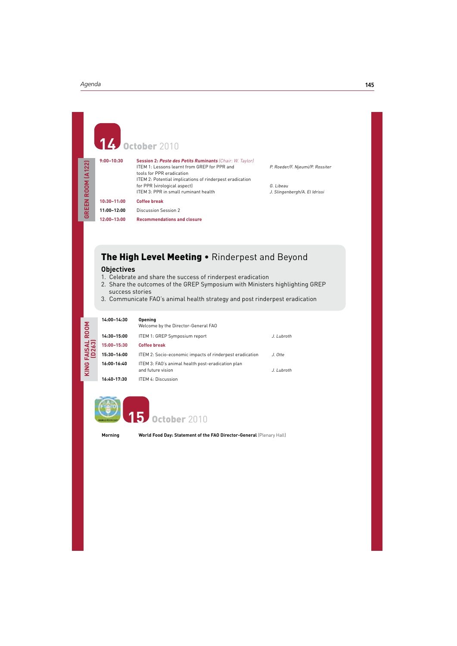**GREEN ROOM (A122)**

GREEN ROOM (A122)

# **14** October 2010<br> **14** October 2010 **9:00–10:30 Session 2: Peste des Petits Ruminants** (Chair: W. Taylor) ITEM 1: Lessons learnt from GREP for PPR and P. Roeder/F. Njeumi/P. Rossiter tools for PPR eradication ITEM 2: Potential implications of rinderpest eradication for PPR (virological aspect)<br>ITEM 3: PPR in small ruminant health J. Slingenbergh/A. El Idrissi ITEM 3: PPR in small ruminant health **10:30–11:00 Coffee break 11:00–12:00** Discussion Session 2

**12:00–13:00 Recommendations and closure**

# The High Level Meeting . Rinderpest and Beyond

#### **Objectives**

- 1. Celebrate and share the success of rinderpest eradication
- 2. Share the outcomes of the GREP Symposium with Ministers highlighting GREP success stories
- 3. Communicate FAO's animal health strategy and post rinderpest eradication

| ROOM                            | 14:00-14:30 | Opening<br>Welcome by the Director-General FAO                                        |            |
|---------------------------------|-------------|---------------------------------------------------------------------------------------|------------|
| <b>FAISAL</b><br>(D263)<br>KING | 14:30-15:00 | ITEM 1: GREP Symposium report                                                         | J. Lubroth |
|                                 | 15:00-15:30 | <b>Coffee break</b>                                                                   |            |
|                                 | 15:30-16:00 | ITEM 2: Socio-economic impacts of rinderpest eradication                              | J. Otte    |
|                                 | 16:00-16:40 | ITEM 3: FAO's animal health post-eradication plan<br>and future vision.<br>J. Lubroth |            |
|                                 | 16:40-17:30 | <b>ITEM 4: Discussion</b>                                                             |            |



**October 2010** 

**Morning World Food Day: Statement of the FAO Director-General (Plenary Hall)**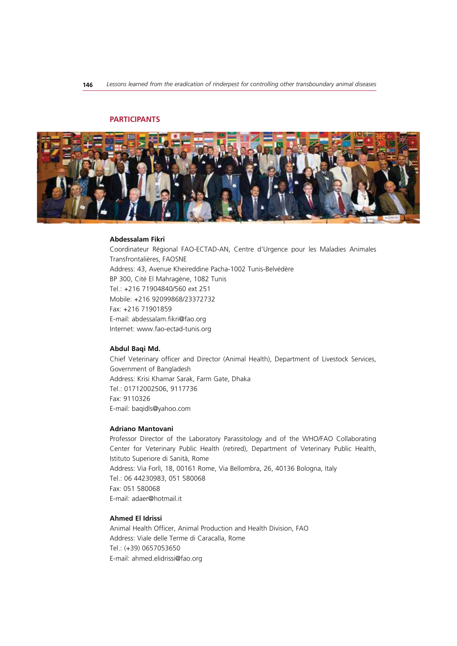# **PARTICIPANTS**



#### **Abdessalam Fikri**

Coordinateur Régional FAO-ECTAD-AN, Centre d'Urgence pour les Maladies Animales Transfrontalières, FAOSNE Address: 43, Avenue Kheireddine Pacha-1002 Tunis-Belvédère BP 300, Cité El Mahragène, 1082 Tunis Tel.: +216 71904840/560 ext 251 Mobile: +216 92099868/23372732 Fax: +216 71901859 E-mail: abdessalam.fikri@fao.org Internet: www.fao-ectad-tunis.org

#### **Abdul Baqi Md.**

Chief Veterinary officer and Director (Animal Health), Department of Livestock Services, Government of Bangladesh Address: Krisi Khamar Sarak, Farm Gate, Dhaka Tel.: 01712002506, 9117736 Fax: 9110326 E-mail: baqidls@yahoo.com

#### **Adriano Mantovani**

Professor Director of the Laboratory Parassitology and of the WHO/FAO Collaborating Center for Veterinary Public Health (retired), Department of Veterinary Public Health, Istituto Superiore di Sanità, Rome Address: Via Forlì, 18, 00161 Rome, Via Bellombra, 26, 40136 Bologna, Italy Tel.: 06 44230983, 051 580068 Fax: 051 580068 E-mail: adaer@hotmail.it

# **Ahmed El Idrissi**

Animal Health Officer, Animal Production and Health Division, FAO Address: Viale delle Terme di Caracalla, Rome Tel.: (+39) 0657053650 E-mail: ahmed.elidrissi@fao.org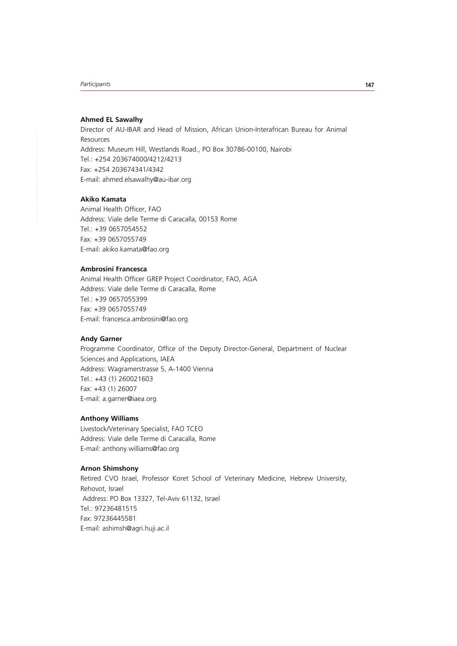# **Ahmed EL Sawalhy**

Director of AU-IBAR and Head of Mission, African Union-Interafrican Bureau for Animal Resources Address: Museum Hill, Westlands Road., PO Box 30786-00100, Nairobi Tel.: +254 203674000/4212/4213 Fax: +254 203674341/4342 E-mail: ahmed.elsawalhy@au-ibar.org

# **Akiko Kamata**

Animal Health Officer, FAO Address: Viale delle Terme di Caracalla, 00153 Rome Tel.: +39 0657054552 Fax: +39 0657055749 E-mail: akiko.kamata@fao.org

## **Ambrosini Francesca**

Animal Health Officer GREP Project Coordinator, FAO, AGA Address: Viale delle Terme di Caracalla, Rome Tel.: +39 0657055399 Fax: +39 0657055749 E-mail: francesca.ambrosini@fao.org

## **Andy Garner**

Programme Coordinator, Office of the Deputy Director-General, Department of Nuclear Sciences and Applications, IAEA Address: Wagramerstrasse 5, A-1400 Vienna Tel.: +43 (1) 260021603 Fax: +43 (1) 26007 E-mail: a.garner@iaea.org

# **Anthony Williams**

Livestock/Veterinary Specialist, FAO TCEO Address: Viale delle Terme di Caracalla, Rome E-mail: anthony.williams@fao.org

## **Arnon Shimshony**

Retired CVO Israel, Professor Koret School of Veterinary Medicine, Hebrew University, Rehovot, Israel Address: PO Box 13327, Tel-Aviv 61132, Israel Tel.: 97236481515 Fax: 97236445581 E-mail: ashimsh@agri.huji.ac.il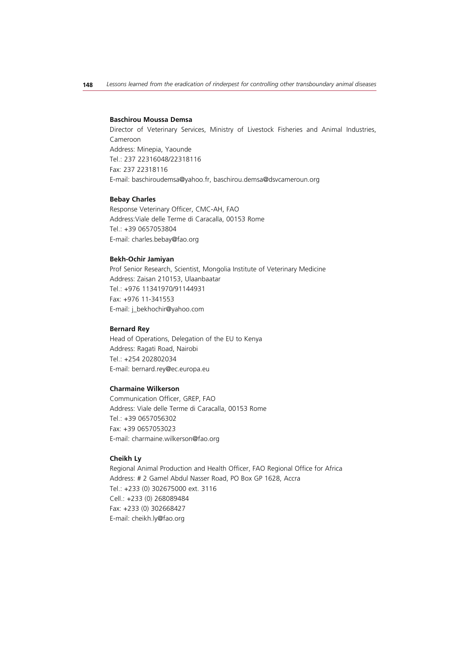#### **Baschirou Moussa Demsa**

Director of Veterinary Services, Ministry of Livestock Fisheries and Animal Industries, Cameroon Address: Minepia, Yaounde Tel.: 237 22316048/22318116 Fax: 237 22318116 E-mail: baschiroudemsa@yahoo.fr, baschirou.demsa@dsvcameroun.org

#### **Bebay Charles**

Response Veterinary Officer, CMC-AH, FAO Address:Viale delle Terme di Caracalla, 00153 Rome Tel.: +39 0657053804 E-mail: charles.bebay@fao.org

#### **Bekh-Ochir Jamiyan**

Prof Senior Research, Scientist, Mongolia Institute of Veterinary Medicine Address: Zaisan 210153, Ulaanbaatar Tel.: +976 11341970/91144931 Fax: +976 11-341553 E-mail: j\_bekhochir@yahoo.com

# **Bernard Rey**

Head of Operations, Delegation of the EU to Kenya Address: Ragati Road, Nairobi Tel.: +254 202802034 E-mail: bernard.rey@ec.europa.eu

#### **Charmaine Wilkerson**

Communication Officer, GREP, FAO Address: Viale delle Terme di Caracalla, 00153 Rome Tel.: +39 0657056302 Fax: +39 0657053023 E-mail: charmaine.wilkerson@fao.org

#### **Cheikh Ly**

Regional Animal Production and Health Officer, FAO Regional Office for Africa Address: # 2 Gamel Abdul Nasser Road, PO Box GP 1628, Accra Tel.: +233 (0) 302675000 ext. 3116 Cell.: +233 (0) 268089484 Fax: +233 (0) 302668427 E-mail: cheikh.ly@fao.org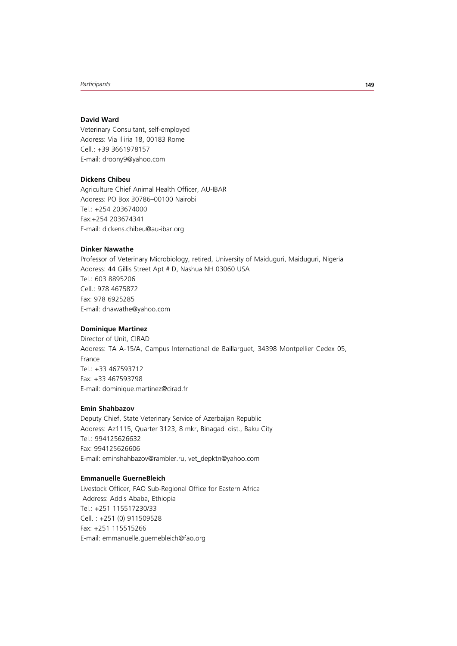# **David Ward**

Veterinary Consultant, self-employed Address: Via Illiria 18, 00183 Rome Cell.: +39 3661978157 E-mail: droony9@yahoo.com

# **Dickens Chibeu**

Agriculture Chief Animal Health Officer, AU-IBAR Address: PO Box 30786–00100 Nairobi Tel.: +254 203674000 Fax:+254 203674341 E-mail: dickens.chibeu@au-ibar.org

# **Dinker Nawathe**

Professor of Veterinary Microbiology, retired, University of Maiduguri, Maiduguri, Nigeria Address: 44 Gillis Street Apt # D, Nashua NH 03060 USA Tel.: 603 8895206 Cell.: 978 4675872 Fax: 978 6925285 E-mail: dnawathe@yahoo.com

# **Dominique Martinez**

Director of Unit, CIRAD Address: TA A-15/A, Campus International de Baillarguet, 34398 Montpellier Cedex 05, France Tel.: +33 467593712 Fax: +33 467593798 E-mail: dominique.martinez@cirad.fr

# **Emin Shahbazov**

Deputy Chief, State Veterinary Service of Azerbaijan Republic Address: Az1115, Quarter 3123, 8 mkr, Binagadi dist., Baku City Tel.: 994125626632 Fax: 994125626606 E-mail: eminshahbazov@rambler.ru, vet\_depktn@yahoo.com

# **Emmanuelle GuerneBleich**

Livestock Officer, FAO Sub-Regional Office for Eastern Africa Address: Addis Ababa, Ethiopia Tel.: +251 115517230/33 Cell. : +251 (0) 911509528 Fax: +251 115515266 E-mail: emmanuelle.guernebleich@fao.org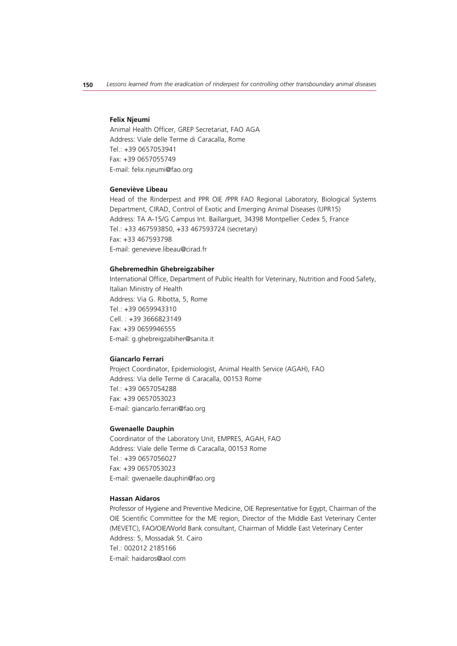#### **Felix Njeumi**

Animal Health Officer, GREP Secretariat, FAO AGA Address: Viale delle Terme di Caracalla, Rome Tel.: +39 0657053941 Fax: +39 0657055749 E-mail: felix.njeumi@fao.org

# **Geneviève Libeau**

Head of the Rinderpest and PPR OIE /PPR FAO Regional Laboratory, Biological Systems Department, CIRAD, Control of Exotic and Emerging Animal Diseases (UPR15) Address: TA A-15/G Campus Int. Baillarguet, 34398 Montpellier Cedex 5, France Tel.: +33 467593850, +33 467593724 (secretary) Fax: +33 467593798 E-mail: genevieve.libeau@cirad.fr

#### **Ghebremedhin Ghebreigzabiher**

International Office, Department of Public Health for Veterinary, Nutrition and Food Safety, Italian Ministry of Health Address: Via G. Ribotta, 5, Rome Tel.: +39 0659943310 Cell. : +39 3666823149 Fax: +39 0659946555 E-mail: g.ghebreigzabiher@sanita.it

# **Giancarlo Ferrari**

Project Coordinator, Epidemiologist, Animal Health Service (AGAH), FAO Address: Via delle Terme di Caracalla, 00153 Rome Tel.: +39 0657054288 Fax: +39 0657053023 E-mail: giancarlo.ferrari@fao.org

#### **Gwenaelle Dauphin**

Coordinator of the Laboratory Unit, EMPRES, AGAH, FAO Address: Viale delle Terme di Caracalla, 00153 Rome Tel.: +39 0657056027 Fax: +39 0657053023 E-mail: gwenaelle.dauphin@fao.org

# **Hassan Aidaros**

Professor of Hygiene and Preventive Medicine, OIE Representative for Egypt, Chairman of the OIE Scientific Committee for the ME region, Director of the Middle East Veterinary Center (MEVETC), FAO/OIE/World Bank consultant, Chairman of Middle East Veterinary Center Address: 5, Mossadak St. Cairo Tel.: 002012 2185166 E-mail: haidaros@aol.com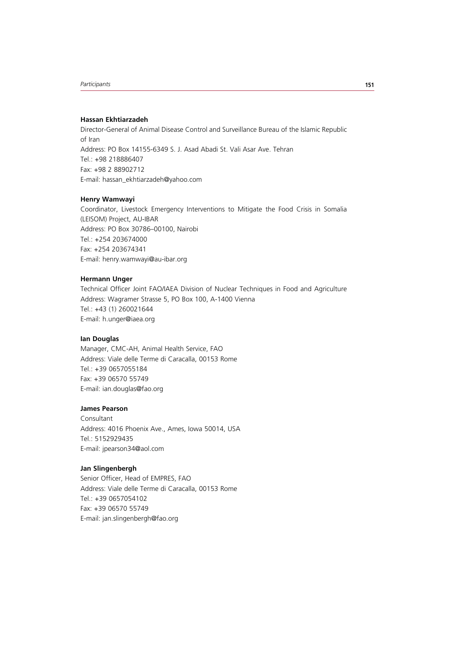## **Hassan Ekhtiarzadeh**

Director-General of Animal Disease Control and Surveillance Bureau of the Islamic Republic of Iran Address: PO Box 14155-6349 S. J. Asad Abadi St. Vali Asar Ave. Tehran Tel.: +98 218886407 Fax: +98 2 88902712 E-mail: hassan\_ekhtiarzadeh@yahoo.com

#### **Henry Wamwayi**

Coordinator, Livestock Emergency Interventions to Mitigate the Food Crisis in Somalia (LEISOM) Project, AU-IBAR Address: PO Box 30786–00100, Nairobi Tel.: +254 203674000 Fax: +254 203674341 E-mail: henry.wamwayi@au-ibar.org

#### **Hermann Unger**

Technical Officer Joint FAO/IAEA Division of Nuclear Techniques in Food and Agriculture Address: Wagramer Strasse 5, PO Box 100, A-1400 Vienna Tel.: +43 (1) 260021644 E-mail: h.unger@iaea.org

#### **Ian Douglas**

Manager, CMC-AH, Animal Health Service, FAO Address: Viale delle Terme di Caracalla, 00153 Rome Tel.: +39 0657055184 Fax: +39 06570 55749 E-mail: ian.douglas@fao.org

# **James Pearson**

Consultant Address: 4016 Phoenix Ave., Ames, Iowa 50014, USA Tel.: 5152929435 E-mail: jpearson34@aol.com

# **Jan Slingenbergh**

Senior Officer, Head of EMPRES, FAO Address: Viale delle Terme di Caracalla, 00153 Rome Tel.: +39 0657054102 Fax: +39 06570 55749 E-mail: jan.slingenbergh@fao.org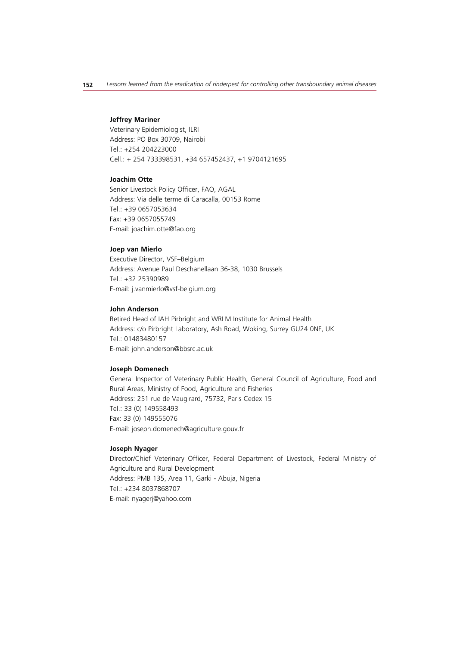#### **Jeffrey Mariner**

Veterinary Epidemiologist, ILRI Address: PO Box 30709, Nairobi Tel.: +254 204223000 Cell.: + 254 733398531, +34 657452437, +1 9704121695

# **Joachim Otte**

Senior Livestock Policy Officer, FAO, AGAL Address: Via delle terme di Caracalla, 00153 Rome Tel.: +39 0657053634 Fax: +39 0657055749 E-mail: joachim.otte@fao.org

#### **Joep van Mierlo**

Executive Director, VSF–Belgium Address: Avenue Paul Deschanellaan 36-38, 1030 Brussels Tel.: +32 25390989 E-mail: j.vanmierlo@vsf-belgium.org

#### **John Anderson**

Retired Head of IAH Pirbright and WRLM Institute for Animal Health Address: c/o Pirbright Laboratory, Ash Road, Woking, Surrey GU24 0NF, UK Tel.: 01483480157 E-mail: john.anderson@bbsrc.ac.uk

#### **Joseph Domenech**

General Inspector of Veterinary Public Health, General Council of Agriculture, Food and Rural Areas, Ministry of Food, Agriculture and Fisheries Address: 251 rue de Vaugirard, 75732, Paris Cedex 15 Tel.: 33 (0) 149558493 Fax: 33 (0) 149555076 E-mail: joseph.domenech@agriculture.gouv.fr

#### **Joseph Nyager**

Director/Chief Veterinary Officer, Federal Department of Livestock, Federal Ministry of Agriculture and Rural Development Address: PMB 135, Area 11, Garki - Abuja, Nigeria Tel.: +234 8037868707 E-mail: nyagerj@yahoo.com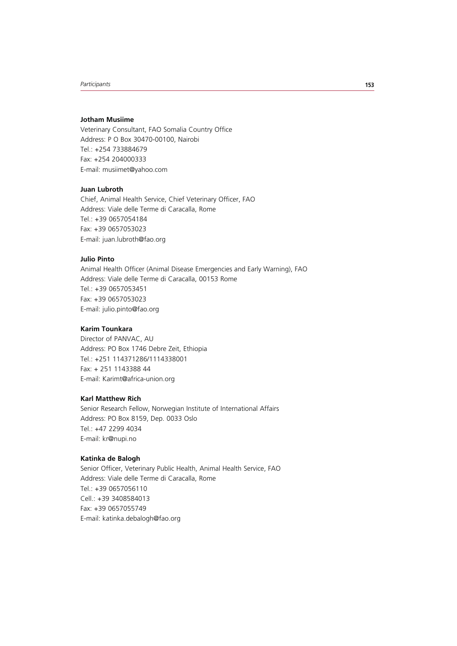## **Jotham Musiime**

Veterinary Consultant, FAO Somalia Country Office Address: P O Box 30470-00100, Nairobi Tel.: +254 733884679 Fax: +254 204000333 E-mail: musiimet@yahoo.com

# **Juan Lubroth**

Chief, Animal Health Service, Chief Veterinary Officer, FAO Address: Viale delle Terme di Caracalla, Rome Tel.: +39 0657054184 Fax: +39 0657053023 E-mail: juan.lubroth@fao.org

# **Julio Pinto**

Animal Health Officer (Animal Disease Emergencies and Early Warning), FAO Address: Viale delle Terme di Caracalla, 00153 Rome Tel.: +39 0657053451 Fax: +39 0657053023 E-mail: julio.pinto@fao.org

# **Karim Tounkara**

Director of PANVAC, AU Address: PO Box 1746 Debre Zeit, Ethiopia Tel.: +251 114371286/1114338001 Fax: + 251 1143388 44 E-mail: Karimt@africa-union.org

# **Karl Matthew Rich**

Senior Research Fellow, Norwegian Institute of International Affairs Address: PO Box 8159, Dep. 0033 Oslo Tel.: +47 2299 4034 E-mail: kr@nupi.no

#### **Katinka de Balogh**

Senior Officer, Veterinary Public Health, Animal Health Service, FAO Address: Viale delle Terme di Caracalla, Rome Tel.: +39 0657056110 Cell.: +39 3408584013 Fax: +39 0657055749 E-mail: katinka.debalogh@fao.org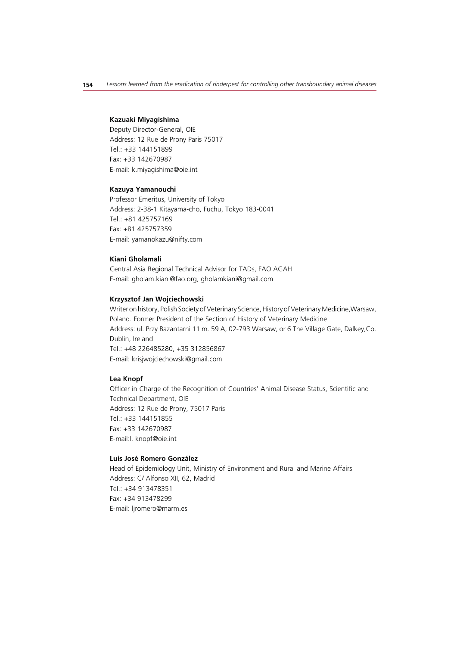#### **Kazuaki Miyagishima**

Deputy Director-General, OIE Address: 12 Rue de Prony Paris 75017 Tel.: +33 144151899 Fax: +33 142670987 E-mail: k.miyagishima@oie.int

# **Kazuya Yamanouchi**

Professor Emeritus, University of Tokyo Address: 2-38-1 Kitayama-cho, Fuchu, Tokyo 183-0041  $Tel: +81 425757169$ Fax: +81 425757359 E-mail: yamanokazu@nifty.com

# **Kiani Gholamali**

Central Asia Regional Technical Advisor for TADs, FAO AGAH E-mail: gholam.kiani@fao.org, gholamkiani@gmail.com

#### **Krzysztof Jan Wojciechowski**

Writer on history, Polish Society of Veterinary Science, History of Veterinary Medicine,Warsaw, Poland. Former President of the Section of History of Veterinary Medicine Address: ul. Przy Bazantarni 11 m. 59 A, 02-793 Warsaw, or 6 The Village Gate, Dalkey,Co. Dublin, Ireland Tel.: +48 226485280, +35 312856867 E-mail: krisjwojciechowski@gmail.com

# **Lea Knopf**

Officer in Charge of the Recognition of Countries' Animal Disease Status, Scientific and Technical Department, OIE Address: 12 Rue de Prony, 75017 Paris Tel.: +33 144151855 Fax: +33 142670987 E-mail:l. knopf@oie.int

# **Luis José Romero González**

Head of Epidemiology Unit, Ministry of Environment and Rural and Marine Affairs Address: C/ Alfonso XII, 62, Madrid Tel.: +34 913478351 Fax: +34 913478299 E-mail: ljromero@marm.es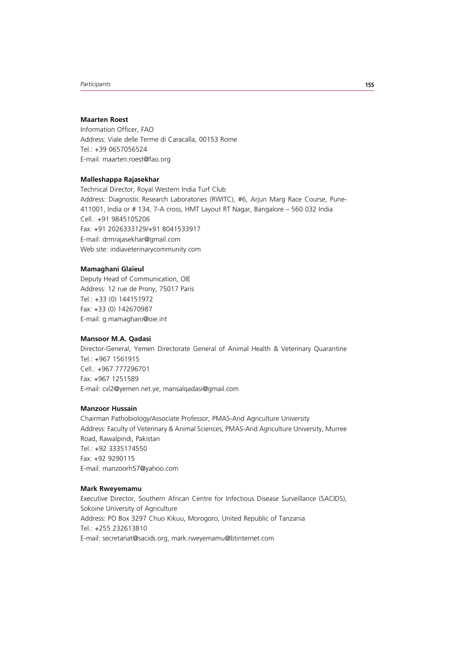#### **Maarten Roest**

Information Officer, FAO Address: Viale delle Terme di Caracalla, 00153 Rome Tel.: +39 0657056524 E-mail: maarten.roest@fao.org

## **Malleshappa Rajasekhar**

Technical Director, Royal Western India Turf Club Address: Diagnostic Research Laboratories (RWITC), #6, Arjun Marg Race Course, Pune-411001, India or # 134, 7-A cross, HMT Layout RT Nagar, Bangalore – 560 032 India Cell.: +91 9845105206 Fax: +91 2026333129/+91 8041533917 E-mail: drmrajasekhar@gmail.com Web site: indiaveterinarycommunity.com

# **Mamaghani Glaïeul**

Deputy Head of Communication, OIE Address: 12 rue de Prony, 75017 Paris Tel.: +33 (0) 144151972 Fax: +33 (0) 142670987 E-mail: g.mamaghani@oie.int

# **Mansoor M.A. Qadasi**

Director-General, Yemen Directorate General of Animal Health & Veterinary Quarantine Tel.: +967 1561915 Cell.: +967 777296701 Fax: +967 1251589 E-mail: cvl2@yemen.net.ye, mansalqadasi@gmail.com

# **Manzoor Hussain**

Chairman Pathobiology/Associate Professor, PMAS-Arid Agriculture University Address: Faculty of Veterinary & Animal Sciences, PMAS-Arid Agriculture University, Murree Road, Rawalpindi, Pakistan Tel.: +92 3335174550 Fax: +92 9290115 E-mail: manzoorh57@yahoo.com

# **Mark Rweyemamu**

Executive Director, Southern African Centre for Infectious Disease Surveillance (SACIDS), Sokoine University of Agriculture Address: PO Box 3297 Chuo Kikuu, Morogoro, United Republic of Tanzania  $Tel: +255 232613810$ E-mail: secretariat@sacids.org, mark.rweyemamu@btinternet.com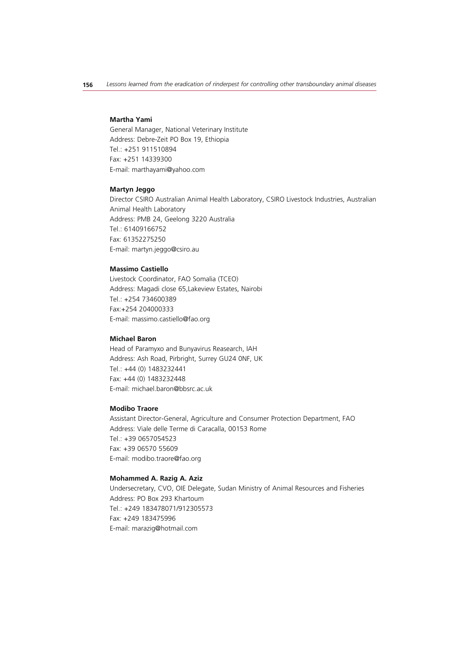#### **Martha Yami**

General Manager, National Veterinary Institute Address: Debre-Zeit PO Box 19, Ethiopia Tel.: +251 911510894 Fax: +251 14339300 E-mail: marthayami@yahoo.com

#### **Martyn Jeggo**

Director CSIRO Australian Animal Health Laboratory, CSIRO Livestock Industries, Australian Animal Health Laboratory Address: PMB 24, Geelong 3220 Australia Tel.: 61409166752 Fax: 61352275250 E-mail: martyn.jeggo@csiro.au

## **Massimo Castiello**

Livestock Coordinator, FAO Somalia (TCEO) Address: Magadi close 65,Lakeview Estates, Nairobi Tel.: +254 734600389 Fax:+254 204000333 E-mail: massimo.castiello@fao.org

# **Michael Baron**

Head of Paramyxo and Bunyavirus Reasearch, IAH Address: Ash Road, Pirbright, Surrey GU24 0NF, UK Tel.: +44 (0) 1483232441 Fax: +44 (0) 1483232448 E-mail: michael.baron@bbsrc.ac.uk

# **Modibo Traore**

Assistant Director-General, Agriculture and Consumer Protection Department, FAO Address: Viale delle Terme di Caracalla, 00153 Rome Tel.: +39 0657054523 Fax: +39 06570 55609 E-mail: modibo.traore@fao.org

#### **Mohammed A. Razig A. Aziz**

Undersecretary, CVO, OIE Delegate, Sudan Ministry of Animal Resources and Fisheries Address: PO Box 293 Khartoum Tel.: +249 183478071/912305573 Fax: +249 183475996 E-mail: marazig@hotmail.com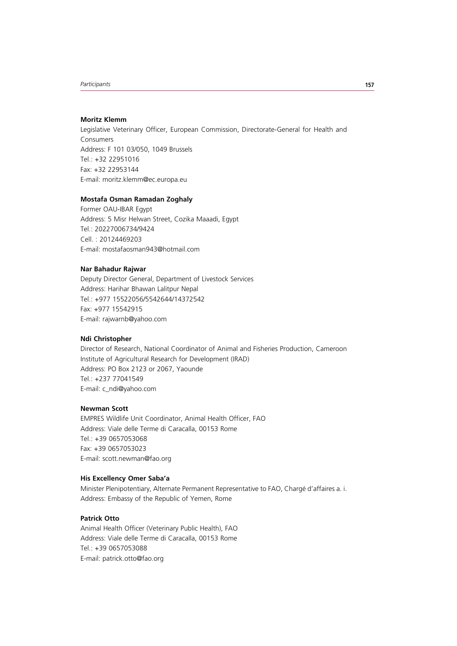## **Moritz Klemm**

Legislative Veterinary Officer, European Commission, Directorate-General for Health and Consumers Address: F 101 03/050, 1049 Brussels  $Tel: +32 22951016$ Fax: +32 22953144 E-mail: moritz.klemm@ec.europa.eu

# **Mostafa Osman Ramadan Zoghaly**

Former OAU-IBAR Egypt Address: 5 Misr Helwan Street, Cozika Maaadi, Egypt Tel.: 20227006734/9424 Cell. : 20124469203 E-mail: mostafaosman943@hotmail.com

# **Nar Bahadur Rajwar**

Deputy Director General, Department of Livestock Services Address: Harihar Bhawan Lalitpur Nepal Tel.: +977 15522056/5542644/14372542 Fax: +977 15542915 E-mail: rajwarnb@yahoo.com

# **Ndi Christopher**

Director of Research, National Coordinator of Animal and Fisheries Production, Cameroon Institute of Agricultural Research for Development (IRAD) Address: PO Box 2123 or 2067, Yaounde Tel.: +237 77041549 E-mail: c\_ndi@yahoo.com

# **Newman Scott**

EMPRES Wildlife Unit Coordinator, Animal Health Officer, FAO Address: Viale delle Terme di Caracalla, 00153 Rome Tel.: +39 0657053068 Fax: +39 0657053023 E-mail: scott.newman@fao.org

## **His Excellency Omer Saba'a**

Minister Plenipotentiary, Alternate Permanent Representative to FAO, Chargé d'affaires a. i. Address: Embassy of the Republic of Yemen, Rome

# **Patrick Otto**

Animal Health Officer (Veterinary Public Health), FAO Address: Viale delle Terme di Caracalla, 00153 Rome Tel.: +39 0657053088 E-mail: patrick.otto@fao.org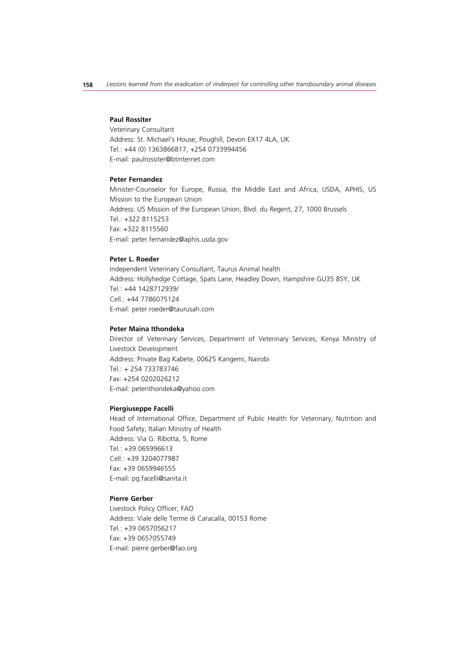#### **Paul Rossiter**

Veterinary Consultant Address: St. Michael's House, Poughill, Devon EX17 4LA, UK Tel.: +44 (0) 1363866817, +254 0733994456 E-mail: paulrossiter@btinternet.com

# **Peter Fernandez**

Minister-Counselor for Europe, Russia, the Middle East and Africa, USDA, APHIS, US Mission to the European Union Address: US Mission of the European Union, Blvd. du Regent, 27, 1000 Brussels  $Tel: +322 8115253$ Fax: +322 8115560 E-mail: peter.fernandez@aphis.usda.gov

# **Peter L. Roeder**

Independent Veterinary Consultant, Taurus Animal health Address: Hollyhedge Cottage, Spats Lane, Headley Down, Hampshire GU35 8SY, UK Tel.: +44 1428712939/ Cell.: +44 7786075124 E-mail: peter.roeder@taurusah.com

# **Peter Maina Ithondeka**

Director of Veterinary Services, Department of Veterinary Services, Kenya Ministry of Livestock Development Address: Private Bag Kabete, 00625 Kangemi, Nairobi Tel.: + 254 733783746 Fax: +254 0202026212 E-mail: peterithondeka@yahoo.com

# **Piergiuseppe Facelli**

Head of International Office, Department of Public Health for Veterinary, Nutrition and Food Safety, Italian Ministry of Health Address: Via G. Ribotta, 5, Rome Tel.: +39 065996613 Cell.: +39 3204077987 Fax: +39 0659946555 E-mail: pg.facelli@sanita.it

# **Pierre Gerber**

Livestock Policy Officer, FAO Address: Viale delle Terme di Caracalla, 00153 Rome Tel.: +39 0657056217 Fax: +39 0657055749 E-mail: pierre.gerber@fao.org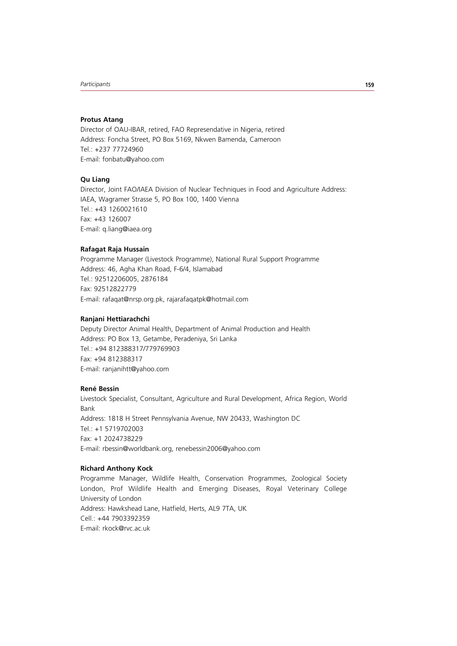#### **Protus Atang**

Director of OAU-IBAR, retired, FAO Represendative in Nigeria, retired Address: Foncha Street, PO Box 5169, Nkwen Bamenda, Cameroon Tel.: +237 77724960 E-mail: fonbatu@yahoo.com

# **Qu Liang**

Director, Joint FAO/IAEA Division of Nuclear Techniques in Food and Agriculture Address: IAEA, Wagramer Strasse 5, PO Box 100, 1400 Vienna Tel.: +43 1260021610 Fax: +43 126007 E-mail: q.liang@iaea.org

## **Rafagat Raja Hussain**

Programme Manager (Livestock Programme), National Rural Support Programme Address: 46, Agha Khan Road, F-6/4, Islamabad Tel.: 92512206005, 2876184 Fax: 92512822779 E-mail: rafaqat@nrsp.org.pk, rajarafaqatpk@hotmail.com

# **Ranjani Hettiarachchi**

Deputy Director Animal Health, Department of Animal Production and Health Address: PO Box 13, Getambe, Peradeniya, Sri Lanka Tel.: +94 812388317/779769903 Fax: +94 812388317 E-mail: ranjanihtt@yahoo.com

# **René Bessin**

Livestock Specialist, Consultant, Agriculture and Rural Development, Africa Region, World Bank Address: 1818 H Street Pennsylvania Avenue, NW 20433, Washington DC Tel.: +1 5719702003 Fax: +1 2024738229 E-mail: rbessin@worldbank.org, renebessin2006@yahoo.com

# **Richard Anthony Kock**

Programme Manager, Wildlife Health, Conservation Programmes, Zoological Society London, Prof Wildlife Health and Emerging Diseases, Royal Veterinary College University of London Address: Hawkshead Lane, Hatfield, Herts, AL9 7TA, UK Cell.: +44 7903392359 E-mail: rkock@rvc.ac.uk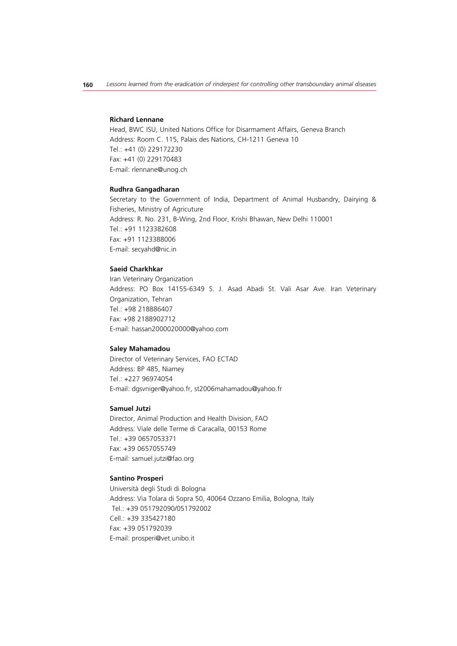#### **Richard Lennane**

Head, BWC ISU, United Nations Office for Disarmament Affairs, Geneva Branch Address: Room C. 115, Palais des Nations, CH-1211 Geneva 10 Tel.: +41 (0) 229172230 Fax: +41 (0) 229170483 E-mail: rlennane@unog.ch

#### **Rudhra Gangadharan**

Secretary to the Government of India, Department of Animal Husbandry, Dairying & Fisheries, Ministry of Agricuture Address: R. No. 231, B-Wing, 2nd Floor, Krishi Bhawan, New Delhi 110001 Tel.: +91 1123382608 Fax: +91 1123388006 E-mail: secyahd@nic.in

## **Saeid Charkhkar**

Iran Veterinary Organization Address: PO Box 14155-6349 S. J. Asad Abadi St. Vali Asar Ave. Iran Veterinary Organization, Tehran Tel.: +98 218886407 Fax: +98 2188902712 E-mail: hassan2000020000@yahoo.com

#### **Saley Mahamadou**

Director of Veterinary Services, FAO ECTAD Address: BP 485, Niamey Tel.: +227 96974054 E-mail: dgsvniger@yahoo.fr, st2006mahamadou@yahoo.fr

#### **Samuel Jutzi**

Director, Animal Production and Health Division, FAO Address: Viale delle Terme di Caracalla, 00153 Rome Tel.: +39 0657053371 Fax: +39 0657055749 E-mail: samuel.jutzi@fao.org

#### **Santino Prosperi**

Università degli Studi di Bologna Address: Via Tolara di Sopra 50, 40064 Ozzano Emilia, Bologna, Italy Tel.: +39 051792090/051792002 Cell.: +39 335427180 Fax: +39 051792039 E-mail: prosperi@vet.unibo.it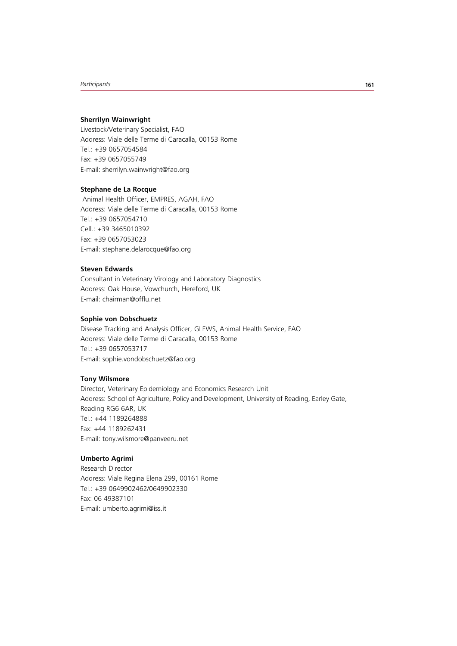# **Sherrilyn Wainwright**

Livestock/Veterinary Specialist, FAO Address: Viale delle Terme di Caracalla, 00153 Rome Tel.: +39 0657054584 Fax: +39 0657055749 E-mail: sherrilyn.wainwright@fao.org

# **Stephane de La Rocque**

 Animal Health Officer, EMPRES, AGAH, FAO Address: Viale delle Terme di Caracalla, 00153 Rome Tel.: +39 0657054710 Cell.: +39 3465010392 Fax: +39 0657053023 E-mail: stephane.delarocque@fao.org

## **Steven Edwards**

Consultant in Veterinary Virology and Laboratory Diagnostics Address: Oak House, Vowchurch, Hereford, UK E-mail: chairman@offlu.net

# **Sophie von Dobschuetz**

Disease Tracking and Analysis Officer, GLEWS, Animal Health Service, FAO Address: Viale delle Terme di Caracalla, 00153 Rome Tel.: +39 0657053717 E-mail: sophie.vondobschuetz@fao.org

## **Tony Wilsmore**

Director, Veterinary Epidemiology and Economics Research Unit Address: School of Agriculture, Policy and Development, University of Reading, Earley Gate, Reading RG6 6AR, UK Tel.: +44 1189264888 Fax: +44 1189262431 E-mail: tony.wilsmore@panveeru.net

## **Umberto Agrimi**

Research Director Address: Viale Regina Elena 299, 00161 Rome Tel.: +39 0649902462/0649902330 Fax: 06 49387101 E-mail: umberto.agrimi@iss.it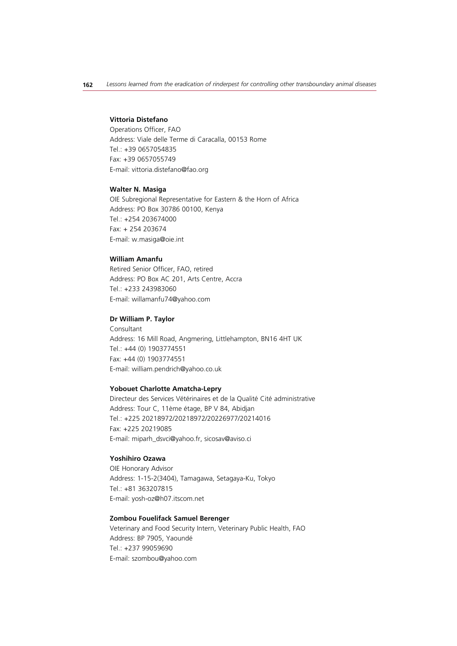#### **Vittoria Distefano**

Operations Officer, FAO Address: Viale delle Terme di Caracalla, 00153 Rome Tel.: +39 0657054835 Fax: +39 0657055749 E-mail: vittoria.distefano@fao.org

#### **Walter N. Masiga**

OIE Subregional Representative for Eastern & the Horn of Africa Address: PO Box 30786 00100, Kenya Tel.: +254 203674000 Fax: + 254 203674 E-mail: w.masiga@oie.int

# **William Amanfu**

Retired Senior Officer, FAO, retired Address: PO Box AC 201, Arts Centre, Accra Tel.: +233 243983060 E-mail: willamanfu74@yahoo.com

# **Dr William P. Taylor**

Consultant Address: 16 Mill Road, Angmering, Littlehampton, BN16 4HT UK Tel.: +44 (0) 1903774551 Fax: +44 (0) 1903774551 E-mail: william.pendrich@yahoo.co.uk

#### **Yobouet Charlotte Amatcha-Lepry**

Directeur des Services Vétérinaires et de la Qualité Cité administrative Address: Tour C, 11ème étage, BP V 84, Abidjan Tel.: +225 20218972/20218972/20226977/20214016 Fax: +225 20219085 E-mail: miparh\_dsvci@yahoo.fr, sicosav@aviso.ci

#### **Yoshihiro Ozawa**

OIE Honorary Advisor Address: 1-15-2(3404), Tamagawa, Setagaya-Ku, Tokyo Tel.: +81 363207815 E-mail: yosh-oz@h07.itscom.net

# **Zombou Fouelifack Samuel Berenger**

Veterinary and Food Security Intern, Veterinary Public Health, FAO Address: BP 7905, Yaoundé Tel.: +237 99059690 E-mail: szombou@yahoo.com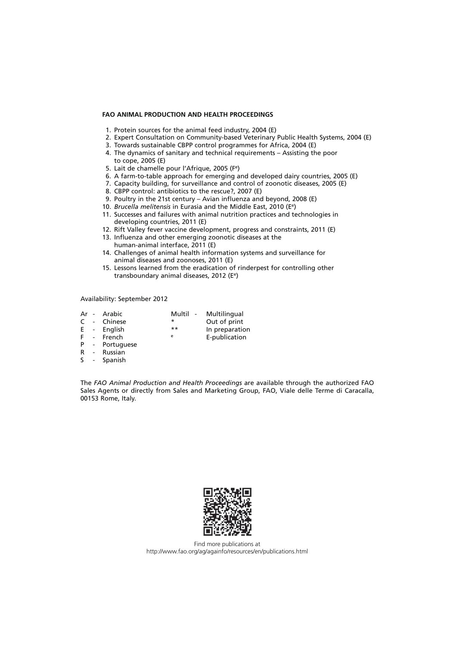# **FAO ANIMAL PRODUCTION AND HEALTH PROCEEDINGS**

- 1. Protein sources for the animal feed industry, 2004 (E)
- 2. Expert Consultation on Community-based Veterinary Public Health Systems, 2004 (E)
- 3. Towards sustainable CBPP control programmes for Africa, 2004 (E)
- 4. The dynamics of sanitary and technical requirements Assisting the poor to cope, 2005 (E)
- 5. Lait de chamelle pour l'Afrique, 2005 (Fe)
- 6. A farm-to-table approach for emerging and developed dairy countries, 2005 (E)
- 7. Capacity building, for surveillance and control of zoonotic diseases, 2005 (E)
- 8. CBPP control: antibiotics to the rescue?, 2007 (E)
- 9. Poultry in the 21st century Avian influenza and beyond, 2008 (E)
- 10. *Brucella melitensis* in Eurasia and the Middle East, 2010 (Ee)
- 11. Successes and failures with animal nutrition practices and technologies in developing countries, 2011 (E)
- 12. Rift Valley fever vaccine development, progress and constraints, 2011 (E)
- 13. Influenza and other emerging zoonotic diseases at the human-animal interface, 2011 (E)
- 14. Challenges of animal health information systems and surveillance for animal diseases and zoonoses, 2011 (E)
- 15. Lessons learned from the eradication of rinderpest for controlling other transboundary animal diseases, 2012 (Ee)

Availability: September 2012

|  | Ar - Arabic    |       | Multil - Multilingual |
|--|----------------|-------|-----------------------|
|  | C - Chinese    | *     | Out of print          |
|  | E - English    | $***$ | In preparation        |
|  | F - French     | e     | E-publication         |
|  | P - Portuguese |       |                       |
|  |                |       |                       |

- R Russian
- S Spanish

The *FAO Animal Production and Health Proceedings* are available through the authorized FAO Sales Agents or directly from Sales and Marketing Group, FAO, Viale delle Terme di Caracalla, 00153 Rome, Italy.



Find more publications at http://www.fao.org/ag/againfo/resources/en/publications.html